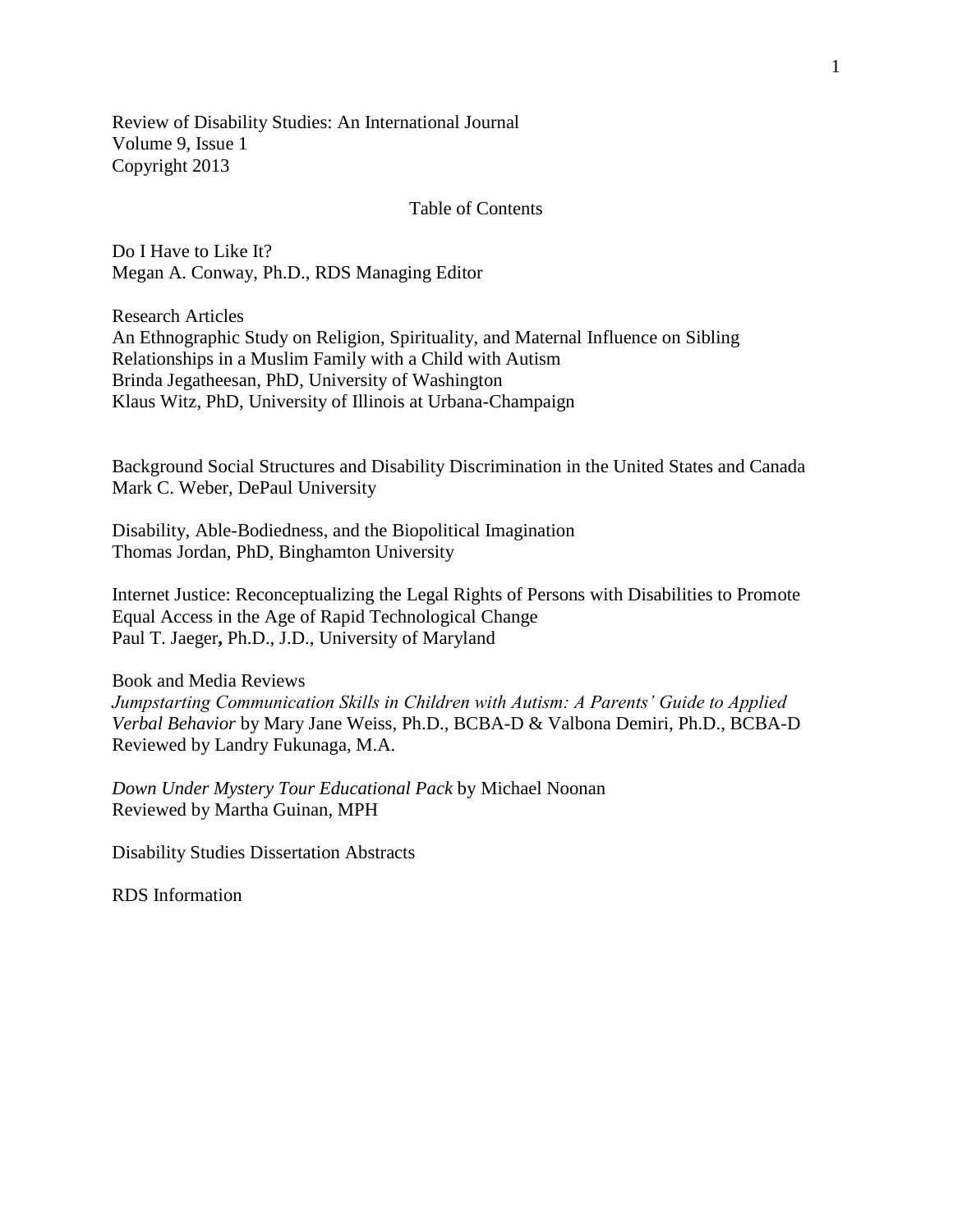Review of Disability Studies: An International Journal Volume 9, Issue 1 Copyright 2013

## Table of Contents

Do I Have to Like It? Megan A. Conway, Ph.D., RDS Managing Editor

Research Articles An Ethnographic Study on Religion, Spirituality, and Maternal Influence on Sibling Relationships in a Muslim Family with a Child with Autism Brinda Jegatheesan, PhD, University of Washington Klaus Witz, PhD, University of Illinois at Urbana-Champaign

Background Social Structures and Disability Discrimination in the United States and Canada Mark C. Weber, DePaul University

Disability, Able-Bodiedness, and the Biopolitical Imagination Thomas Jordan, PhD, Binghamton University

Internet Justice: Reconceptualizing the Legal Rights of Persons with Disabilities to Promote Equal Access in the Age of Rapid Technological Change Paul T. Jaeger**,** Ph.D., J.D., University of Maryland

Book and Media Reviews *Jumpstarting Communication Skills in Children with Autism: A Parents' Guide to Applied Verbal Behavior* by Mary Jane Weiss, Ph.D., BCBA-D & Valbona Demiri, Ph.D., BCBA-D Reviewed by Landry Fukunaga, M.A.

*Down Under Mystery Tour Educational Pack* by Michael Noonan Reviewed by Martha Guinan, MPH

Disability Studies Dissertation Abstracts

RDS Information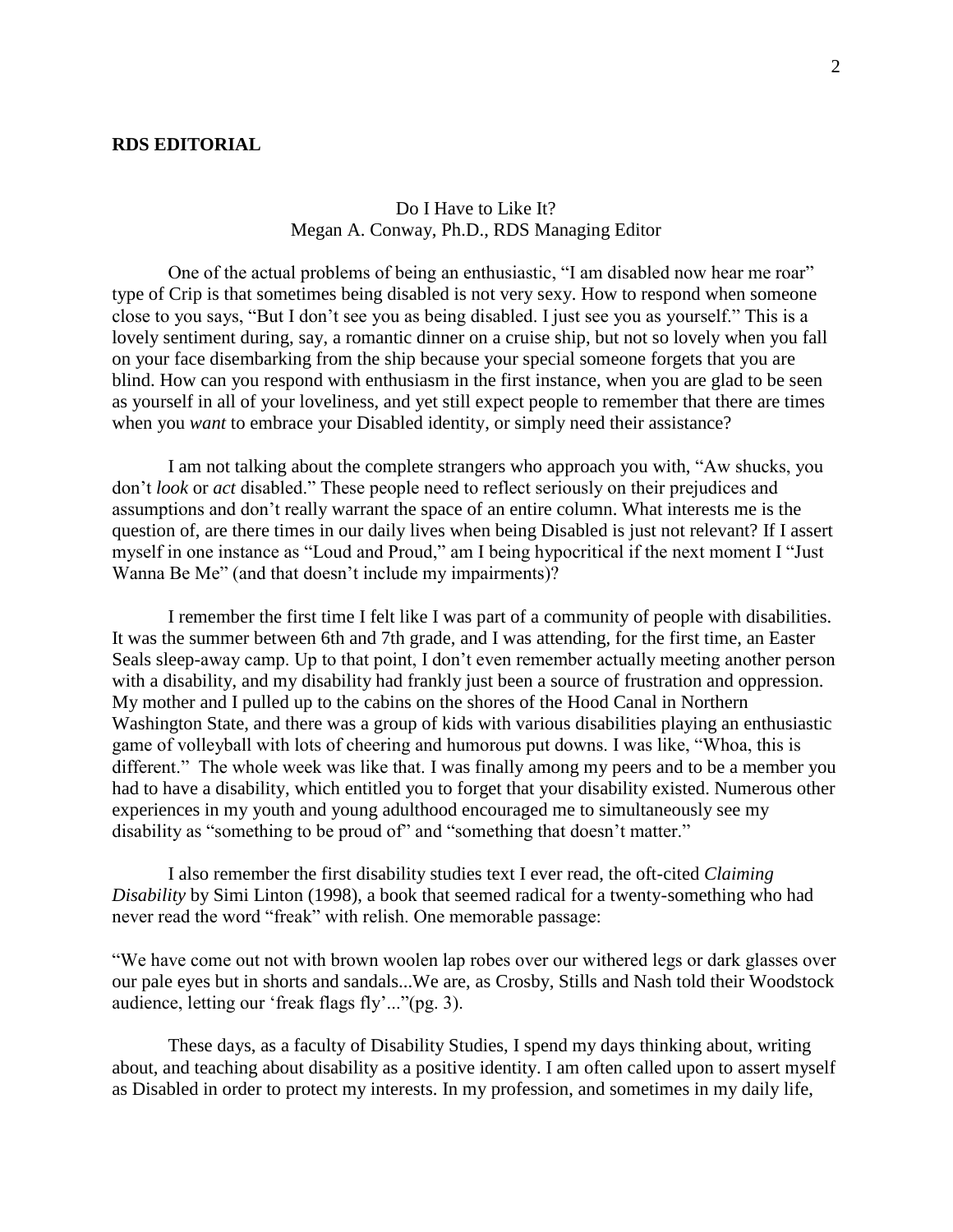### **RDS EDITORIAL**

# Do I Have to Like It? Megan A. Conway, Ph.D., RDS Managing Editor

One of the actual problems of being an enthusiastic, "I am disabled now hear me roar" type of Crip is that sometimes being disabled is not very sexy. How to respond when someone close to you says, "But I don't see you as being disabled. I just see you as yourself." This is a lovely sentiment during, say, a romantic dinner on a cruise ship, but not so lovely when you fall on your face disembarking from the ship because your special someone forgets that you are blind. How can you respond with enthusiasm in the first instance, when you are glad to be seen as yourself in all of your loveliness, and yet still expect people to remember that there are times when you *want* to embrace your Disabled identity, or simply need their assistance?

I am not talking about the complete strangers who approach you with, "Aw shucks, you don't *look* or *act* disabled." These people need to reflect seriously on their prejudices and assumptions and don't really warrant the space of an entire column. What interests me is the question of, are there times in our daily lives when being Disabled is just not relevant? If I assert myself in one instance as "Loud and Proud," am I being hypocritical if the next moment I "Just Wanna Be Me" (and that doesn't include my impairments)?

I remember the first time I felt like I was part of a community of people with disabilities. It was the summer between 6th and 7th grade, and I was attending, for the first time, an Easter Seals sleep-away camp. Up to that point, I don't even remember actually meeting another person with a disability, and my disability had frankly just been a source of frustration and oppression. My mother and I pulled up to the cabins on the shores of the Hood Canal in Northern Washington State, and there was a group of kids with various disabilities playing an enthusiastic game of volleyball with lots of cheering and humorous put downs. I was like, "Whoa, this is different." The whole week was like that. I was finally among my peers and to be a member you had to have a disability, which entitled you to forget that your disability existed. Numerous other experiences in my youth and young adulthood encouraged me to simultaneously see my disability as "something to be proud of" and "something that doesn't matter."

I also remember the first disability studies text I ever read, the oft-cited *Claiming Disability* by Simi Linton (1998), a book that seemed radical for a twenty-something who had never read the word "freak" with relish. One memorable passage:

"We have come out not with brown woolen lap robes over our withered legs or dark glasses over our pale eyes but in shorts and sandals...We are, as Crosby, Stills and Nash told their Woodstock audience, letting our 'freak flags fly'..."(pg. 3).

These days, as a faculty of Disability Studies, I spend my days thinking about, writing about, and teaching about disability as a positive identity. I am often called upon to assert myself as Disabled in order to protect my interests. In my profession, and sometimes in my daily life,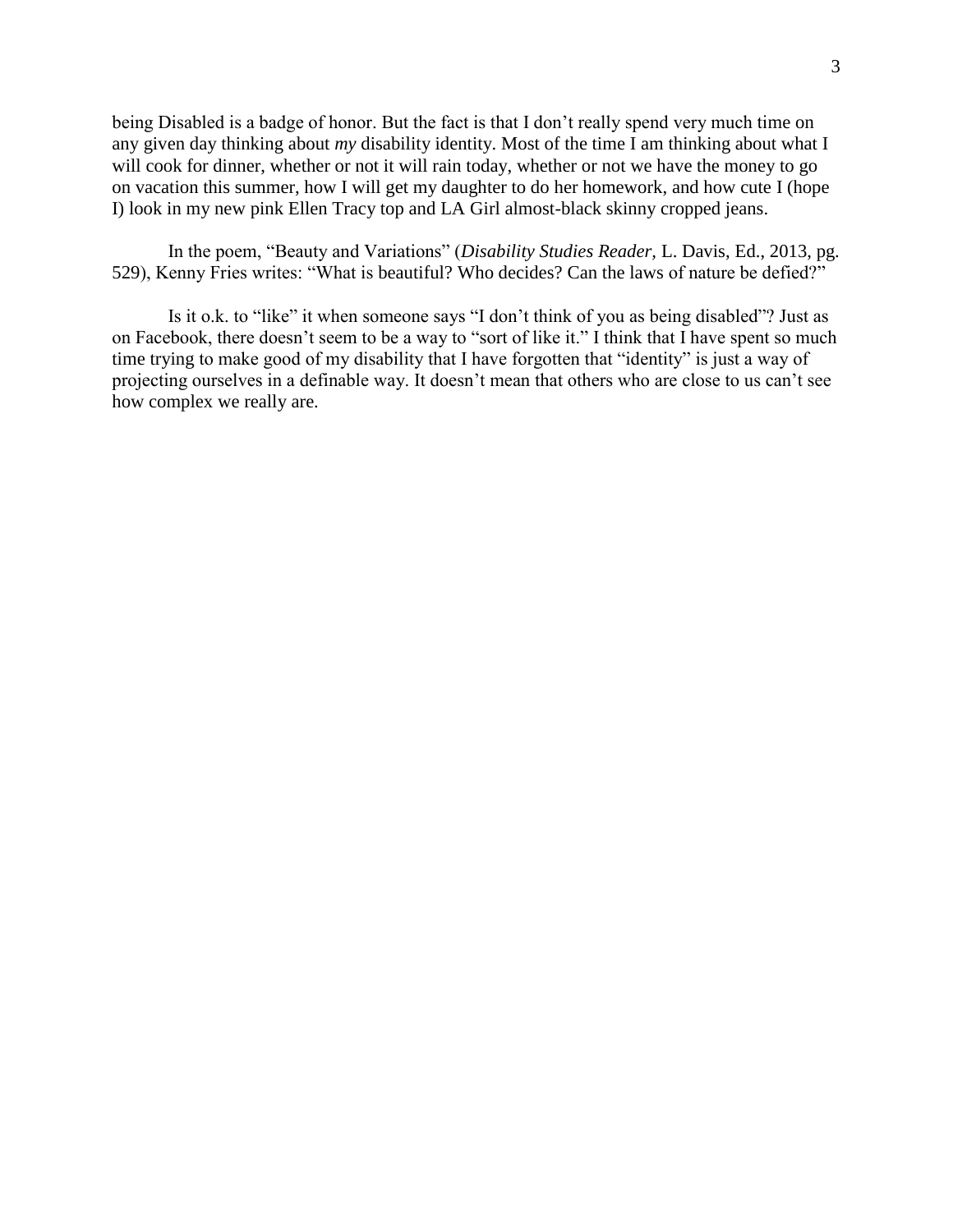being Disabled is a badge of honor. But the fact is that I don't really spend very much time on any given day thinking about *my* disability identity. Most of the time I am thinking about what I will cook for dinner, whether or not it will rain today, whether or not we have the money to go on vacation this summer, how I will get my daughter to do her homework, and how cute I (hope I) look in my new pink Ellen Tracy top and LA Girl almost-black skinny cropped jeans.

In the poem, "Beauty and Variations" (*Disability Studies Reader,* L. Davis, Ed., 2013, pg. 529), Kenny Fries writes: "What is beautiful? Who decides? Can the laws of nature be defied?"

Is it o.k. to "like" it when someone says "I don't think of you as being disabled"? Just as on Facebook, there doesn't seem to be a way to "sort of like it." I think that I have spent so much time trying to make good of my disability that I have forgotten that "identity" is just a way of projecting ourselves in a definable way. It doesn't mean that others who are close to us can't see how complex we really are.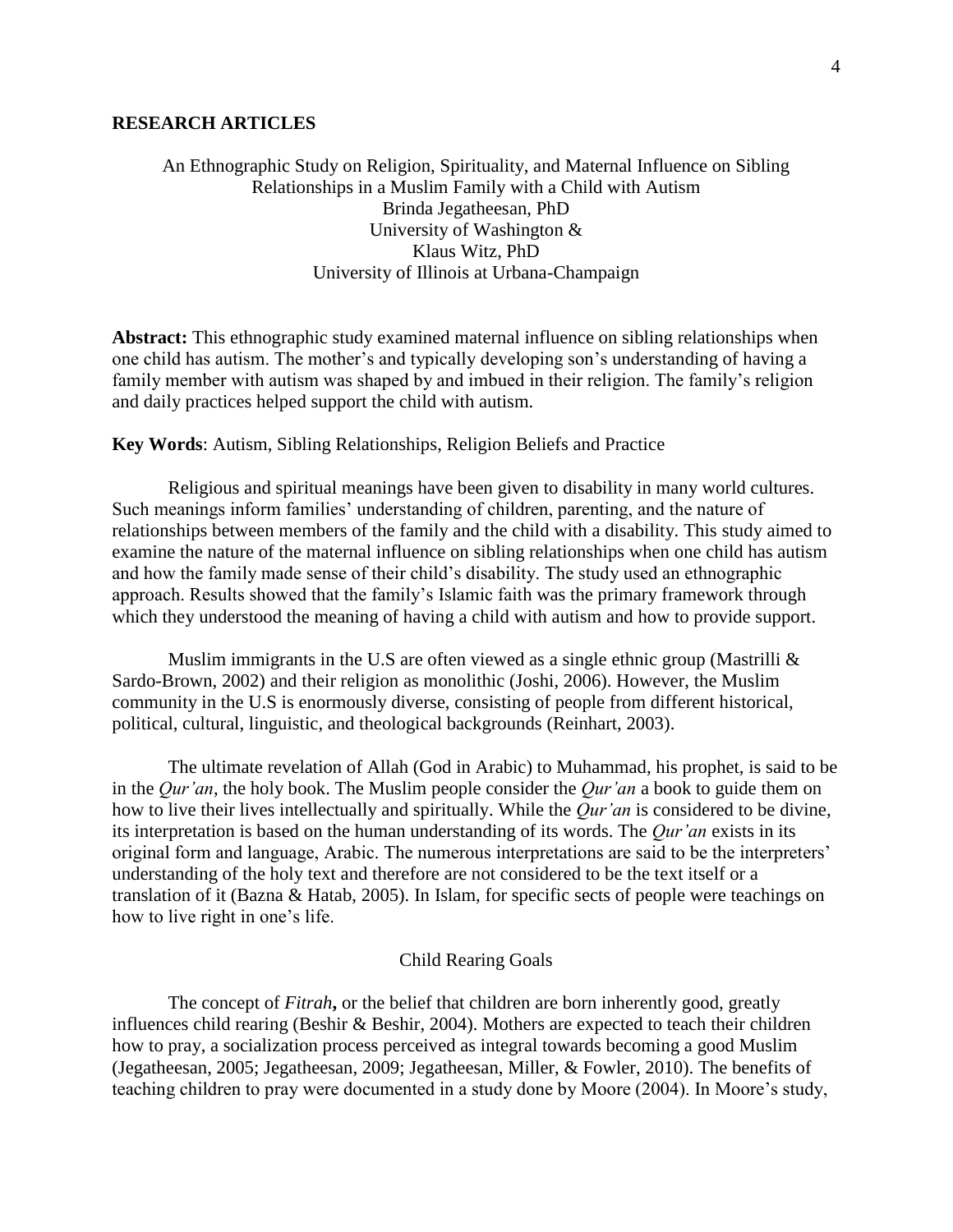### **RESEARCH ARTICLES**

An Ethnographic Study on Religion, Spirituality, and Maternal Influence on Sibling Relationships in a Muslim Family with a Child with Autism Brinda Jegatheesan, PhD University of Washington & Klaus Witz, PhD University of Illinois at Urbana-Champaign

**Abstract:** This ethnographic study examined maternal influence on sibling relationships when one child has autism. The mother's and typically developing son's understanding of having a family member with autism was shaped by and imbued in their religion. The family's religion and daily practices helped support the child with autism.

### **Key Words**: Autism, Sibling Relationships, Religion Beliefs and Practice

Religious and spiritual meanings have been given to disability in many world cultures. Such meanings inform families' understanding of children, parenting, and the nature of relationships between members of the family and the child with a disability. This study aimed to examine the nature of the maternal influence on sibling relationships when one child has autism and how the family made sense of their child's disability. The study used an ethnographic approach. Results showed that the family's Islamic faith was the primary framework through which they understood the meaning of having a child with autism and how to provide support.

Muslim immigrants in the U.S are often viewed as a single ethnic group (Mastrilli & Sardo-Brown, 2002) and their religion as monolithic (Joshi, 2006). However, the Muslim community in the U.S is enormously diverse, consisting of people from different historical, political, cultural, linguistic, and theological backgrounds (Reinhart, 2003).

The ultimate revelation of Allah (God in Arabic) to Muhammad, his prophet, is said to be in the *Qur'an*, the holy book. The Muslim people consider the *Qur'an* a book to guide them on how to live their lives intellectually and spiritually. While the *Qur'an* is considered to be divine, its interpretation is based on the human understanding of its words. The *Qur'an* exists in its original form and language, Arabic. The numerous interpretations are said to be the interpreters' understanding of the holy text and therefore are not considered to be the text itself or a translation of it (Bazna & Hatab, 2005). In Islam, for specific sects of people were teachings on how to live right in one's life.

#### Child Rearing Goals

The concept of *Fitrah***,** or the belief that children are born inherently good, greatly influences child rearing (Beshir & Beshir, 2004). Mothers are expected to teach their children how to pray, a socialization process perceived as integral towards becoming a good Muslim (Jegatheesan, 2005; Jegatheesan, 2009; Jegatheesan, Miller, & Fowler, 2010). The benefits of teaching children to pray were documented in a study done by Moore (2004). In Moore's study,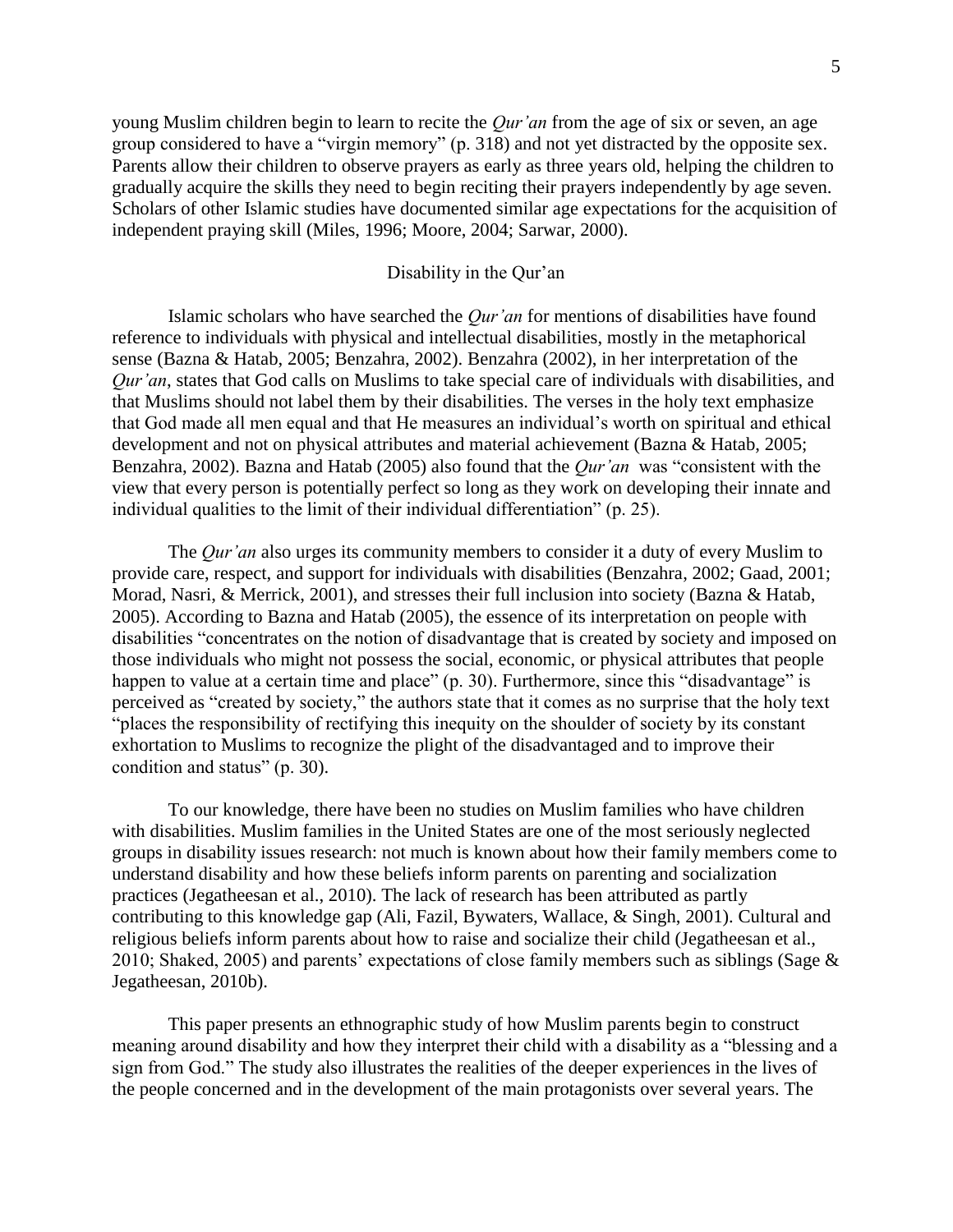young Muslim children begin to learn to recite the *Qur'an* from the age of six or seven, an age group considered to have a "virgin memory" (p. 318) and not yet distracted by the opposite sex. Parents allow their children to observe prayers as early as three years old, helping the children to gradually acquire the skills they need to begin reciting their prayers independently by age seven. Scholars of other Islamic studies have documented similar age expectations for the acquisition of independent praying skill (Miles, 1996; Moore, 2004; Sarwar, 2000).

### Disability in the Qur'an

Islamic scholars who have searched the *Qur'an* for mentions of disabilities have found reference to individuals with physical and intellectual disabilities, mostly in the metaphorical sense (Bazna & Hatab, 2005; Benzahra, 2002). Benzahra (2002), in her interpretation of the *Qur'an*, states that God calls on Muslims to take special care of individuals with disabilities, and that Muslims should not label them by their disabilities. The verses in the holy text emphasize that God made all men equal and that He measures an individual's worth on spiritual and ethical development and not on physical attributes and material achievement (Bazna & Hatab, 2005; Benzahra, 2002). Bazna and Hatab (2005) also found that the *Qur'an* was "consistent with the view that every person is potentially perfect so long as they work on developing their innate and individual qualities to the limit of their individual differentiation" (p. 25).

The *Qur'an* also urges its community members to consider it a duty of every Muslim to provide care, respect, and support for individuals with disabilities (Benzahra, 2002; Gaad, 2001; Morad, Nasri, & Merrick, 2001), and stresses their full inclusion into society (Bazna & Hatab, 2005). According to Bazna and Hatab (2005), the essence of its interpretation on people with disabilities "concentrates on the notion of disadvantage that is created by society and imposed on those individuals who might not possess the social, economic, or physical attributes that people happen to value at a certain time and place" (p. 30). Furthermore, since this "disadvantage" is perceived as "created by society," the authors state that it comes as no surprise that the holy text "places the responsibility of rectifying this inequity on the shoulder of society by its constant exhortation to Muslims to recognize the plight of the disadvantaged and to improve their condition and status" (p. 30).

To our knowledge, there have been no studies on Muslim families who have children with disabilities. Muslim families in the United States are one of the most seriously neglected groups in disability issues research: not much is known about how their family members come to understand disability and how these beliefs inform parents on parenting and socialization practices (Jegatheesan et al., 2010). The lack of research has been attributed as partly contributing to this knowledge gap (Ali, Fazil, Bywaters, Wallace, & Singh, 2001). Cultural and religious beliefs inform parents about how to raise and socialize their child (Jegatheesan et al., 2010; Shaked, 2005) and parents' expectations of close family members such as siblings (Sage & Jegatheesan, 2010b).

This paper presents an ethnographic study of how Muslim parents begin to construct meaning around disability and how they interpret their child with a disability as a "blessing and a sign from God." The study also illustrates the realities of the deeper experiences in the lives of the people concerned and in the development of the main protagonists over several years. The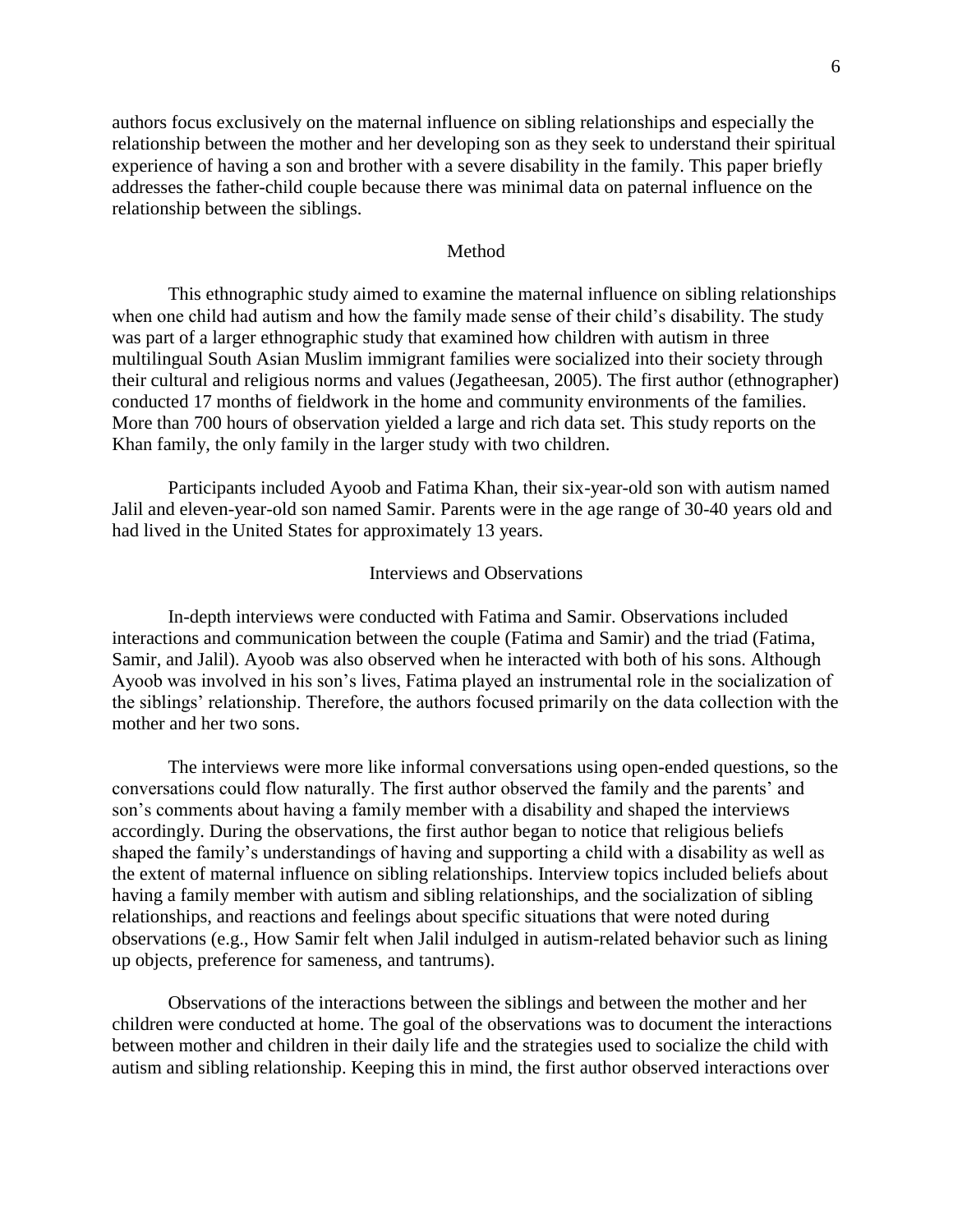authors focus exclusively on the maternal influence on sibling relationships and especially the relationship between the mother and her developing son as they seek to understand their spiritual experience of having a son and brother with a severe disability in the family. This paper briefly addresses the father-child couple because there was minimal data on paternal influence on the relationship between the siblings.

### Method

This ethnographic study aimed to examine the maternal influence on sibling relationships when one child had autism and how the family made sense of their child's disability. The study was part of a larger ethnographic study that examined how children with autism in three multilingual South Asian Muslim immigrant families were socialized into their society through their cultural and religious norms and values (Jegatheesan, 2005). The first author (ethnographer) conducted 17 months of fieldwork in the home and community environments of the families. More than 700 hours of observation yielded a large and rich data set. This study reports on the Khan family, the only family in the larger study with two children.

Participants included Ayoob and Fatima Khan, their six-year-old son with autism named Jalil and eleven-year-old son named Samir. Parents were in the age range of 30-40 years old and had lived in the United States for approximately 13 years.

### Interviews and Observations

In-depth interviews were conducted with Fatima and Samir. Observations included interactions and communication between the couple (Fatima and Samir) and the triad (Fatima, Samir, and Jalil). Ayoob was also observed when he interacted with both of his sons. Although Ayoob was involved in his son's lives, Fatima played an instrumental role in the socialization of the siblings' relationship. Therefore, the authors focused primarily on the data collection with the mother and her two sons.

The interviews were more like informal conversations using open-ended questions, so the conversations could flow naturally. The first author observed the family and the parents' and son's comments about having a family member with a disability and shaped the interviews accordingly. During the observations, the first author began to notice that religious beliefs shaped the family's understandings of having and supporting a child with a disability as well as the extent of maternal influence on sibling relationships. Interview topics included beliefs about having a family member with autism and sibling relationships, and the socialization of sibling relationships, and reactions and feelings about specific situations that were noted during observations (e.g., How Samir felt when Jalil indulged in autism-related behavior such as lining up objects, preference for sameness, and tantrums).

Observations of the interactions between the siblings and between the mother and her children were conducted at home. The goal of the observations was to document the interactions between mother and children in their daily life and the strategies used to socialize the child with autism and sibling relationship. Keeping this in mind, the first author observed interactions over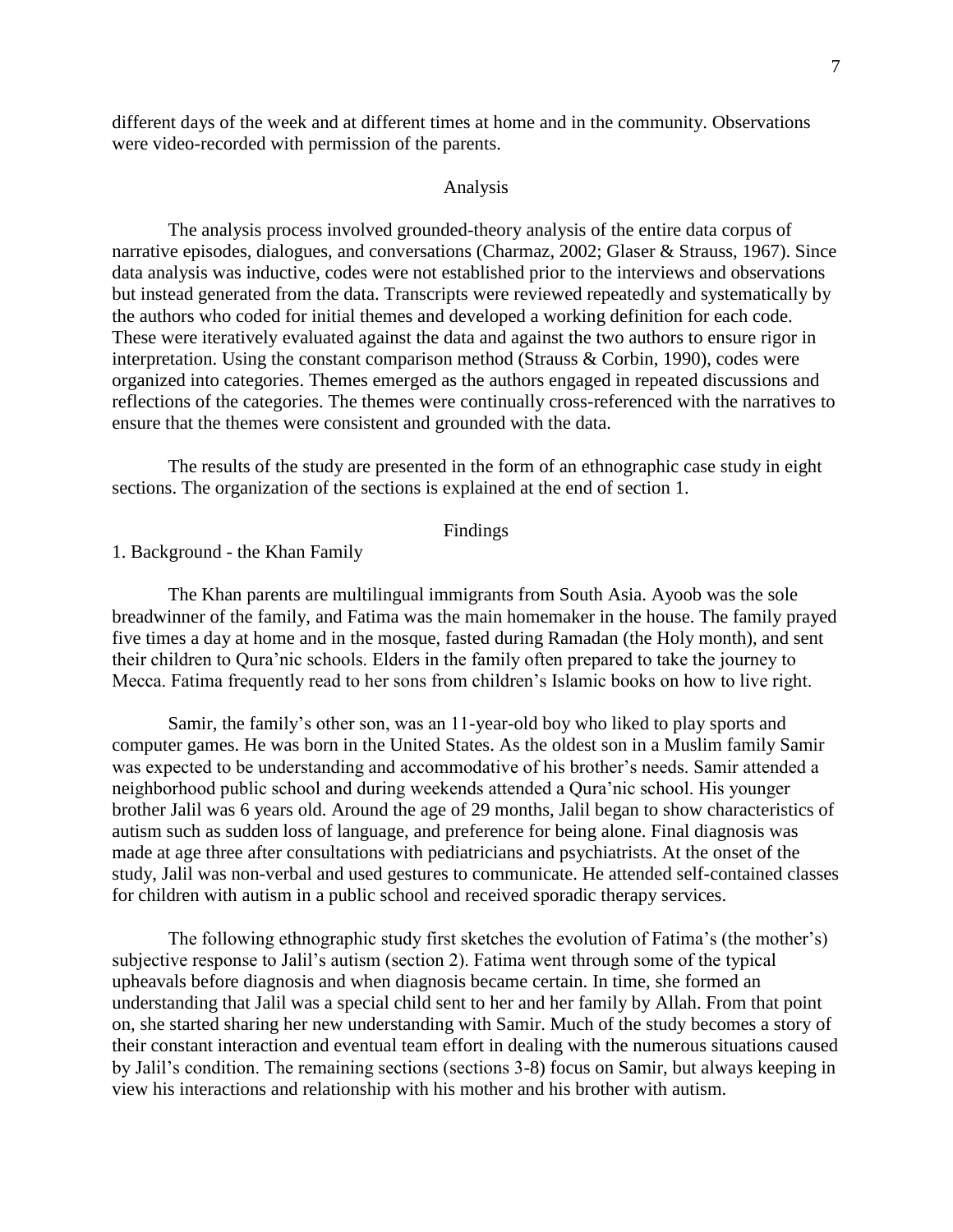different days of the week and at different times at home and in the community. Observations were video-recorded with permission of the parents.

#### Analysis

The analysis process involved grounded-theory analysis of the entire data corpus of narrative episodes, dialogues, and conversations (Charmaz, 2002; Glaser & Strauss, 1967). Since data analysis was inductive, codes were not established prior to the interviews and observations but instead generated from the data. Transcripts were reviewed repeatedly and systematically by the authors who coded for initial themes and developed a working definition for each code. These were iteratively evaluated against the data and against the two authors to ensure rigor in interpretation. Using the constant comparison method (Strauss & Corbin, 1990), codes were organized into categories. Themes emerged as the authors engaged in repeated discussions and reflections of the categories. The themes were continually cross-referenced with the narratives to ensure that the themes were consistent and grounded with the data.

The results of the study are presented in the form of an ethnographic case study in eight sections. The organization of the sections is explained at the end of section 1.

### Findings

1. Background - the Khan Family

The Khan parents are multilingual immigrants from South Asia. Ayoob was the sole breadwinner of the family, and Fatima was the main homemaker in the house. The family prayed five times a day at home and in the mosque, fasted during Ramadan (the Holy month), and sent their children to Qura'nic schools. Elders in the family often prepared to take the journey to Mecca. Fatima frequently read to her sons from children's Islamic books on how to live right.

Samir, the family's other son, was an 11-year-old boy who liked to play sports and computer games. He was born in the United States. As the oldest son in a Muslim family Samir was expected to be understanding and accommodative of his brother's needs. Samir attended a neighborhood public school and during weekends attended a Qura'nic school. His younger brother Jalil was 6 years old. Around the age of 29 months, Jalil began to show characteristics of autism such as sudden loss of language, and preference for being alone. Final diagnosis was made at age three after consultations with pediatricians and psychiatrists. At the onset of the study, Jalil was non-verbal and used gestures to communicate. He attended self-contained classes for children with autism in a public school and received sporadic therapy services.

The following ethnographic study first sketches the evolution of Fatima's (the mother's) subjective response to Jalil's autism (section 2). Fatima went through some of the typical upheavals before diagnosis and when diagnosis became certain. In time, she formed an understanding that Jalil was a special child sent to her and her family by Allah. From that point on, she started sharing her new understanding with Samir. Much of the study becomes a story of their constant interaction and eventual team effort in dealing with the numerous situations caused by Jalil's condition. The remaining sections (sections 3-8) focus on Samir, but always keeping in view his interactions and relationship with his mother and his brother with autism.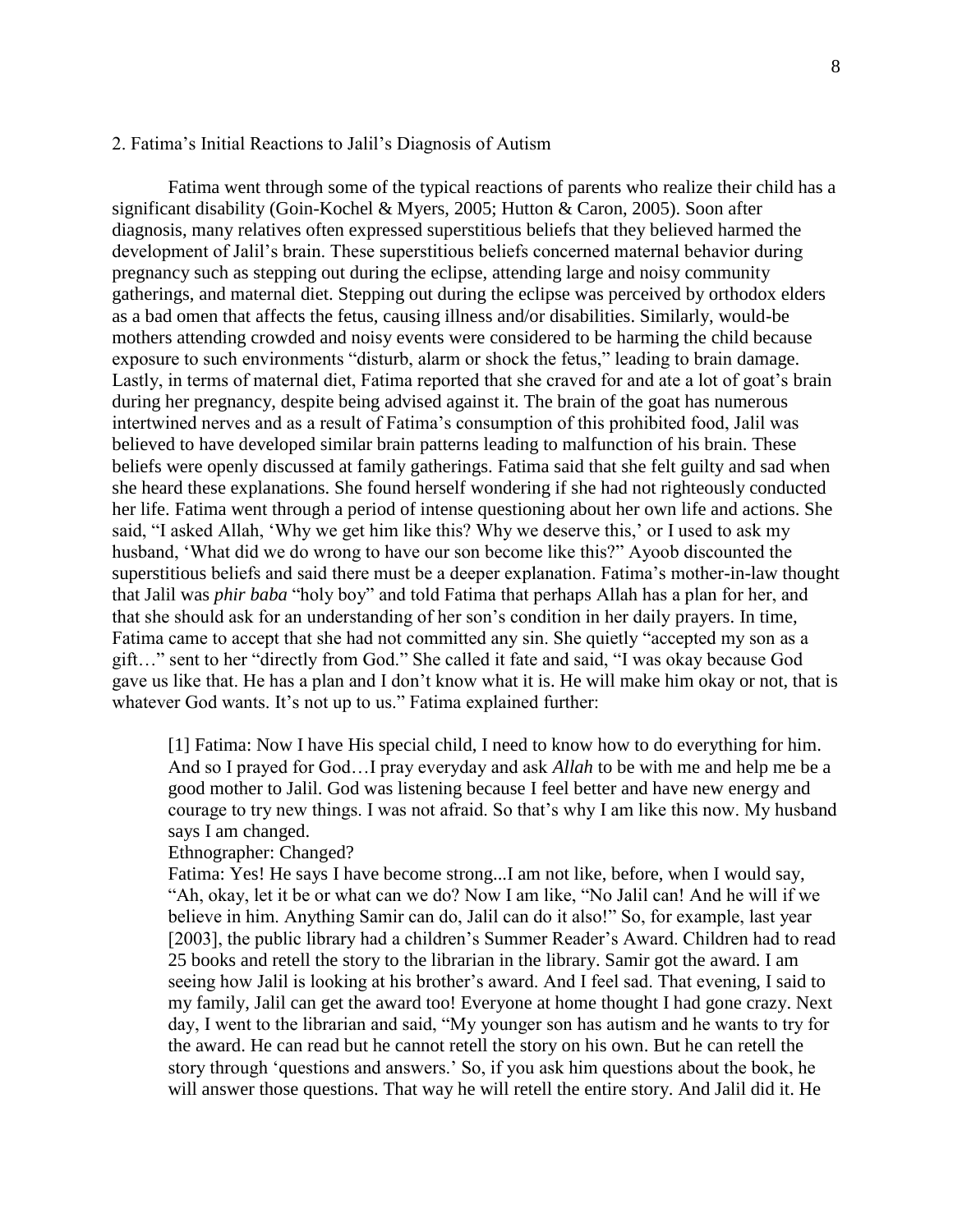### 2. Fatima's Initial Reactions to Jalil's Diagnosis of Autism

Fatima went through some of the typical reactions of parents who realize their child has a significant disability (Goin-Kochel & Myers, 2005; Hutton & Caron, 2005). Soon after diagnosis, many relatives often expressed superstitious beliefs that they believed harmed the development of Jalil's brain. These superstitious beliefs concerned maternal behavior during pregnancy such as stepping out during the eclipse, attending large and noisy community gatherings, and maternal diet. Stepping out during the eclipse was perceived by orthodox elders as a bad omen that affects the fetus, causing illness and/or disabilities. Similarly, would-be mothers attending crowded and noisy events were considered to be harming the child because exposure to such environments "disturb, alarm or shock the fetus," leading to brain damage. Lastly, in terms of maternal diet, Fatima reported that she craved for and ate a lot of goat's brain during her pregnancy, despite being advised against it. The brain of the goat has numerous intertwined nerves and as a result of Fatima's consumption of this prohibited food, Jalil was believed to have developed similar brain patterns leading to malfunction of his brain. These beliefs were openly discussed at family gatherings. Fatima said that she felt guilty and sad when she heard these explanations. She found herself wondering if she had not righteously conducted her life. Fatima went through a period of intense questioning about her own life and actions. She said, "I asked Allah, 'Why we get him like this? Why we deserve this,' or I used to ask my husband, 'What did we do wrong to have our son become like this?" Ayoob discounted the superstitious beliefs and said there must be a deeper explanation. Fatima's mother-in-law thought that Jalil was *phir baba* "holy boy" and told Fatima that perhaps Allah has a plan for her, and that she should ask for an understanding of her son's condition in her daily prayers. In time, Fatima came to accept that she had not committed any sin. She quietly "accepted my son as a gift…" sent to her "directly from God." She called it fate and said, "I was okay because God gave us like that. He has a plan and I don't know what it is. He will make him okay or not, that is whatever God wants. It's not up to us." Fatima explained further:

[1] Fatima: Now I have His special child, I need to know how to do everything for him. And so I prayed for God…I pray everyday and ask *Allah* to be with me and help me be a good mother to Jalil. God was listening because I feel better and have new energy and courage to try new things. I was not afraid. So that's why I am like this now. My husband says I am changed.

### Ethnographer: Changed?

Fatima: Yes! He says I have become strong...I am not like, before, when I would say, "Ah, okay, let it be or what can we do? Now I am like, "No Jalil can! And he will if we believe in him. Anything Samir can do, Jalil can do it also!" So, for example, last year [2003], the public library had a children's Summer Reader's Award. Children had to read 25 books and retell the story to the librarian in the library. Samir got the award. I am seeing how Jalil is looking at his brother's award. And I feel sad. That evening, I said to my family, Jalil can get the award too! Everyone at home thought I had gone crazy. Next day, I went to the librarian and said, "My younger son has autism and he wants to try for the award. He can read but he cannot retell the story on his own. But he can retell the story through 'questions and answers.' So, if you ask him questions about the book, he will answer those questions. That way he will retell the entire story. And Jalil did it. He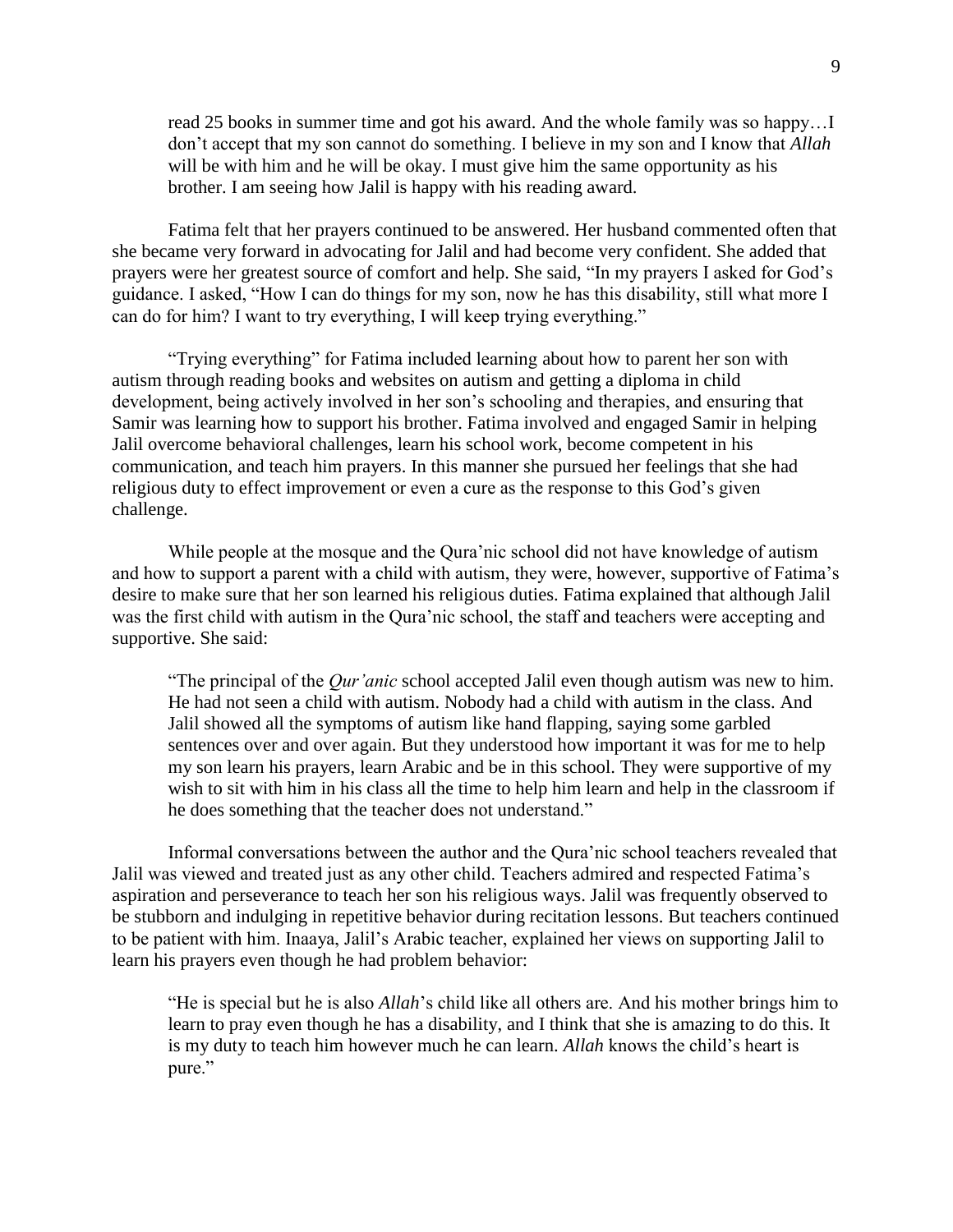read 25 books in summer time and got his award. And the whole family was so happy…I don't accept that my son cannot do something. I believe in my son and I know that *Allah* will be with him and he will be okay. I must give him the same opportunity as his brother. I am seeing how Jalil is happy with his reading award.

Fatima felt that her prayers continued to be answered. Her husband commented often that she became very forward in advocating for Jalil and had become very confident. She added that prayers were her greatest source of comfort and help. She said, "In my prayers I asked for God's guidance. I asked, "How I can do things for my son, now he has this disability, still what more I can do for him? I want to try everything, I will keep trying everything."

"Trying everything" for Fatima included learning about how to parent her son with autism through reading books and websites on autism and getting a diploma in child development, being actively involved in her son's schooling and therapies, and ensuring that Samir was learning how to support his brother. Fatima involved and engaged Samir in helping Jalil overcome behavioral challenges, learn his school work, become competent in his communication, and teach him prayers. In this manner she pursued her feelings that she had religious duty to effect improvement or even a cure as the response to this God's given challenge.

While people at the mosque and the Qura'nic school did not have knowledge of autism and how to support a parent with a child with autism, they were, however, supportive of Fatima's desire to make sure that her son learned his religious duties. Fatima explained that although Jalil was the first child with autism in the Qura'nic school, the staff and teachers were accepting and supportive. She said:

"The principal of the *Qur'anic* school accepted Jalil even though autism was new to him. He had not seen a child with autism. Nobody had a child with autism in the class. And Jalil showed all the symptoms of autism like hand flapping, saying some garbled sentences over and over again. But they understood how important it was for me to help my son learn his prayers, learn Arabic and be in this school. They were supportive of my wish to sit with him in his class all the time to help him learn and help in the classroom if he does something that the teacher does not understand."

Informal conversations between the author and the Qura'nic school teachers revealed that Jalil was viewed and treated just as any other child. Teachers admired and respected Fatima's aspiration and perseverance to teach her son his religious ways. Jalil was frequently observed to be stubborn and indulging in repetitive behavior during recitation lessons. But teachers continued to be patient with him. Inaaya, Jalil's Arabic teacher, explained her views on supporting Jalil to learn his prayers even though he had problem behavior:

"He is special but he is also *Allah*'s child like all others are. And his mother brings him to learn to pray even though he has a disability, and I think that she is amazing to do this. It is my duty to teach him however much he can learn. *Allah* knows the child's heart is pure."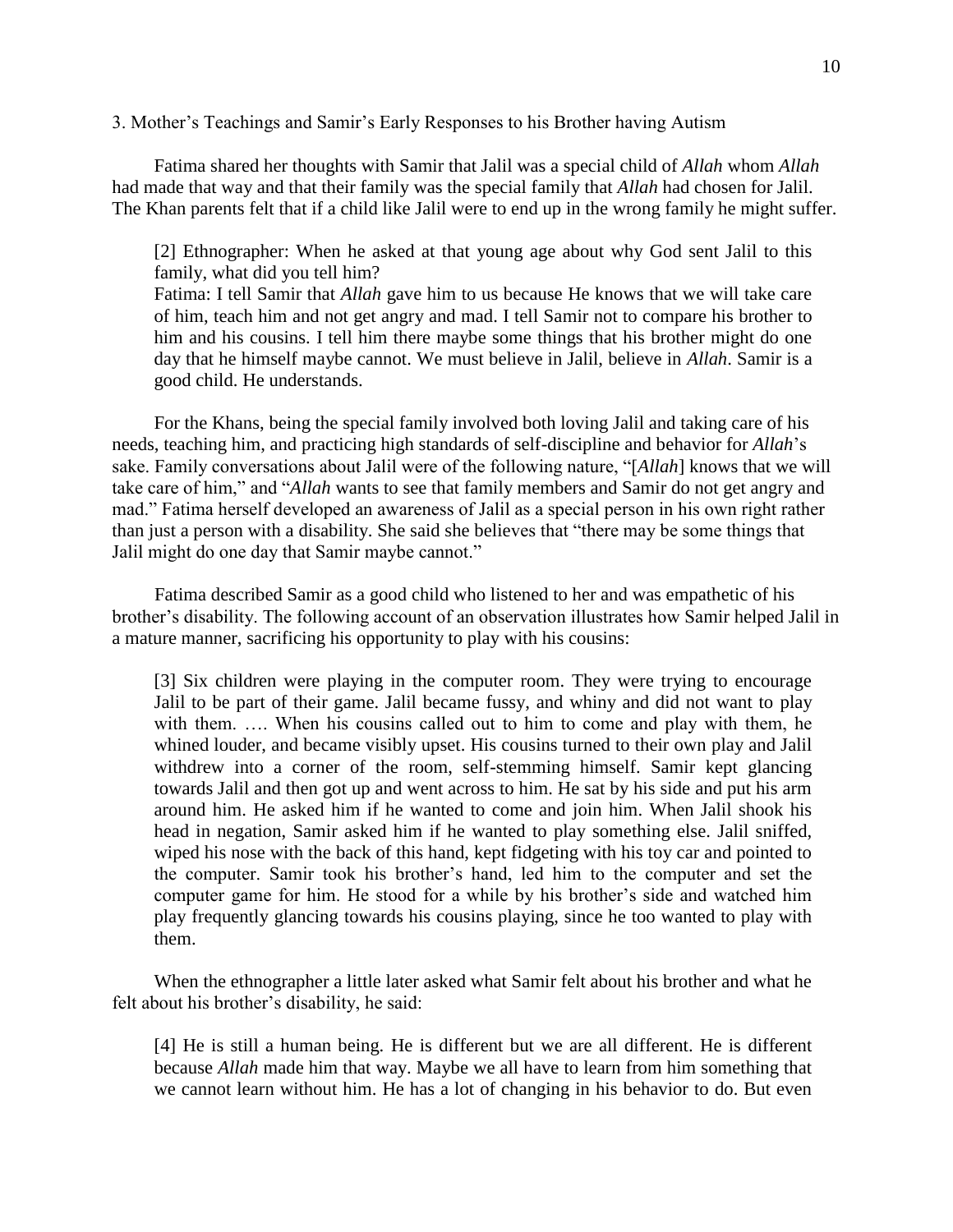### 3. Mother's Teachings and Samir's Early Responses to his Brother having Autism

Fatima shared her thoughts with Samir that Jalil was a special child of *Allah* whom *Allah* had made that way and that their family was the special family that *Allah* had chosen for Jalil. The Khan parents felt that if a child like Jalil were to end up in the wrong family he might suffer.

[2] Ethnographer: When he asked at that young age about why God sent Jalil to this family, what did you tell him?

Fatima: I tell Samir that *Allah* gave him to us because He knows that we will take care of him, teach him and not get angry and mad. I tell Samir not to compare his brother to him and his cousins. I tell him there maybe some things that his brother might do one day that he himself maybe cannot. We must believe in Jalil, believe in *Allah*. Samir is a good child. He understands.

For the Khans, being the special family involved both loving Jalil and taking care of his needs, teaching him, and practicing high standards of self-discipline and behavior for *Allah*'s sake. Family conversations about Jalil were of the following nature, "[*Allah*] knows that we will take care of him," and "*Allah* wants to see that family members and Samir do not get angry and mad." Fatima herself developed an awareness of Jalil as a special person in his own right rather than just a person with a disability. She said she believes that "there may be some things that Jalil might do one day that Samir maybe cannot."

Fatima described Samir as a good child who listened to her and was empathetic of his brother's disability. The following account of an observation illustrates how Samir helped Jalil in a mature manner, sacrificing his opportunity to play with his cousins:

[3] Six children were playing in the computer room. They were trying to encourage Jalil to be part of their game. Jalil became fussy, and whiny and did not want to play with them. .... When his cousins called out to him to come and play with them, he whined louder, and became visibly upset. His cousins turned to their own play and Jalil withdrew into a corner of the room, self-stemming himself. Samir kept glancing towards Jalil and then got up and went across to him. He sat by his side and put his arm around him. He asked him if he wanted to come and join him. When Jalil shook his head in negation, Samir asked him if he wanted to play something else. Jalil sniffed, wiped his nose with the back of this hand, kept fidgeting with his toy car and pointed to the computer. Samir took his brother's hand, led him to the computer and set the computer game for him. He stood for a while by his brother's side and watched him play frequently glancing towards his cousins playing, since he too wanted to play with them.

When the ethnographer a little later asked what Samir felt about his brother and what he felt about his brother's disability, he said:

[4] He is still a human being. He is different but we are all different. He is different because *Allah* made him that way. Maybe we all have to learn from him something that we cannot learn without him. He has a lot of changing in his behavior to do. But even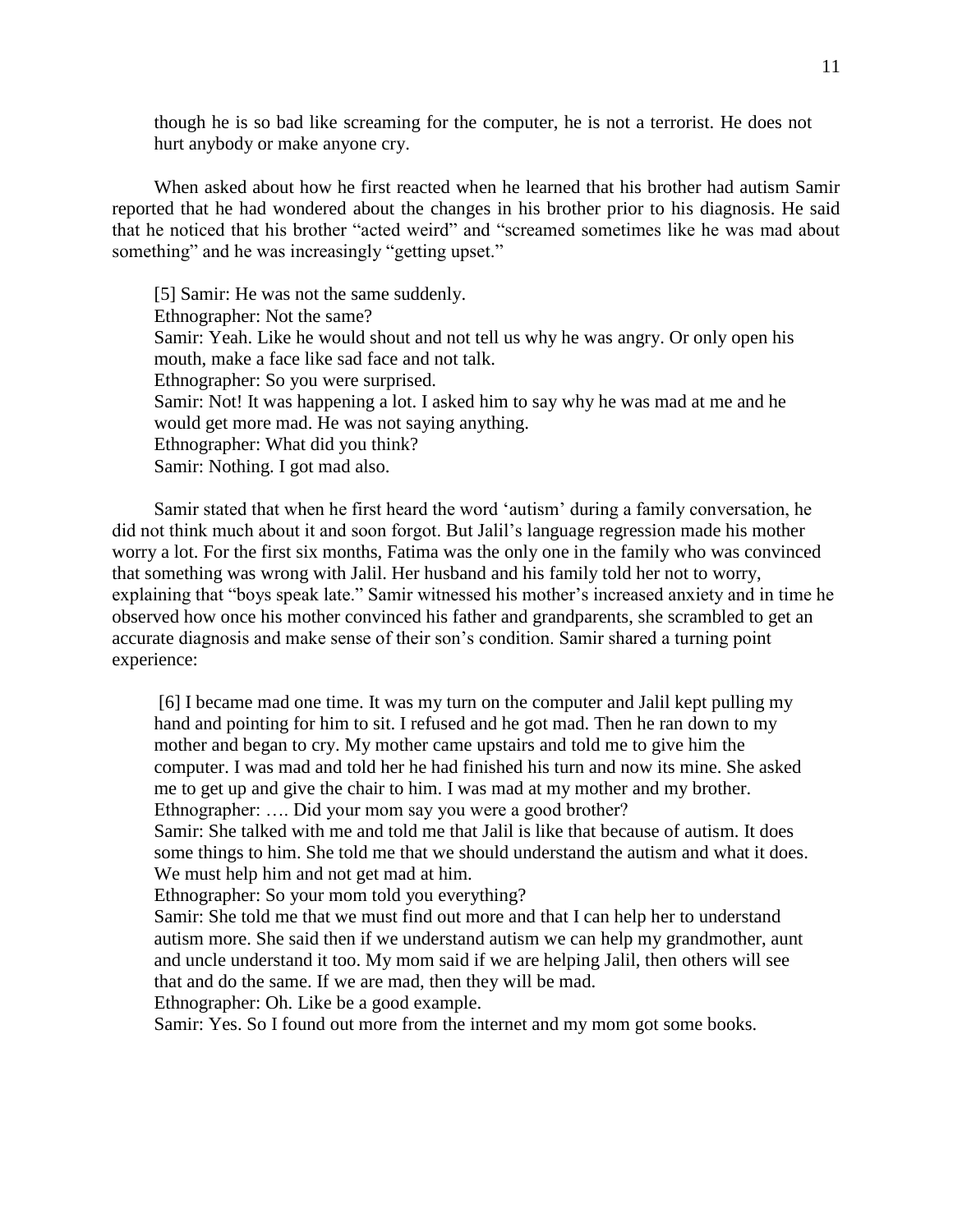though he is so bad like screaming for the computer, he is not a terrorist. He does not hurt anybody or make anyone cry.

When asked about how he first reacted when he learned that his brother had autism Samir reported that he had wondered about the changes in his brother prior to his diagnosis. He said that he noticed that his brother "acted weird" and "screamed sometimes like he was mad about something" and he was increasingly "getting upset."

[5] Samir: He was not the same suddenly. Ethnographer: Not the same? Samir: Yeah. Like he would shout and not tell us why he was angry. Or only open his mouth, make a face like sad face and not talk. Ethnographer: So you were surprised. Samir: Not! It was happening a lot. I asked him to say why he was mad at me and he would get more mad. He was not saying anything. Ethnographer: What did you think? Samir: Nothing. I got mad also.

Samir stated that when he first heard the word 'autism' during a family conversation, he did not think much about it and soon forgot. But Jalil's language regression made his mother worry a lot. For the first six months, Fatima was the only one in the family who was convinced that something was wrong with Jalil. Her husband and his family told her not to worry, explaining that "boys speak late." Samir witnessed his mother's increased anxiety and in time he observed how once his mother convinced his father and grandparents, she scrambled to get an accurate diagnosis and make sense of their son's condition. Samir shared a turning point experience:

[6] I became mad one time. It was my turn on the computer and Jalil kept pulling my hand and pointing for him to sit. I refused and he got mad. Then he ran down to my mother and began to cry. My mother came upstairs and told me to give him the computer. I was mad and told her he had finished his turn and now its mine. She asked me to get up and give the chair to him. I was mad at my mother and my brother. Ethnographer: …. Did your mom say you were a good brother?

Samir: She talked with me and told me that Jalil is like that because of autism. It does some things to him. She told me that we should understand the autism and what it does. We must help him and not get mad at him.

Ethnographer: So your mom told you everything?

Samir: She told me that we must find out more and that I can help her to understand autism more. She said then if we understand autism we can help my grandmother, aunt and uncle understand it too. My mom said if we are helping Jalil, then others will see that and do the same. If we are mad, then they will be mad.

Ethnographer: Oh. Like be a good example.

Samir: Yes. So I found out more from the internet and my mom got some books.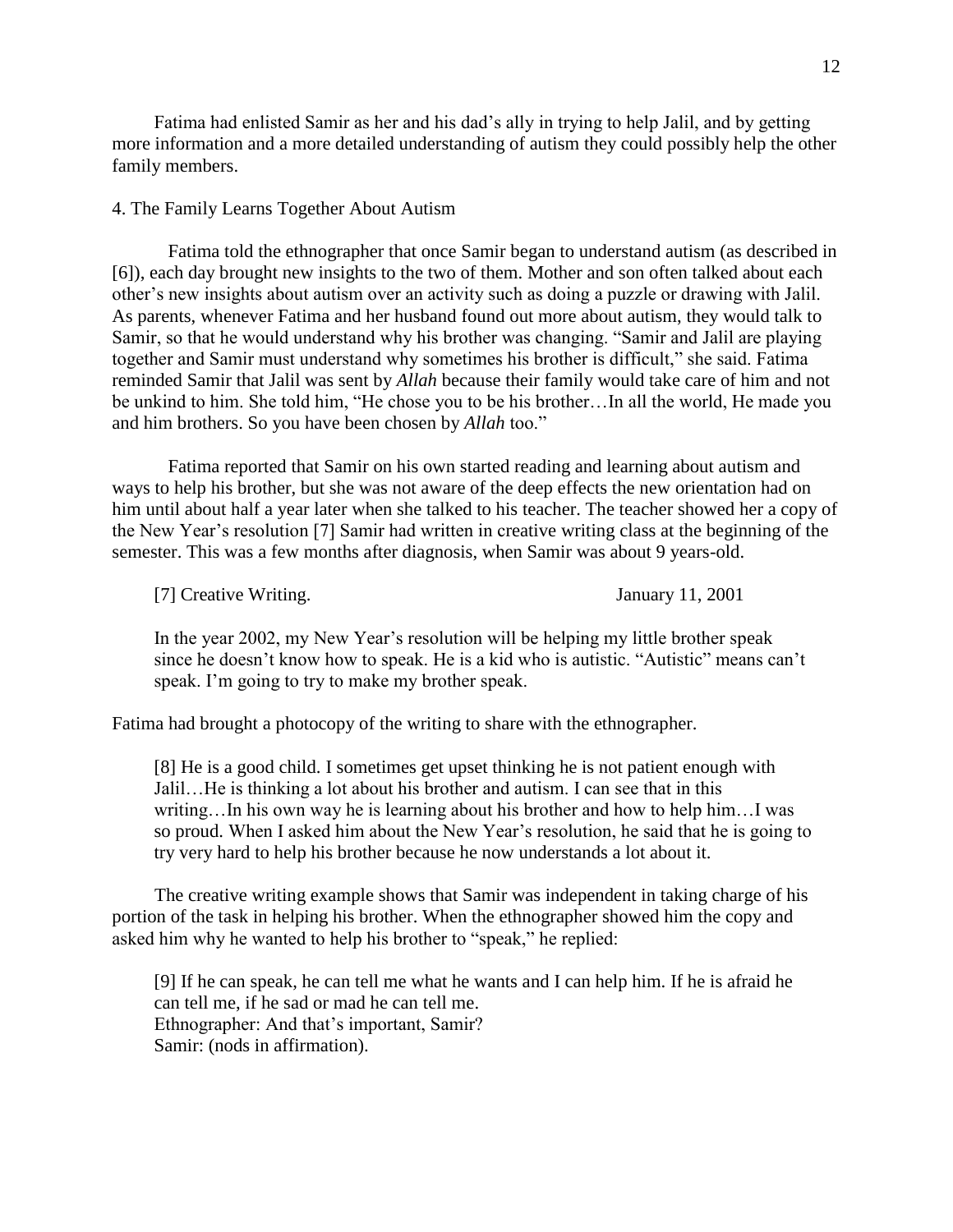Fatima had enlisted Samir as her and his dad's ally in trying to help Jalil, and by getting more information and a more detailed understanding of autism they could possibly help the other family members.

### 4. The Family Learns Together About Autism

Fatima told the ethnographer that once Samir began to understand autism (as described in [6]), each day brought new insights to the two of them. Mother and son often talked about each other's new insights about autism over an activity such as doing a puzzle or drawing with Jalil. As parents, whenever Fatima and her husband found out more about autism, they would talk to Samir, so that he would understand why his brother was changing. "Samir and Jalil are playing together and Samir must understand why sometimes his brother is difficult," she said. Fatima reminded Samir that Jalil was sent by *Allah* because their family would take care of him and not be unkind to him. She told him, "He chose you to be his brother…In all the world, He made you and him brothers. So you have been chosen by *Allah* too."

Fatima reported that Samir on his own started reading and learning about autism and ways to help his brother, but she was not aware of the deep effects the new orientation had on him until about half a year later when she talked to his teacher. The teacher showed her a copy of the New Year's resolution [7] Samir had written in creative writing class at the beginning of the semester. This was a few months after diagnosis, when Samir was about 9 years-old.

[7] Creative Writing. January 11, 2001

In the year 2002, my New Year's resolution will be helping my little brother speak since he doesn't know how to speak. He is a kid who is autistic. "Autistic" means can't speak. I'm going to try to make my brother speak.

Fatima had brought a photocopy of the writing to share with the ethnographer.

[8] He is a good child. I sometimes get upset thinking he is not patient enough with Jalil…He is thinking a lot about his brother and autism. I can see that in this writing…In his own way he is learning about his brother and how to help him…I was so proud. When I asked him about the New Year's resolution, he said that he is going to try very hard to help his brother because he now understands a lot about it.

The creative writing example shows that Samir was independent in taking charge of his portion of the task in helping his brother. When the ethnographer showed him the copy and asked him why he wanted to help his brother to "speak," he replied:

[9] If he can speak, he can tell me what he wants and I can help him. If he is afraid he can tell me, if he sad or mad he can tell me. Ethnographer: And that's important, Samir? Samir: (nods in affirmation).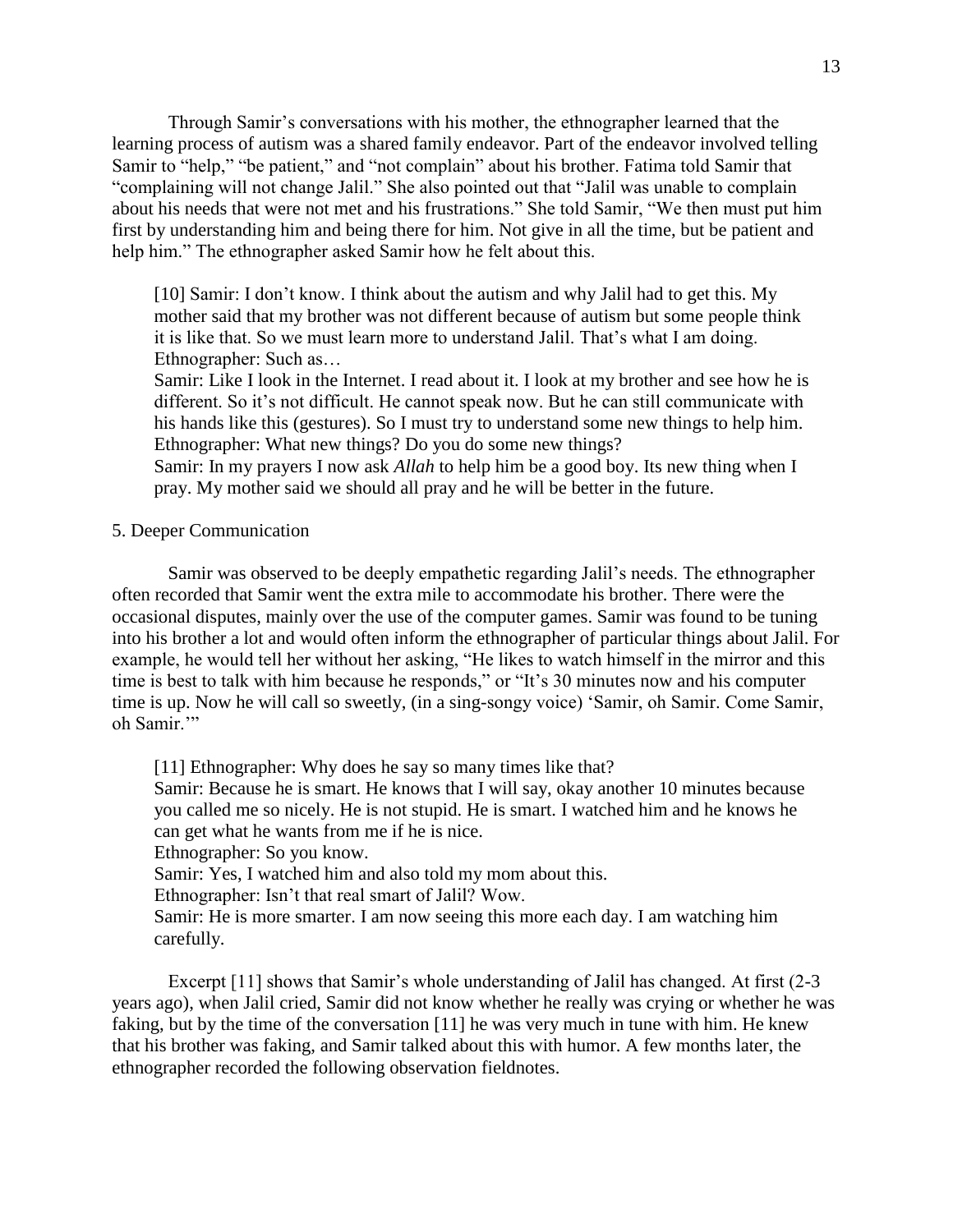Through Samir's conversations with his mother, the ethnographer learned that the learning process of autism was a shared family endeavor. Part of the endeavor involved telling Samir to "help," "be patient," and "not complain" about his brother. Fatima told Samir that "complaining will not change Jalil." She also pointed out that "Jalil was unable to complain about his needs that were not met and his frustrations." She told Samir, "We then must put him first by understanding him and being there for him. Not give in all the time, but be patient and help him." The ethnographer asked Samir how he felt about this.

[10] Samir: I don't know. I think about the autism and why Jalil had to get this. My mother said that my brother was not different because of autism but some people think it is like that. So we must learn more to understand Jalil. That's what I am doing. Ethnographer: Such as…

Samir: Like I look in the Internet. I read about it. I look at my brother and see how he is different. So it's not difficult. He cannot speak now. But he can still communicate with his hands like this (gestures). So I must try to understand some new things to help him. Ethnographer: What new things? Do you do some new things?

Samir: In my prayers I now ask *Allah* to help him be a good boy. Its new thing when I pray. My mother said we should all pray and he will be better in the future.

### 5. Deeper Communication

Samir was observed to be deeply empathetic regarding Jalil's needs. The ethnographer often recorded that Samir went the extra mile to accommodate his brother. There were the occasional disputes, mainly over the use of the computer games. Samir was found to be tuning into his brother a lot and would often inform the ethnographer of particular things about Jalil. For example, he would tell her without her asking, "He likes to watch himself in the mirror and this time is best to talk with him because he responds," or "It's 30 minutes now and his computer time is up. Now he will call so sweetly, (in a sing-songy voice) 'Samir, oh Samir. Come Samir, oh Samir.'"

[11] Ethnographer: Why does he say so many times like that?

Samir: Because he is smart. He knows that I will say, okay another 10 minutes because you called me so nicely. He is not stupid. He is smart. I watched him and he knows he can get what he wants from me if he is nice.

Ethnographer: So you know.

Samir: Yes, I watched him and also told my mom about this.

Ethnographer: Isn't that real smart of Jalil? Wow.

Samir: He is more smarter. I am now seeing this more each day. I am watching him carefully.

Excerpt [11] shows that Samir's whole understanding of Jalil has changed. At first (2-3) years ago), when Jalil cried, Samir did not know whether he really was crying or whether he was faking, but by the time of the conversation [11] he was very much in tune with him. He knew that his brother was faking, and Samir talked about this with humor. A few months later, the ethnographer recorded the following observation fieldnotes.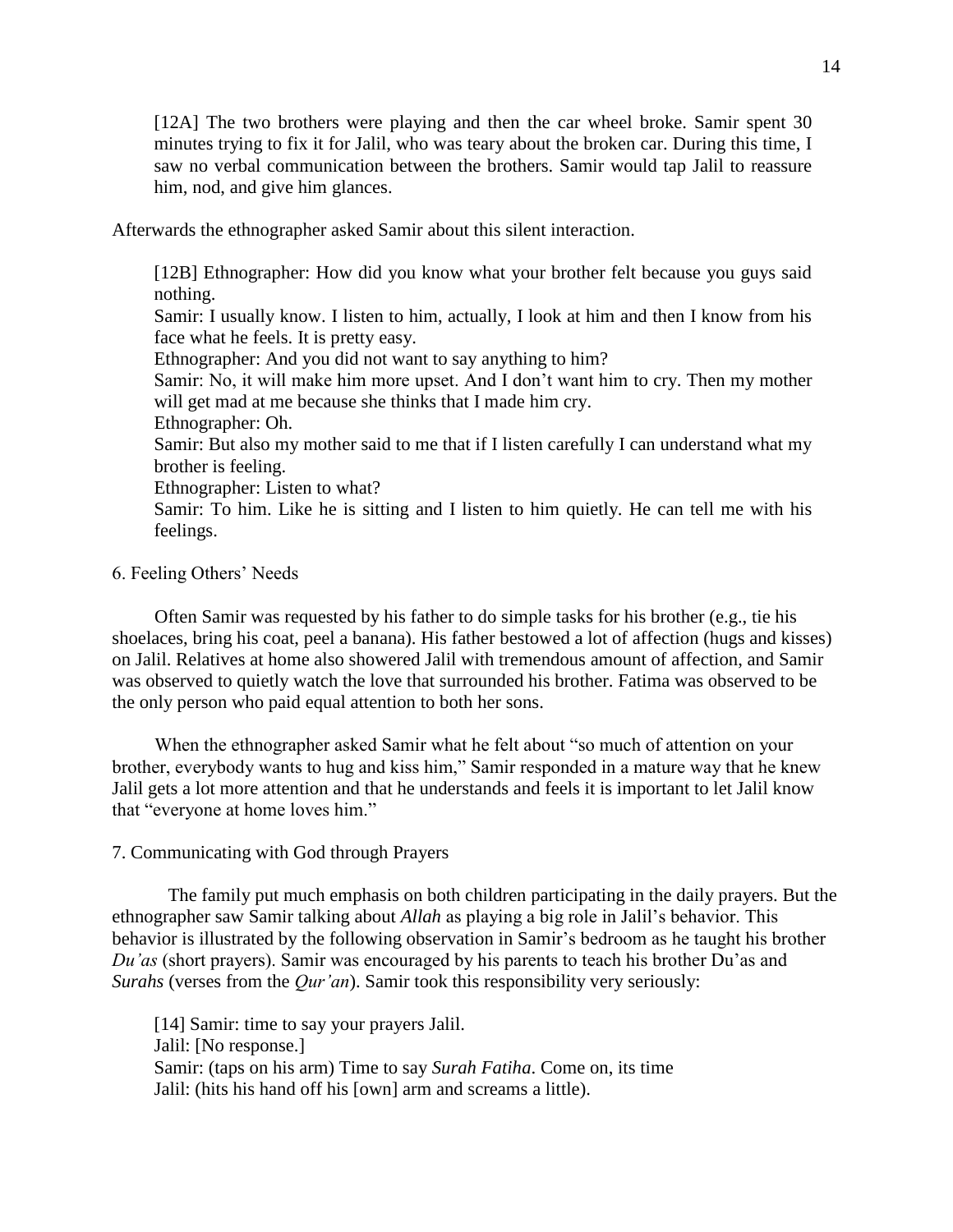[12A] The two brothers were playing and then the car wheel broke. Samir spent 30 minutes trying to fix it for Jalil, who was teary about the broken car. During this time, I saw no verbal communication between the brothers. Samir would tap Jalil to reassure him, nod, and give him glances.

Afterwards the ethnographer asked Samir about this silent interaction.

[12B] Ethnographer: How did you know what your brother felt because you guys said nothing. Samir: I usually know. I listen to him, actually, I look at him and then I know from his face what he feels. It is pretty easy. Ethnographer: And you did not want to say anything to him? Samir: No, it will make him more upset. And I don't want him to cry. Then my mother will get mad at me because she thinks that I made him cry. Ethnographer: Oh. Samir: But also my mother said to me that if I listen carefully I can understand what my brother is feeling. Ethnographer: Listen to what? Samir: To him. Like he is sitting and I listen to him quietly. He can tell me with his feelings.

### 6. Feeling Others' Needs

Often Samir was requested by his father to do simple tasks for his brother (e.g., tie his shoelaces, bring his coat, peel a banana). His father bestowed a lot of affection (hugs and kisses) on Jalil. Relatives at home also showered Jalil with tremendous amount of affection, and Samir was observed to quietly watch the love that surrounded his brother. Fatima was observed to be the only person who paid equal attention to both her sons.

When the ethnographer asked Samir what he felt about "so much of attention on your brother, everybody wants to hug and kiss him," Samir responded in a mature way that he knew Jalil gets a lot more attention and that he understands and feels it is important to let Jalil know that "everyone at home loves him."

### 7. Communicating with God through Prayers

The family put much emphasis on both children participating in the daily prayers. But the ethnographer saw Samir talking about *Allah* as playing a big role in Jalil's behavior. This behavior is illustrated by the following observation in Samir's bedroom as he taught his brother *Du'as* (short prayers). Samir was encouraged by his parents to teach his brother Du'as and *Surahs* (verses from the *Qur'an*). Samir took this responsibility very seriously:

[14] Samir: time to say your prayers Jalil. Jalil: [No response.] Samir: (taps on his arm) Time to say *Surah Fatiha*. Come on, its time Jalil: (hits his hand off his [own] arm and screams a little).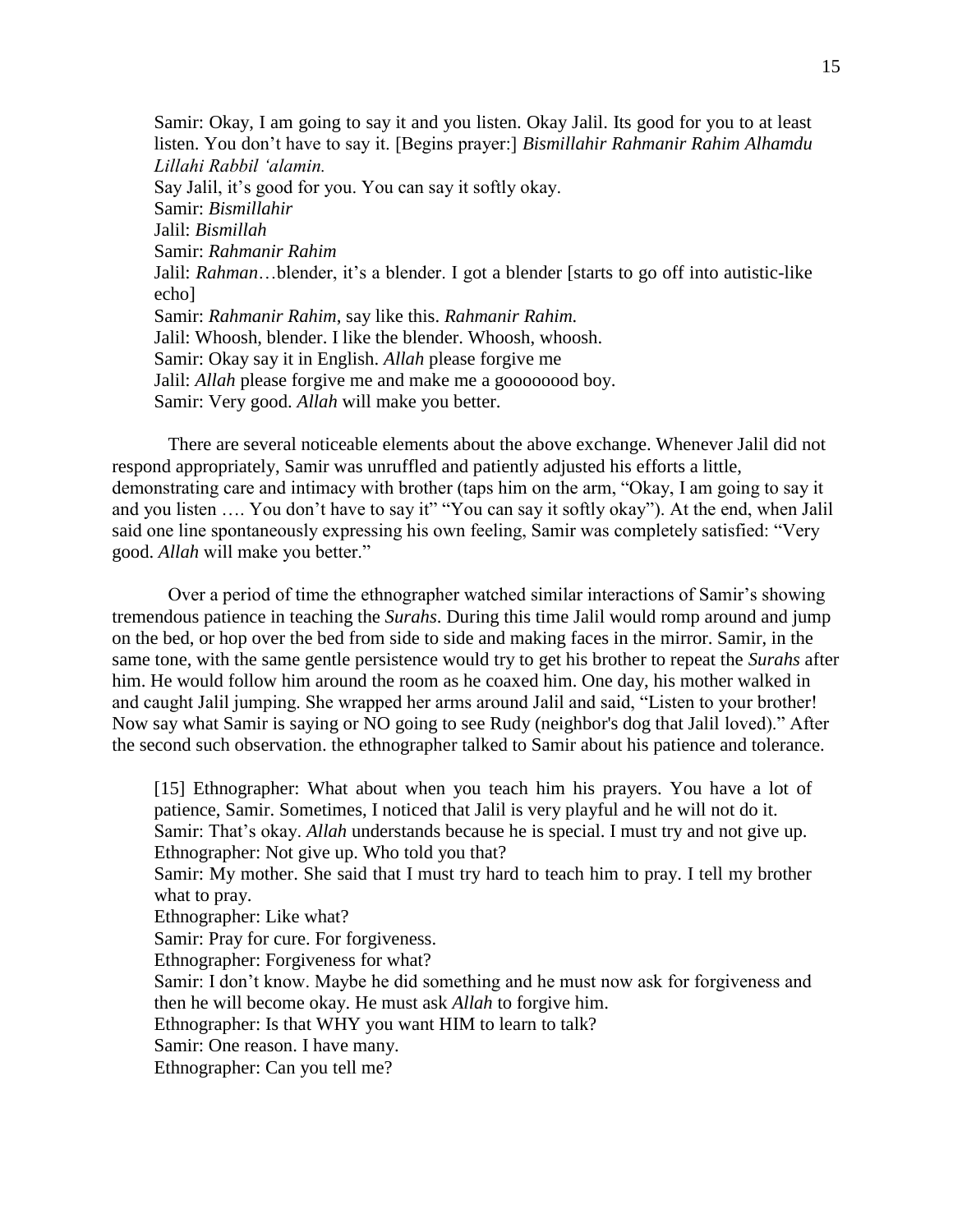Samir: Okay, I am going to say it and you listen. Okay Jalil. Its good for you to at least listen. You don't have to say it. [Begins prayer:] *Bismillahir Rahmanir Rahim Alhamdu Lillahi Rabbil 'alamin.* Say Jalil, it's good for you. You can say it softly okay. Samir: *Bismillahir* Jalil: *Bismillah* Samir: *Rahmanir Rahim* Jalil: *Rahman*…blender, it's a blender. I got a blender [starts to go off into autistic-like echo] Samir: *Rahmanir Rahim*, say like this. *Rahmanir Rahim.* Jalil: Whoosh, blender. I like the blender. Whoosh, whoosh. Samir: Okay say it in English. *Allah* please forgive me Jalil: *Allah* please forgive me and make me a goooooood boy. Samir: Very good. *Allah* will make you better.

There are several noticeable elements about the above exchange. Whenever Jalil did not respond appropriately, Samir was unruffled and patiently adjusted his efforts a little, demonstrating care and intimacy with brother (taps him on the arm, "Okay, I am going to say it and you listen .... You don't have to say it" "You can say it softly okay"). At the end, when Jalil said one line spontaneously expressing his own feeling, Samir was completely satisfied: "Very good. *Allah* will make you better."

Over a period of time the ethnographer watched similar interactions of Samir's showing tremendous patience in teaching the *Surahs*. During this time Jalil would romp around and jump on the bed, or hop over the bed from side to side and making faces in the mirror. Samir, in the same tone, with the same gentle persistence would try to get his brother to repeat the *Surahs* after him. He would follow him around the room as he coaxed him. One day, his mother walked in and caught Jalil jumping. She wrapped her arms around Jalil and said, "Listen to your brother! Now say what Samir is saying or NO going to see Rudy (neighbor's dog that Jalil loved)." After the second such observation. the ethnographer talked to Samir about his patience and tolerance.

[15] Ethnographer: What about when you teach him his prayers. You have a lot of patience, Samir. Sometimes, I noticed that Jalil is very playful and he will not do it. Samir: That's okay. *Allah* understands because he is special. I must try and not give up. Ethnographer: Not give up. Who told you that? Samir: My mother. She said that I must try hard to teach him to pray. I tell my brother what to pray. Ethnographer: Like what? Samir: Pray for cure. For forgiveness. Ethnographer: Forgiveness for what? Samir: I don't know. Maybe he did something and he must now ask for forgiveness and then he will become okay. He must ask *Allah* to forgive him. Ethnographer: Is that WHY you want HIM to learn to talk? Samir: One reason. I have many. Ethnographer: Can you tell me?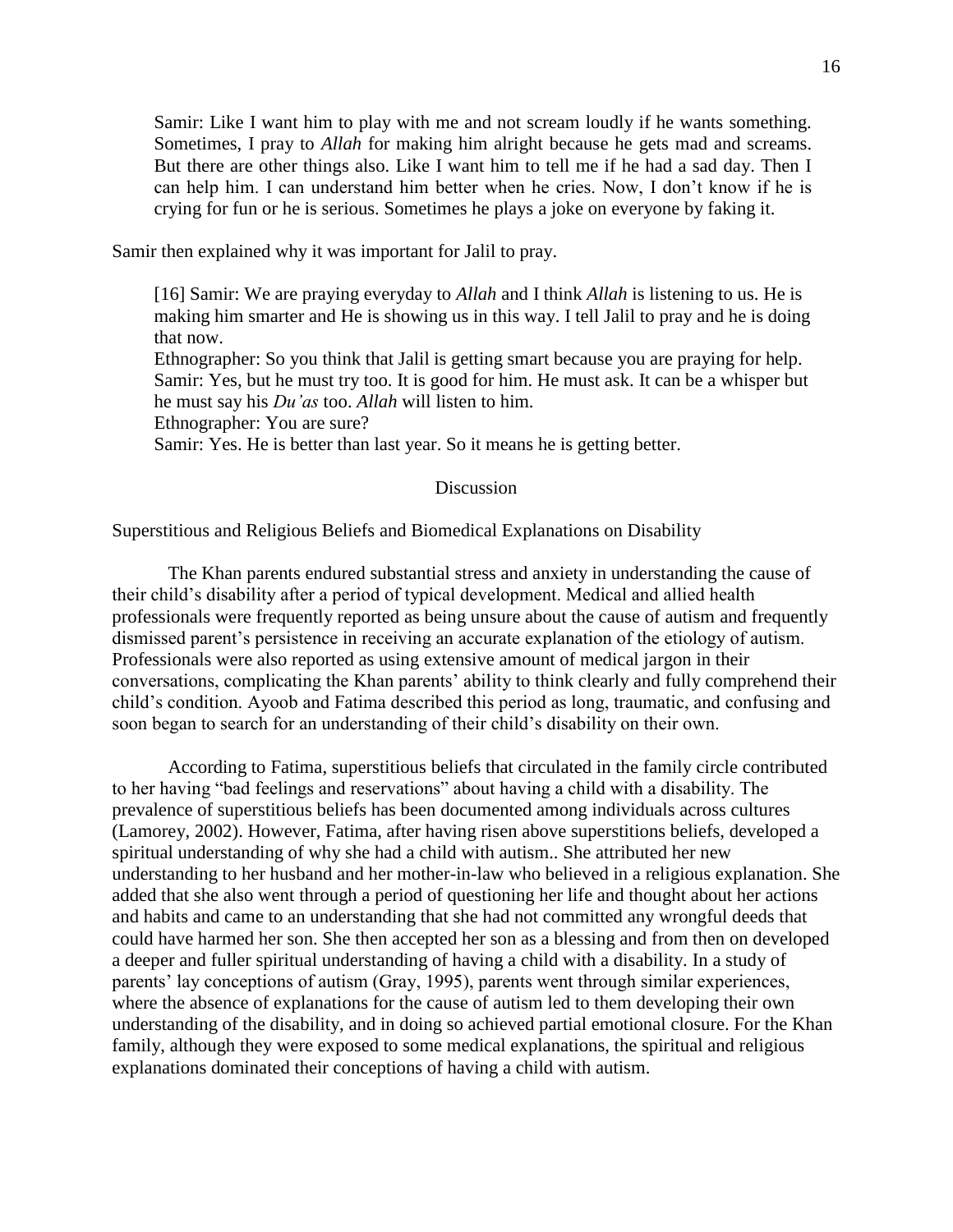Samir: Like I want him to play with me and not scream loudly if he wants something. Sometimes, I pray to *Allah* for making him alright because he gets mad and screams. But there are other things also. Like I want him to tell me if he had a sad day. Then I can help him. I can understand him better when he cries. Now, I don't know if he is crying for fun or he is serious. Sometimes he plays a joke on everyone by faking it.

Samir then explained why it was important for Jalil to pray.

[16] Samir: We are praying everyday to *Allah* and I think *Allah* is listening to us. He is making him smarter and He is showing us in this way. I tell Jalil to pray and he is doing that now.

Ethnographer: So you think that Jalil is getting smart because you are praying for help. Samir: Yes, but he must try too. It is good for him. He must ask. It can be a whisper but he must say his *Du'as* too. *Allah* will listen to him.

Ethnographer: You are sure?

Samir: Yes. He is better than last year. So it means he is getting better.

### Discussion

Superstitious and Religious Beliefs and Biomedical Explanations on Disability

The Khan parents endured substantial stress and anxiety in understanding the cause of their child's disability after a period of typical development. Medical and allied health professionals were frequently reported as being unsure about the cause of autism and frequently dismissed parent's persistence in receiving an accurate explanation of the etiology of autism. Professionals were also reported as using extensive amount of medical jargon in their conversations, complicating the Khan parents' ability to think clearly and fully comprehend their child's condition. Ayoob and Fatima described this period as long, traumatic, and confusing and soon began to search for an understanding of their child's disability on their own.

According to Fatima, superstitious beliefs that circulated in the family circle contributed to her having "bad feelings and reservations" about having a child with a disability. The prevalence of superstitious beliefs has been documented among individuals across cultures (Lamorey, 2002). However, Fatima, after having risen above superstitions beliefs, developed a spiritual understanding of why she had a child with autism.. She attributed her new understanding to her husband and her mother-in-law who believed in a religious explanation. She added that she also went through a period of questioning her life and thought about her actions and habits and came to an understanding that she had not committed any wrongful deeds that could have harmed her son. She then accepted her son as a blessing and from then on developed a deeper and fuller spiritual understanding of having a child with a disability. In a study of parents' lay conceptions of autism (Gray, 1995), parents went through similar experiences, where the absence of explanations for the cause of autism led to them developing their own understanding of the disability, and in doing so achieved partial emotional closure. For the Khan family, although they were exposed to some medical explanations, the spiritual and religious explanations dominated their conceptions of having a child with autism.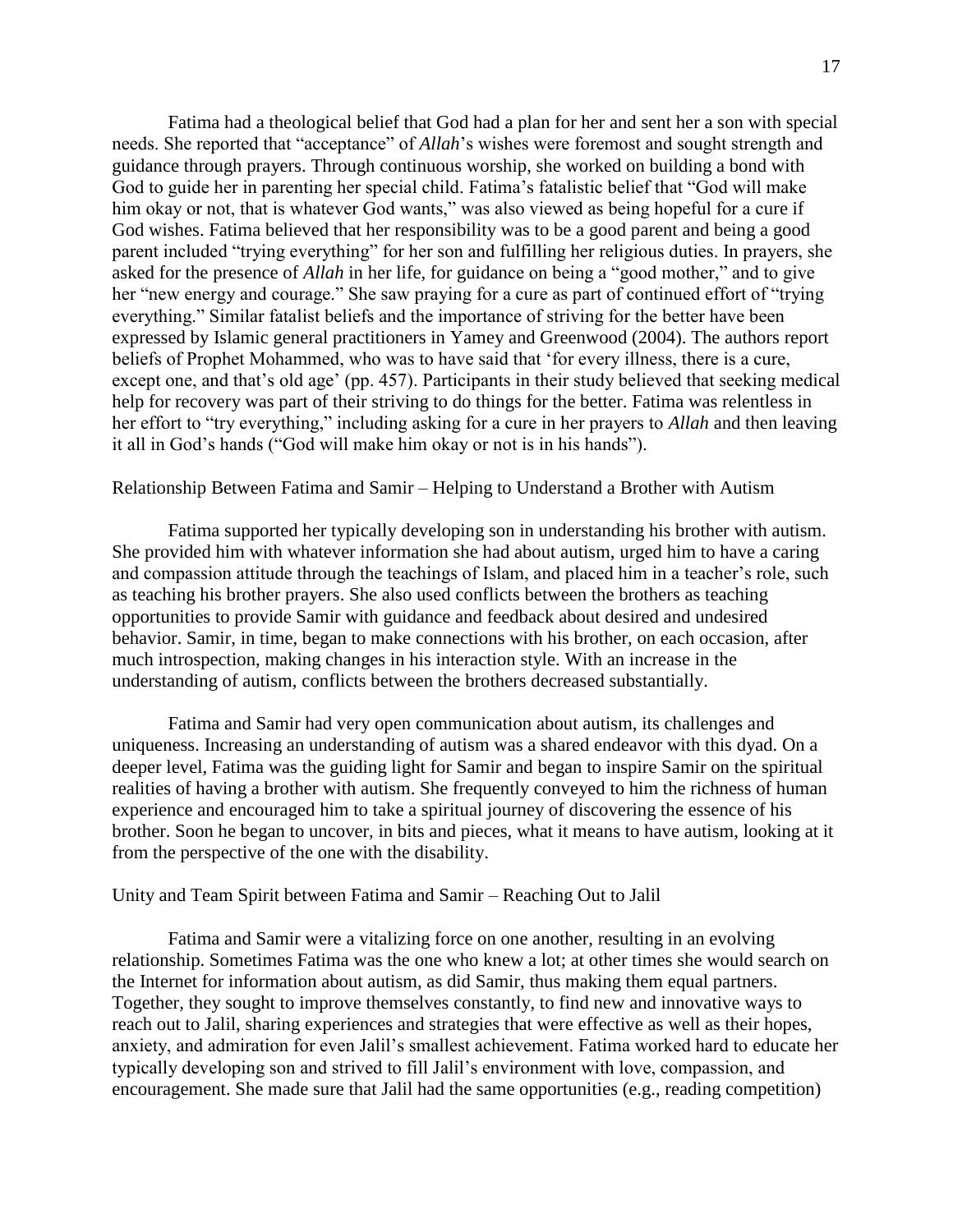Fatima had a theological belief that God had a plan for her and sent her a son with special needs. She reported that "acceptance" of *Allah*'s wishes were foremost and sought strength and guidance through prayers. Through continuous worship, she worked on building a bond with God to guide her in parenting her special child. Fatima's fatalistic belief that "God will make him okay or not, that is whatever God wants," was also viewed as being hopeful for a cure if God wishes. Fatima believed that her responsibility was to be a good parent and being a good parent included "trying everything" for her son and fulfilling her religious duties. In prayers, she asked for the presence of *Allah* in her life, for guidance on being a "good mother," and to give her "new energy and courage." She saw praying for a cure as part of continued effort of "trying everything." Similar fatalist beliefs and the importance of striving for the better have been expressed by Islamic general practitioners in Yamey and Greenwood (2004). The authors report beliefs of Prophet Mohammed, who was to have said that 'for every illness, there is a cure, except one, and that's old age' (pp. 457). Participants in their study believed that seeking medical help for recovery was part of their striving to do things for the better. Fatima was relentless in her effort to "try everything," including asking for a cure in her prayers to *Allah* and then leaving it all in God's hands ("God will make him okay or not is in his hands").

# Relationship Between Fatima and Samir – Helping to Understand a Brother with Autism

Fatima supported her typically developing son in understanding his brother with autism. She provided him with whatever information she had about autism, urged him to have a caring and compassion attitude through the teachings of Islam, and placed him in a teacher's role, such as teaching his brother prayers. She also used conflicts between the brothers as teaching opportunities to provide Samir with guidance and feedback about desired and undesired behavior. Samir, in time, began to make connections with his brother, on each occasion, after much introspection, making changes in his interaction style. With an increase in the understanding of autism, conflicts between the brothers decreased substantially.

Fatima and Samir had very open communication about autism, its challenges and uniqueness. Increasing an understanding of autism was a shared endeavor with this dyad. On a deeper level, Fatima was the guiding light for Samir and began to inspire Samir on the spiritual realities of having a brother with autism. She frequently conveyed to him the richness of human experience and encouraged him to take a spiritual journey of discovering the essence of his brother. Soon he began to uncover, in bits and pieces, what it means to have autism, looking at it from the perspective of the one with the disability.

#### Unity and Team Spirit between Fatima and Samir – Reaching Out to Jalil

Fatima and Samir were a vitalizing force on one another, resulting in an evolving relationship. Sometimes Fatima was the one who knew a lot; at other times she would search on the Internet for information about autism, as did Samir, thus making them equal partners. Together, they sought to improve themselves constantly, to find new and innovative ways to reach out to Jalil, sharing experiences and strategies that were effective as well as their hopes, anxiety, and admiration for even Jalil's smallest achievement. Fatima worked hard to educate her typically developing son and strived to fill Jalil's environment with love, compassion, and encouragement. She made sure that Jalil had the same opportunities (e.g., reading competition)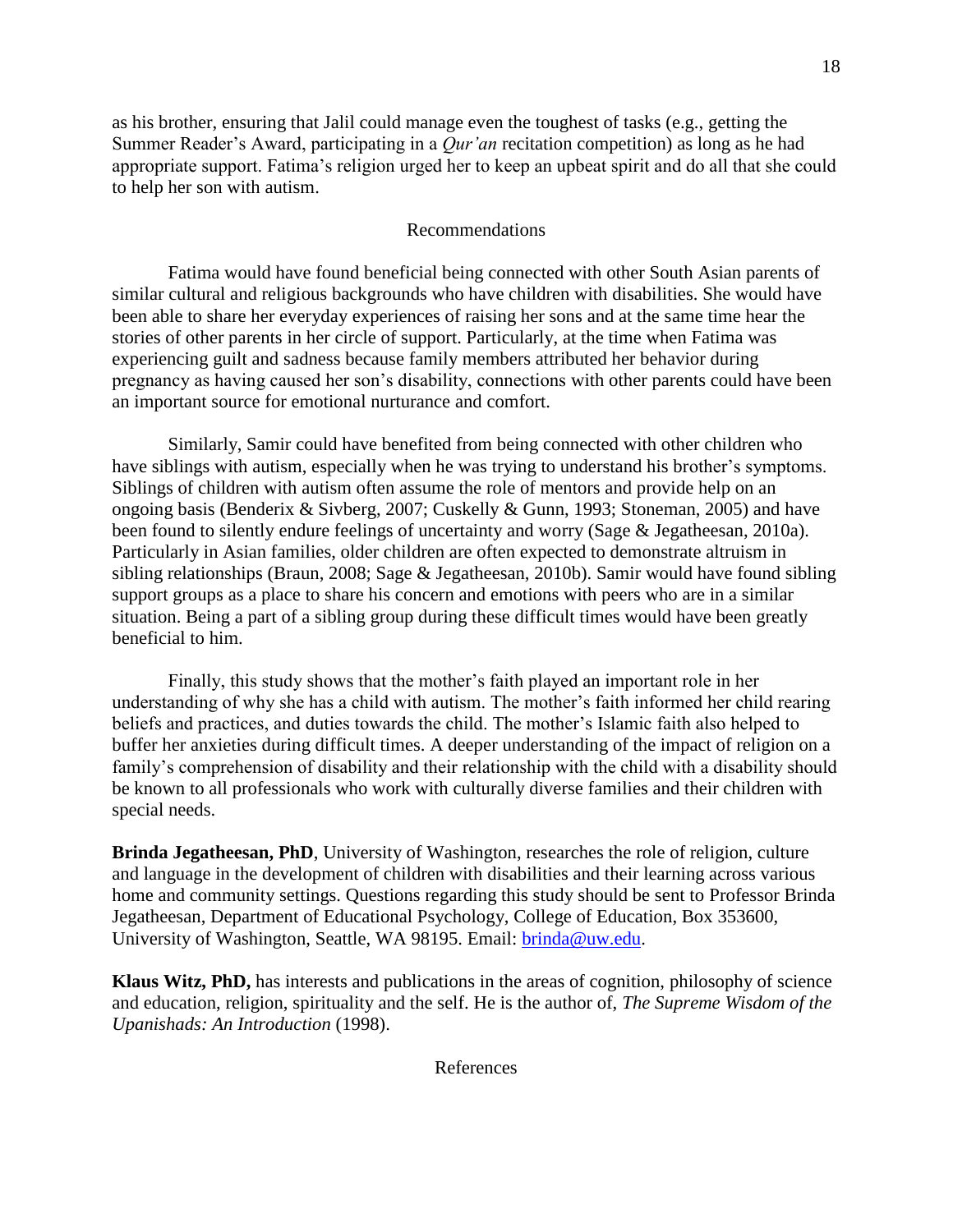as his brother, ensuring that Jalil could manage even the toughest of tasks (e.g., getting the Summer Reader's Award, participating in a *Qur'an* recitation competition) as long as he had appropriate support. Fatima's religion urged her to keep an upbeat spirit and do all that she could to help her son with autism.

# Recommendations

Fatima would have found beneficial being connected with other South Asian parents of similar cultural and religious backgrounds who have children with disabilities. She would have been able to share her everyday experiences of raising her sons and at the same time hear the stories of other parents in her circle of support. Particularly, at the time when Fatima was experiencing guilt and sadness because family members attributed her behavior during pregnancy as having caused her son's disability, connections with other parents could have been an important source for emotional nurturance and comfort.

Similarly, Samir could have benefited from being connected with other children who have siblings with autism, especially when he was trying to understand his brother's symptoms. Siblings of children with autism often assume the role of mentors and provide help on an ongoing basis (Benderix & Sivberg, 2007; Cuskelly & Gunn, 1993; Stoneman, 2005) and have been found to silently endure feelings of uncertainty and worry (Sage & Jegatheesan, 2010a). Particularly in Asian families, older children are often expected to demonstrate altruism in sibling relationships (Braun, 2008; Sage & Jegatheesan, 2010b). Samir would have found sibling support groups as a place to share his concern and emotions with peers who are in a similar situation. Being a part of a sibling group during these difficult times would have been greatly beneficial to him.

Finally, this study shows that the mother's faith played an important role in her understanding of why she has a child with autism. The mother's faith informed her child rearing beliefs and practices, and duties towards the child. The mother's Islamic faith also helped to buffer her anxieties during difficult times. A deeper understanding of the impact of religion on a family's comprehension of disability and their relationship with the child with a disability should be known to all professionals who work with culturally diverse families and their children with special needs.

**Brinda Jegatheesan, PhD**, University of Washington, researches the role of religion, culture and language in the development of children with disabilities and their learning across various home and community settings. Questions regarding this study should be sent to Professor Brinda Jegatheesan, Department of Educational Psychology, College of Education, Box 353600, University of Washington, Seattle, WA 98195. Email: [brinda@uw.edu.](mailto:brinda@uw.edu)

**Klaus Witz, PhD,** has interests and publications in the areas of cognition, philosophy of science and education, religion, spirituality and the self. He is the author of, *The Supreme Wisdom of the Upanishads: An Introduction* (1998).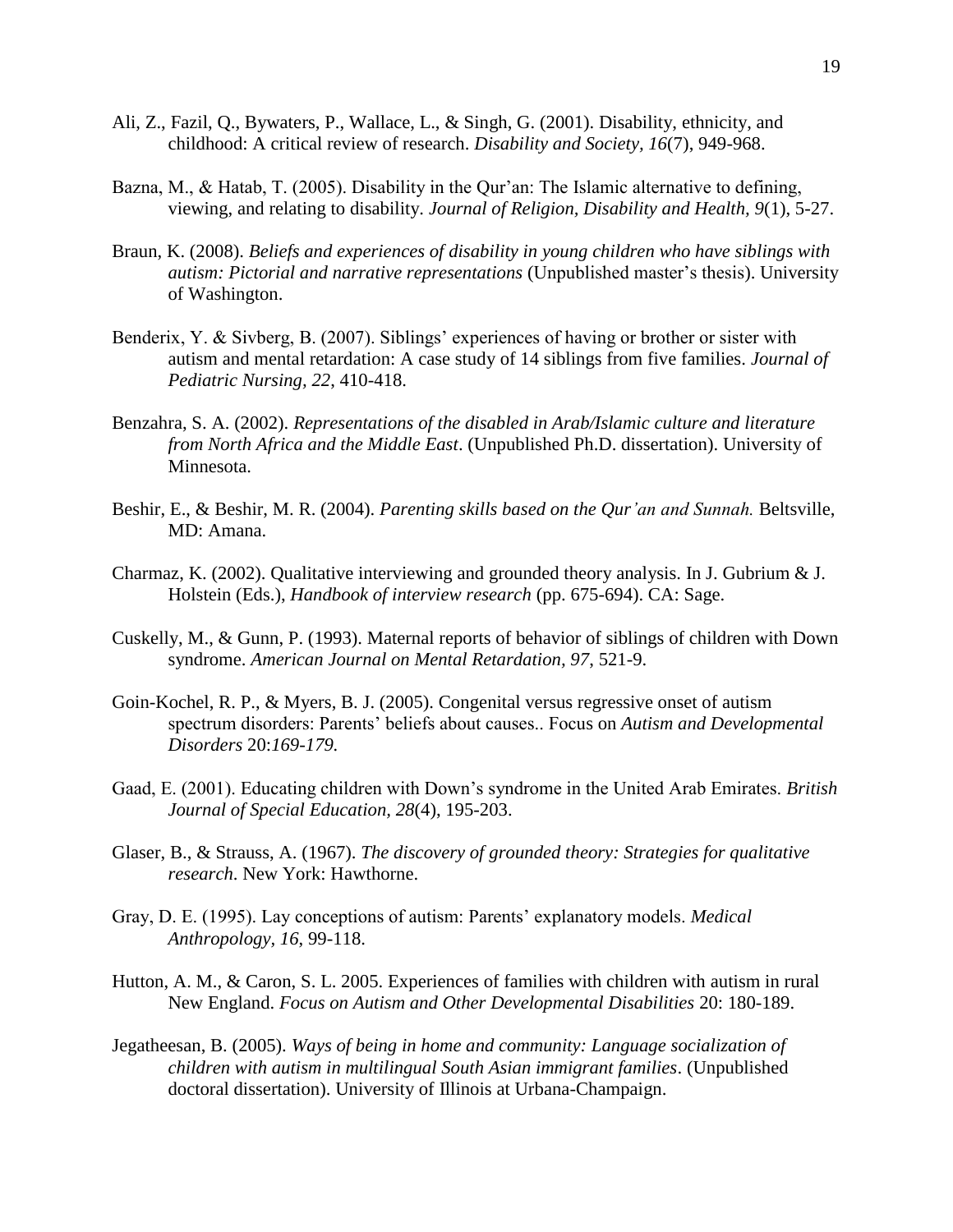- Ali, Z., Fazil, Q., Bywaters, P., Wallace, L., & Singh, G. (2001). Disability, ethnicity, and childhood: A critical review of research. *Disability and Society, 16*(7), 949-968.
- Bazna, M., & Hatab, T. (2005). Disability in the Qur'an: The Islamic alternative to defining, viewing, and relating to disability. *Journal of Religion, Disability and Health, 9*(1), 5-27.
- Braun, K. (2008). *Beliefs and experiences of disability in young children who have siblings with autism: Pictorial and narrative representations* (Unpublished master's thesis). University of Washington.
- Benderix, Y. & Sivberg, B. (2007). Siblings' experiences of having or brother or sister with autism and mental retardation: A case study of 14 siblings from five families. *Journal of Pediatric Nursing, 22*, 410-418.
- Benzahra, S. A. (2002). *Representations of the disabled in Arab/Islamic culture and literature from North Africa and the Middle East*. (Unpublished Ph.D. dissertation). University of Minnesota.
- Beshir, E., & Beshir, M. R. (2004). *Parenting skills based on the Qur'an and Sunnah.* Beltsville, MD: Amana.
- Charmaz, K. (2002). Qualitative interviewing and grounded theory analysis. In J. Gubrium & J. Holstein (Eds.), *Handbook of interview research* (pp. 675-694). CA: Sage.
- Cuskelly, M., & Gunn, P. (1993). Maternal reports of behavior of siblings of children with Down syndrome. *American Journal on Mental Retardation, 97*, 521-9.
- Goin-Kochel, R. P., & Myers, B. J. (2005). Congenital versus regressive onset of autism spectrum disorders: Parents' beliefs about causes.. Focus on *Autism and Developmental Disorders* 20:*169-179.*
- Gaad, E. (2001). Educating children with Down's syndrome in the United Arab Emirates. *British Journal of Special Education, 28*(4), 195-203.
- Glaser, B., & Strauss, A. (1967). *The discovery of grounded theory: Strategies for qualitative research*. New York: Hawthorne.
- Gray, D. E. (1995). Lay conceptions of autism: Parents' explanatory models. *Medical Anthropology, 16*, 99-118.
- Hutton, A. M., & Caron, S. L. 2005. Experiences of families with children with autism in rural New England. *Focus on Autism and Other Developmental Disabilities* 20: 180-189.
- Jegatheesan, B. (2005). *Ways of being in home and community: Language socialization of children with autism in multilingual South Asian immigrant families*. (Unpublished doctoral dissertation). University of Illinois at Urbana-Champaign.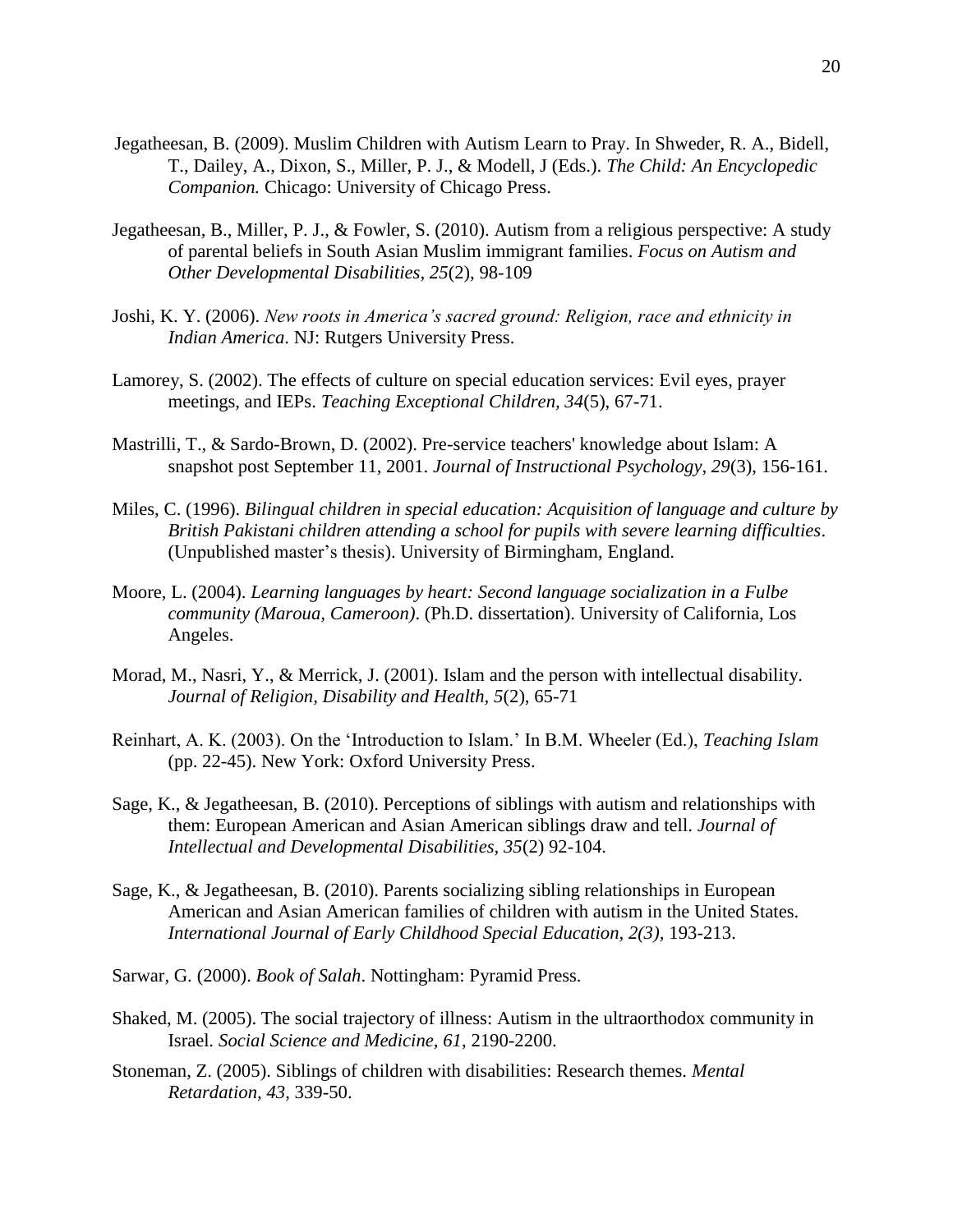- Jegatheesan, B. (2009). Muslim Children with Autism Learn to Pray. In Shweder, R. A., Bidell, T., Dailey, A., Dixon, S., Miller, P. J., & Modell, J (Eds.). *The Child: An Encyclopedic Companion.* Chicago: University of Chicago Press.
- Jegatheesan, B., Miller, P. J., & Fowler, S. (2010). Autism from a religious perspective: A study of parental beliefs in South Asian Muslim immigrant families. *Focus on Autism and Other Developmental Disabilities, 25*(2), 98-109
- Joshi, K. Y. (2006). *New roots in America's sacred ground: Religion, race and ethnicity in Indian America*. NJ: Rutgers University Press.
- Lamorey, S. (2002). The effects of culture on special education services: Evil eyes, prayer meetings, and IEPs. *Teaching Exceptional Children, 34*(5), 67-71.
- Mastrilli, T., & Sardo-Brown, D. (2002). Pre-service teachers' knowledge about Islam: A snapshot post September 11, 2001. *Journal of Instructional Psychology, 29*(3), 156-161.
- Miles, C. (1996). *Bilingual children in special education: Acquisition of language and culture by British Pakistani children attending a school for pupils with severe learning difficulties*. (Unpublished master's thesis). University of Birmingham, England.
- Moore, L. (2004). *Learning languages by heart: Second language socialization in a Fulbe community (Maroua, Cameroon)*. (Ph.D. dissertation). University of California, Los Angeles.
- Morad, M., Nasri, Y., & Merrick, J. (2001). Islam and the person with intellectual disability. *Journal of Religion, Disability and Health, 5*(2), 65-71
- Reinhart, A. K. (2003). On the 'Introduction to Islam.' In B.M. Wheeler (Ed.), *Teaching Islam* (pp. 22-45). New York: Oxford University Press.
- Sage, K., & Jegatheesan, B. (2010). Perceptions of siblings with autism and relationships with them: European American and Asian American siblings draw and tell. *Journal of Intellectual and Developmental Disabilities, 35*(2) 92-104.
- Sage, K., & Jegatheesan, B. (2010). Parents socializing sibling relationships in European American and Asian American families of children with autism in the United States. *International Journal of Early Childhood Special Education, 2(3),* 193-213.
- Sarwar, G. (2000). *Book of Salah*. Nottingham: Pyramid Press.
- Shaked, M. (2005). The social trajectory of illness: Autism in the ultraorthodox community in Israel*. Social Science and Medicine, 61*, 2190-2200.
- Stoneman, Z. (2005). Siblings of children with disabilities: Research themes. *Mental Retardation, 43*, 339-50.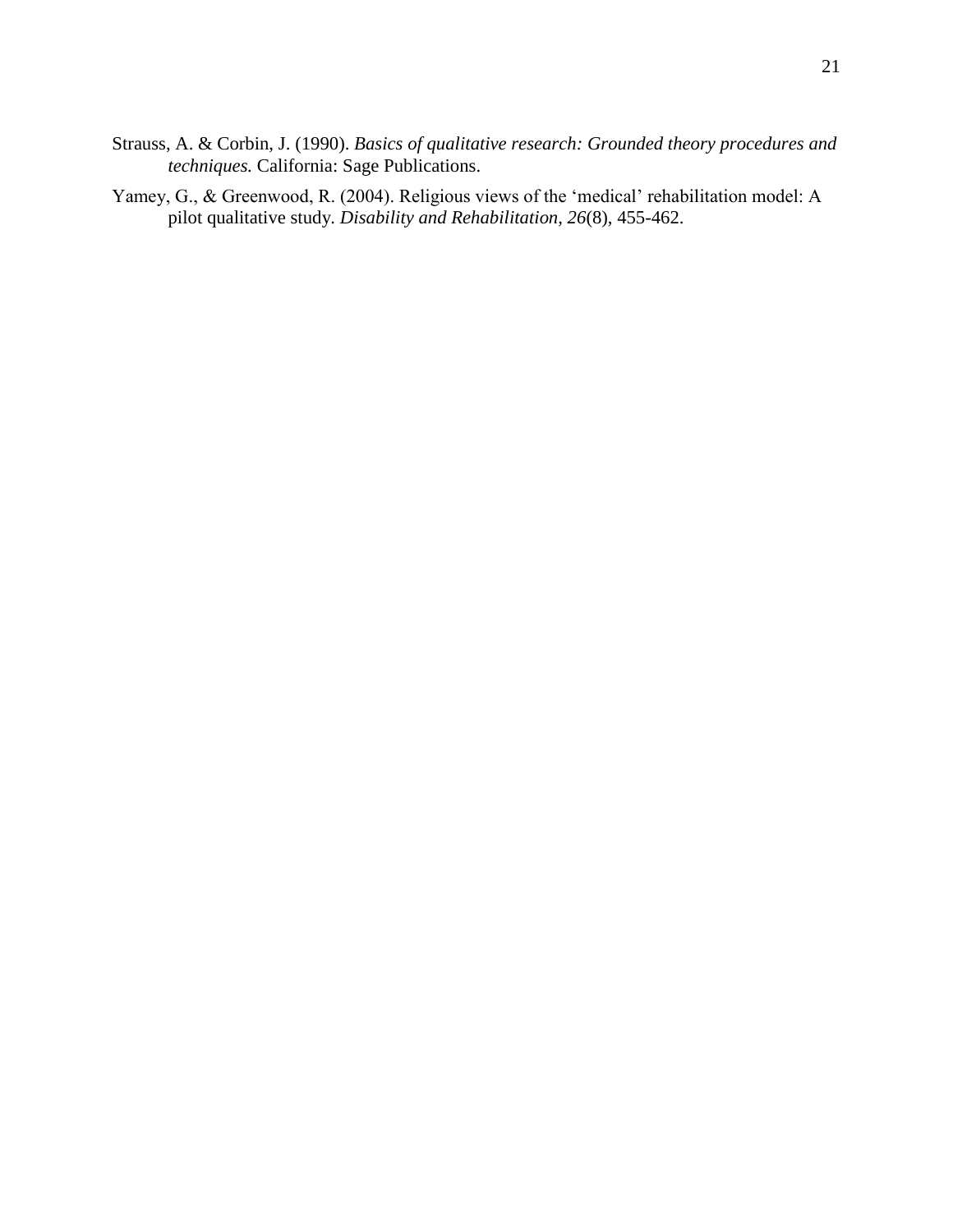- Strauss, A. & Corbin, J. (1990). *Basics of qualitative research: Grounded theory procedures and techniques.* California: Sage Publications.
- Yamey, G., & Greenwood, R. (2004). Religious views of the 'medical' rehabilitation model: A pilot qualitative study. *Disability and Rehabilitation, 26*(8), 455-462.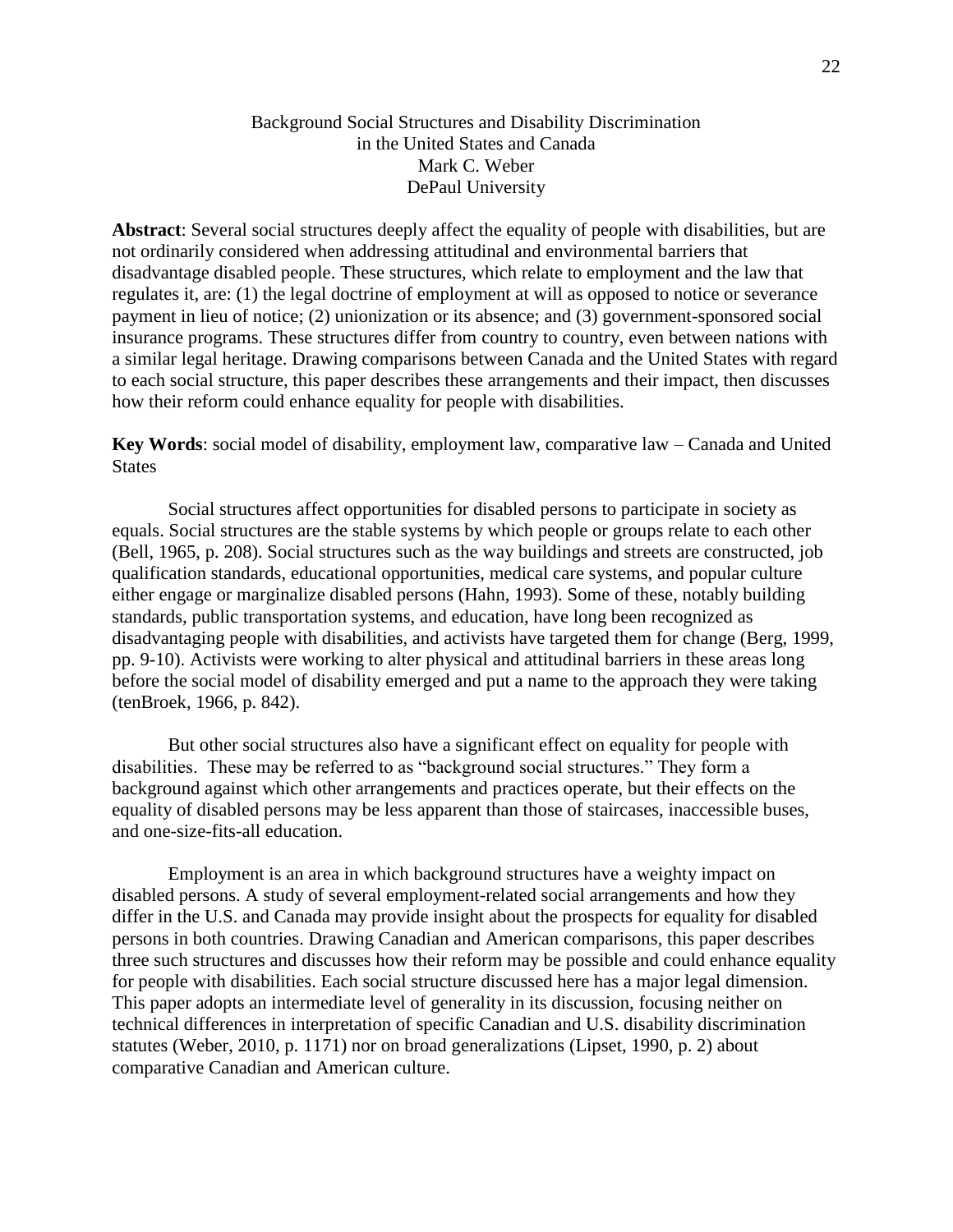# Background Social Structures and Disability Discrimination in the United States and Canada Mark C. Weber DePaul University

**Abstract**: Several social structures deeply affect the equality of people with disabilities, but are not ordinarily considered when addressing attitudinal and environmental barriers that disadvantage disabled people. These structures, which relate to employment and the law that regulates it, are: (1) the legal doctrine of employment at will as opposed to notice or severance payment in lieu of notice; (2) unionization or its absence; and (3) government-sponsored social insurance programs. These structures differ from country to country, even between nations with a similar legal heritage. Drawing comparisons between Canada and the United States with regard to each social structure, this paper describes these arrangements and their impact, then discusses how their reform could enhance equality for people with disabilities.

**Key Words**: social model of disability, employment law, comparative law – Canada and United **States** 

Social structures affect opportunities for disabled persons to participate in society as equals. Social structures are the stable systems by which people or groups relate to each other (Bell, 1965, p. 208). Social structures such as the way buildings and streets are constructed, job qualification standards, educational opportunities, medical care systems, and popular culture either engage or marginalize disabled persons (Hahn, 1993). Some of these, notably building standards, public transportation systems, and education, have long been recognized as disadvantaging people with disabilities, and activists have targeted them for change (Berg, 1999, pp. 9-10). Activists were working to alter physical and attitudinal barriers in these areas long before the social model of disability emerged and put a name to the approach they were taking (tenBroek, 1966, p. 842).

But other social structures also have a significant effect on equality for people with disabilities. These may be referred to as "background social structures." They form a background against which other arrangements and practices operate, but their effects on the equality of disabled persons may be less apparent than those of staircases, inaccessible buses, and one-size-fits-all education.

Employment is an area in which background structures have a weighty impact on disabled persons. A study of several employment-related social arrangements and how they differ in the U.S. and Canada may provide insight about the prospects for equality for disabled persons in both countries. Drawing Canadian and American comparisons, this paper describes three such structures and discusses how their reform may be possible and could enhance equality for people with disabilities. Each social structure discussed here has a major legal dimension. This paper adopts an intermediate level of generality in its discussion, focusing neither on technical differences in interpretation of specific Canadian and U.S. disability discrimination statutes (Weber, 2010, p. 1171) nor on broad generalizations (Lipset, 1990, p. 2) about comparative Canadian and American culture.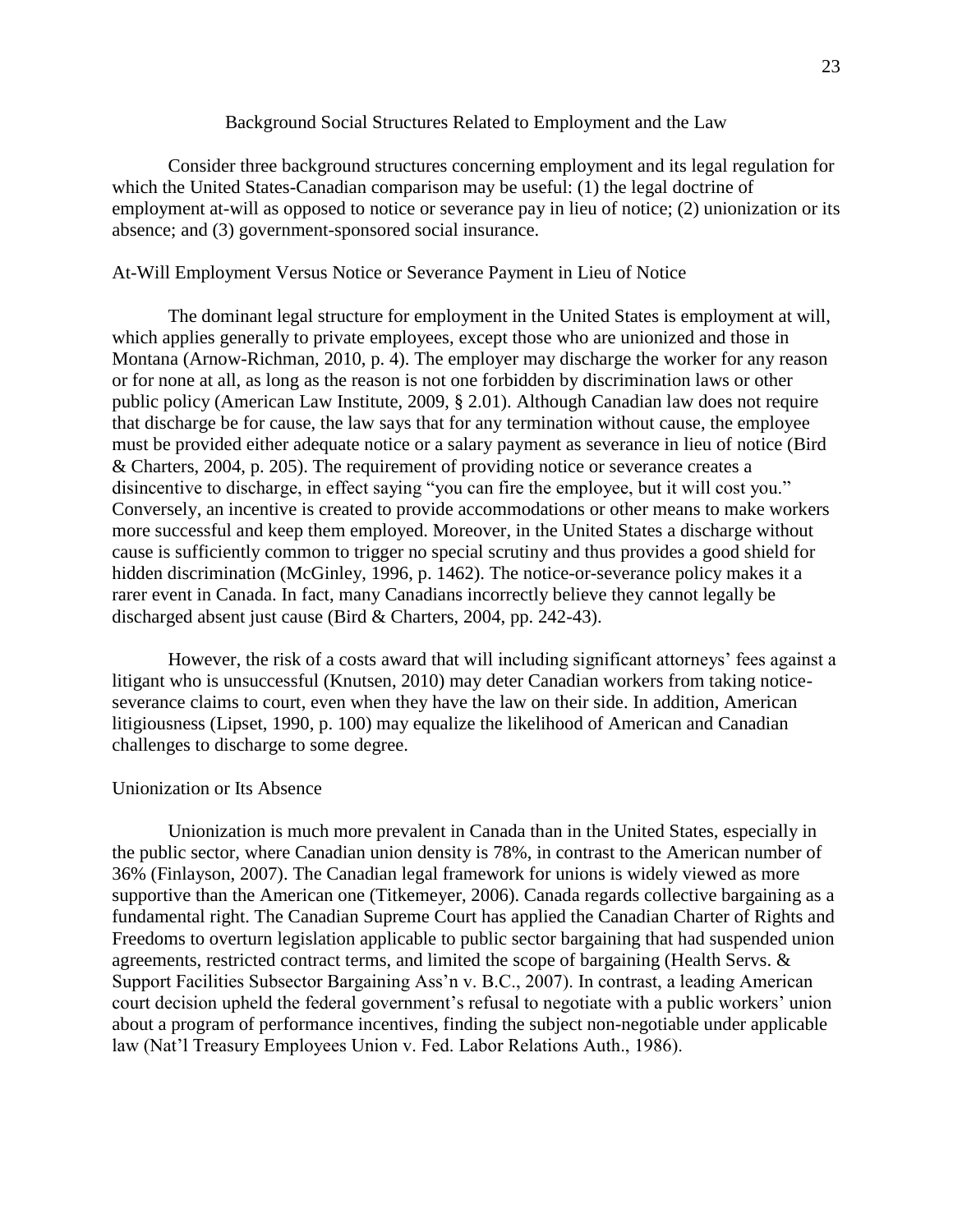### Background Social Structures Related to Employment and the Law

Consider three background structures concerning employment and its legal regulation for which the United States-Canadian comparison may be useful: (1) the legal doctrine of employment at-will as opposed to notice or severance pay in lieu of notice; (2) unionization or its absence; and (3) government-sponsored social insurance.

## At-Will Employment Versus Notice or Severance Payment in Lieu of Notice

The dominant legal structure for employment in the United States is employment at will, which applies generally to private employees, except those who are unionized and those in Montana (Arnow-Richman, 2010, p. 4). The employer may discharge the worker for any reason or for none at all, as long as the reason is not one forbidden by discrimination laws or other public policy (American Law Institute, 2009, § 2.01). Although Canadian law does not require that discharge be for cause, the law says that for any termination without cause, the employee must be provided either adequate notice or a salary payment as severance in lieu of notice (Bird & Charters, 2004, p. 205). The requirement of providing notice or severance creates a disincentive to discharge, in effect saying "you can fire the employee, but it will cost you." Conversely, an incentive is created to provide accommodations or other means to make workers more successful and keep them employed. Moreover, in the United States a discharge without cause is sufficiently common to trigger no special scrutiny and thus provides a good shield for hidden discrimination (McGinley, 1996, p. 1462). The notice-or-severance policy makes it a rarer event in Canada. In fact, many Canadians incorrectly believe they cannot legally be discharged absent just cause (Bird & Charters, 2004, pp. 242-43).

However, the risk of a costs award that will including significant attorneys' fees against a litigant who is unsuccessful (Knutsen, 2010) may deter Canadian workers from taking noticeseverance claims to court, even when they have the law on their side. In addition, American litigiousness (Lipset, 1990, p. 100) may equalize the likelihood of American and Canadian challenges to discharge to some degree.

### Unionization or Its Absence

Unionization is much more prevalent in Canada than in the United States, especially in the public sector, where Canadian union density is 78%, in contrast to the American number of 36% (Finlayson, 2007). The Canadian legal framework for unions is widely viewed as more supportive than the American one (Titkemeyer, 2006). Canada regards collective bargaining as a fundamental right. The Canadian Supreme Court has applied the Canadian Charter of Rights and Freedoms to overturn legislation applicable to public sector bargaining that had suspended union agreements, restricted contract terms, and limited the scope of bargaining (Health Servs. & Support Facilities Subsector Bargaining Ass'n v. B.C., 2007). In contrast, a leading American court decision upheld the federal government's refusal to negotiate with a public workers' union about a program of performance incentives, finding the subject non-negotiable under applicable law (Nat'l Treasury Employees Union v. Fed. Labor Relations Auth., 1986).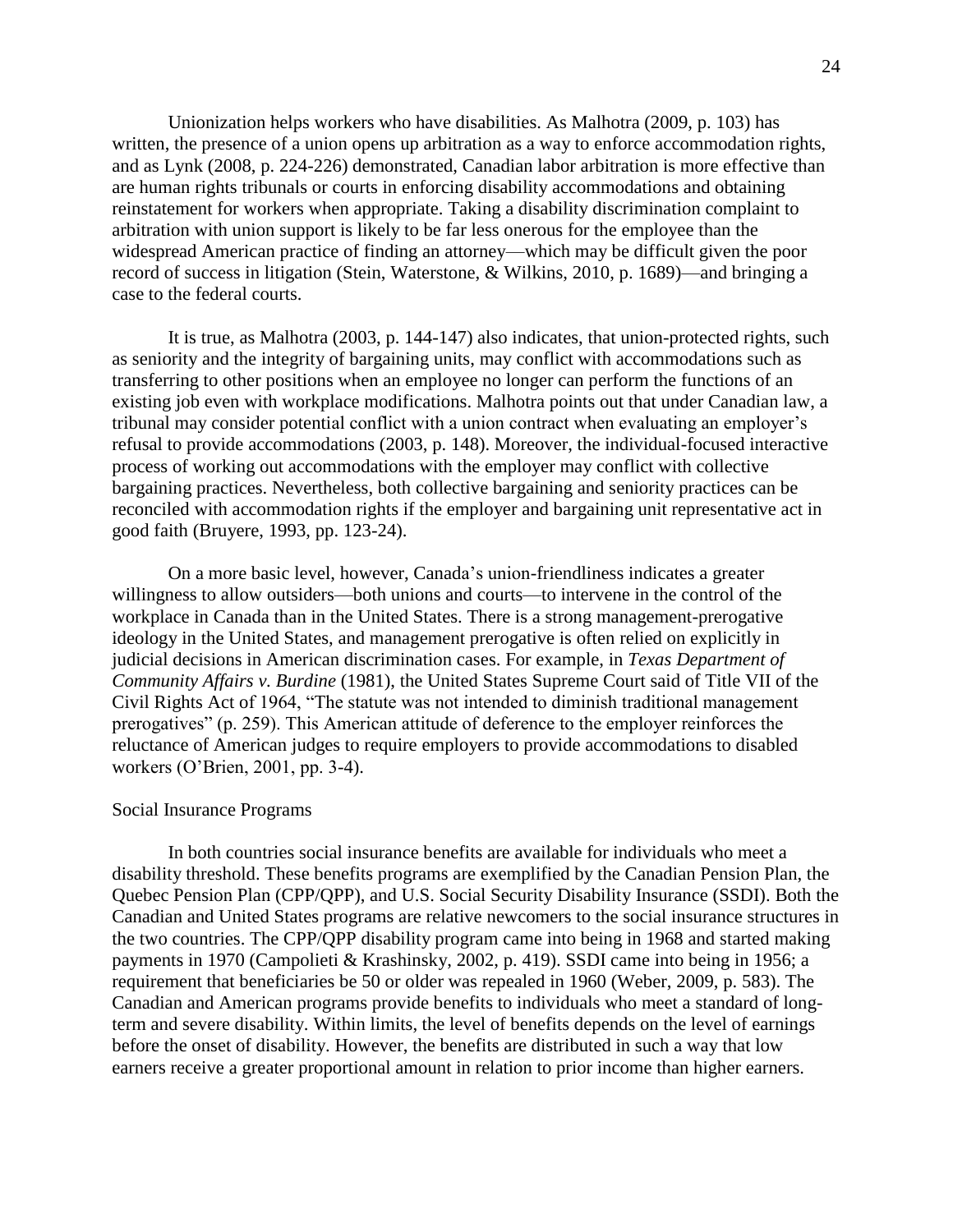Unionization helps workers who have disabilities. As Malhotra (2009, p. 103) has written, the presence of a union opens up arbitration as a way to enforce accommodation rights, and as Lynk (2008, p. 224-226) demonstrated, Canadian labor arbitration is more effective than are human rights tribunals or courts in enforcing disability accommodations and obtaining reinstatement for workers when appropriate. Taking a disability discrimination complaint to arbitration with union support is likely to be far less onerous for the employee than the widespread American practice of finding an attorney—which may be difficult given the poor record of success in litigation (Stein, Waterstone, & Wilkins, 2010, p. 1689)—and bringing a case to the federal courts.

It is true, as Malhotra (2003, p. 144-147) also indicates, that union-protected rights, such as seniority and the integrity of bargaining units, may conflict with accommodations such as transferring to other positions when an employee no longer can perform the functions of an existing job even with workplace modifications. Malhotra points out that under Canadian law, a tribunal may consider potential conflict with a union contract when evaluating an employer's refusal to provide accommodations (2003, p. 148). Moreover, the individual-focused interactive process of working out accommodations with the employer may conflict with collective bargaining practices. Nevertheless, both collective bargaining and seniority practices can be reconciled with accommodation rights if the employer and bargaining unit representative act in good faith (Bruyere, 1993, pp. 123-24).

On a more basic level, however, Canada's union-friendliness indicates a greater willingness to allow outsiders—both unions and courts—to intervene in the control of the workplace in Canada than in the United States. There is a strong management-prerogative ideology in the United States, and management prerogative is often relied on explicitly in judicial decisions in American discrimination cases. For example, in *Texas Department of Community Affairs v. Burdine* (1981), the United States Supreme Court said of Title VII of the Civil Rights Act of 1964, "The statute was not intended to diminish traditional management prerogatives" (p. 259). This American attitude of deference to the employer reinforces the reluctance of American judges to require employers to provide accommodations to disabled workers (O'Brien, 2001, pp. 3-4).

#### Social Insurance Programs

In both countries social insurance benefits are available for individuals who meet a disability threshold. These benefits programs are exemplified by the Canadian Pension Plan, the Quebec Pension Plan (CPP/QPP), and U.S. Social Security Disability Insurance (SSDI). Both the Canadian and United States programs are relative newcomers to the social insurance structures in the two countries. The CPP/QPP disability program came into being in 1968 and started making payments in 1970 (Campolieti & Krashinsky, 2002, p. 419). SSDI came into being in 1956; a requirement that beneficiaries be 50 or older was repealed in 1960 (Weber, 2009, p. 583). The Canadian and American programs provide benefits to individuals who meet a standard of longterm and severe disability. Within limits, the level of benefits depends on the level of earnings before the onset of disability. However, the benefits are distributed in such a way that low earners receive a greater proportional amount in relation to prior income than higher earners.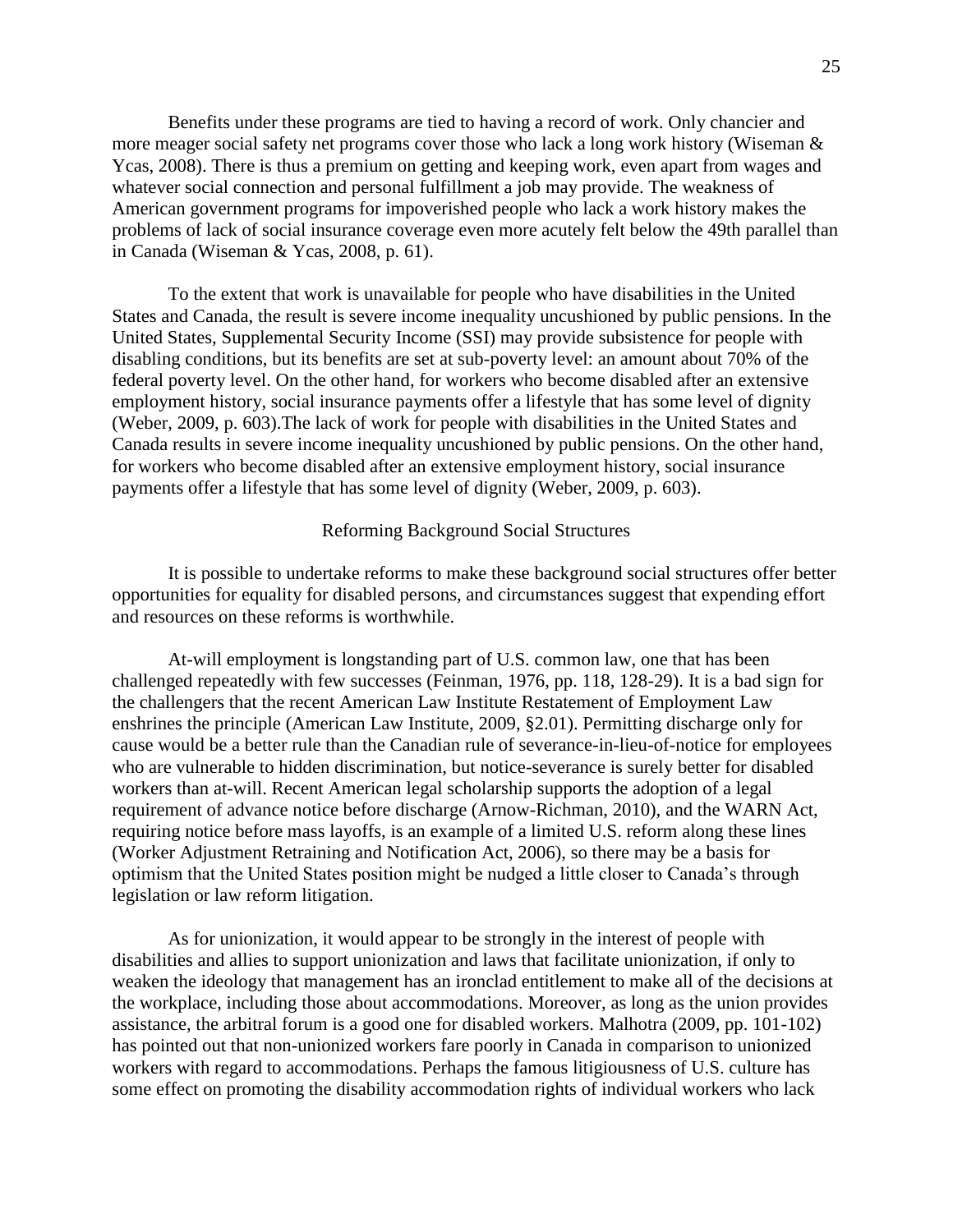Benefits under these programs are tied to having a record of work. Only chancier and more meager social safety net programs cover those who lack a long work history (Wiseman & Ycas, 2008). There is thus a premium on getting and keeping work, even apart from wages and whatever social connection and personal fulfillment a job may provide. The weakness of American government programs for impoverished people who lack a work history makes the problems of lack of social insurance coverage even more acutely felt below the 49th parallel than in Canada (Wiseman & Ycas, 2008, p. 61).

To the extent that work is unavailable for people who have disabilities in the United States and Canada, the result is severe income inequality uncushioned by public pensions. In the United States, Supplemental Security Income (SSI) may provide subsistence for people with disabling conditions, but its benefits are set at sub-poverty level: an amount about 70% of the federal poverty level. On the other hand, for workers who become disabled after an extensive employment history, social insurance payments offer a lifestyle that has some level of dignity (Weber, 2009, p. 603).The lack of work for people with disabilities in the United States and Canada results in severe income inequality uncushioned by public pensions. On the other hand, for workers who become disabled after an extensive employment history, social insurance payments offer a lifestyle that has some level of dignity (Weber, 2009, p. 603).

### Reforming Background Social Structures

It is possible to undertake reforms to make these background social structures offer better opportunities for equality for disabled persons, and circumstances suggest that expending effort and resources on these reforms is worthwhile.

At-will employment is longstanding part of U.S. common law, one that has been challenged repeatedly with few successes (Feinman, 1976, pp. 118, 128-29). It is a bad sign for the challengers that the recent American Law Institute Restatement of Employment Law enshrines the principle (American Law Institute, 2009, §2.01). Permitting discharge only for cause would be a better rule than the Canadian rule of severance-in-lieu-of-notice for employees who are vulnerable to hidden discrimination, but notice-severance is surely better for disabled workers than at-will. Recent American legal scholarship supports the adoption of a legal requirement of advance notice before discharge (Arnow-Richman, 2010), and the WARN Act, requiring notice before mass layoffs, is an example of a limited U.S. reform along these lines (Worker Adjustment Retraining and Notification Act, 2006), so there may be a basis for optimism that the United States position might be nudged a little closer to Canada's through legislation or law reform litigation.

As for unionization, it would appear to be strongly in the interest of people with disabilities and allies to support unionization and laws that facilitate unionization, if only to weaken the ideology that management has an ironclad entitlement to make all of the decisions at the workplace, including those about accommodations. Moreover, as long as the union provides assistance, the arbitral forum is a good one for disabled workers. Malhotra (2009, pp. 101-102) has pointed out that non-unionized workers fare poorly in Canada in comparison to unionized workers with regard to accommodations. Perhaps the famous litigiousness of U.S. culture has some effect on promoting the disability accommodation rights of individual workers who lack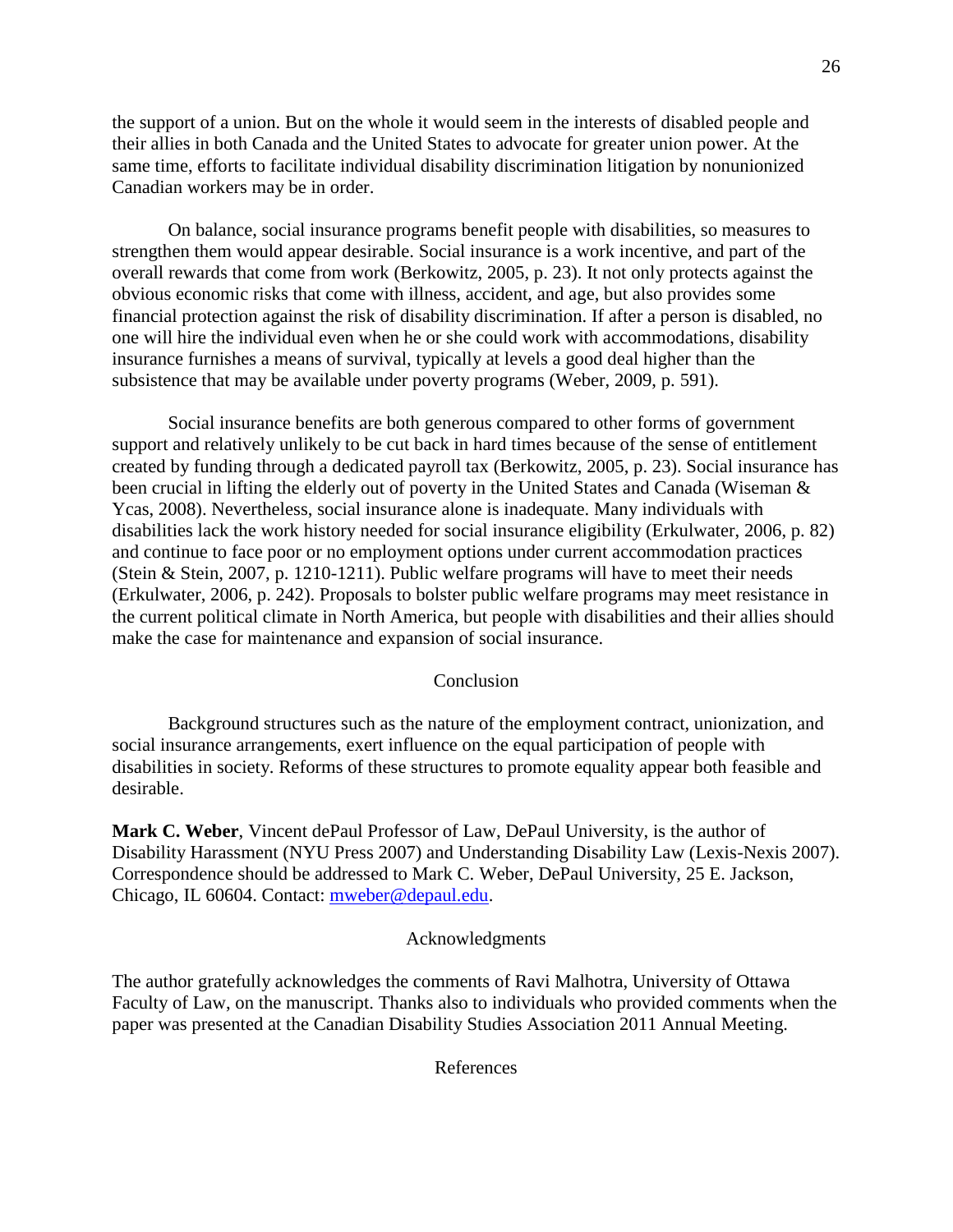the support of a union. But on the whole it would seem in the interests of disabled people and their allies in both Canada and the United States to advocate for greater union power. At the same time, efforts to facilitate individual disability discrimination litigation by nonunionized Canadian workers may be in order.

On balance, social insurance programs benefit people with disabilities, so measures to strengthen them would appear desirable. Social insurance is a work incentive, and part of the overall rewards that come from work (Berkowitz, 2005, p. 23). It not only protects against the obvious economic risks that come with illness, accident, and age, but also provides some financial protection against the risk of disability discrimination. If after a person is disabled, no one will hire the individual even when he or she could work with accommodations, disability insurance furnishes a means of survival, typically at levels a good deal higher than the subsistence that may be available under poverty programs (Weber, 2009, p. 591).

Social insurance benefits are both generous compared to other forms of government support and relatively unlikely to be cut back in hard times because of the sense of entitlement created by funding through a dedicated payroll tax (Berkowitz, 2005, p. 23). Social insurance has been crucial in lifting the elderly out of poverty in the United States and Canada (Wiseman & Ycas, 2008). Nevertheless, social insurance alone is inadequate. Many individuals with disabilities lack the work history needed for social insurance eligibility (Erkulwater, 2006, p. 82) and continue to face poor or no employment options under current accommodation practices (Stein & Stein, 2007, p. 1210-1211). Public welfare programs will have to meet their needs (Erkulwater, 2006, p. 242). Proposals to bolster public welfare programs may meet resistance in the current political climate in North America, but people with disabilities and their allies should make the case for maintenance and expansion of social insurance.

### Conclusion

Background structures such as the nature of the employment contract, unionization, and social insurance arrangements, exert influence on the equal participation of people with disabilities in society. Reforms of these structures to promote equality appear both feasible and desirable.

**Mark C. Weber**, Vincent dePaul Professor of Law, DePaul University, is the author of Disability Harassment (NYU Press 2007) and Understanding Disability Law (Lexis-Nexis 2007). Correspondence should be addressed to Mark C. Weber, DePaul University, 25 E. Jackson, Chicago, IL 60604. Contact: [mweber@depaul.edu.](mailto:mweber@depaul.edu)

#### Acknowledgments

The author gratefully acknowledges the comments of Ravi Malhotra, University of Ottawa Faculty of Law, on the manuscript. Thanks also to individuals who provided comments when the paper was presented at the Canadian Disability Studies Association 2011 Annual Meeting.

References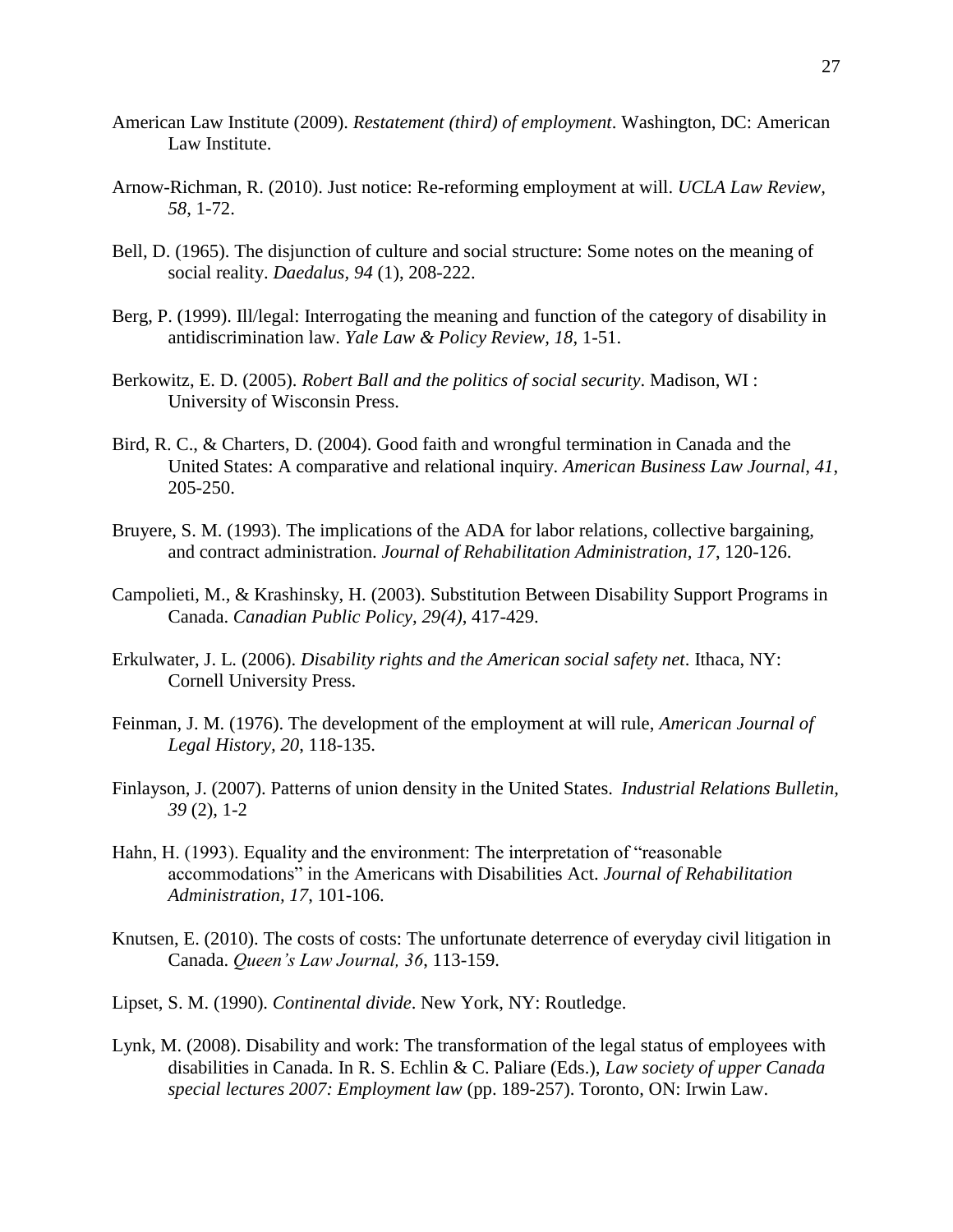- American Law Institute (2009). *Restatement (third) of employment*. Washington, DC: American Law Institute.
- Arnow-Richman, R. (2010). Just notice: Re-reforming employment at will. *UCLA Law Review, 58*, 1-72.
- Bell, D. (1965). The disjunction of culture and social structure: Some notes on the meaning of social reality. *Daedalus, 94* (1), 208-222.
- Berg, P. (1999). Ill/legal: Interrogating the meaning and function of the category of disability in antidiscrimination law. *Yale Law & Policy Review, 18*, 1-51.
- Berkowitz, E. D. (2005). *Robert Ball and the politics of social security*. Madison, WI : University of Wisconsin Press.
- Bird, R. C., & Charters, D. (2004). Good faith and wrongful termination in Canada and the United States: A comparative and relational inquiry. *American Business Law Journal, 41*, 205-250.
- Bruyere, S. M. (1993). The implications of the ADA for labor relations, collective bargaining, and contract administration. *Journal of Rehabilitation Administration, 17*, 120-126.
- Campolieti, M., & Krashinsky, H. (2003). Substitution Between Disability Support Programs in Canada. *Canadian Public Policy, 29(4)*, 417-429.
- Erkulwater, J. L. (2006). *Disability rights and the American social safety net*. Ithaca, NY: Cornell University Press.
- Feinman, J. M. (1976). The development of the employment at will rule, *American Journal of Legal History, 20*, 118-135.
- Finlayson, J. (2007). Patterns of union density in the United States. *Industrial Relations Bulletin, 39* (2), 1-2
- Hahn, H. (1993). Equality and the environment: The interpretation of "reasonable accommodations" in the Americans with Disabilities Act. *Journal of Rehabilitation Administration, 17*, 101-106.
- Knutsen, E. (2010). The costs of costs: The unfortunate deterrence of everyday civil litigation in Canada. *Queen's Law Journal, 36*, 113-159.
- Lipset, S. M. (1990). *Continental divide*. New York, NY: Routledge.
- Lynk, M. (2008). Disability and work: The transformation of the legal status of employees with disabilities in Canada. In R. S. Echlin & C. Paliare (Eds.), *Law society of upper Canada special lectures 2007: Employment law* (pp. 189-257). Toronto, ON: Irwin Law.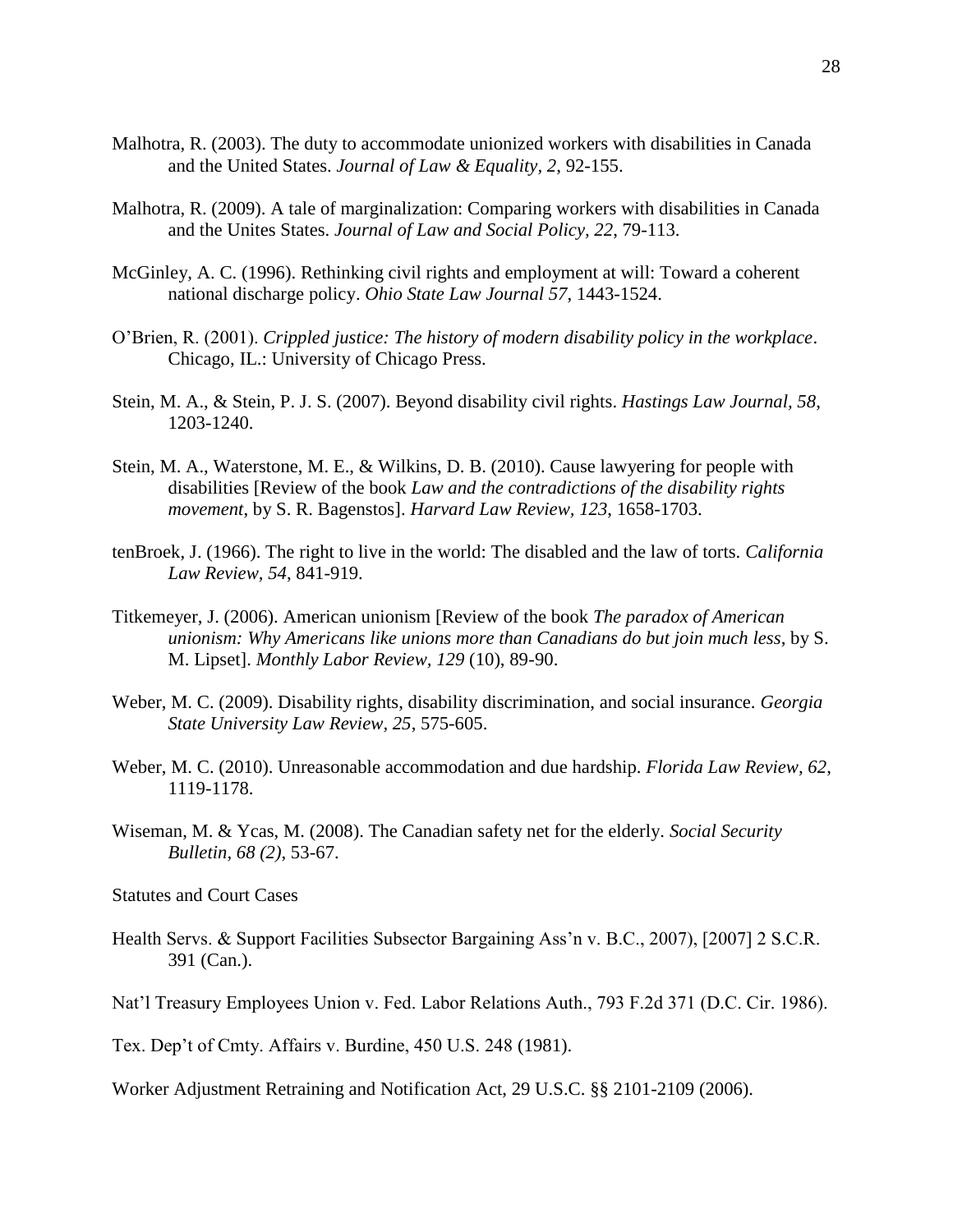- Malhotra, R. (2003). The duty to accommodate unionized workers with disabilities in Canada and the United States. *Journal of Law & Equality, 2*, 92-155.
- Malhotra, R. (2009). A tale of marginalization: Comparing workers with disabilities in Canada and the Unites States. *Journal of Law and Social Policy, 22*, 79-113.
- McGinley, A. C. (1996). Rethinking civil rights and employment at will: Toward a coherent national discharge policy. *Ohio State Law Journal 57*, 1443-1524.
- O'Brien, R. (2001). *Crippled justice: The history of modern disability policy in the workplace*. Chicago, IL.: University of Chicago Press.
- Stein, M. A., & Stein, P. J. S. (2007). Beyond disability civil rights. *Hastings Law Journal, 58*, 1203-1240.
- Stein, M. A., Waterstone, M. E., & Wilkins, D. B. (2010). Cause lawyering for people with disabilities [Review of the book *Law and the contradictions of the disability rights movement*, by S. R. Bagenstos]. *Harvard Law Review, 123*, 1658-1703.
- tenBroek, J. (1966). The right to live in the world: The disabled and the law of torts. *California Law Review, 54*, 841-919.
- Titkemeyer, J. (2006). American unionism [Review of the book *The paradox of American unionism: Why Americans like unions more than Canadians do but join much less*, by S. M. Lipset]. *Monthly Labor Review, 129* (10), 89-90.
- Weber, M. C. (2009). Disability rights, disability discrimination, and social insurance. *Georgia State University Law Review, 25*, 575-605.
- Weber, M. C. (2010). Unreasonable accommodation and due hardship. *Florida Law Review, 62*, 1119-1178.
- Wiseman, M. & Ycas, M. (2008). The Canadian safety net for the elderly. *Social Security Bulletin, 68 (2)*, 53-67.

Statutes and Court Cases

Health Servs. & Support Facilities Subsector Bargaining Ass'n v. B.C., 2007), [2007] 2 S.C.R. 391 (Can.).

Nat'l Treasury Employees Union v. Fed. Labor Relations Auth., 793 F.2d 371 (D.C. Cir. 1986).

Tex. Dep't of Cmty. Affairs v. Burdine, 450 U.S. 248 (1981).

Worker Adjustment Retraining and Notification Act, 29 U.S.C. §§ 2101-2109 (2006).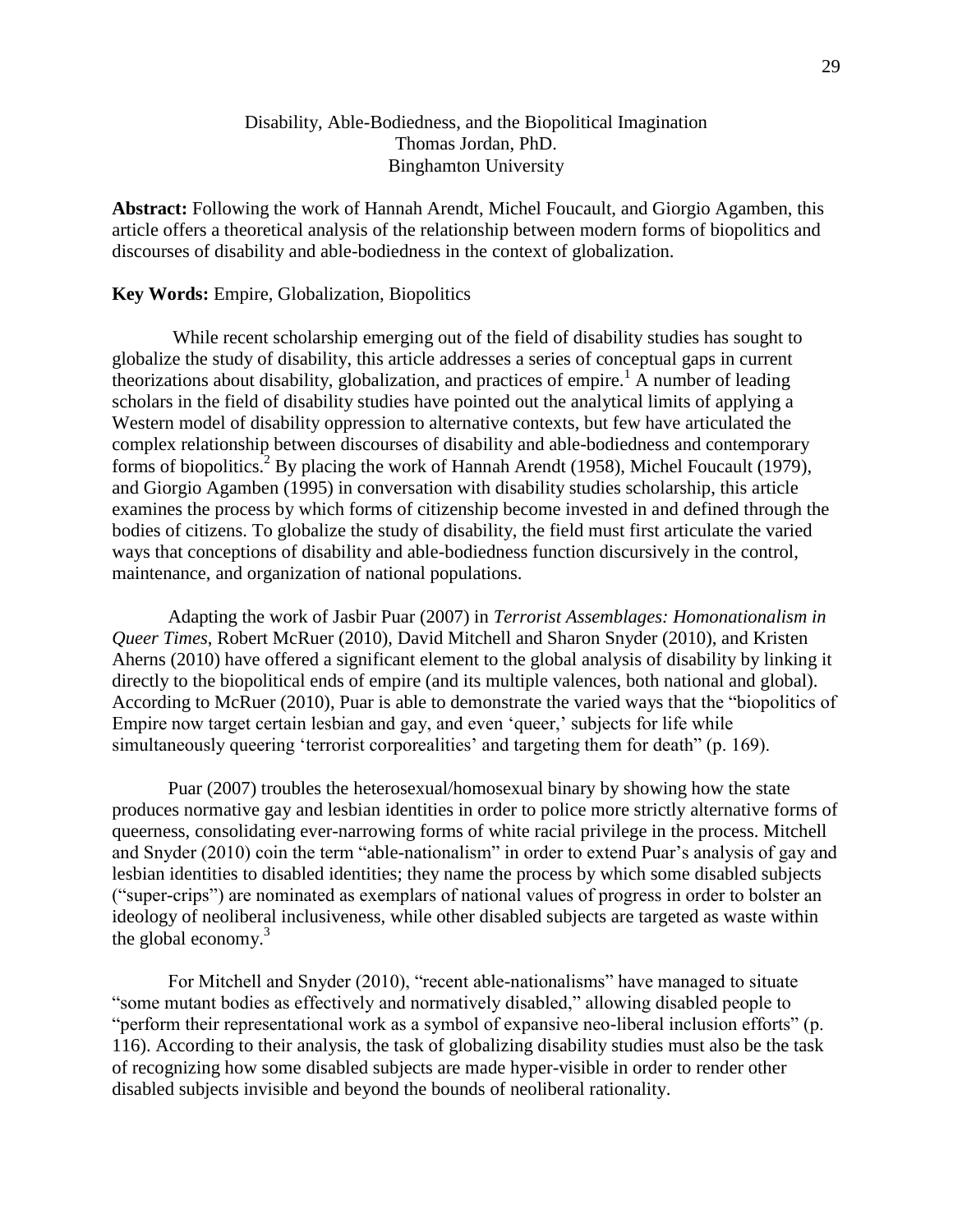# Disability, Able-Bodiedness, and the Biopolitical Imagination Thomas Jordan, PhD. Binghamton University

**Abstract:** Following the work of Hannah Arendt, Michel Foucault, and Giorgio Agamben, this article offers a theoretical analysis of the relationship between modern forms of biopolitics and discourses of disability and able-bodiedness in the context of globalization.

## **Key Words:** Empire, Globalization, Biopolitics

While recent scholarship emerging out of the field of disability studies has sought to globalize the study of disability, this article addresses a series of conceptual gaps in current theorizations about disability, globalization, and practices of empire.<sup>1</sup> A number of leading scholars in the field of disability studies have pointed out the analytical limits of applying a Western model of disability oppression to alternative contexts, but few have articulated the complex relationship between discourses of disability and able-bodiedness and contemporary forms of biopolitics. <sup>2</sup> By placing the work of Hannah Arendt (1958), Michel Foucault (1979), and Giorgio Agamben (1995) in conversation with disability studies scholarship, this article examines the process by which forms of citizenship become invested in and defined through the bodies of citizens. To globalize the study of disability, the field must first articulate the varied ways that conceptions of disability and able-bodiedness function discursively in the control, maintenance, and organization of national populations.

Adapting the work of Jasbir Puar (2007) in *Terrorist Assemblages: Homonationalism in Queer Times*, Robert McRuer (2010), David Mitchell and Sharon Snyder (2010), and Kristen Aherns (2010) have offered a significant element to the global analysis of disability by linking it directly to the biopolitical ends of empire (and its multiple valences, both national and global). According to McRuer (2010), Puar is able to demonstrate the varied ways that the "biopolitics of Empire now target certain lesbian and gay, and even 'queer,' subjects for life while simultaneously queering 'terrorist corporealities' and targeting them for death" (p. 169).

Puar (2007) troubles the heterosexual/homosexual binary by showing how the state produces normative gay and lesbian identities in order to police more strictly alternative forms of queerness, consolidating ever-narrowing forms of white racial privilege in the process. Mitchell and Snyder (2010) coin the term "able-nationalism" in order to extend Puar's analysis of gay and lesbian identities to disabled identities; they name the process by which some disabled subjects ("super-crips") are nominated as exemplars of national values of progress in order to bolster an ideology of neoliberal inclusiveness, while other disabled subjects are targeted as waste within the global economy.<sup>3</sup>

For Mitchell and Snyder (2010), "recent able-nationalisms" have managed to situate "some mutant bodies as effectively and normatively disabled," allowing disabled people to "perform their representational work as a symbol of expansive neo-liberal inclusion efforts" (p. 116). According to their analysis, the task of globalizing disability studies must also be the task of recognizing how some disabled subjects are made hyper-visible in order to render other disabled subjects invisible and beyond the bounds of neoliberal rationality.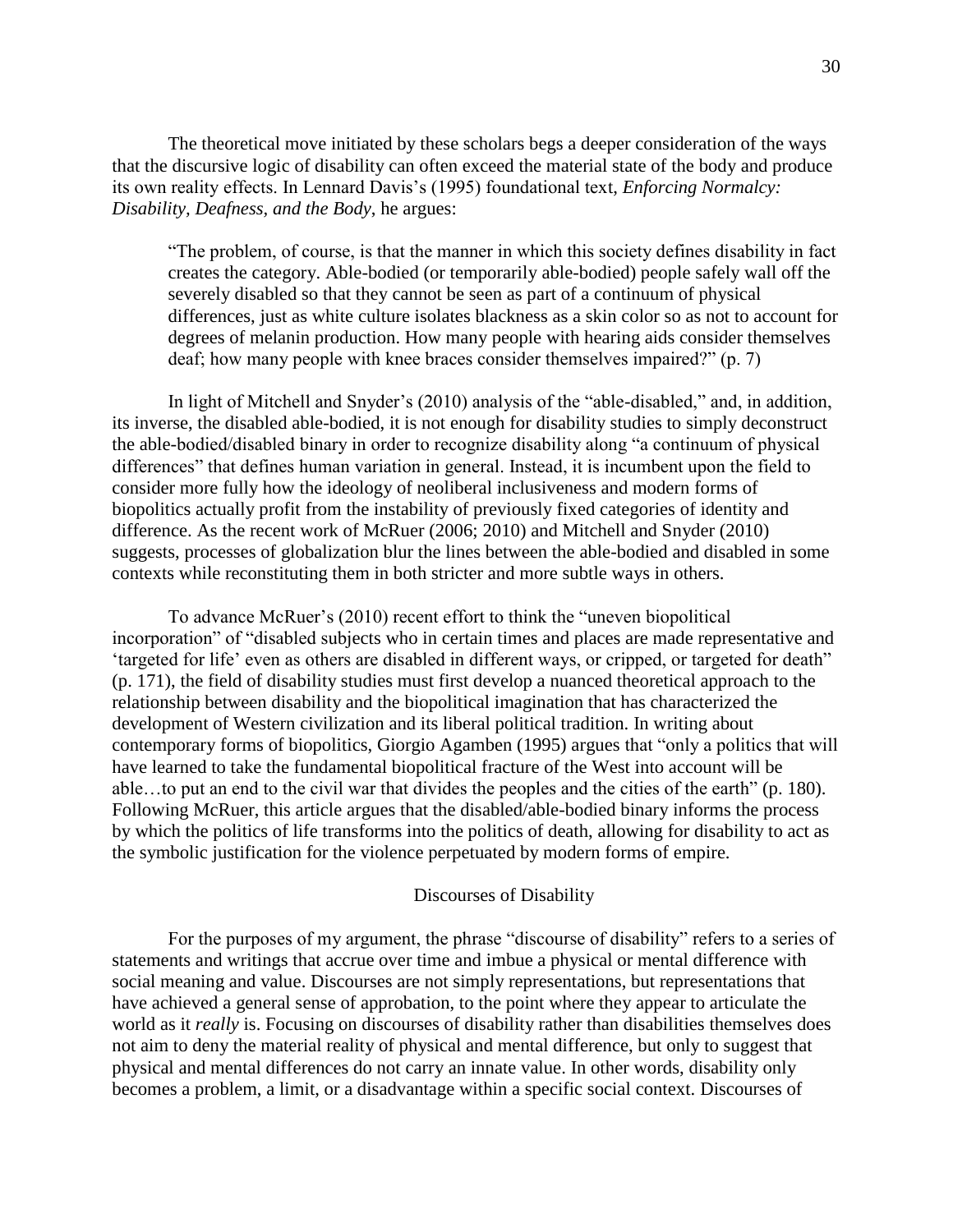The theoretical move initiated by these scholars begs a deeper consideration of the ways that the discursive logic of disability can often exceed the material state of the body and produce its own reality effects. In Lennard Davis's (1995) foundational text, *Enforcing Normalcy: Disability, Deafness, and the Body*, he argues:

"The problem, of course, is that the manner in which this society defines disability in fact creates the category. Able-bodied (or temporarily able-bodied) people safely wall off the severely disabled so that they cannot be seen as part of a continuum of physical differences, just as white culture isolates blackness as a skin color so as not to account for degrees of melanin production. How many people with hearing aids consider themselves deaf; how many people with knee braces consider themselves impaired?" (p. 7)

In light of Mitchell and Snyder's (2010) analysis of the "able-disabled," and, in addition, its inverse, the disabled able-bodied, it is not enough for disability studies to simply deconstruct the able-bodied/disabled binary in order to recognize disability along "a continuum of physical differences" that defines human variation in general. Instead, it is incumbent upon the field to consider more fully how the ideology of neoliberal inclusiveness and modern forms of biopolitics actually profit from the instability of previously fixed categories of identity and difference. As the recent work of McRuer (2006; 2010) and Mitchell and Snyder (2010) suggests, processes of globalization blur the lines between the able-bodied and disabled in some contexts while reconstituting them in both stricter and more subtle ways in others.

To advance McRuer's (2010) recent effort to think the "uneven biopolitical incorporation" of "disabled subjects who in certain times and places are made representative and 'targeted for life' even as others are disabled in different ways, or cripped, or targeted for death" (p. 171), the field of disability studies must first develop a nuanced theoretical approach to the relationship between disability and the biopolitical imagination that has characterized the development of Western civilization and its liberal political tradition. In writing about contemporary forms of biopolitics, Giorgio Agamben (1995) argues that "only a politics that will have learned to take the fundamental biopolitical fracture of the West into account will be able…to put an end to the civil war that divides the peoples and the cities of the earth" (p. 180). Following McRuer, this article argues that the disabled/able-bodied binary informs the process by which the politics of life transforms into the politics of death, allowing for disability to act as the symbolic justification for the violence perpetuated by modern forms of empire.

#### Discourses of Disability

For the purposes of my argument, the phrase "discourse of disability" refers to a series of statements and writings that accrue over time and imbue a physical or mental difference with social meaning and value. Discourses are not simply representations, but representations that have achieved a general sense of approbation, to the point where they appear to articulate the world as it *really* is. Focusing on discourses of disability rather than disabilities themselves does not aim to deny the material reality of physical and mental difference, but only to suggest that physical and mental differences do not carry an innate value. In other words, disability only becomes a problem, a limit, or a disadvantage within a specific social context. Discourses of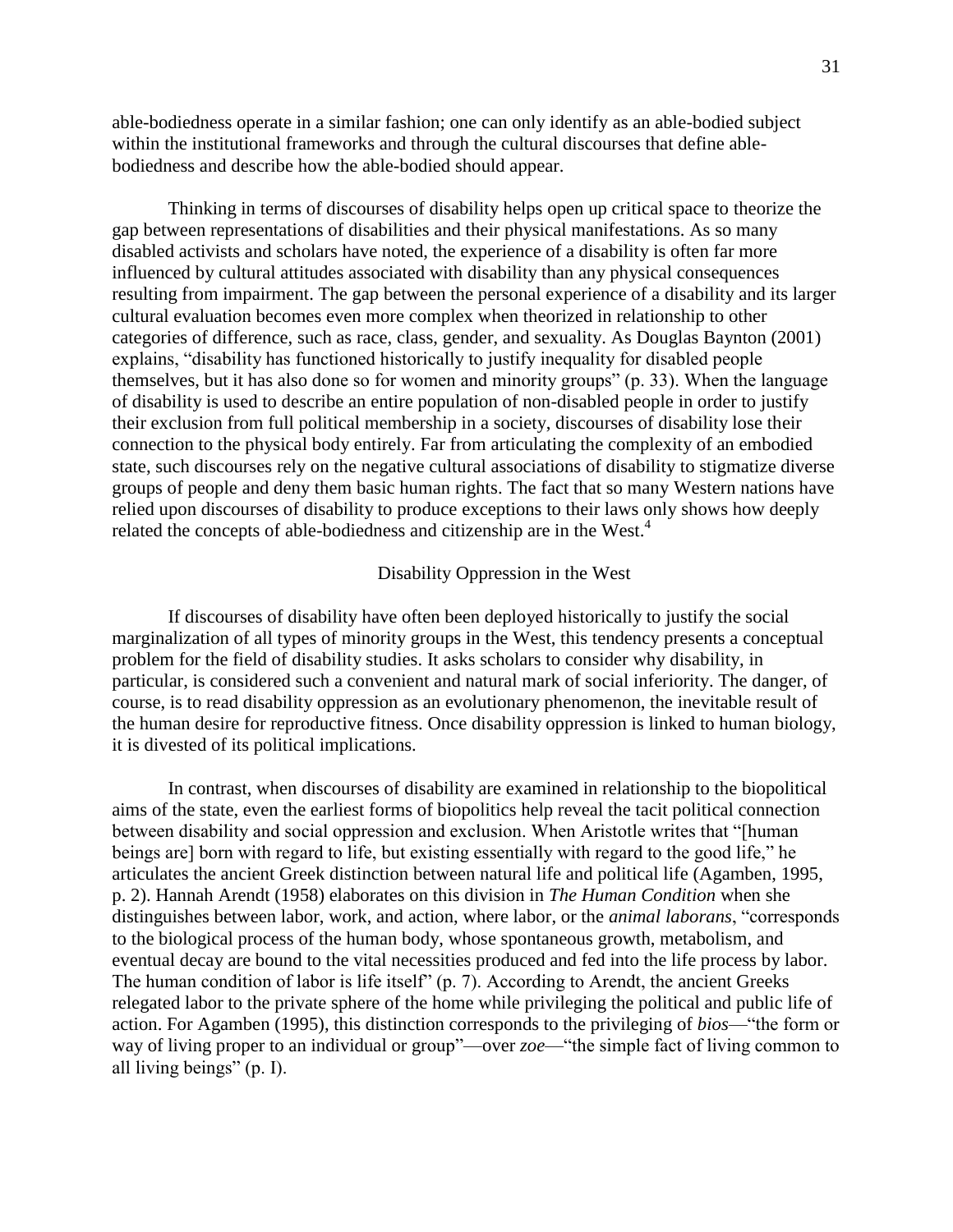able-bodiedness operate in a similar fashion; one can only identify as an able-bodied subject within the institutional frameworks and through the cultural discourses that define ablebodiedness and describe how the able-bodied should appear.

Thinking in terms of discourses of disability helps open up critical space to theorize the gap between representations of disabilities and their physical manifestations. As so many disabled activists and scholars have noted, the experience of a disability is often far more influenced by cultural attitudes associated with disability than any physical consequences resulting from impairment. The gap between the personal experience of a disability and its larger cultural evaluation becomes even more complex when theorized in relationship to other categories of difference, such as race, class, gender, and sexuality. As Douglas Baynton (2001) explains, "disability has functioned historically to justify inequality for disabled people themselves, but it has also done so for women and minority groups" (p. 33). When the language of disability is used to describe an entire population of non-disabled people in order to justify their exclusion from full political membership in a society, discourses of disability lose their connection to the physical body entirely. Far from articulating the complexity of an embodied state, such discourses rely on the negative cultural associations of disability to stigmatize diverse groups of people and deny them basic human rights. The fact that so many Western nations have relied upon discourses of disability to produce exceptions to their laws only shows how deeply related the concepts of able-bodiedness and citizenship are in the West.<sup>4</sup>

### Disability Oppression in the West

If discourses of disability have often been deployed historically to justify the social marginalization of all types of minority groups in the West, this tendency presents a conceptual problem for the field of disability studies. It asks scholars to consider why disability, in particular, is considered such a convenient and natural mark of social inferiority. The danger, of course, is to read disability oppression as an evolutionary phenomenon, the inevitable result of the human desire for reproductive fitness. Once disability oppression is linked to human biology, it is divested of its political implications.

In contrast, when discourses of disability are examined in relationship to the biopolitical aims of the state, even the earliest forms of biopolitics help reveal the tacit political connection between disability and social oppression and exclusion. When Aristotle writes that "[human beings are] born with regard to life, but existing essentially with regard to the good life," he articulates the ancient Greek distinction between natural life and political life (Agamben, 1995, p. 2). Hannah Arendt (1958) elaborates on this division in *The Human Condition* when she distinguishes between labor, work, and action, where labor, or the *animal laborans*, "corresponds to the biological process of the human body, whose spontaneous growth, metabolism, and eventual decay are bound to the vital necessities produced and fed into the life process by labor. The human condition of labor is life itself" (p. 7). According to Arendt, the ancient Greeks relegated labor to the private sphere of the home while privileging the political and public life of action. For Agamben (1995), this distinction corresponds to the privileging of *bios*—"the form or way of living proper to an individual or group"—over *zoe*—"the simple fact of living common to all living beings" (p. I).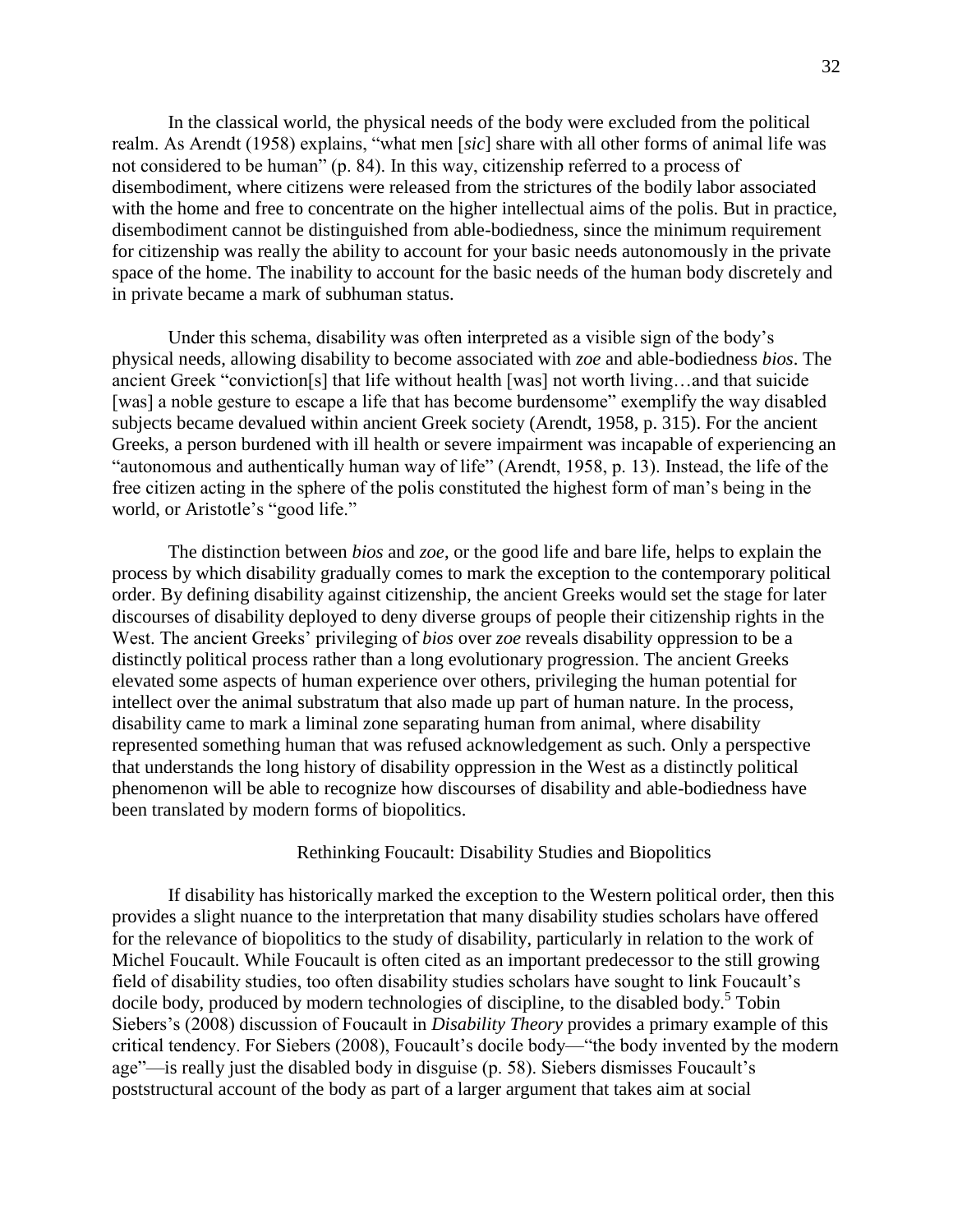In the classical world, the physical needs of the body were excluded from the political realm. As Arendt (1958) explains, "what men [*sic*] share with all other forms of animal life was not considered to be human" (p. 84). In this way, citizenship referred to a process of disembodiment, where citizens were released from the strictures of the bodily labor associated with the home and free to concentrate on the higher intellectual aims of the polis. But in practice, disembodiment cannot be distinguished from able-bodiedness, since the minimum requirement for citizenship was really the ability to account for your basic needs autonomously in the private space of the home. The inability to account for the basic needs of the human body discretely and in private became a mark of subhuman status.

Under this schema, disability was often interpreted as a visible sign of the body's physical needs, allowing disability to become associated with *zoe* and able-bodiedness *bios*. The ancient Greek "conviction[s] that life without health [was] not worth living…and that suicide [was] a noble gesture to escape a life that has become burdensome" exemplify the way disabled subjects became devalued within ancient Greek society (Arendt, 1958, p. 315). For the ancient Greeks, a person burdened with ill health or severe impairment was incapable of experiencing an "autonomous and authentically human way of life" (Arendt, 1958, p. 13). Instead, the life of the free citizen acting in the sphere of the polis constituted the highest form of man's being in the world, or Aristotle's "good life."

The distinction between *bios* and *zoe*, or the good life and bare life, helps to explain the process by which disability gradually comes to mark the exception to the contemporary political order. By defining disability against citizenship, the ancient Greeks would set the stage for later discourses of disability deployed to deny diverse groups of people their citizenship rights in the West. The ancient Greeks' privileging of *bios* over *zoe* reveals disability oppression to be a distinctly political process rather than a long evolutionary progression. The ancient Greeks elevated some aspects of human experience over others, privileging the human potential for intellect over the animal substratum that also made up part of human nature. In the process, disability came to mark a liminal zone separating human from animal, where disability represented something human that was refused acknowledgement as such. Only a perspective that understands the long history of disability oppression in the West as a distinctly political phenomenon will be able to recognize how discourses of disability and able-bodiedness have been translated by modern forms of biopolitics.

#### Rethinking Foucault: Disability Studies and Biopolitics

If disability has historically marked the exception to the Western political order, then this provides a slight nuance to the interpretation that many disability studies scholars have offered for the relevance of biopolitics to the study of disability, particularly in relation to the work of Michel Foucault. While Foucault is often cited as an important predecessor to the still growing field of disability studies, too often disability studies scholars have sought to link Foucault's docile body, produced by modern technologies of discipline, to the disabled body.<sup>5</sup> Tobin Siebers's (2008) discussion of Foucault in *Disability Theory* provides a primary example of this critical tendency. For Siebers (2008), Foucault's docile body—"the body invented by the modern age"—is really just the disabled body in disguise (p. 58). Siebers dismisses Foucault's poststructural account of the body as part of a larger argument that takes aim at social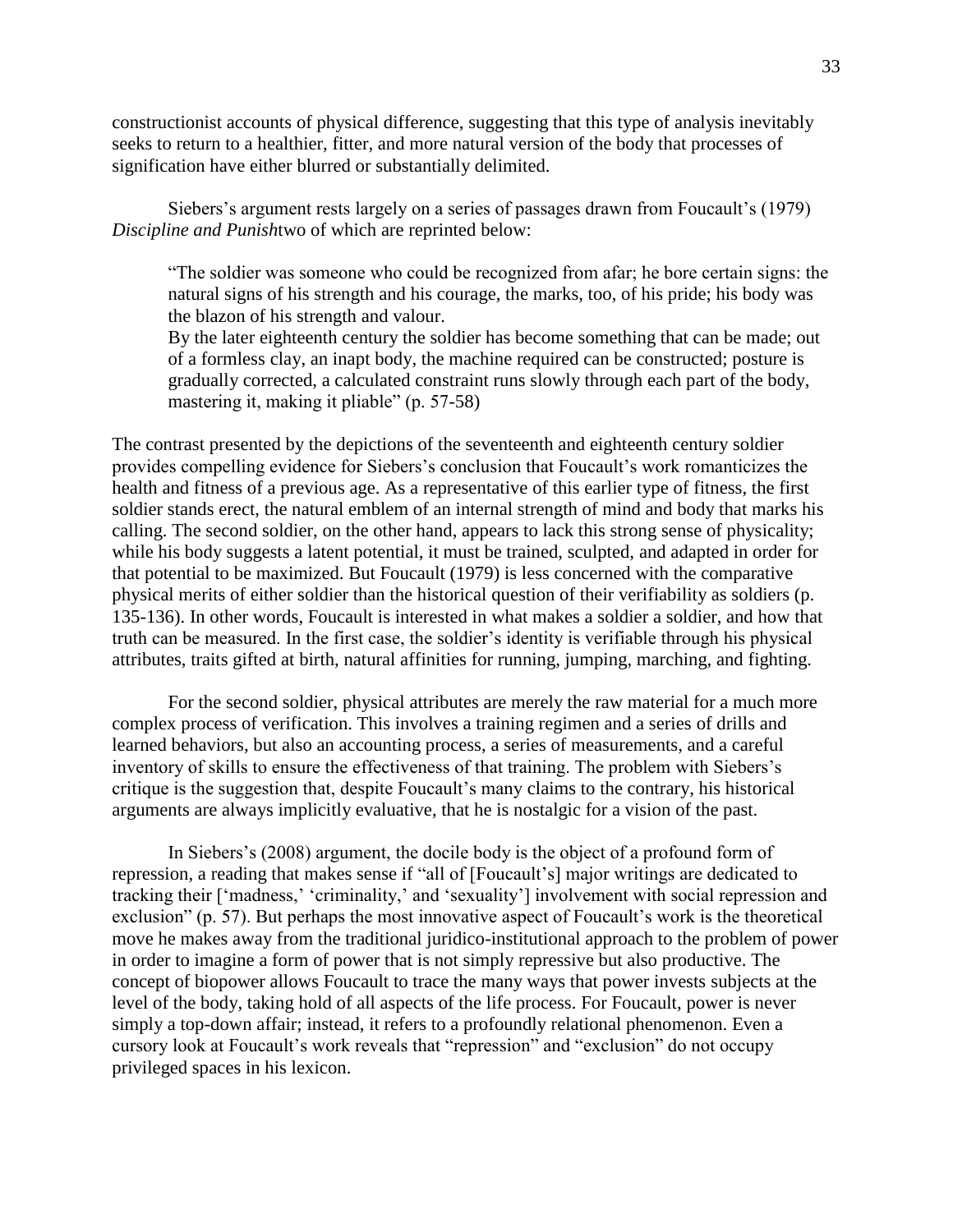constructionist accounts of physical difference, suggesting that this type of analysis inevitably seeks to return to a healthier, fitter, and more natural version of the body that processes of signification have either blurred or substantially delimited.

Siebers's argument rests largely on a series of passages drawn from Foucault's (1979) *Discipline and Punish*two of which are reprinted below:

"The soldier was someone who could be recognized from afar; he bore certain signs: the natural signs of his strength and his courage, the marks, too, of his pride; his body was the blazon of his strength and valour.

By the later eighteenth century the soldier has become something that can be made; out of a formless clay, an inapt body, the machine required can be constructed; posture is gradually corrected, a calculated constraint runs slowly through each part of the body, mastering it, making it pliable" (p. 57-58)

The contrast presented by the depictions of the seventeenth and eighteenth century soldier provides compelling evidence for Siebers's conclusion that Foucault's work romanticizes the health and fitness of a previous age. As a representative of this earlier type of fitness, the first soldier stands erect, the natural emblem of an internal strength of mind and body that marks his calling. The second soldier, on the other hand, appears to lack this strong sense of physicality; while his body suggests a latent potential, it must be trained, sculpted, and adapted in order for that potential to be maximized. But Foucault (1979) is less concerned with the comparative physical merits of either soldier than the historical question of their verifiability as soldiers (p. 135-136). In other words, Foucault is interested in what makes a soldier a soldier, and how that truth can be measured. In the first case, the soldier's identity is verifiable through his physical attributes, traits gifted at birth, natural affinities for running, jumping, marching, and fighting.

For the second soldier, physical attributes are merely the raw material for a much more complex process of verification. This involves a training regimen and a series of drills and learned behaviors, but also an accounting process, a series of measurements, and a careful inventory of skills to ensure the effectiveness of that training. The problem with Siebers's critique is the suggestion that, despite Foucault's many claims to the contrary, his historical arguments are always implicitly evaluative, that he is nostalgic for a vision of the past.

In Siebers's (2008) argument, the docile body is the object of a profound form of repression, a reading that makes sense if "all of [Foucault's] major writings are dedicated to tracking their ['madness,' 'criminality,' and 'sexuality'] involvement with social repression and exclusion" (p. 57). But perhaps the most innovative aspect of Foucault's work is the theoretical move he makes away from the traditional juridico-institutional approach to the problem of power in order to imagine a form of power that is not simply repressive but also productive. The concept of biopower allows Foucault to trace the many ways that power invests subjects at the level of the body, taking hold of all aspects of the life process. For Foucault, power is never simply a top-down affair; instead, it refers to a profoundly relational phenomenon. Even a cursory look at Foucault's work reveals that "repression" and "exclusion" do not occupy privileged spaces in his lexicon.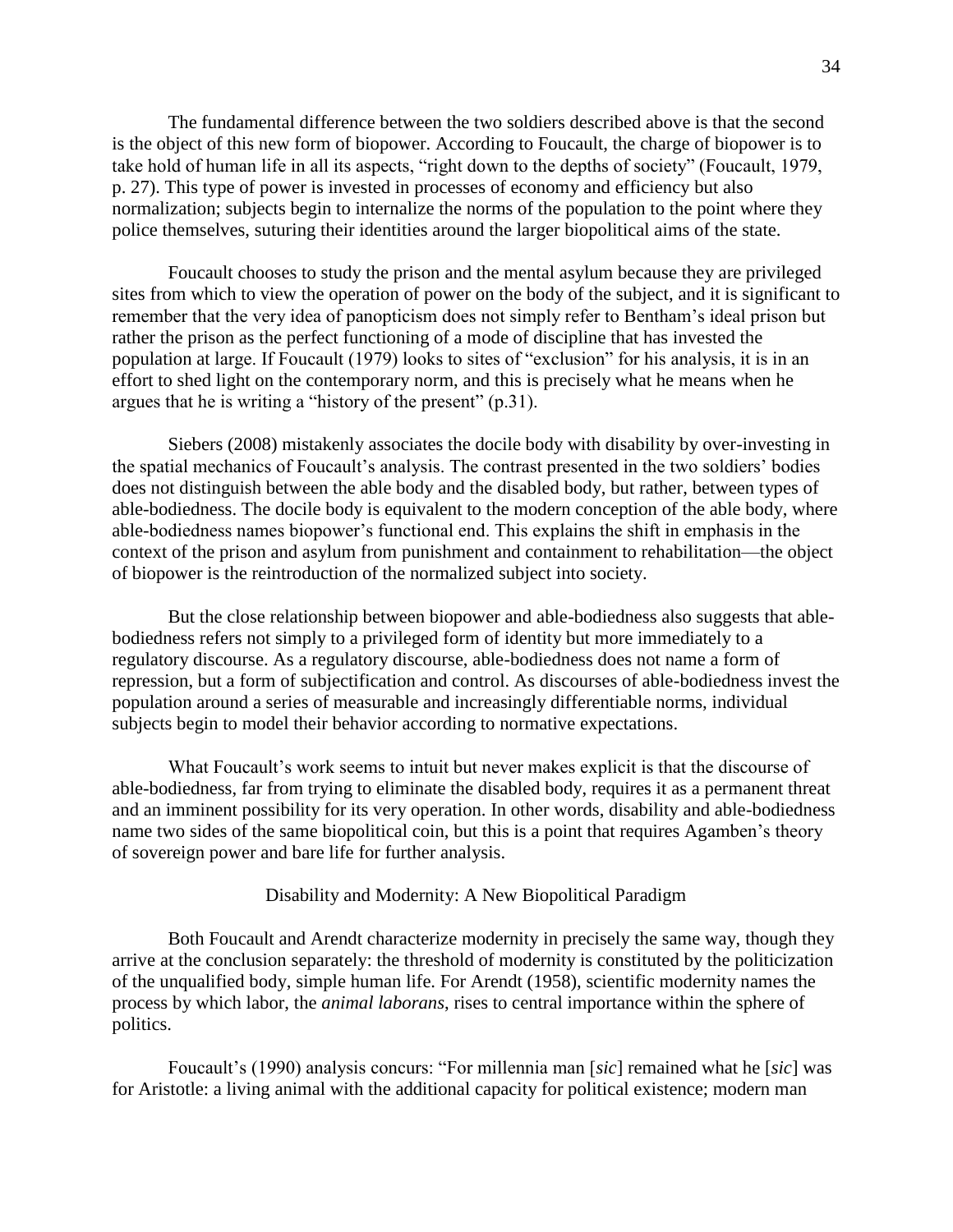The fundamental difference between the two soldiers described above is that the second is the object of this new form of biopower. According to Foucault, the charge of biopower is to take hold of human life in all its aspects, "right down to the depths of society" (Foucault, 1979, p. 27). This type of power is invested in processes of economy and efficiency but also normalization; subjects begin to internalize the norms of the population to the point where they police themselves, suturing their identities around the larger biopolitical aims of the state.

Foucault chooses to study the prison and the mental asylum because they are privileged sites from which to view the operation of power on the body of the subject, and it is significant to remember that the very idea of panopticism does not simply refer to Bentham's ideal prison but rather the prison as the perfect functioning of a mode of discipline that has invested the population at large. If Foucault (1979) looks to sites of "exclusion" for his analysis, it is in an effort to shed light on the contemporary norm, and this is precisely what he means when he argues that he is writing a "history of the present" (p.31).

Siebers (2008) mistakenly associates the docile body with disability by over-investing in the spatial mechanics of Foucault's analysis. The contrast presented in the two soldiers' bodies does not distinguish between the able body and the disabled body, but rather, between types of able-bodiedness. The docile body is equivalent to the modern conception of the able body, where able-bodiedness names biopower's functional end. This explains the shift in emphasis in the context of the prison and asylum from punishment and containment to rehabilitation—the object of biopower is the reintroduction of the normalized subject into society.

But the close relationship between biopower and able-bodiedness also suggests that ablebodiedness refers not simply to a privileged form of identity but more immediately to a regulatory discourse. As a regulatory discourse, able-bodiedness does not name a form of repression, but a form of subjectification and control. As discourses of able-bodiedness invest the population around a series of measurable and increasingly differentiable norms, individual subjects begin to model their behavior according to normative expectations.

What Foucault's work seems to intuit but never makes explicit is that the discourse of able-bodiedness, far from trying to eliminate the disabled body, requires it as a permanent threat and an imminent possibility for its very operation. In other words, disability and able-bodiedness name two sides of the same biopolitical coin, but this is a point that requires Agamben's theory of sovereign power and bare life for further analysis.

Disability and Modernity: A New Biopolitical Paradigm

Both Foucault and Arendt characterize modernity in precisely the same way, though they arrive at the conclusion separately: the threshold of modernity is constituted by the politicization of the unqualified body, simple human life. For Arendt (1958), scientific modernity names the process by which labor, the *animal laborans*, rises to central importance within the sphere of politics.

Foucault's (1990) analysis concurs: "For millennia man [*sic*] remained what he [*sic*] was for Aristotle: a living animal with the additional capacity for political existence; modern man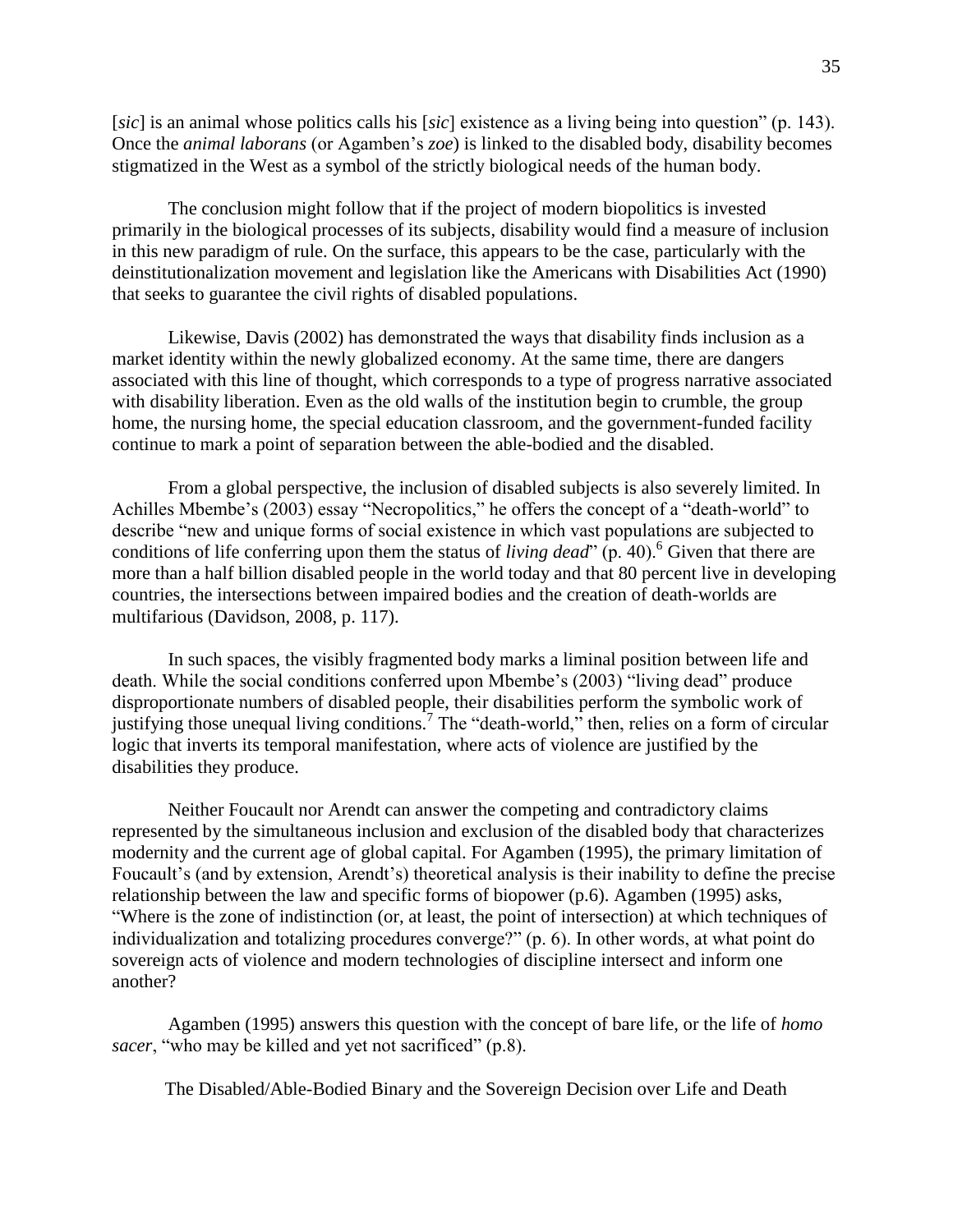[*sic*] is an animal whose politics calls his [*sic*] existence as a living being into question" (p. 143). Once the *animal laborans* (or Agamben's *zoe*) is linked to the disabled body, disability becomes stigmatized in the West as a symbol of the strictly biological needs of the human body.

The conclusion might follow that if the project of modern biopolitics is invested primarily in the biological processes of its subjects, disability would find a measure of inclusion in this new paradigm of rule. On the surface, this appears to be the case, particularly with the deinstitutionalization movement and legislation like the Americans with Disabilities Act (1990) that seeks to guarantee the civil rights of disabled populations.

Likewise, Davis (2002) has demonstrated the ways that disability finds inclusion as a market identity within the newly globalized economy. At the same time, there are dangers associated with this line of thought, which corresponds to a type of progress narrative associated with disability liberation. Even as the old walls of the institution begin to crumble, the group home, the nursing home, the special education classroom, and the government-funded facility continue to mark a point of separation between the able-bodied and the disabled.

From a global perspective, the inclusion of disabled subjects is also severely limited. In Achilles Mbembe's (2003) essay "Necropolitics," he offers the concept of a "death-world" to describe "new and unique forms of social existence in which vast populations are subjected to conditions of life conferring upon them the status of *living dead*" (p. 40).<sup>6</sup> Given that there are more than a half billion disabled people in the world today and that 80 percent live in developing countries, the intersections between impaired bodies and the creation of death-worlds are multifarious (Davidson, 2008, p. 117).

In such spaces, the visibly fragmented body marks a liminal position between life and death. While the social conditions conferred upon Mbembe's (2003) "living dead" produce disproportionate numbers of disabled people, their disabilities perform the symbolic work of justifying those unequal living conditions.<sup>7</sup> The "death-world," then, relies on a form of circular logic that inverts its temporal manifestation, where acts of violence are justified by the disabilities they produce.

Neither Foucault nor Arendt can answer the competing and contradictory claims represented by the simultaneous inclusion and exclusion of the disabled body that characterizes modernity and the current age of global capital. For Agamben (1995), the primary limitation of Foucault's (and by extension, Arendt's) theoretical analysis is their inability to define the precise relationship between the law and specific forms of biopower (p.6). Agamben (1995) asks, "Where is the zone of indistinction (or, at least, the point of intersection) at which techniques of individualization and totalizing procedures converge?" (p. 6). In other words, at what point do sovereign acts of violence and modern technologies of discipline intersect and inform one another?

Agamben (1995) answers this question with the concept of bare life, or the life of *homo sacer*, "who may be killed and yet not sacrificed" (p.8).

The Disabled/Able-Bodied Binary and the Sovereign Decision over Life and Death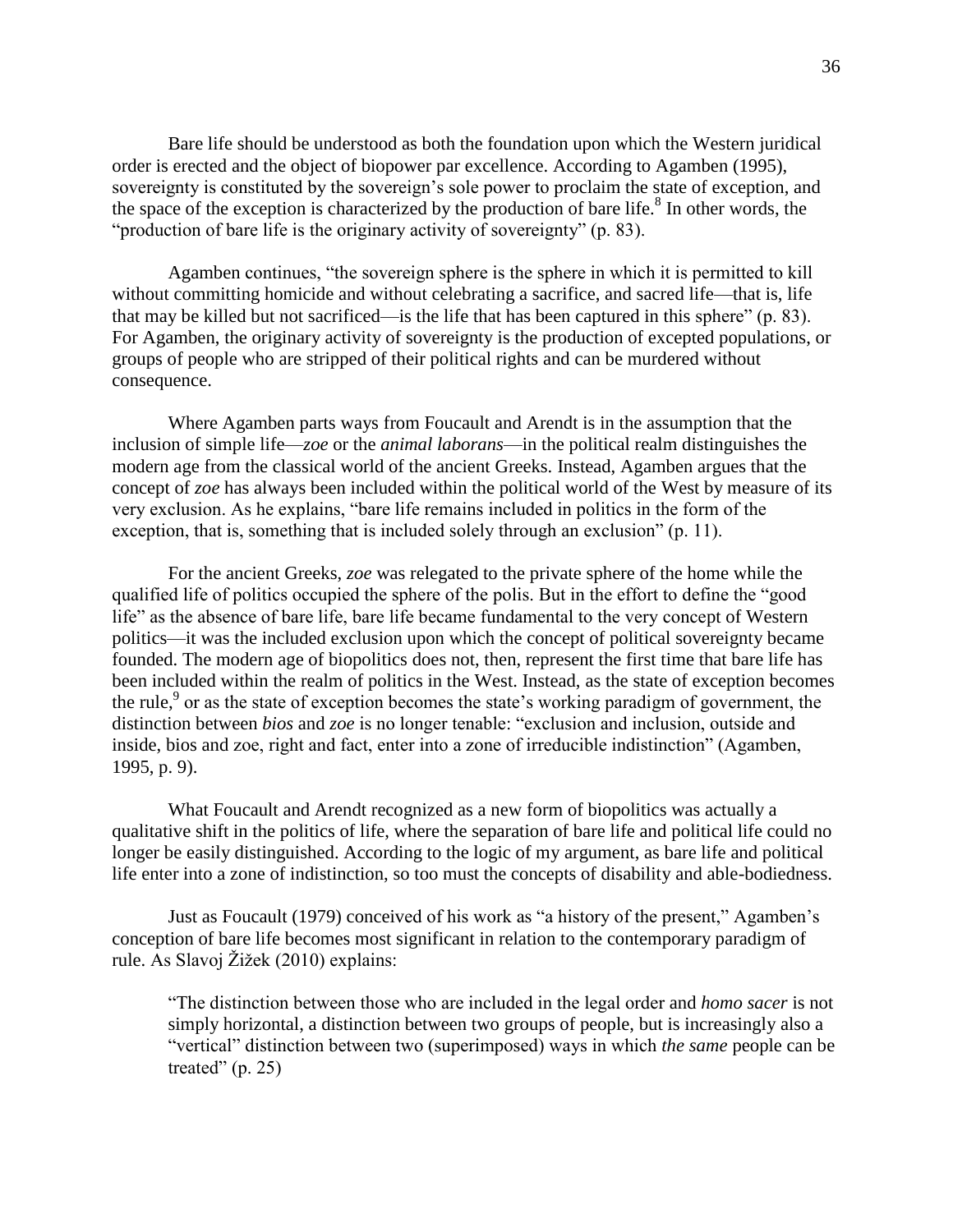Bare life should be understood as both the foundation upon which the Western juridical order is erected and the object of biopower par excellence. According to Agamben (1995), sovereignty is constituted by the sovereign's sole power to proclaim the state of exception, and the space of the exception is characterized by the production of bare life. $8$  In other words, the "production of bare life is the originary activity of sovereignty" (p. 83).

Agamben continues, "the sovereign sphere is the sphere in which it is permitted to kill without committing homicide and without celebrating a sacrifice, and sacred life—that is, life that may be killed but not sacrificed—is the life that has been captured in this sphere" (p. 83). For Agamben, the originary activity of sovereignty is the production of excepted populations, or groups of people who are stripped of their political rights and can be murdered without consequence.

Where Agamben parts ways from Foucault and Arendt is in the assumption that the inclusion of simple life—*zoe* or the *animal laborans*—in the political realm distinguishes the modern age from the classical world of the ancient Greeks. Instead, Agamben argues that the concept of *zoe* has always been included within the political world of the West by measure of its very exclusion. As he explains, "bare life remains included in politics in the form of the exception, that is, something that is included solely through an exclusion" (p. 11).

For the ancient Greeks, *zoe* was relegated to the private sphere of the home while the qualified life of politics occupied the sphere of the polis. But in the effort to define the "good life" as the absence of bare life, bare life became fundamental to the very concept of Western politics—it was the included exclusion upon which the concept of political sovereignty became founded. The modern age of biopolitics does not, then, represent the first time that bare life has been included within the realm of politics in the West. Instead, as the state of exception becomes the rule, $9$  or as the state of exception becomes the state's working paradigm of government, the distinction between *bios* and *zoe* is no longer tenable: "exclusion and inclusion, outside and inside, bios and zoe, right and fact, enter into a zone of irreducible indistinction" (Agamben, 1995, p. 9).

What Foucault and Arendt recognized as a new form of biopolitics was actually a qualitative shift in the politics of life, where the separation of bare life and political life could no longer be easily distinguished. According to the logic of my argument, as bare life and political life enter into a zone of indistinction, so too must the concepts of disability and able-bodiedness.

Just as Foucault (1979) conceived of his work as "a history of the present," Agamben's conception of bare life becomes most significant in relation to the contemporary paradigm of rule. As Slavoj Žižek (2010) explains:

"The distinction between those who are included in the legal order and *homo sacer* is not simply horizontal, a distinction between two groups of people, but is increasingly also a "vertical" distinction between two (superimposed) ways in which *the same* people can be treated"  $(p. 25)$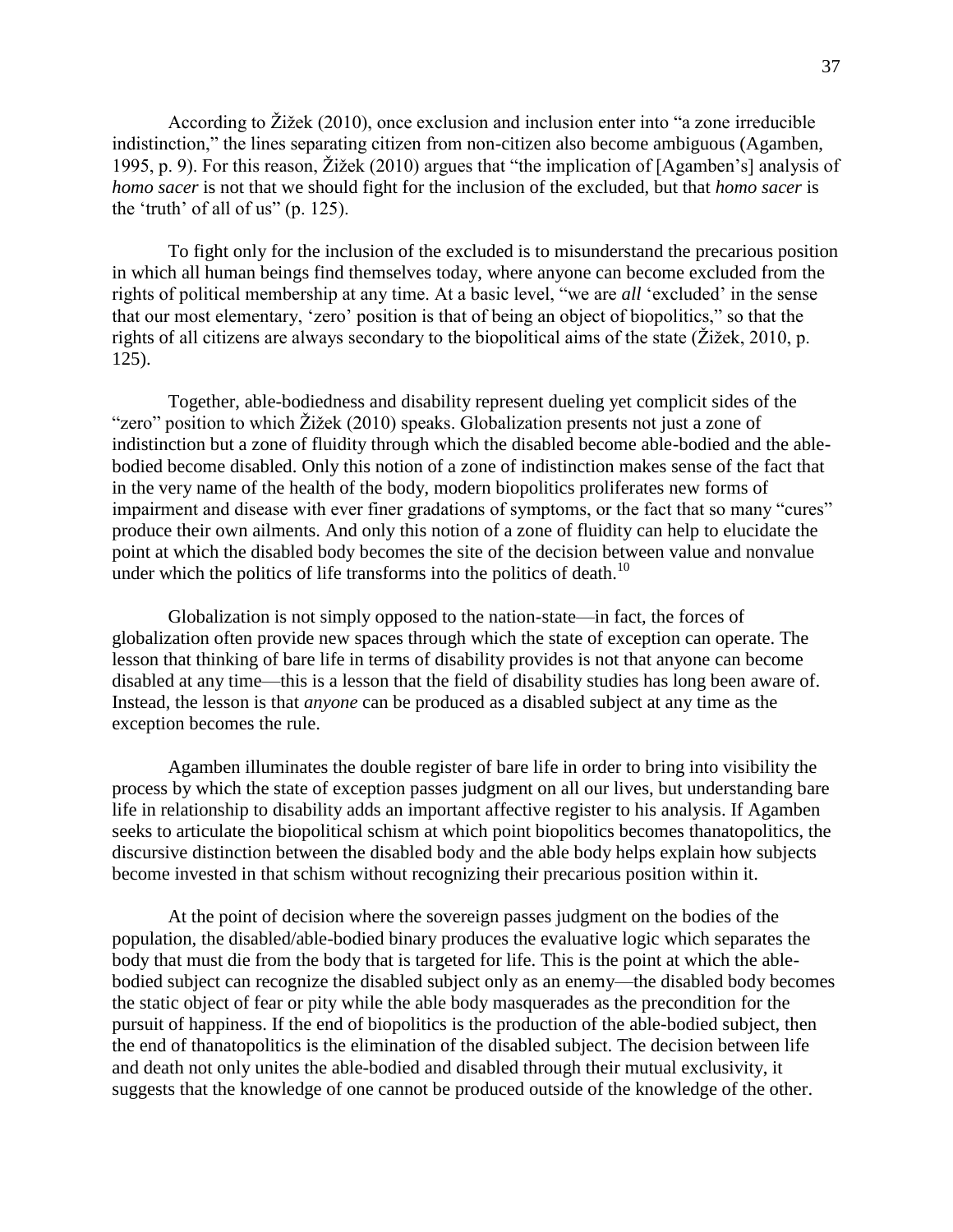According to Žižek (2010), once exclusion and inclusion enter into "a zone irreducible indistinction," the lines separating citizen from non-citizen also become ambiguous (Agamben, 1995, p. 9). For this reason, Žižek (2010) argues that "the implication of [Agamben's] analysis of *homo sacer* is not that we should fight for the inclusion of the excluded, but that *homo sacer* is the 'truth' of all of us" (p. 125).

To fight only for the inclusion of the excluded is to misunderstand the precarious position in which all human beings find themselves today, where anyone can become excluded from the rights of political membership at any time. At a basic level, "we are *all* 'excluded' in the sense that our most elementary, 'zero' position is that of being an object of biopolitics," so that the rights of all citizens are always secondary to the biopolitical aims of the state (Žižek, 2010, p. 125).

Together, able-bodiedness and disability represent dueling yet complicit sides of the "zero" position to which Žižek (2010) speaks. Globalization presents not just a zone of indistinction but a zone of fluidity through which the disabled become able-bodied and the ablebodied become disabled. Only this notion of a zone of indistinction makes sense of the fact that in the very name of the health of the body, modern biopolitics proliferates new forms of impairment and disease with ever finer gradations of symptoms, or the fact that so many "cures" produce their own ailments. And only this notion of a zone of fluidity can help to elucidate the point at which the disabled body becomes the site of the decision between value and nonvalue under which the politics of life transforms into the politics of death.<sup>10</sup>

Globalization is not simply opposed to the nation-state—in fact, the forces of globalization often provide new spaces through which the state of exception can operate. The lesson that thinking of bare life in terms of disability provides is not that anyone can become disabled at any time—this is a lesson that the field of disability studies has long been aware of. Instead, the lesson is that *anyone* can be produced as a disabled subject at any time as the exception becomes the rule.

Agamben illuminates the double register of bare life in order to bring into visibility the process by which the state of exception passes judgment on all our lives, but understanding bare life in relationship to disability adds an important affective register to his analysis. If Agamben seeks to articulate the biopolitical schism at which point biopolitics becomes thanatopolitics, the discursive distinction between the disabled body and the able body helps explain how subjects become invested in that schism without recognizing their precarious position within it.

At the point of decision where the sovereign passes judgment on the bodies of the population, the disabled/able-bodied binary produces the evaluative logic which separates the body that must die from the body that is targeted for life. This is the point at which the ablebodied subject can recognize the disabled subject only as an enemy—the disabled body becomes the static object of fear or pity while the able body masquerades as the precondition for the pursuit of happiness. If the end of biopolitics is the production of the able-bodied subject, then the end of thanatopolitics is the elimination of the disabled subject. The decision between life and death not only unites the able-bodied and disabled through their mutual exclusivity, it suggests that the knowledge of one cannot be produced outside of the knowledge of the other.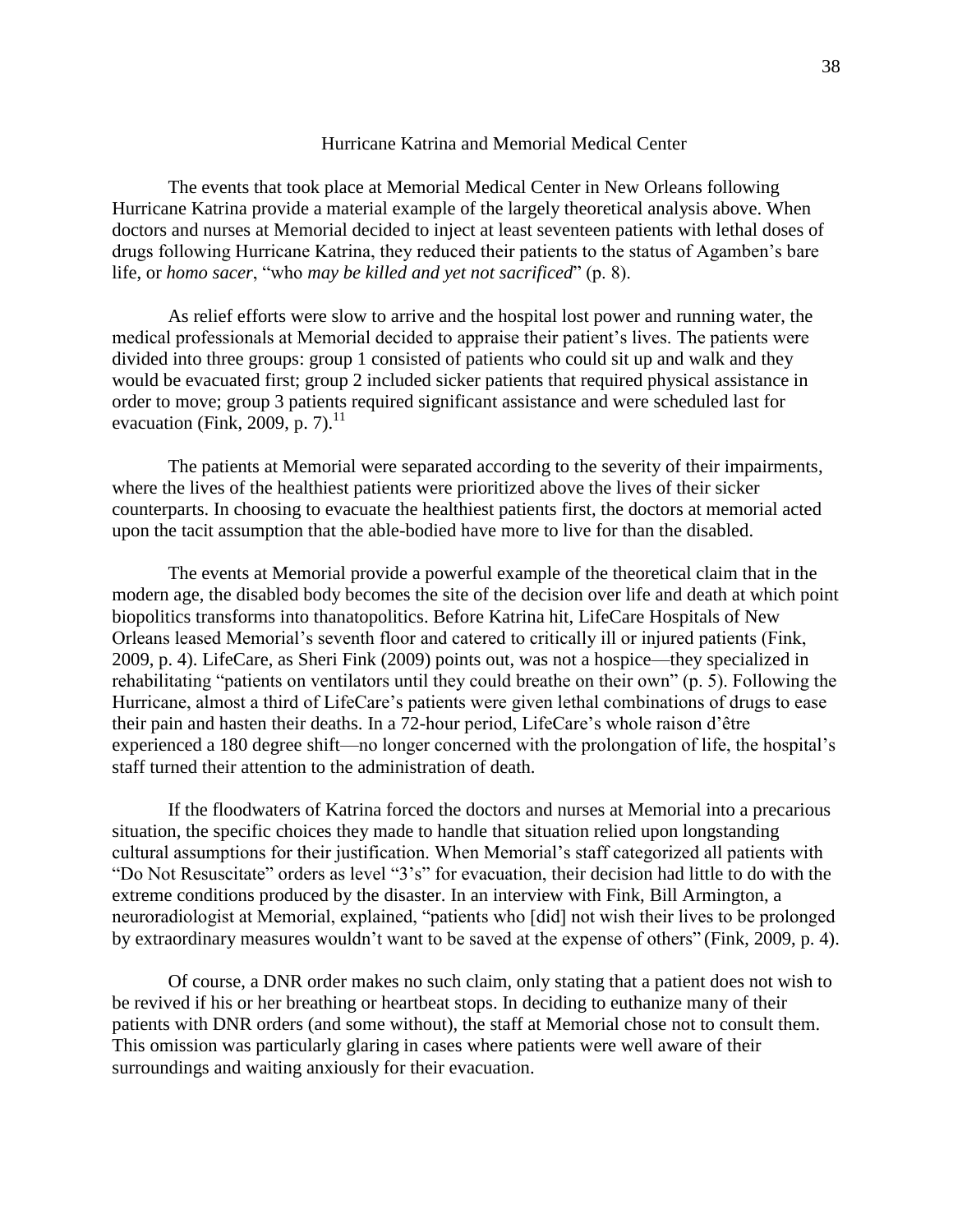## Hurricane Katrina and Memorial Medical Center

The events that took place at Memorial Medical Center in New Orleans following Hurricane Katrina provide a material example of the largely theoretical analysis above. When doctors and nurses at Memorial decided to inject at least seventeen patients with lethal doses of drugs following Hurricane Katrina, they reduced their patients to the status of Agamben's bare life, or *homo sacer*, "who *may be killed and yet not sacrificed*" (p. 8).

As relief efforts were slow to arrive and the hospital lost power and running water, the medical professionals at Memorial decided to appraise their patient's lives. The patients were divided into three groups: group 1 consisted of patients who could sit up and walk and they would be evacuated first; group 2 included sicker patients that required physical assistance in order to move; group 3 patients required significant assistance and were scheduled last for evacuation (Fink, 2009, p. 7). $^{11}$ 

The patients at Memorial were separated according to the severity of their impairments, where the lives of the healthiest patients were prioritized above the lives of their sicker counterparts. In choosing to evacuate the healthiest patients first, the doctors at memorial acted upon the tacit assumption that the able-bodied have more to live for than the disabled.

The events at Memorial provide a powerful example of the theoretical claim that in the modern age, the disabled body becomes the site of the decision over life and death at which point biopolitics transforms into thanatopolitics. Before Katrina hit, LifeCare Hospitals of New Orleans leased Memorial's seventh floor and catered to critically ill or injured patients (Fink, 2009, p. 4). LifeCare, as Sheri Fink (2009) points out, was not a hospice—they specialized in rehabilitating "patients on ventilators until they could breathe on their own" (p. 5). Following the Hurricane, almost a third of LifeCare's patients were given lethal combinations of drugs to ease their pain and hasten their deaths. In a 72-hour period, LifeCare's whole raison d'être experienced a 180 degree shift—no longer concerned with the prolongation of life, the hospital's staff turned their attention to the administration of death.

If the floodwaters of Katrina forced the doctors and nurses at Memorial into a precarious situation, the specific choices they made to handle that situation relied upon longstanding cultural assumptions for their justification. When Memorial's staff categorized all patients with "Do Not Resuscitate" orders as level "3's" for evacuation, their decision had little to do with the extreme conditions produced by the disaster. In an interview with Fink, Bill Armington, a neuroradiologist at Memorial, explained, "patients who [did] not wish their lives to be prolonged by extraordinary measures wouldn't want to be saved at the expense of others" (Fink, 2009, p. 4).

Of course, a DNR order makes no such claim, only stating that a patient does not wish to be revived if his or her breathing or heartbeat stops. In deciding to euthanize many of their patients with DNR orders (and some without), the staff at Memorial chose not to consult them. This omission was particularly glaring in cases where patients were well aware of their surroundings and waiting anxiously for their evacuation.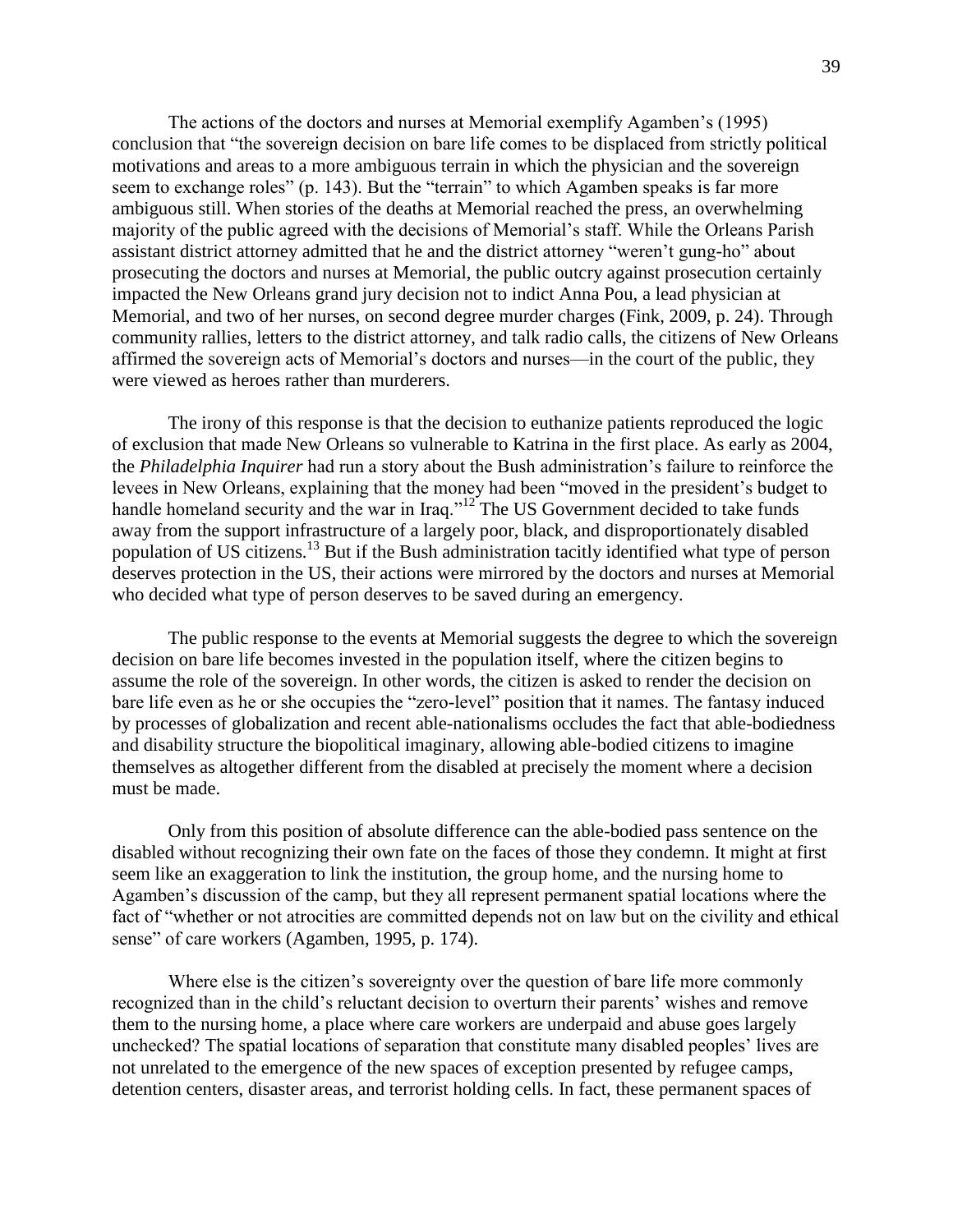The actions of the doctors and nurses at Memorial exemplify Agamben's (1995) conclusion that "the sovereign decision on bare life comes to be displaced from strictly political motivations and areas to a more ambiguous terrain in which the physician and the sovereign seem to exchange roles" (p. 143). But the "terrain" to which Agamben speaks is far more ambiguous still. When stories of the deaths at Memorial reached the press, an overwhelming majority of the public agreed with the decisions of Memorial's staff. While the Orleans Parish assistant district attorney admitted that he and the district attorney "weren't gung-ho" about prosecuting the doctors and nurses at Memorial, the public outcry against prosecution certainly impacted the New Orleans grand jury decision not to indict Anna Pou, a lead physician at Memorial, and two of her nurses, on second degree murder charges (Fink, 2009, p. 24). Through community rallies, letters to the district attorney, and talk radio calls, the citizens of New Orleans affirmed the sovereign acts of Memorial's doctors and nurses—in the court of the public, they were viewed as heroes rather than murderers.

The irony of this response is that the decision to euthanize patients reproduced the logic of exclusion that made New Orleans so vulnerable to Katrina in the first place. As early as 2004, the *Philadelphia Inquirer* had run a story about the Bush administration's failure to reinforce the levees in New Orleans, explaining that the money had been "moved in the president's budget to handle homeland security and the war in Iraq."<sup>12</sup> The US Government decided to take funds away from the support infrastructure of a largely poor, black, and disproportionately disabled population of US citizens.<sup>13</sup> But if the Bush administration tacitly identified what type of person deserves protection in the US, their actions were mirrored by the doctors and nurses at Memorial who decided what type of person deserves to be saved during an emergency.

The public response to the events at Memorial suggests the degree to which the sovereign decision on bare life becomes invested in the population itself, where the citizen begins to assume the role of the sovereign. In other words, the citizen is asked to render the decision on bare life even as he or she occupies the "zero-level" position that it names. The fantasy induced by processes of globalization and recent able-nationalisms occludes the fact that able-bodiedness and disability structure the biopolitical imaginary, allowing able-bodied citizens to imagine themselves as altogether different from the disabled at precisely the moment where a decision must be made.

Only from this position of absolute difference can the able-bodied pass sentence on the disabled without recognizing their own fate on the faces of those they condemn. It might at first seem like an exaggeration to link the institution, the group home, and the nursing home to Agamben's discussion of the camp, but they all represent permanent spatial locations where the fact of "whether or not atrocities are committed depends not on law but on the civility and ethical sense" of care workers (Agamben, 1995, p. 174).

Where else is the citizen's sovereignty over the question of bare life more commonly recognized than in the child's reluctant decision to overturn their parents' wishes and remove them to the nursing home, a place where care workers are underpaid and abuse goes largely unchecked? The spatial locations of separation that constitute many disabled peoples' lives are not unrelated to the emergence of the new spaces of exception presented by refugee camps, detention centers, disaster areas, and terrorist holding cells. In fact, these permanent spaces of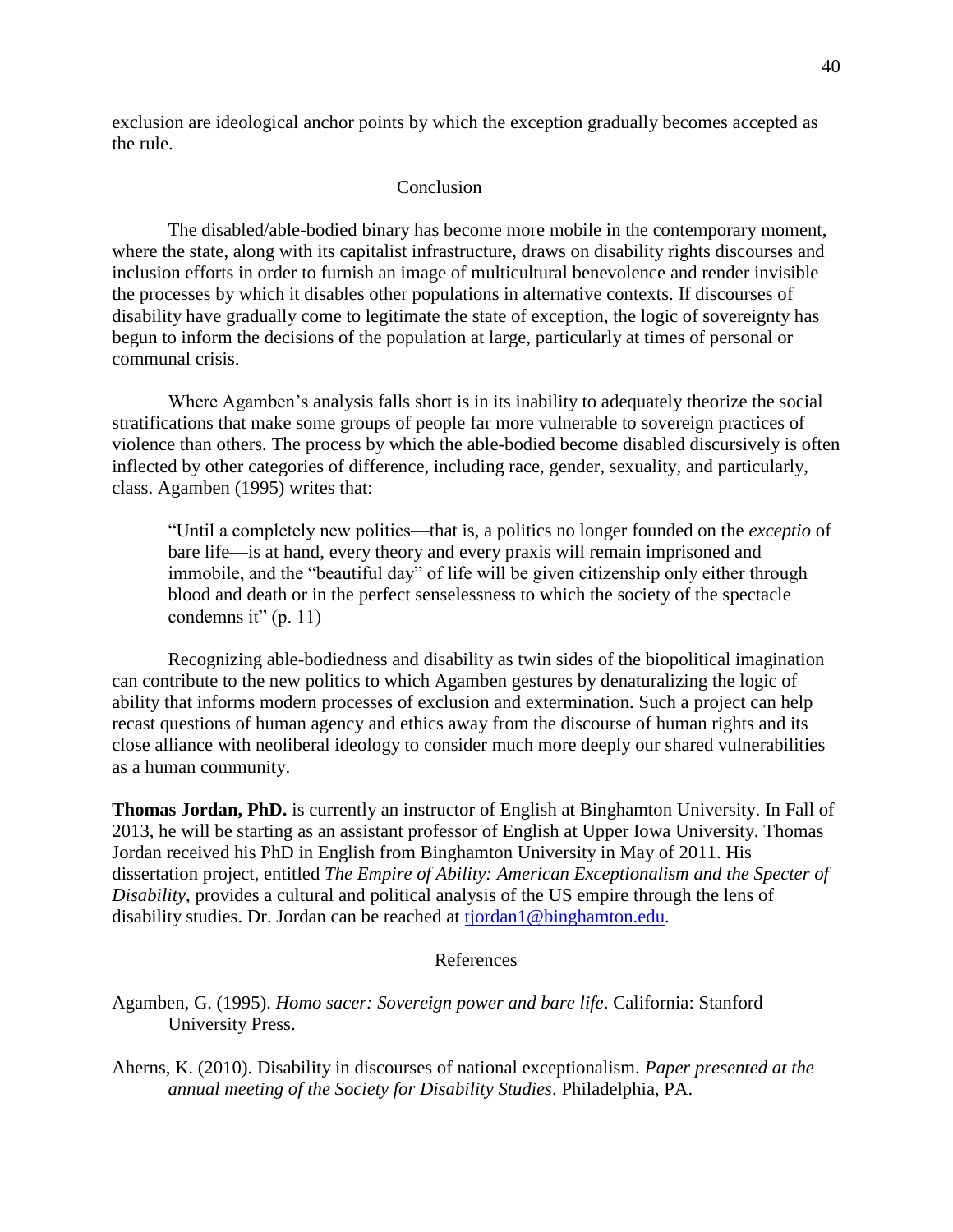exclusion are ideological anchor points by which the exception gradually becomes accepted as the rule.

## Conclusion

The disabled/able-bodied binary has become more mobile in the contemporary moment, where the state, along with its capitalist infrastructure, draws on disability rights discourses and inclusion efforts in order to furnish an image of multicultural benevolence and render invisible the processes by which it disables other populations in alternative contexts. If discourses of disability have gradually come to legitimate the state of exception, the logic of sovereignty has begun to inform the decisions of the population at large, particularly at times of personal or communal crisis.

Where Agamben's analysis falls short is in its inability to adequately theorize the social stratifications that make some groups of people far more vulnerable to sovereign practices of violence than others. The process by which the able-bodied become disabled discursively is often inflected by other categories of difference, including race, gender, sexuality, and particularly, class. Agamben (1995) writes that:

"Until a completely new politics—that is, a politics no longer founded on the *exceptio* of bare life—is at hand, every theory and every praxis will remain imprisoned and immobile, and the "beautiful day" of life will be given citizenship only either through blood and death or in the perfect senselessness to which the society of the spectacle condemns it"  $(p. 11)$ 

Recognizing able-bodiedness and disability as twin sides of the biopolitical imagination can contribute to the new politics to which Agamben gestures by denaturalizing the logic of ability that informs modern processes of exclusion and extermination. Such a project can help recast questions of human agency and ethics away from the discourse of human rights and its close alliance with neoliberal ideology to consider much more deeply our shared vulnerabilities as a human community.

**Thomas Jordan, PhD.** is currently an instructor of English at Binghamton University. In Fall of 2013, he will be starting as an assistant professor of English at Upper Iowa University. Thomas Jordan received his PhD in English from Binghamton University in May of 2011. His dissertation project, entitled *The Empire of Ability: American Exceptionalism and the Specter of Disability*, provides a cultural and political analysis of the US empire through the lens of disability studies. Dr. Jordan can be reached at [tjordan1@binghamton.edu.](mailto:tjordan1@binghamton.edu)

## References

Agamben, G. (1995). *Homo sacer: Sovereign power and bare life*. California: Stanford University Press.

Aherns, K. (2010). Disability in discourses of national exceptionalism. *Paper presented at the annual meeting of the Society for Disability Studies*. Philadelphia, PA.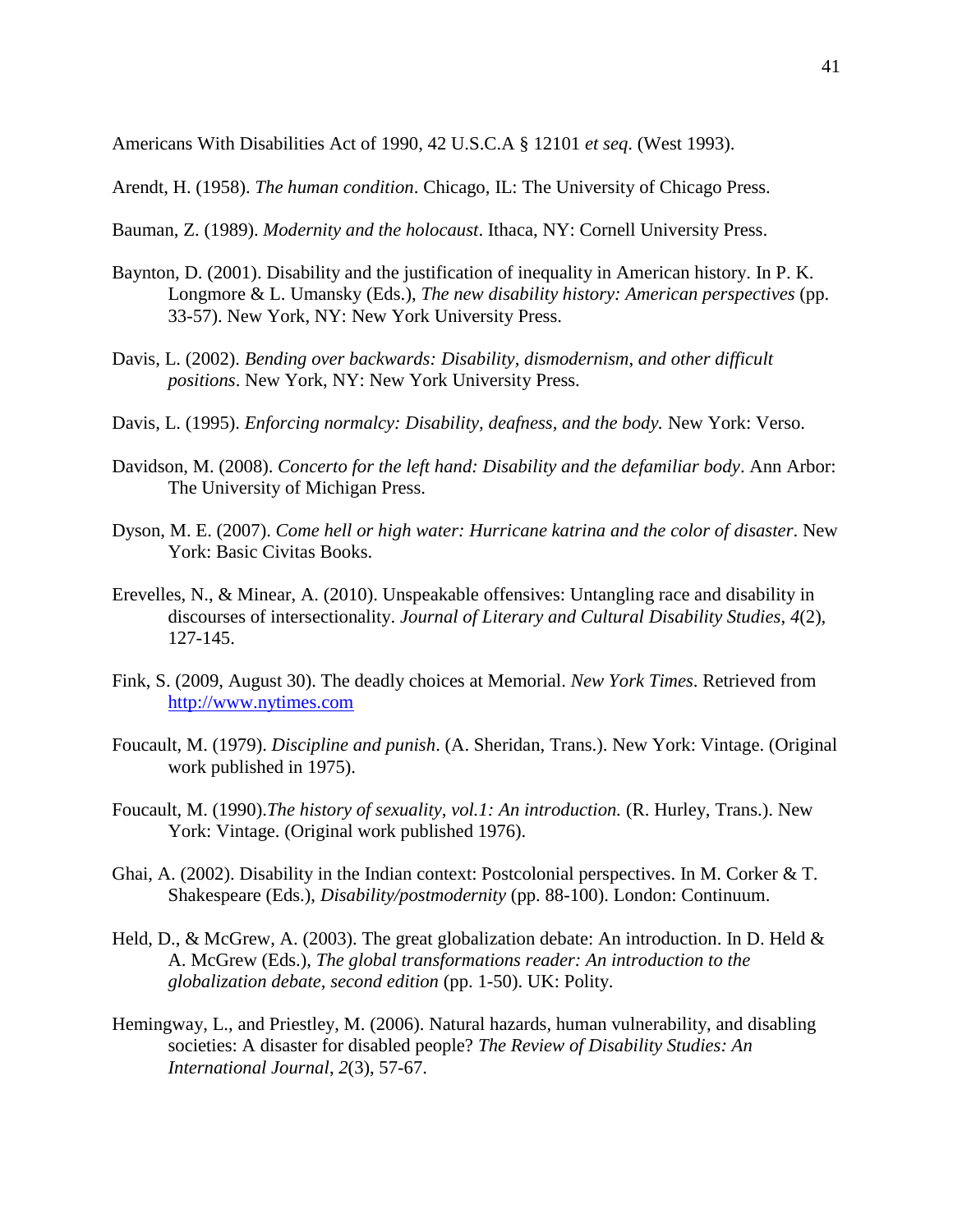Americans With Disabilities Act of 1990, 42 U.S.C.A § 12101 *et seq*. (West 1993).

Arendt, H. (1958). *The human condition*. Chicago, IL: The University of Chicago Press.

- Bauman, Z. (1989). *Modernity and the holocaust*. Ithaca, NY: Cornell University Press.
- Baynton, D. (2001). Disability and the justification of inequality in American history. In P. K. Longmore & L. Umansky (Eds.), *The new disability history: American perspectives* (pp. 33-57). New York, NY: New York University Press.
- Davis, L. (2002). *Bending over backwards: Disability, dismodernism, and other difficult positions*. New York, NY: New York University Press.
- Davis, L. (1995). *Enforcing normalcy: Disability, deafness, and the body.* New York: Verso.
- Davidson, M. (2008). *Concerto for the left hand: Disability and the defamiliar body*. Ann Arbor: The University of Michigan Press.
- Dyson, M. E. (2007). *Come hell or high water: Hurricane katrina and the color of disaster*. New York: Basic Civitas Books.
- Erevelles, N., & Minear, A. (2010). Unspeakable offensives: Untangling race and disability in discourses of intersectionality. *Journal of Literary and Cultural Disability Studies*, *4*(2), 127-145.
- Fink, S. (2009, August 30). The deadly choices at Memorial. *New York Times*. Retrieved from [http://www.nytimes.com](http://www.nytimes.com/)
- Foucault, M. (1979). *Discipline and punish*. (A. Sheridan, Trans.). New York: Vintage. (Original work published in 1975).
- Foucault, M. (1990).*The history of sexuality, vol.1: An introduction.* (R. Hurley, Trans.). New York: Vintage. (Original work published 1976).
- Ghai, A. (2002). Disability in the Indian context: Postcolonial perspectives. In M. Corker & T. Shakespeare (Eds.), *Disability/postmodernity* (pp. 88-100). London: Continuum.
- Held, D., & McGrew, A. (2003). The great globalization debate: An introduction. In D. Held  $\&$ A. McGrew (Eds.), *The global transformations reader: An introduction to the globalization debate, second edition* (pp. 1-50). UK: Polity.
- Hemingway, L., and Priestley, M. (2006). Natural hazards, human vulnerability, and disabling societies: A disaster for disabled people? *The Review of Disability Studies: An International Journal*, *2*(3), 57-67.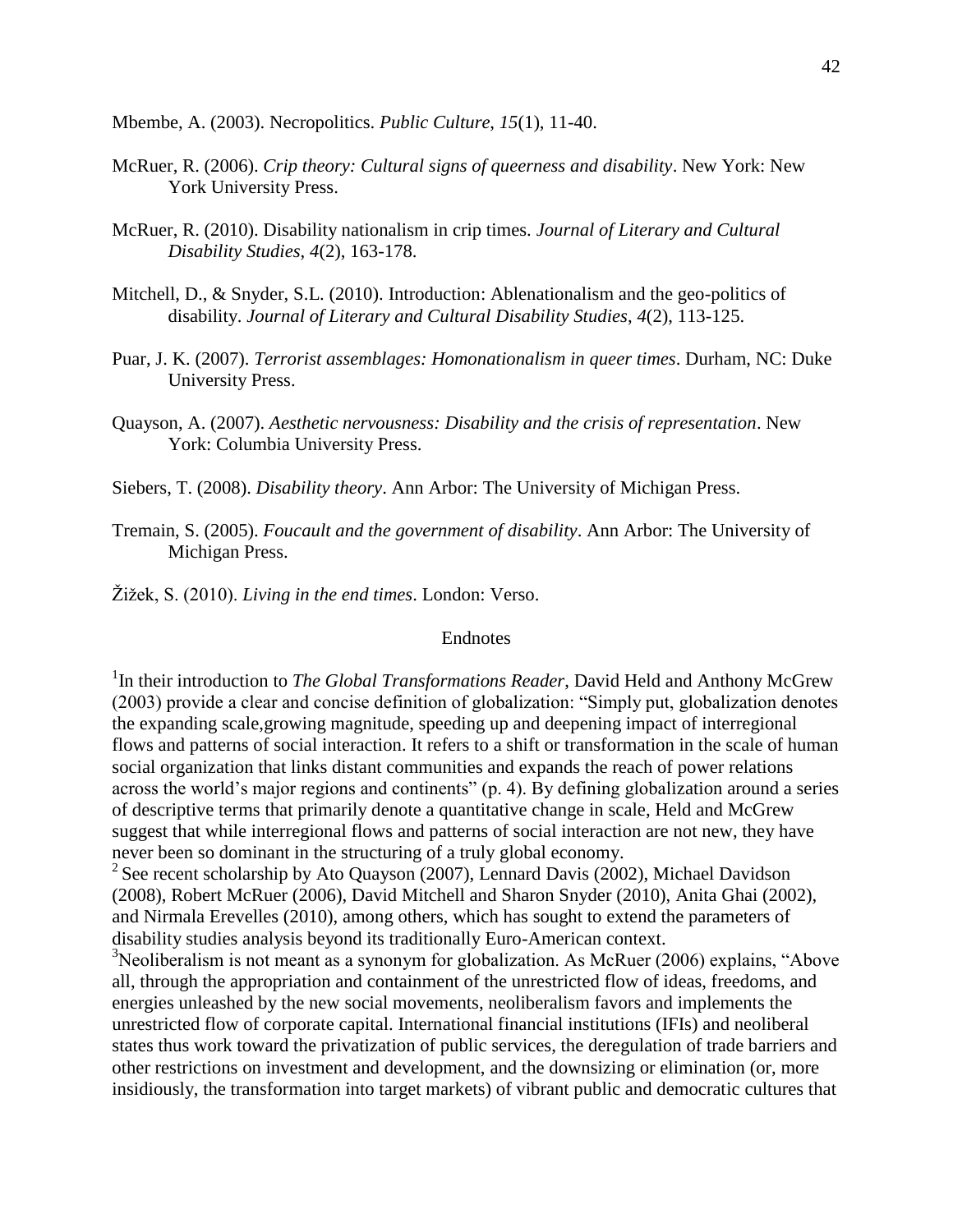Mbembe, A. (2003). Necropolitics. *Public Culture*, *15*(1), 11-40.

- McRuer, R. (2006). *Crip theory: Cultural signs of queerness and disability*. New York: New York University Press.
- McRuer, R. (2010). Disability nationalism in crip times. *Journal of Literary and Cultural Disability Studies*, *4*(2), 163-178.
- Mitchell, D., & Snyder, S.L. (2010). Introduction: Ablenationalism and the geo-politics of disability. *Journal of Literary and Cultural Disability Studies*, *4*(2), 113-125.
- Puar, J. K. (2007). *Terrorist assemblages: Homonationalism in queer times*. Durham, NC: Duke University Press.
- Quayson, A. (2007). *Aesthetic nervousness: Disability and the crisis of representation*. New York: Columbia University Press.
- Siebers, T. (2008). *Disability theory*. Ann Arbor: The University of Michigan Press.
- Tremain, S. (2005). *Foucault and the government of disability*. Ann Arbor: The University of Michigan Press.
- Žižek, S. (2010). *Living in the end times*. London: Verso.

## Endnotes

<sup>1</sup>In their introduction to *The Global Transformations Reader*, David Held and Anthony McGrew (2003) provide a clear and concise definition of globalization: "Simply put, globalization denotes the expanding scale,growing magnitude, speeding up and deepening impact of interregional flows and patterns of social interaction. It refers to a shift or transformation in the scale of human social organization that links distant communities and expands the reach of power relations across the world's major regions and continents" (p. 4). By defining globalization around a series of descriptive terms that primarily denote a quantitative change in scale, Held and McGrew suggest that while interregional flows and patterns of social interaction are not new, they have never been so dominant in the structuring of a truly global economy.

<sup>2</sup> See recent scholarship by Ato Quayson (2007), Lennard Davis (2002), Michael Davidson (2008), Robert McRuer (2006), David Mitchell and Sharon Snyder (2010), Anita Ghai (2002), and Nirmala Erevelles (2010), among others, which has sought to extend the parameters of disability studies analysis beyond its traditionally Euro-American context.

 $3$ Neoliberalism is not meant as a synonym for globalization. As McRuer (2006) explains, "Above all, through the appropriation and containment of the unrestricted flow of ideas, freedoms, and energies unleashed by the new social movements, neoliberalism favors and implements the unrestricted flow of corporate capital. International financial institutions (IFIs) and neoliberal states thus work toward the privatization of public services, the deregulation of trade barriers and other restrictions on investment and development, and the downsizing or elimination (or, more insidiously, the transformation into target markets) of vibrant public and democratic cultures that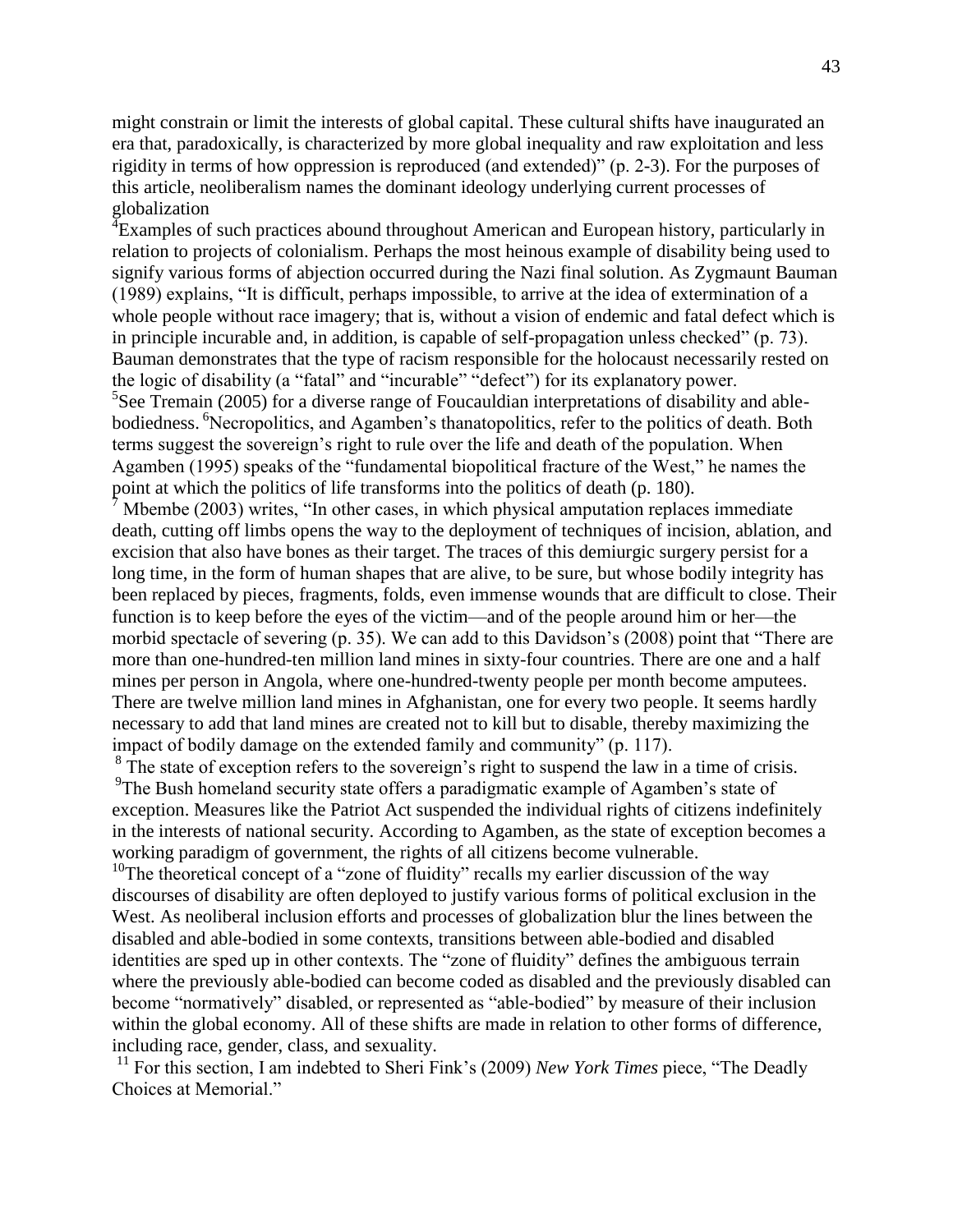might constrain or limit the interests of global capital. These cultural shifts have inaugurated an era that, paradoxically, is characterized by more global inequality and raw exploitation and less rigidity in terms of how oppression is reproduced (and extended)" (p. 2-3). For the purposes of this article, neoliberalism names the dominant ideology underlying current processes of globalization

<sup>4</sup> Examples of such practices abound throughout American and European history, particularly in relation to projects of colonialism. Perhaps the most heinous example of disability being used to signify various forms of abjection occurred during the Nazi final solution. As Zygmaunt Bauman (1989) explains, "It is difficult, perhaps impossible, to arrive at the idea of extermination of a whole people without race imagery; that is, without a vision of endemic and fatal defect which is in principle incurable and, in addition, is capable of self-propagation unless checked" (p. 73). Bauman demonstrates that the type of racism responsible for the holocaust necessarily rested on the logic of disability (a "fatal" and "incurable" "defect") for its explanatory power.  ${}^{5}$ See Tremain (2005) for a diverse range of Foucauldian interpretations of disability and ablebodiedness. <sup>6</sup>Necropolitics, and Agamben's thanatopolitics, refer to the politics of death. Both terms suggest the sovereign's right to rule over the life and death of the population. When Agamben (1995) speaks of the "fundamental biopolitical fracture of the West," he names the point at which the politics of life transforms into the politics of death (p. 180).

Mbembe (2003) writes, "In other cases, in which physical amputation replaces immediate death, cutting off limbs opens the way to the deployment of techniques of incision, ablation, and excision that also have bones as their target. The traces of this demiurgic surgery persist for a long time, in the form of human shapes that are alive, to be sure, but whose bodily integrity has been replaced by pieces, fragments, folds, even immense wounds that are difficult to close. Their function is to keep before the eyes of the victim—and of the people around him or her—the morbid spectacle of severing (p. 35). We can add to this Davidson's (2008) point that "There are more than one-hundred-ten million land mines in sixty-four countries. There are one and a half mines per person in Angola, where one-hundred-twenty people per month become amputees. There are twelve million land mines in Afghanistan, one for every two people. It seems hardly necessary to add that land mines are created not to kill but to disable, thereby maximizing the impact of bodily damage on the extended family and community" (p. 117).

 $8 \text{ The state of exception refers to the sovereign's right to suspend the law in a time of crisis.}$ <sup>9</sup>The Bush homeland security state offers a paradigmatic example of Agamben's state of exception. Measures like the Patriot Act suspended the individual rights of citizens indefinitely in the interests of national security. According to Agamben, as the state of exception becomes a working paradigm of government, the rights of all citizens become vulnerable.

<sup>10</sup>The theoretical concept of a "zone of fluidity" recalls my earlier discussion of the way discourses of disability are often deployed to justify various forms of political exclusion in the West. As neoliberal inclusion efforts and processes of globalization blur the lines between the disabled and able-bodied in some contexts, transitions between able-bodied and disabled identities are sped up in other contexts. The "zone of fluidity" defines the ambiguous terrain where the previously able-bodied can become coded as disabled and the previously disabled can become "normatively" disabled, or represented as "able-bodied" by measure of their inclusion within the global economy. All of these shifts are made in relation to other forms of difference, including race, gender, class, and sexuality.

<sup>11</sup> For this section, I am indebted to Sheri Fink's (2009) *New York Times* piece, "The Deadly Choices at Memorial."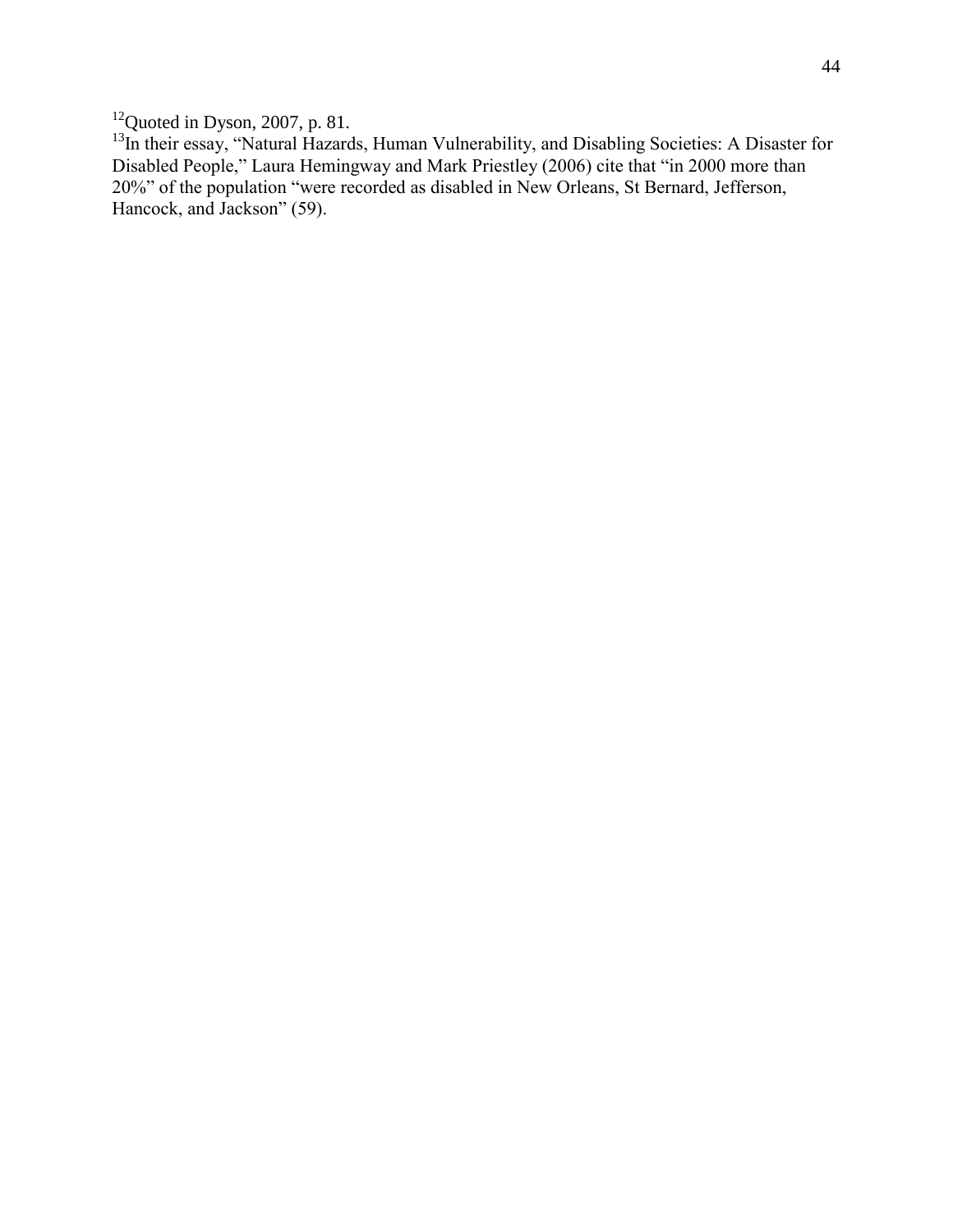$12$ Quoted in Dyson, 2007, p. 81.

<sup>13</sup>In their essay, "Natural Hazards, Human Vulnerability, and Disabling Societies: A Disaster for Disabled People," Laura Hemingway and Mark Priestley (2006) cite that "in 2000 more than 20%" of the population "were recorded as disabled in New Orleans, St Bernard, Jefferson, Hancock, and Jackson" (59).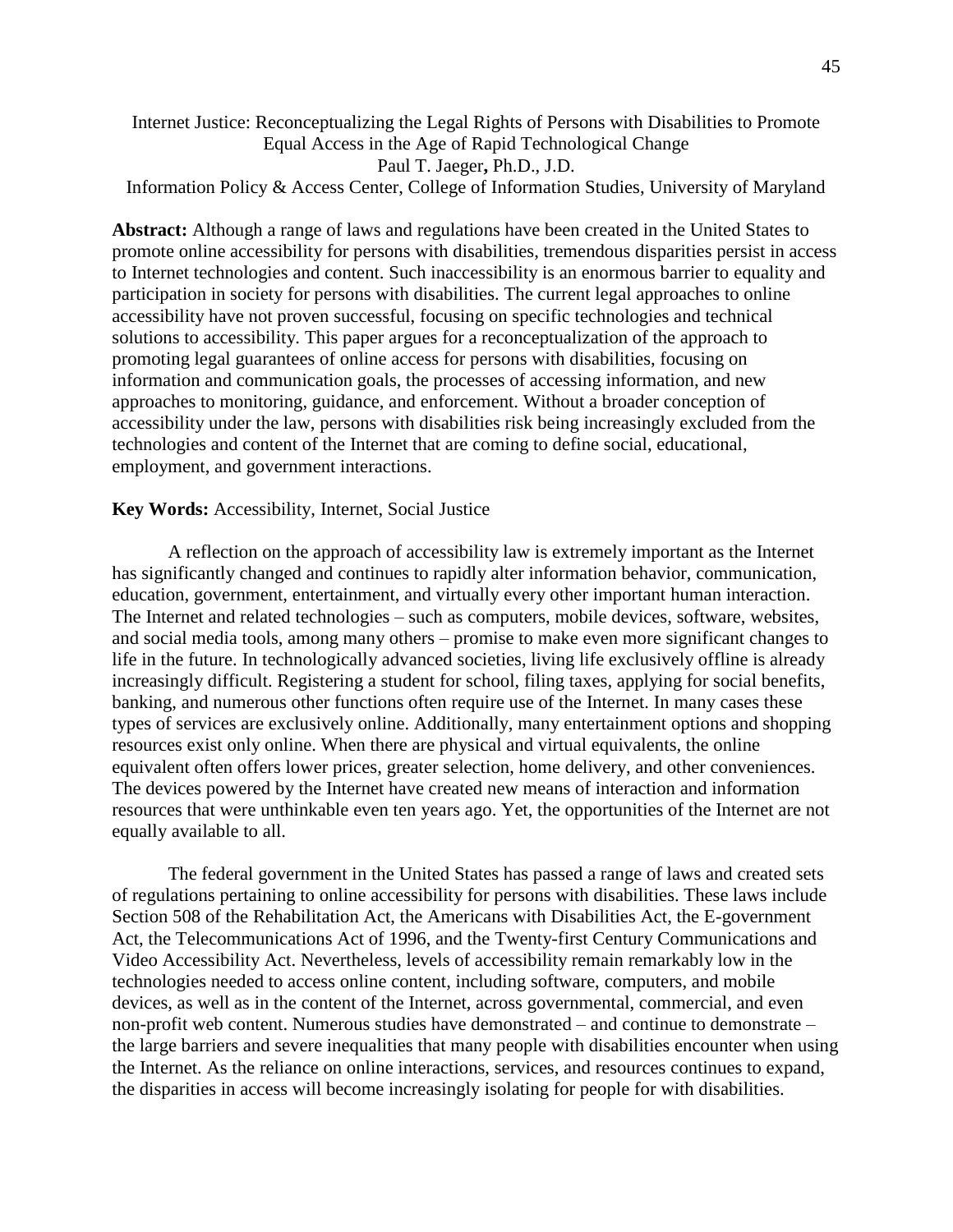# Internet Justice: Reconceptualizing the Legal Rights of Persons with Disabilities to Promote Equal Access in the Age of Rapid Technological Change Paul T. Jaeger**,** Ph.D., J.D.

Information Policy & Access Center, College of Information Studies, University of Maryland

**Abstract:** Although a range of laws and regulations have been created in the United States to promote online accessibility for persons with disabilities, tremendous disparities persist in access to Internet technologies and content. Such inaccessibility is an enormous barrier to equality and participation in society for persons with disabilities. The current legal approaches to online accessibility have not proven successful, focusing on specific technologies and technical solutions to accessibility. This paper argues for a reconceptualization of the approach to promoting legal guarantees of online access for persons with disabilities, focusing on information and communication goals, the processes of accessing information, and new approaches to monitoring, guidance, and enforcement. Without a broader conception of accessibility under the law, persons with disabilities risk being increasingly excluded from the technologies and content of the Internet that are coming to define social, educational, employment, and government interactions.

### **Key Words:** Accessibility, Internet, Social Justice

A reflection on the approach of accessibility law is extremely important as the Internet has significantly changed and continues to rapidly alter information behavior, communication, education, government, entertainment, and virtually every other important human interaction. The Internet and related technologies – such as computers, mobile devices, software, websites, and social media tools, among many others – promise to make even more significant changes to life in the future. In technologically advanced societies, living life exclusively offline is already increasingly difficult. Registering a student for school, filing taxes, applying for social benefits, banking, and numerous other functions often require use of the Internet. In many cases these types of services are exclusively online. Additionally, many entertainment options and shopping resources exist only online. When there are physical and virtual equivalents, the online equivalent often offers lower prices, greater selection, home delivery, and other conveniences. The devices powered by the Internet have created new means of interaction and information resources that were unthinkable even ten years ago. Yet, the opportunities of the Internet are not equally available to all.

The federal government in the United States has passed a range of laws and created sets of regulations pertaining to online accessibility for persons with disabilities. These laws include Section 508 of the Rehabilitation Act, the Americans with Disabilities Act, the E-government Act, the Telecommunications Act of 1996, and the Twenty-first Century Communications and Video Accessibility Act. Nevertheless, levels of accessibility remain remarkably low in the technologies needed to access online content, including software, computers, and mobile devices, as well as in the content of the Internet, across governmental, commercial, and even non-profit web content. Numerous studies have demonstrated – and continue to demonstrate – the large barriers and severe inequalities that many people with disabilities encounter when using the Internet. As the reliance on online interactions, services, and resources continues to expand, the disparities in access will become increasingly isolating for people for with disabilities.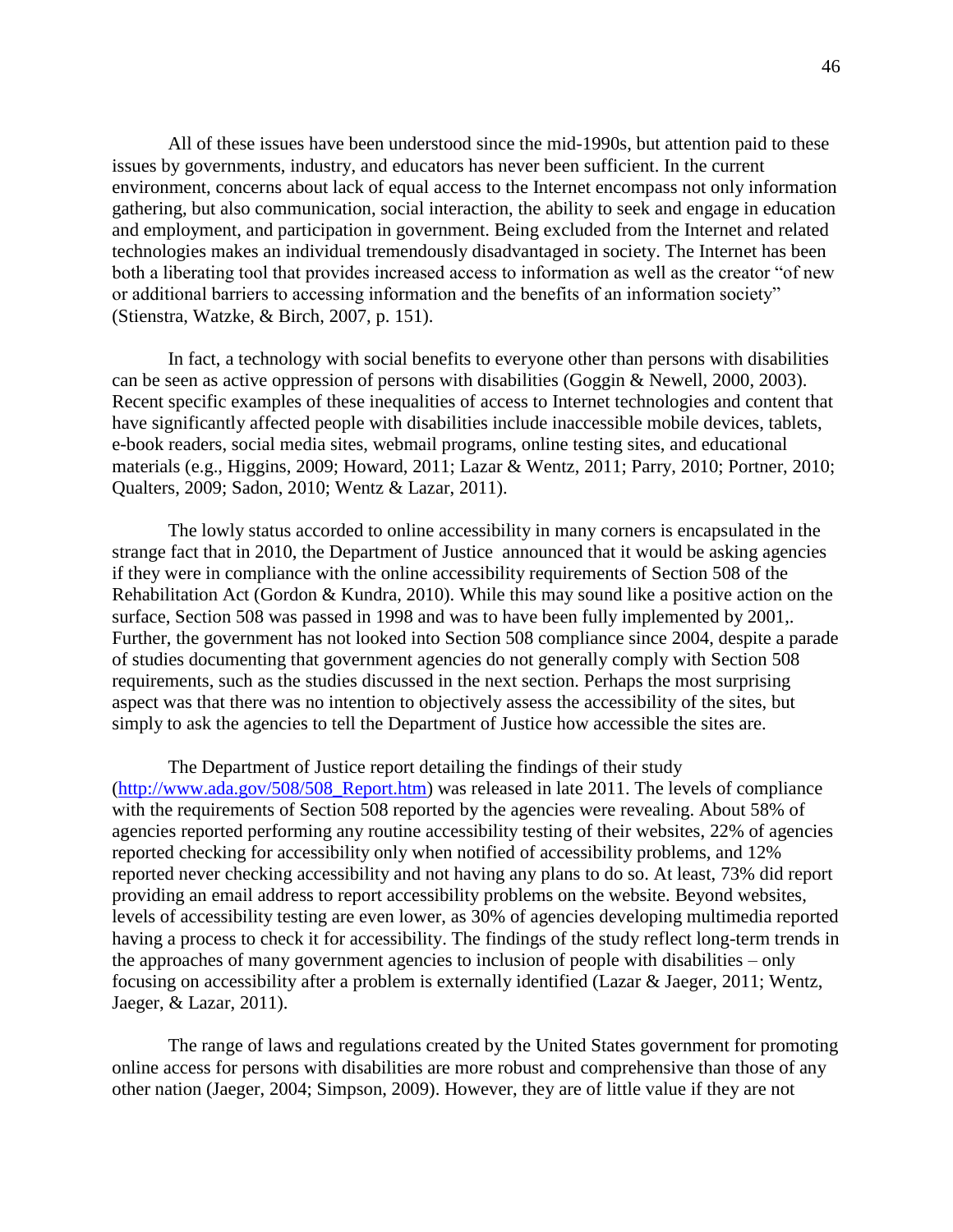All of these issues have been understood since the mid-1990s, but attention paid to these issues by governments, industry, and educators has never been sufficient. In the current environment, concerns about lack of equal access to the Internet encompass not only information gathering, but also communication, social interaction, the ability to seek and engage in education and employment, and participation in government. Being excluded from the Internet and related technologies makes an individual tremendously disadvantaged in society. The Internet has been both a liberating tool that provides increased access to information as well as the creator "of new or additional barriers to accessing information and the benefits of an information society" (Stienstra, Watzke, & Birch, 2007, p. 151).

In fact, a technology with social benefits to everyone other than persons with disabilities can be seen as active oppression of persons with disabilities (Goggin & Newell, 2000, 2003). Recent specific examples of these inequalities of access to Internet technologies and content that have significantly affected people with disabilities include inaccessible mobile devices, tablets, e-book readers, social media sites, webmail programs, online testing sites, and educational materials (e.g., Higgins, 2009; Howard, 2011; Lazar & Wentz, 2011; Parry, 2010; Portner, 2010; Qualters, 2009; Sadon, 2010; Wentz & Lazar, 2011).

The lowly status accorded to online accessibility in many corners is encapsulated in the strange fact that in 2010, the Department of Justice announced that it would be asking agencies if they were in compliance with the online accessibility requirements of Section 508 of the Rehabilitation Act (Gordon & Kundra, 2010). While this may sound like a positive action on the surface, Section 508 was passed in 1998 and was to have been fully implemented by 2001,. Further, the government has not looked into Section 508 compliance since 2004, despite a parade of studies documenting that government agencies do not generally comply with Section 508 requirements, such as the studies discussed in the next section. Perhaps the most surprising aspect was that there was no intention to objectively assess the accessibility of the sites, but simply to ask the agencies to tell the Department of Justice how accessible the sites are.

The Department of Justice report detailing the findings of their study [\(http://www.ada.gov/508/508\\_Report.htm\)](https://exch.mail.umd.edu/owa/redir.aspx?C=Y9IY05JFn0KSwHfrPCbTqDBsfdFw6s8IWCtoW8TGj7hzPgW5_lNJ4qljZeIz0-Dkllx6EEicKIg.&URL=http%3a%2f%2fwww.ada.gov%2f508%2f508_Report.htm) was released in late 2011. The levels of compliance with the requirements of Section 508 reported by the agencies were revealing. About 58% of agencies reported performing any routine accessibility testing of their websites, 22% of agencies reported checking for accessibility only when notified of accessibility problems, and 12% reported never checking accessibility and not having any plans to do so. At least, 73% did report providing an email address to report accessibility problems on the website. Beyond websites, levels of accessibility testing are even lower, as 30% of agencies developing multimedia reported having a process to check it for accessibility. The findings of the study reflect long-term trends in the approaches of many government agencies to inclusion of people with disabilities – only focusing on accessibility after a problem is externally identified (Lazar & Jaeger, 2011; Wentz, Jaeger, & Lazar, 2011).

The range of laws and regulations created by the United States government for promoting online access for persons with disabilities are more robust and comprehensive than those of any other nation (Jaeger, 2004; Simpson, 2009). However, they are of little value if they are not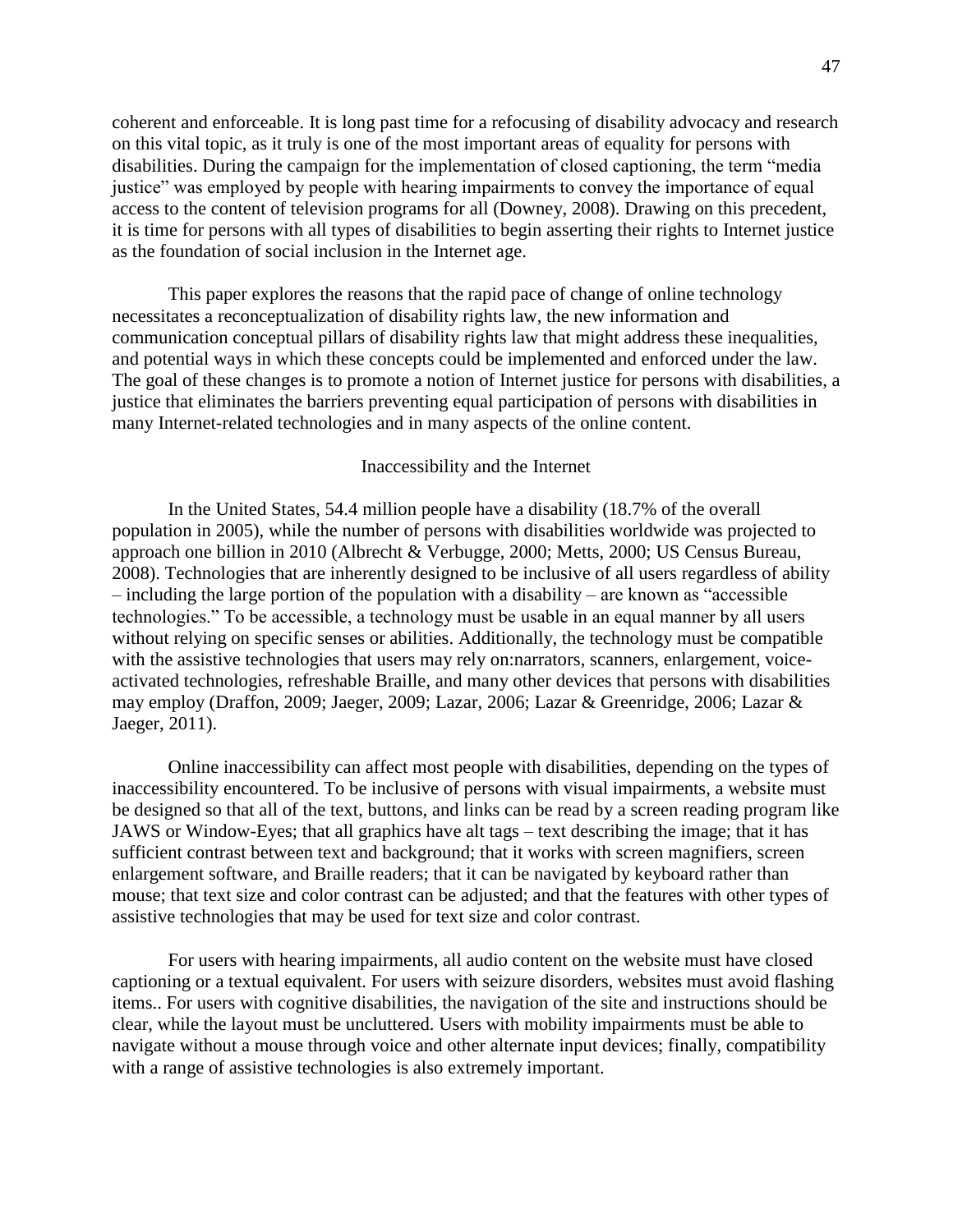coherent and enforceable. It is long past time for a refocusing of disability advocacy and research on this vital topic, as it truly is one of the most important areas of equality for persons with disabilities. During the campaign for the implementation of closed captioning, the term "media justice" was employed by people with hearing impairments to convey the importance of equal access to the content of television programs for all (Downey, 2008). Drawing on this precedent, it is time for persons with all types of disabilities to begin asserting their rights to Internet justice as the foundation of social inclusion in the Internet age.

This paper explores the reasons that the rapid pace of change of online technology necessitates a reconceptualization of disability rights law, the new information and communication conceptual pillars of disability rights law that might address these inequalities, and potential ways in which these concepts could be implemented and enforced under the law. The goal of these changes is to promote a notion of Internet justice for persons with disabilities, a justice that eliminates the barriers preventing equal participation of persons with disabilities in many Internet-related technologies and in many aspects of the online content.

#### Inaccessibility and the Internet

In the United States, 54.4 million people have a disability (18.7% of the overall population in 2005), while the number of persons with disabilities worldwide was projected to approach one billion in 2010 (Albrecht & Verbugge, 2000; Metts, 2000; US Census Bureau, 2008). Technologies that are inherently designed to be inclusive of all users regardless of ability – including the large portion of the population with a disability – are known as "accessible technologies." To be accessible, a technology must be usable in an equal manner by all users without relying on specific senses or abilities. Additionally, the technology must be compatible with the assistive technologies that users may rely on:narrators, scanners, enlargement, voiceactivated technologies, refreshable Braille, and many other devices that persons with disabilities may employ (Draffon, 2009; Jaeger, 2009; Lazar, 2006; Lazar & Greenridge, 2006; Lazar & Jaeger, 2011).

Online inaccessibility can affect most people with disabilities, depending on the types of inaccessibility encountered. To be inclusive of persons with visual impairments, a website must be designed so that all of the text, buttons, and links can be read by a screen reading program like JAWS or Window-Eyes; that all graphics have alt tags – text describing the image; that it has sufficient contrast between text and background; that it works with screen magnifiers, screen enlargement software, and Braille readers; that it can be navigated by keyboard rather than mouse; that text size and color contrast can be adjusted; and that the features with other types of assistive technologies that may be used for text size and color contrast.

For users with hearing impairments, all audio content on the website must have closed captioning or a textual equivalent. For users with seizure disorders, websites must avoid flashing items.. For users with cognitive disabilities, the navigation of the site and instructions should be clear, while the layout must be uncluttered. Users with mobility impairments must be able to navigate without a mouse through voice and other alternate input devices; finally, compatibility with a range of assistive technologies is also extremely important.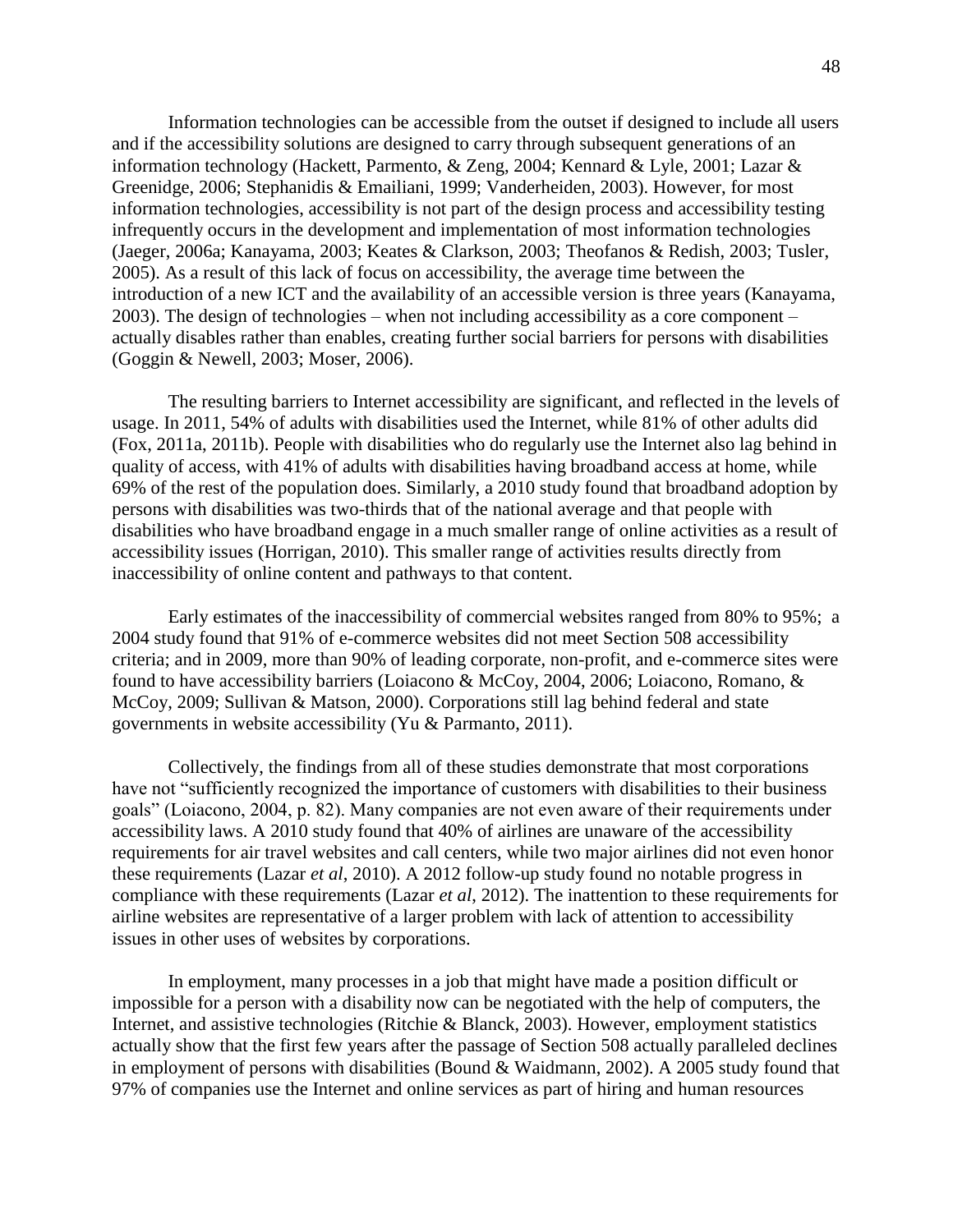Information technologies can be accessible from the outset if designed to include all users and if the accessibility solutions are designed to carry through subsequent generations of an information technology (Hackett, Parmento, & Zeng, 2004; Kennard & Lyle, 2001; Lazar & Greenidge, 2006; Stephanidis & Emailiani, 1999; Vanderheiden, 2003). However, for most information technologies, accessibility is not part of the design process and accessibility testing infrequently occurs in the development and implementation of most information technologies (Jaeger, 2006a; Kanayama, 2003; Keates & Clarkson, 2003; Theofanos & Redish, 2003; Tusler, 2005). As a result of this lack of focus on accessibility, the average time between the introduction of a new ICT and the availability of an accessible version is three years (Kanayama, 2003). The design of technologies – when not including accessibility as a core component – actually disables rather than enables, creating further social barriers for persons with disabilities (Goggin & Newell, 2003; Moser, 2006).

The resulting barriers to Internet accessibility are significant, and reflected in the levels of usage. In 2011, 54% of adults with disabilities used the Internet, while 81% of other adults did (Fox, 2011a, 2011b). People with disabilities who do regularly use the Internet also lag behind in quality of access, with 41% of adults with disabilities having broadband access at home, while 69% of the rest of the population does. Similarly, a 2010 study found that broadband adoption by persons with disabilities was two-thirds that of the national average and that people with disabilities who have broadband engage in a much smaller range of online activities as a result of accessibility issues (Horrigan, 2010). This smaller range of activities results directly from inaccessibility of online content and pathways to that content.

Early estimates of the inaccessibility of commercial websites ranged from 80% to 95%; a 2004 study found that 91% of e-commerce websites did not meet Section 508 accessibility criteria; and in 2009, more than 90% of leading corporate, non-profit, and e-commerce sites were found to have accessibility barriers (Loiacono & McCoy, 2004, 2006; Loiacono, Romano, & McCoy, 2009; Sullivan & Matson, 2000). Corporations still lag behind federal and state governments in website accessibility (Yu & Parmanto, 2011).

Collectively, the findings from all of these studies demonstrate that most corporations have not "sufficiently recognized the importance of customers with disabilities to their business goals" (Loiacono, 2004, p. 82). Many companies are not even aware of their requirements under accessibility laws. A 2010 study found that 40% of airlines are unaware of the accessibility requirements for air travel websites and call centers, while two major airlines did not even honor these requirements (Lazar *et al*, 2010). A 2012 follow-up study found no notable progress in compliance with these requirements (Lazar *et al*, 2012). The inattention to these requirements for airline websites are representative of a larger problem with lack of attention to accessibility issues in other uses of websites by corporations.

In employment, many processes in a job that might have made a position difficult or impossible for a person with a disability now can be negotiated with the help of computers, the Internet, and assistive technologies (Ritchie & Blanck, 2003). However, employment statistics actually show that the first few years after the passage of Section 508 actually paralleled declines in employment of persons with disabilities (Bound & Waidmann, 2002). A 2005 study found that 97% of companies use the Internet and online services as part of hiring and human resources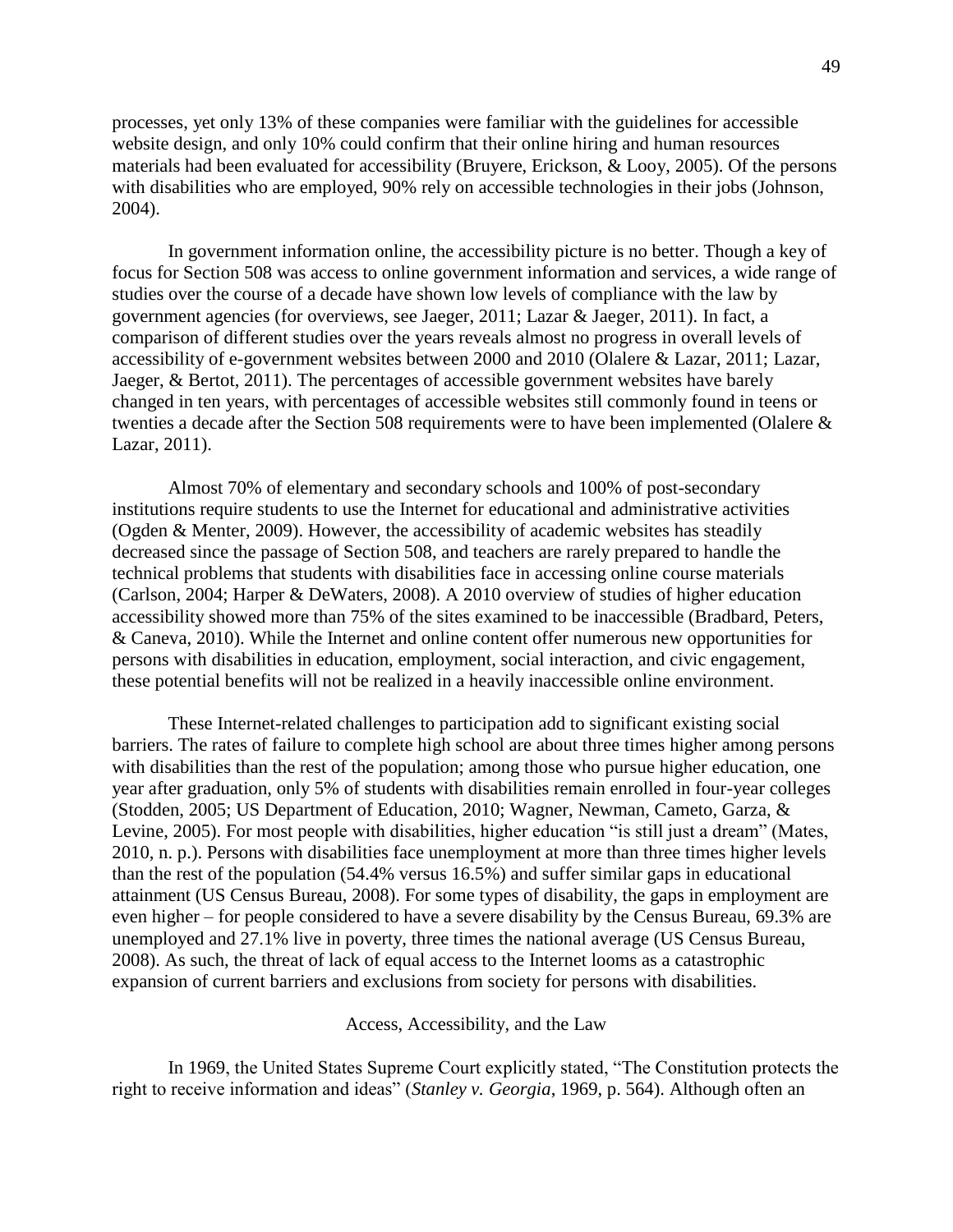processes, yet only 13% of these companies were familiar with the guidelines for accessible website design, and only 10% could confirm that their online hiring and human resources materials had been evaluated for accessibility (Bruyere, Erickson, & Looy, 2005). Of the persons with disabilities who are employed, 90% rely on accessible technologies in their jobs (Johnson, 2004).

In government information online, the accessibility picture is no better. Though a key of focus for Section 508 was access to online government information and services, a wide range of studies over the course of a decade have shown low levels of compliance with the law by government agencies (for overviews, see Jaeger, 2011; Lazar & Jaeger, 2011). In fact, a comparison of different studies over the years reveals almost no progress in overall levels of accessibility of e-government websites between 2000 and 2010 (Olalere & Lazar, 2011; Lazar, Jaeger, & Bertot, 2011). The percentages of accessible government websites have barely changed in ten years, with percentages of accessible websites still commonly found in teens or twenties a decade after the Section 508 requirements were to have been implemented (Olalere & Lazar, 2011).

Almost 70% of elementary and secondary schools and 100% of post-secondary institutions require students to use the Internet for educational and administrative activities (Ogden & Menter, 2009). However, the accessibility of academic websites has steadily decreased since the passage of Section 508, and teachers are rarely prepared to handle the technical problems that students with disabilities face in accessing online course materials (Carlson, 2004; Harper & DeWaters, 2008). A 2010 overview of studies of higher education accessibility showed more than 75% of the sites examined to be inaccessible (Bradbard, Peters, & Caneva, 2010). While the Internet and online content offer numerous new opportunities for persons with disabilities in education, employment, social interaction, and civic engagement, these potential benefits will not be realized in a heavily inaccessible online environment.

These Internet-related challenges to participation add to significant existing social barriers. The rates of failure to complete high school are about three times higher among persons with disabilities than the rest of the population; among those who pursue higher education, one year after graduation, only 5% of students with disabilities remain enrolled in four-year colleges (Stodden, 2005; US Department of Education, 2010; Wagner, Newman, Cameto, Garza, & Levine, 2005). For most people with disabilities, higher education "is still just a dream" (Mates, 2010, n. p.). Persons with disabilities face unemployment at more than three times higher levels than the rest of the population (54.4% versus 16.5%) and suffer similar gaps in educational attainment (US Census Bureau, 2008). For some types of disability, the gaps in employment are even higher – for people considered to have a severe disability by the Census Bureau, 69.3% are unemployed and 27.1% live in poverty, three times the national average (US Census Bureau, 2008). As such, the threat of lack of equal access to the Internet looms as a catastrophic expansion of current barriers and exclusions from society for persons with disabilities.

Access, Accessibility, and the Law

In 1969, the United States Supreme Court explicitly stated, "The Constitution protects the right to receive information and ideas" (*Stanley v. Georgia*, 1969, p. 564). Although often an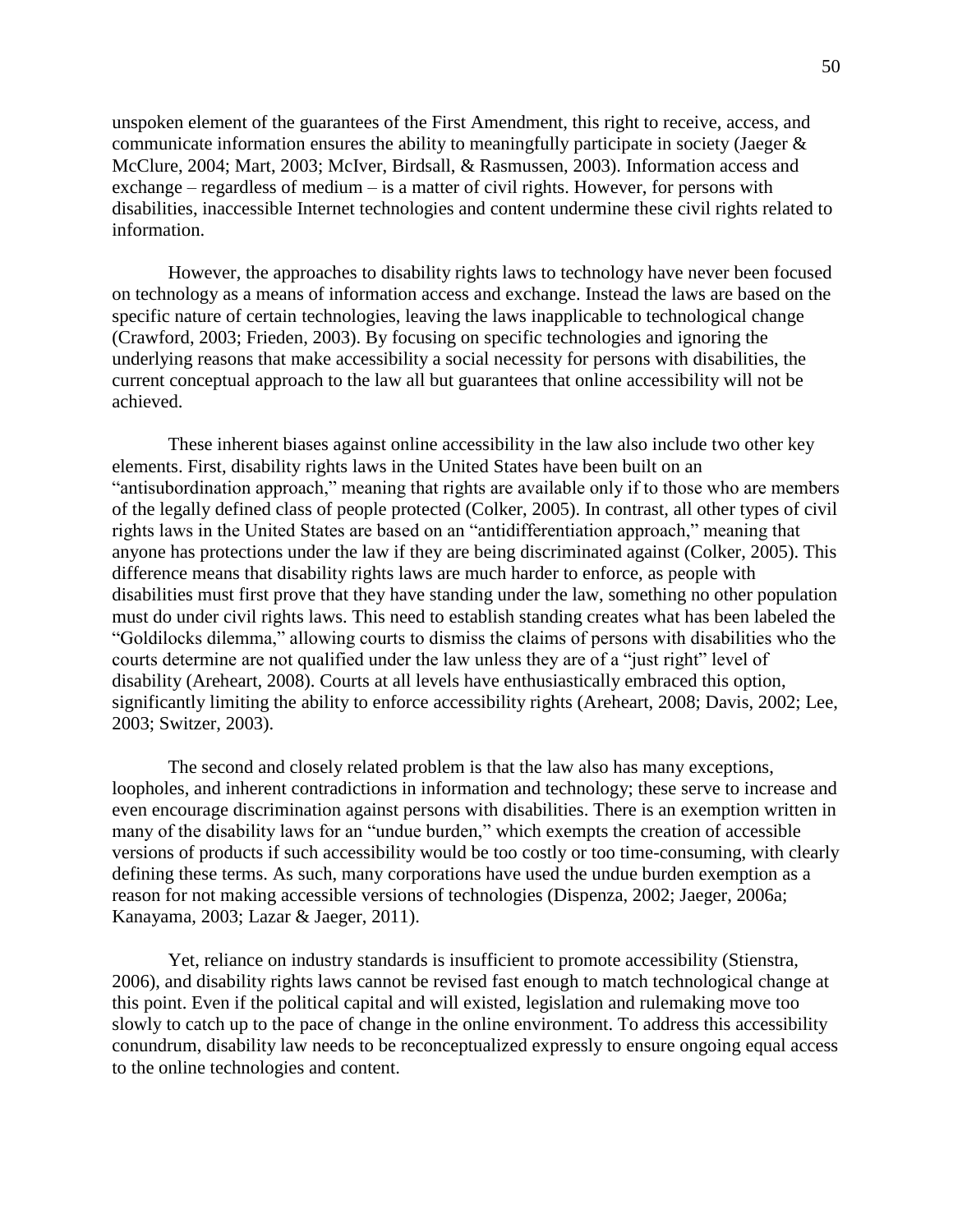unspoken element of the guarantees of the First Amendment, this right to receive, access, and communicate information ensures the ability to meaningfully participate in society (Jaeger & McClure, 2004; Mart, 2003; McIver, Birdsall, & Rasmussen, 2003). Information access and exchange – regardless of medium – is a matter of civil rights. However, for persons with disabilities, inaccessible Internet technologies and content undermine these civil rights related to information.

However, the approaches to disability rights laws to technology have never been focused on technology as a means of information access and exchange. Instead the laws are based on the specific nature of certain technologies, leaving the laws inapplicable to technological change (Crawford, 2003; Frieden, 2003). By focusing on specific technologies and ignoring the underlying reasons that make accessibility a social necessity for persons with disabilities, the current conceptual approach to the law all but guarantees that online accessibility will not be achieved.

These inherent biases against online accessibility in the law also include two other key elements. First, disability rights laws in the United States have been built on an "antisubordination approach," meaning that rights are available only if to those who are members of the legally defined class of people protected (Colker, 2005). In contrast, all other types of civil rights laws in the United States are based on an "antidifferentiation approach," meaning that anyone has protections under the law if they are being discriminated against (Colker, 2005). This difference means that disability rights laws are much harder to enforce, as people with disabilities must first prove that they have standing under the law, something no other population must do under civil rights laws. This need to establish standing creates what has been labeled the "Goldilocks dilemma," allowing courts to dismiss the claims of persons with disabilities who the courts determine are not qualified under the law unless they are of a "just right" level of disability (Areheart, 2008). Courts at all levels have enthusiastically embraced this option, significantly limiting the ability to enforce accessibility rights (Areheart, 2008; Davis, 2002; Lee, 2003; Switzer, 2003).

The second and closely related problem is that the law also has many exceptions, loopholes, and inherent contradictions in information and technology; these serve to increase and even encourage discrimination against persons with disabilities. There is an exemption written in many of the disability laws for an "undue burden," which exempts the creation of accessible versions of products if such accessibility would be too costly or too time-consuming, with clearly defining these terms. As such, many corporations have used the undue burden exemption as a reason for not making accessible versions of technologies (Dispenza, 2002; Jaeger, 2006a; Kanayama, 2003; Lazar & Jaeger, 2011).

Yet, reliance on industry standards is insufficient to promote accessibility (Stienstra, 2006), and disability rights laws cannot be revised fast enough to match technological change at this point. Even if the political capital and will existed, legislation and rulemaking move too slowly to catch up to the pace of change in the online environment. To address this accessibility conundrum, disability law needs to be reconceptualized expressly to ensure ongoing equal access to the online technologies and content.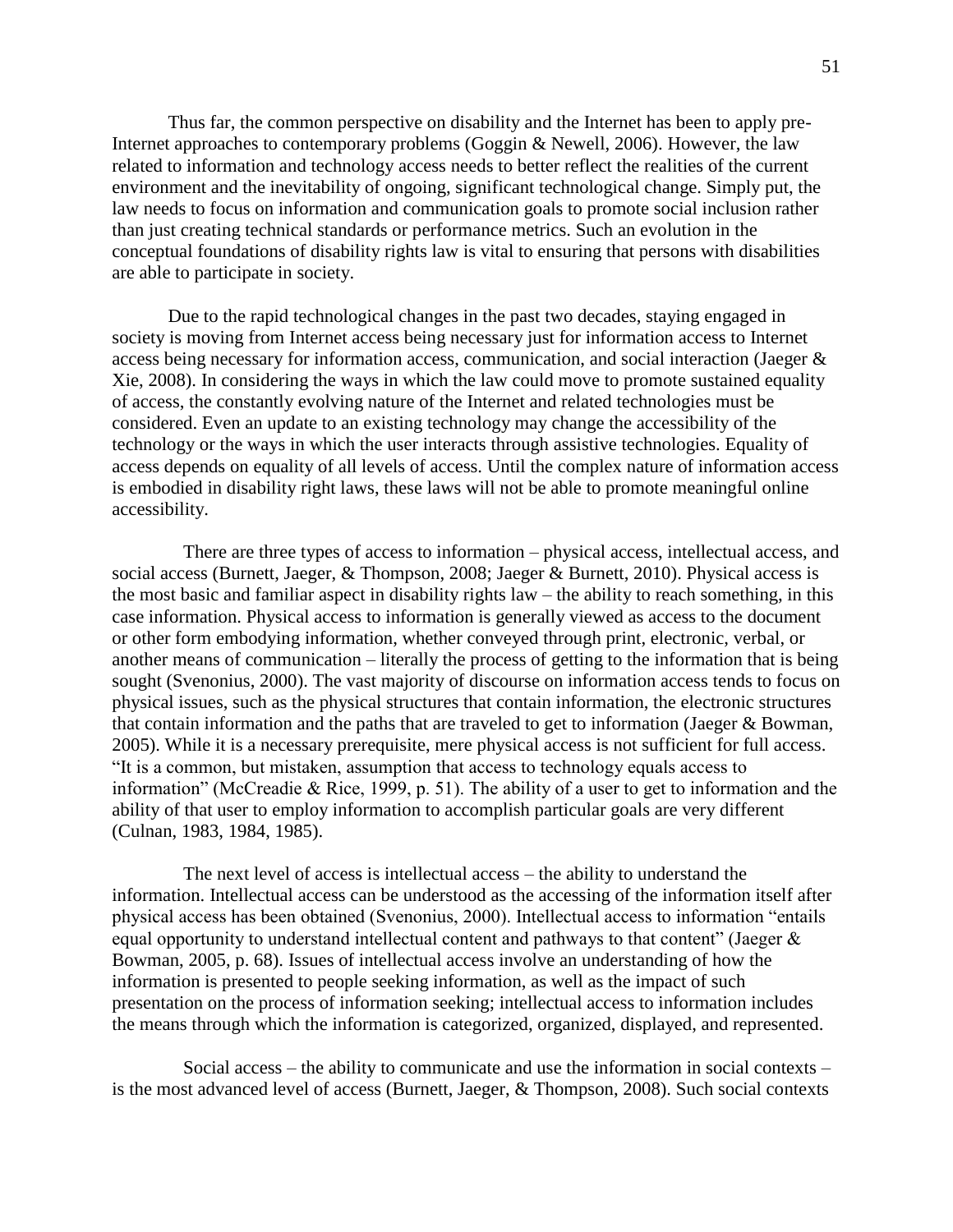Thus far, the common perspective on disability and the Internet has been to apply pre-Internet approaches to contemporary problems (Goggin & Newell, 2006). However, the law related to information and technology access needs to better reflect the realities of the current environment and the inevitability of ongoing, significant technological change. Simply put, the law needs to focus on information and communication goals to promote social inclusion rather than just creating technical standards or performance metrics. Such an evolution in the conceptual foundations of disability rights law is vital to ensuring that persons with disabilities are able to participate in society.

Due to the rapid technological changes in the past two decades, staying engaged in society is moving from Internet access being necessary just for information access to Internet access being necessary for information access, communication, and social interaction (Jaeger & Xie, 2008). In considering the ways in which the law could move to promote sustained equality of access, the constantly evolving nature of the Internet and related technologies must be considered. Even an update to an existing technology may change the accessibility of the technology or the ways in which the user interacts through assistive technologies. Equality of access depends on equality of all levels of access. Until the complex nature of information access is embodied in disability right laws, these laws will not be able to promote meaningful online accessibility.

There are three types of access to information – physical access, intellectual access, and social access (Burnett, Jaeger, & Thompson, 2008; Jaeger & Burnett, 2010). Physical access is the most basic and familiar aspect in disability rights law – the ability to reach something, in this case information. Physical access to information is generally viewed as access to the document or other form embodying information, whether conveyed through print, electronic, verbal, or another means of communication – literally the process of getting to the information that is being sought (Svenonius, 2000). The vast majority of discourse on information access tends to focus on physical issues, such as the physical structures that contain information, the electronic structures that contain information and the paths that are traveled to get to information (Jaeger & Bowman, 2005). While it is a necessary prerequisite, mere physical access is not sufficient for full access. "It is a common, but mistaken, assumption that access to technology equals access to information" (McCreadie & Rice, 1999, p. 51). The ability of a user to get to information and the ability of that user to employ information to accomplish particular goals are very different (Culnan, 1983, 1984, 1985).

The next level of access is intellectual access – the ability to understand the information. Intellectual access can be understood as the accessing of the information itself after physical access has been obtained (Svenonius, 2000). Intellectual access to information "entails equal opportunity to understand intellectual content and pathways to that content" (Jaeger  $\&$ Bowman, 2005, p. 68). Issues of intellectual access involve an understanding of how the information is presented to people seeking information, as well as the impact of such presentation on the process of information seeking; intellectual access to information includes the means through which the information is categorized, organized, displayed, and represented.

Social access – the ability to communicate and use the information in social contexts – is the most advanced level of access (Burnett, Jaeger, & Thompson, 2008). Such social contexts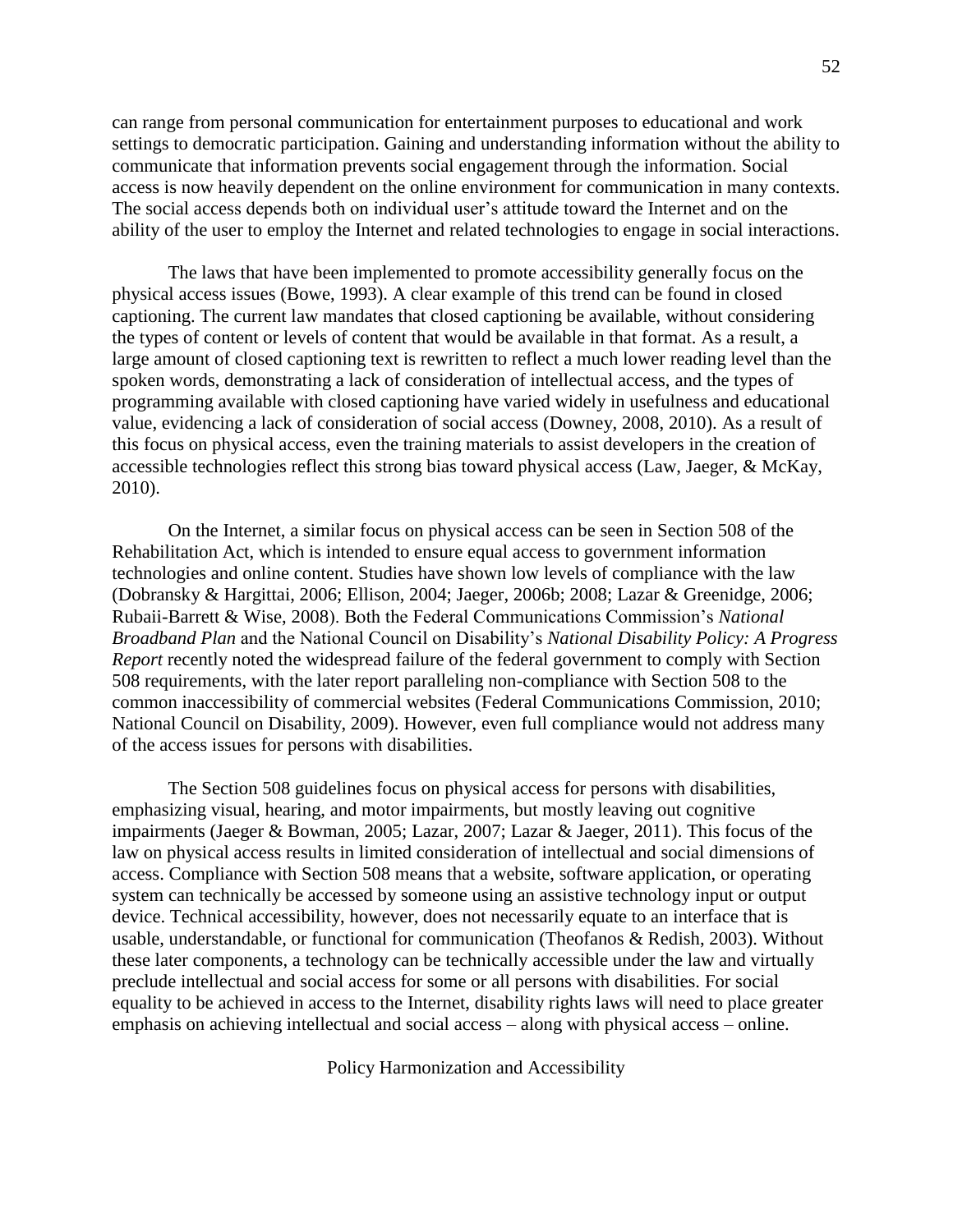can range from personal communication for entertainment purposes to educational and work settings to democratic participation. Gaining and understanding information without the ability to communicate that information prevents social engagement through the information. Social access is now heavily dependent on the online environment for communication in many contexts. The social access depends both on individual user's attitude toward the Internet and on the ability of the user to employ the Internet and related technologies to engage in social interactions.

The laws that have been implemented to promote accessibility generally focus on the physical access issues (Bowe, 1993). A clear example of this trend can be found in closed captioning. The current law mandates that closed captioning be available, without considering the types of content or levels of content that would be available in that format. As a result, a large amount of closed captioning text is rewritten to reflect a much lower reading level than the spoken words, demonstrating a lack of consideration of intellectual access, and the types of programming available with closed captioning have varied widely in usefulness and educational value, evidencing a lack of consideration of social access (Downey, 2008, 2010). As a result of this focus on physical access, even the training materials to assist developers in the creation of accessible technologies reflect this strong bias toward physical access (Law, Jaeger, & McKay, 2010).

On the Internet, a similar focus on physical access can be seen in Section 508 of the Rehabilitation Act, which is intended to ensure equal access to government information technologies and online content. Studies have shown low levels of compliance with the law (Dobransky & Hargittai, 2006; Ellison, 2004; Jaeger, 2006b; 2008; Lazar & Greenidge, 2006; Rubaii-Barrett & Wise, 2008). Both the Federal Communications Commission's *National Broadband Plan* and the National Council on Disability's *National Disability Policy: A Progress Report* recently noted the widespread failure of the federal government to comply with Section 508 requirements, with the later report paralleling non-compliance with Section 508 to the common inaccessibility of commercial websites (Federal Communications Commission, 2010; National Council on Disability, 2009). However, even full compliance would not address many of the access issues for persons with disabilities.

The Section 508 guidelines focus on physical access for persons with disabilities, emphasizing visual, hearing, and motor impairments, but mostly leaving out cognitive impairments (Jaeger & Bowman, 2005; Lazar, 2007; Lazar & Jaeger, 2011). This focus of the law on physical access results in limited consideration of intellectual and social dimensions of access. Compliance with Section 508 means that a website, software application, or operating system can technically be accessed by someone using an assistive technology input or output device. Technical accessibility, however, does not necessarily equate to an interface that is usable, understandable, or functional for communication (Theofanos & Redish, 2003). Without these later components, a technology can be technically accessible under the law and virtually preclude intellectual and social access for some or all persons with disabilities. For social equality to be achieved in access to the Internet, disability rights laws will need to place greater emphasis on achieving intellectual and social access – along with physical access – online.

Policy Harmonization and Accessibility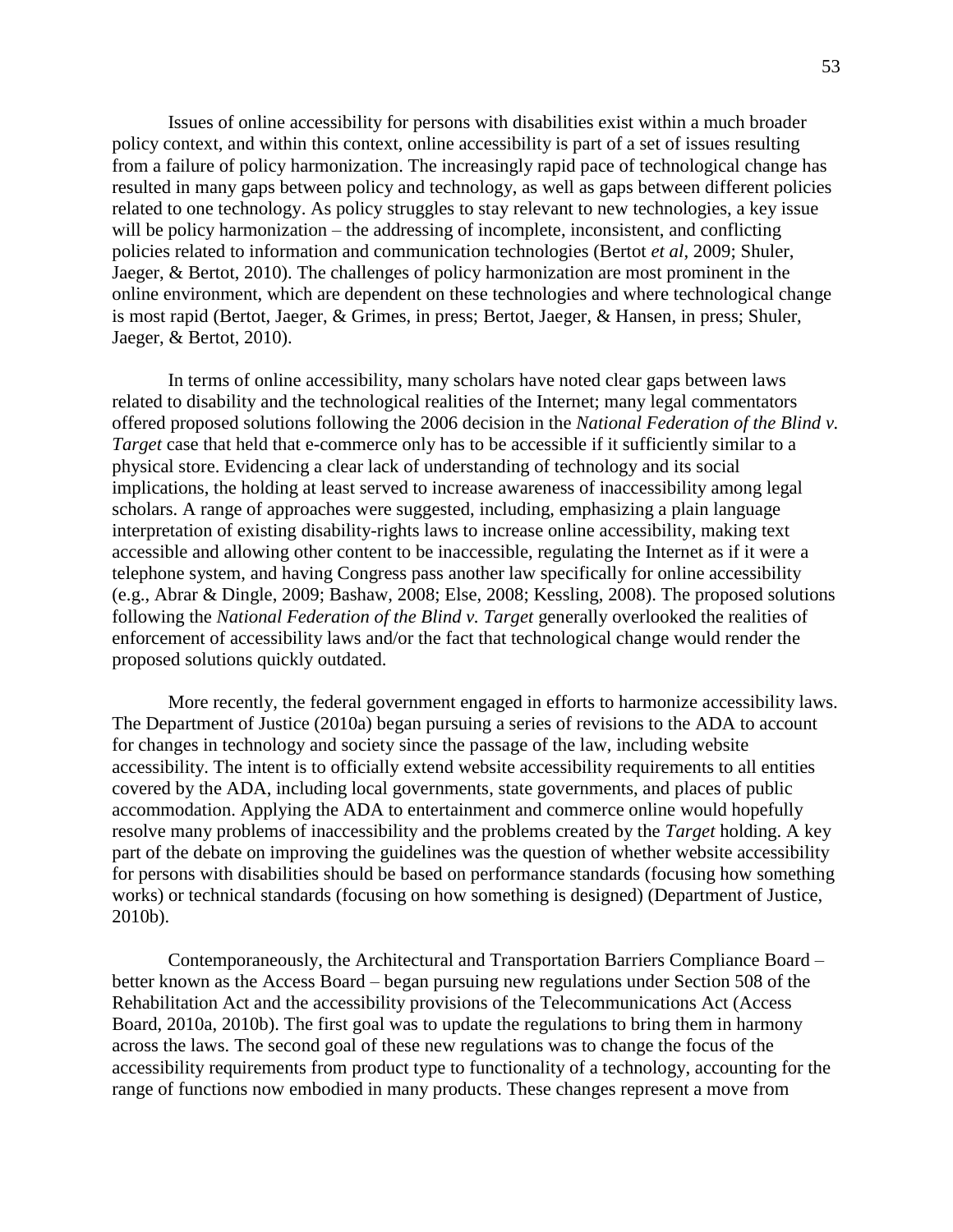Issues of online accessibility for persons with disabilities exist within a much broader policy context, and within this context, online accessibility is part of a set of issues resulting from a failure of policy harmonization. The increasingly rapid pace of technological change has resulted in many gaps between policy and technology, as well as gaps between different policies related to one technology. As policy struggles to stay relevant to new technologies, a key issue will be policy harmonization – the addressing of incomplete, inconsistent, and conflicting policies related to information and communication technologies (Bertot *et al*, 2009; Shuler, Jaeger, & Bertot, 2010). The challenges of policy harmonization are most prominent in the online environment, which are dependent on these technologies and where technological change is most rapid (Bertot, Jaeger, & Grimes, in press; Bertot, Jaeger, & Hansen, in press; Shuler, Jaeger, & Bertot, 2010).

In terms of online accessibility, many scholars have noted clear gaps between laws related to disability and the technological realities of the Internet; many legal commentators offered proposed solutions following the 2006 decision in the *National Federation of the Blind v. Target* case that held that e-commerce only has to be accessible if it sufficiently similar to a physical store. Evidencing a clear lack of understanding of technology and its social implications, the holding at least served to increase awareness of inaccessibility among legal scholars. A range of approaches were suggested, including, emphasizing a plain language interpretation of existing disability-rights laws to increase online accessibility, making text accessible and allowing other content to be inaccessible, regulating the Internet as if it were a telephone system, and having Congress pass another law specifically for online accessibility (e.g., Abrar & Dingle, 2009; Bashaw, 2008; Else, 2008; Kessling, 2008). The proposed solutions following the *National Federation of the Blind v. Target* generally overlooked the realities of enforcement of accessibility laws and/or the fact that technological change would render the proposed solutions quickly outdated.

More recently, the federal government engaged in efforts to harmonize accessibility laws. The Department of Justice (2010a) began pursuing a series of revisions to the ADA to account for changes in technology and society since the passage of the law, including website accessibility. The intent is to officially extend website accessibility requirements to all entities covered by the ADA, including local governments, state governments, and places of public accommodation. Applying the ADA to entertainment and commerce online would hopefully resolve many problems of inaccessibility and the problems created by the *Target* holding. A key part of the debate on improving the guidelines was the question of whether website accessibility for persons with disabilities should be based on performance standards (focusing how something works) or technical standards (focusing on how something is designed) (Department of Justice, 2010b).

Contemporaneously, the Architectural and Transportation Barriers Compliance Board – better known as the Access Board – began pursuing new regulations under Section 508 of the Rehabilitation Act and the accessibility provisions of the Telecommunications Act (Access Board, 2010a, 2010b). The first goal was to update the regulations to bring them in harmony across the laws. The second goal of these new regulations was to change the focus of the accessibility requirements from product type to functionality of a technology, accounting for the range of functions now embodied in many products. These changes represent a move from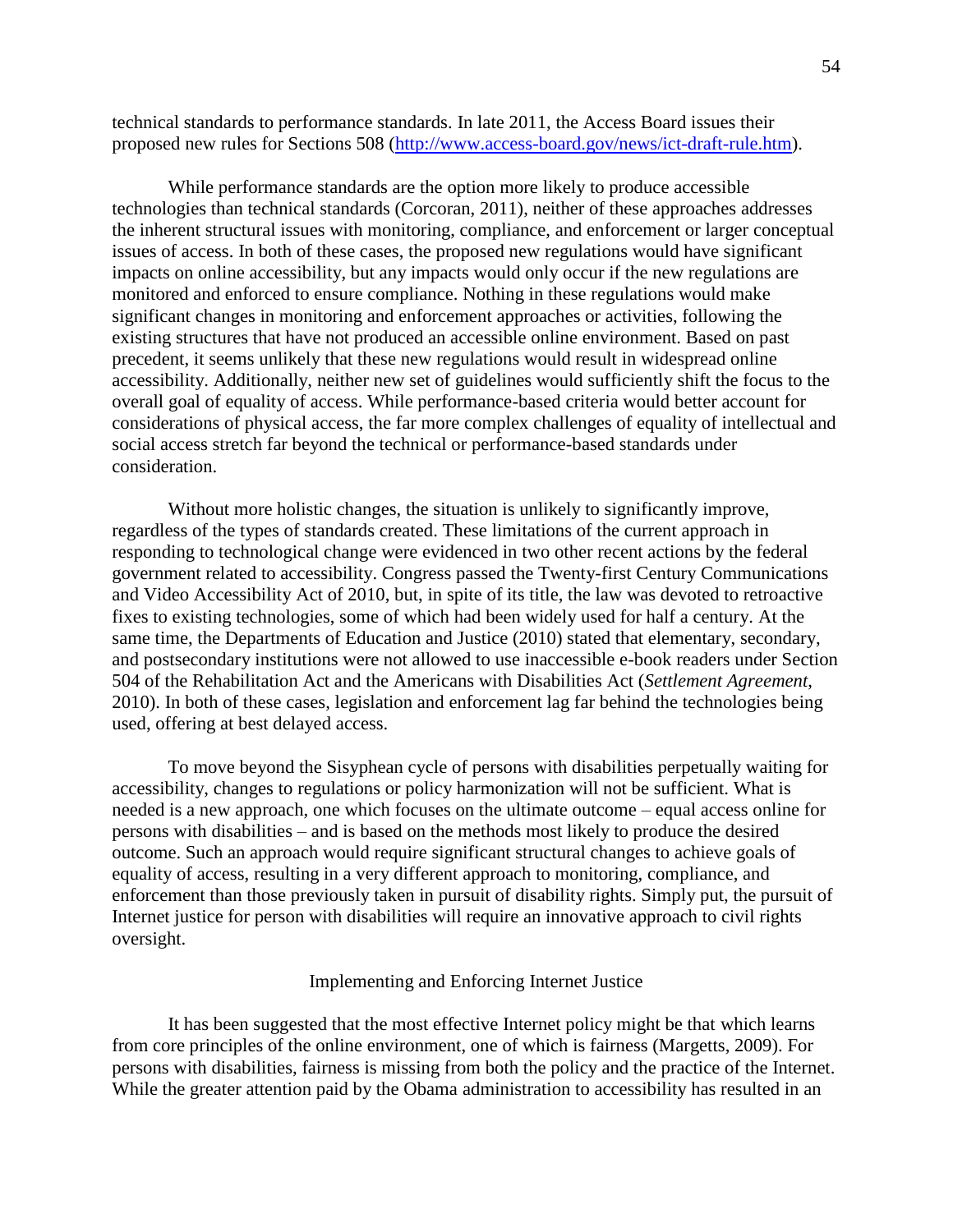technical standards to performance standards. In late 2011, the Access Board issues their proposed new rules for Sections 508 [\(http://www.access-board.gov/news/ict-draft-rule.htm\)](https://exch.mail.umd.edu/owa/redir.aspx?C=YMX8IpGaoEGfn0yNiFQAL9h4mN8l688IAXbO21ykfTDOPLUXZtLAJuElZM-oi_F2UKnQLhNRwjE.&URL=http%3a%2f%2fwww.access-board.gov%2fnews%2fict-draft-rule.htm).

While performance standards are the option more likely to produce accessible technologies than technical standards (Corcoran, 2011), neither of these approaches addresses the inherent structural issues with monitoring, compliance, and enforcement or larger conceptual issues of access. In both of these cases, the proposed new regulations would have significant impacts on online accessibility, but any impacts would only occur if the new regulations are monitored and enforced to ensure compliance. Nothing in these regulations would make significant changes in monitoring and enforcement approaches or activities, following the existing structures that have not produced an accessible online environment. Based on past precedent, it seems unlikely that these new regulations would result in widespread online accessibility. Additionally, neither new set of guidelines would sufficiently shift the focus to the overall goal of equality of access. While performance-based criteria would better account for considerations of physical access, the far more complex challenges of equality of intellectual and social access stretch far beyond the technical or performance-based standards under consideration.

Without more holistic changes, the situation is unlikely to significantly improve, regardless of the types of standards created. These limitations of the current approach in responding to technological change were evidenced in two other recent actions by the federal government related to accessibility. Congress passed the Twenty-first Century Communications and Video Accessibility Act of 2010, but, in spite of its title, the law was devoted to retroactive fixes to existing technologies, some of which had been widely used for half a century. At the same time, the Departments of Education and Justice (2010) stated that elementary, secondary, and postsecondary institutions were not allowed to use inaccessible e-book readers under Section 504 of the Rehabilitation Act and the Americans with Disabilities Act (*Settlement Agreement*, 2010). In both of these cases, legislation and enforcement lag far behind the technologies being used, offering at best delayed access.

To move beyond the Sisyphean cycle of persons with disabilities perpetually waiting for accessibility, changes to regulations or policy harmonization will not be sufficient. What is needed is a new approach, one which focuses on the ultimate outcome – equal access online for persons with disabilities – and is based on the methods most likely to produce the desired outcome. Such an approach would require significant structural changes to achieve goals of equality of access, resulting in a very different approach to monitoring, compliance, and enforcement than those previously taken in pursuit of disability rights. Simply put, the pursuit of Internet justice for person with disabilities will require an innovative approach to civil rights oversight.

#### Implementing and Enforcing Internet Justice

It has been suggested that the most effective Internet policy might be that which learns from core principles of the online environment, one of which is fairness (Margetts, 2009). For persons with disabilities, fairness is missing from both the policy and the practice of the Internet. While the greater attention paid by the Obama administration to accessibility has resulted in an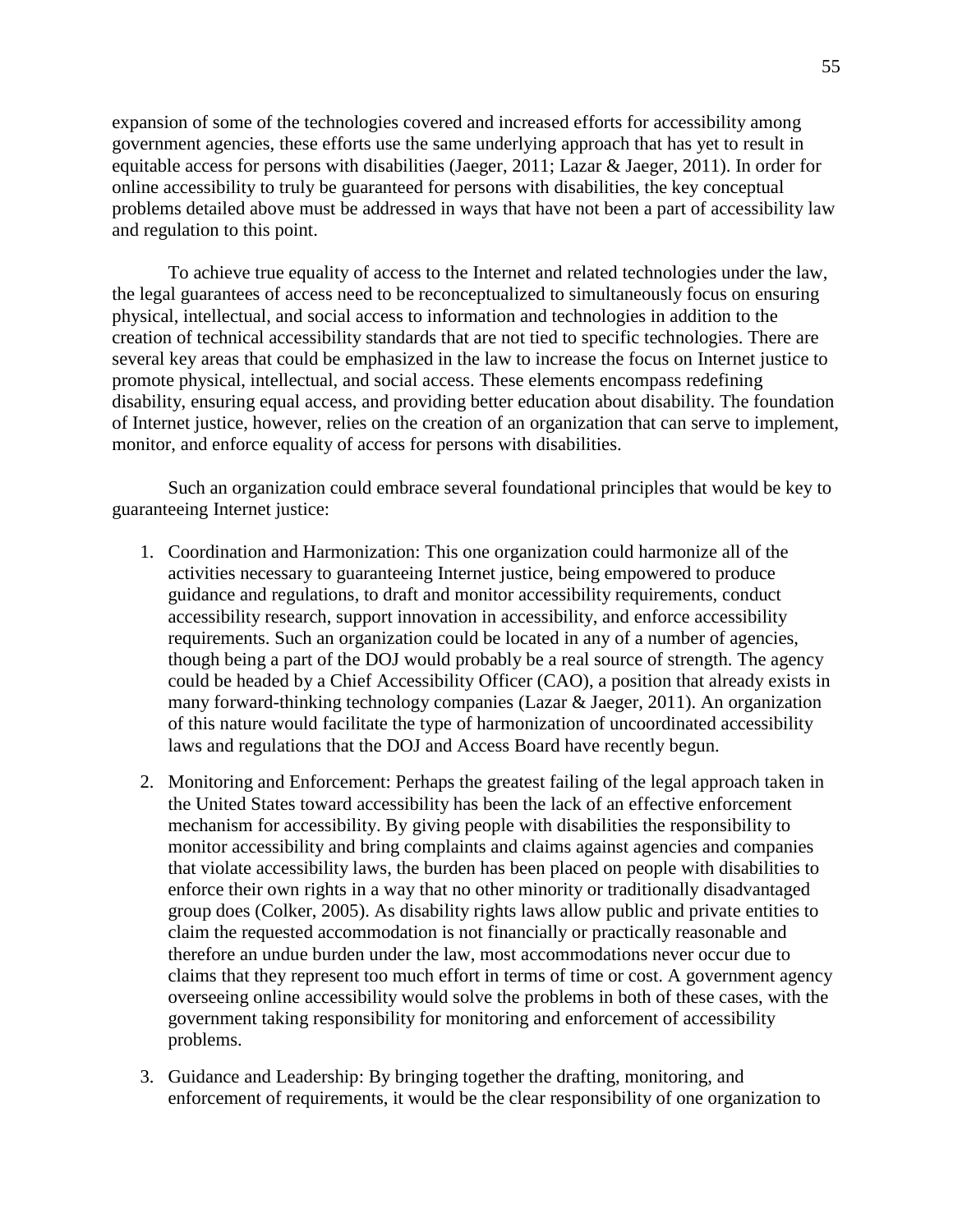expansion of some of the technologies covered and increased efforts for accessibility among government agencies, these efforts use the same underlying approach that has yet to result in equitable access for persons with disabilities (Jaeger, 2011; Lazar & Jaeger, 2011). In order for online accessibility to truly be guaranteed for persons with disabilities, the key conceptual problems detailed above must be addressed in ways that have not been a part of accessibility law and regulation to this point.

To achieve true equality of access to the Internet and related technologies under the law, the legal guarantees of access need to be reconceptualized to simultaneously focus on ensuring physical, intellectual, and social access to information and technologies in addition to the creation of technical accessibility standards that are not tied to specific technologies. There are several key areas that could be emphasized in the law to increase the focus on Internet justice to promote physical, intellectual, and social access. These elements encompass redefining disability, ensuring equal access, and providing better education about disability. The foundation of Internet justice, however, relies on the creation of an organization that can serve to implement, monitor, and enforce equality of access for persons with disabilities.

Such an organization could embrace several foundational principles that would be key to guaranteeing Internet justice:

- 1. Coordination and Harmonization: This one organization could harmonize all of the activities necessary to guaranteeing Internet justice, being empowered to produce guidance and regulations, to draft and monitor accessibility requirements, conduct accessibility research, support innovation in accessibility, and enforce accessibility requirements. Such an organization could be located in any of a number of agencies, though being a part of the DOJ would probably be a real source of strength. The agency could be headed by a Chief Accessibility Officer (CAO), a position that already exists in many forward-thinking technology companies (Lazar & Jaeger, 2011). An organization of this nature would facilitate the type of harmonization of uncoordinated accessibility laws and regulations that the DOJ and Access Board have recently begun.
- 2. Monitoring and Enforcement: Perhaps the greatest failing of the legal approach taken in the United States toward accessibility has been the lack of an effective enforcement mechanism for accessibility. By giving people with disabilities the responsibility to monitor accessibility and bring complaints and claims against agencies and companies that violate accessibility laws, the burden has been placed on people with disabilities to enforce their own rights in a way that no other minority or traditionally disadvantaged group does (Colker, 2005). As disability rights laws allow public and private entities to claim the requested accommodation is not financially or practically reasonable and therefore an undue burden under the law, most accommodations never occur due to claims that they represent too much effort in terms of time or cost. A government agency overseeing online accessibility would solve the problems in both of these cases, with the government taking responsibility for monitoring and enforcement of accessibility problems.
- 3. Guidance and Leadership: By bringing together the drafting, monitoring, and enforcement of requirements, it would be the clear responsibility of one organization to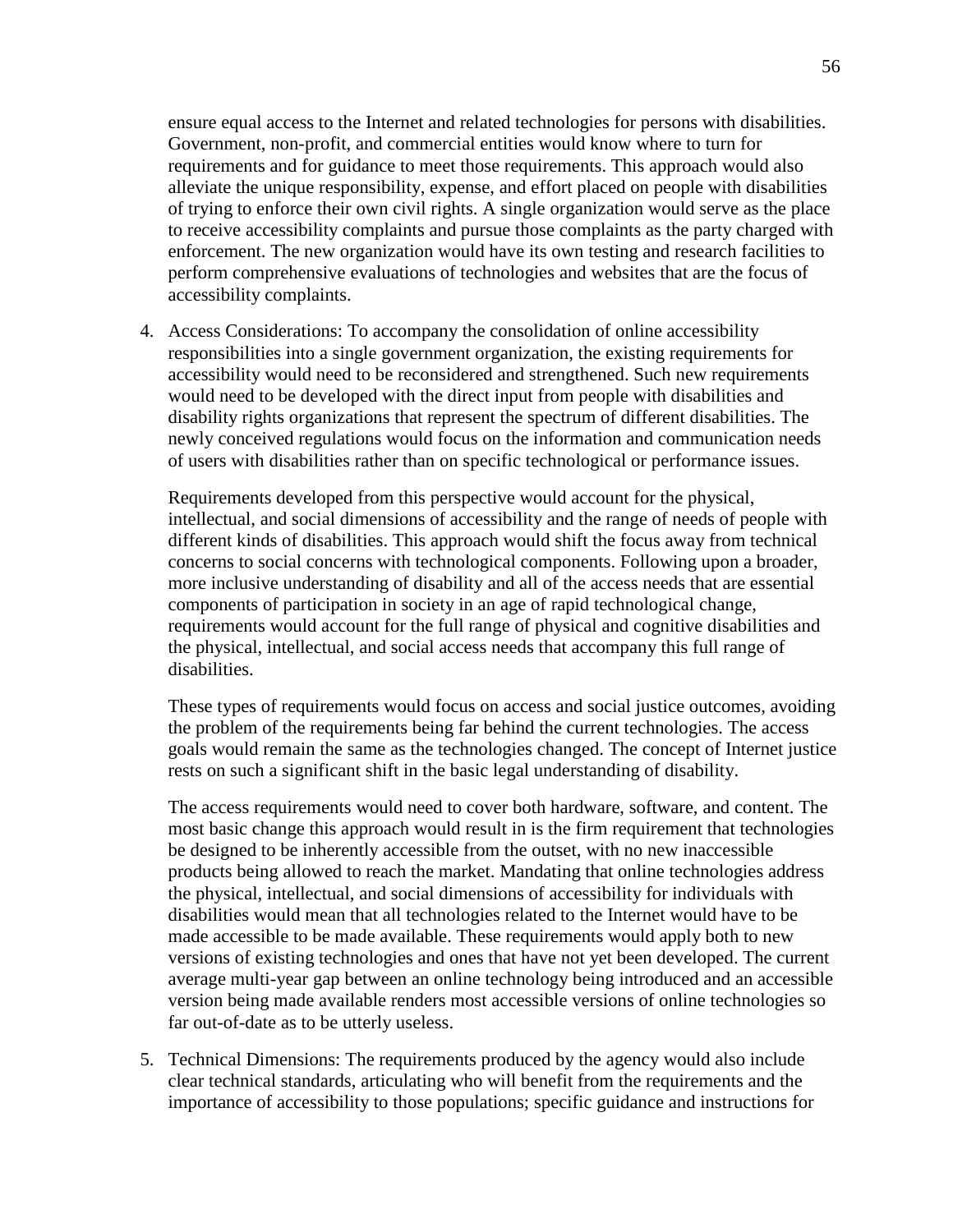ensure equal access to the Internet and related technologies for persons with disabilities. Government, non-profit, and commercial entities would know where to turn for requirements and for guidance to meet those requirements. This approach would also alleviate the unique responsibility, expense, and effort placed on people with disabilities of trying to enforce their own civil rights. A single organization would serve as the place to receive accessibility complaints and pursue those complaints as the party charged with enforcement. The new organization would have its own testing and research facilities to perform comprehensive evaluations of technologies and websites that are the focus of accessibility complaints.

4. Access Considerations: To accompany the consolidation of online accessibility responsibilities into a single government organization, the existing requirements for accessibility would need to be reconsidered and strengthened. Such new requirements would need to be developed with the direct input from people with disabilities and disability rights organizations that represent the spectrum of different disabilities. The newly conceived regulations would focus on the information and communication needs of users with disabilities rather than on specific technological or performance issues.

Requirements developed from this perspective would account for the physical, intellectual, and social dimensions of accessibility and the range of needs of people with different kinds of disabilities. This approach would shift the focus away from technical concerns to social concerns with technological components. Following upon a broader, more inclusive understanding of disability and all of the access needs that are essential components of participation in society in an age of rapid technological change, requirements would account for the full range of physical and cognitive disabilities and the physical, intellectual, and social access needs that accompany this full range of disabilities.

These types of requirements would focus on access and social justice outcomes, avoiding the problem of the requirements being far behind the current technologies. The access goals would remain the same as the technologies changed. The concept of Internet justice rests on such a significant shift in the basic legal understanding of disability.

The access requirements would need to cover both hardware, software, and content. The most basic change this approach would result in is the firm requirement that technologies be designed to be inherently accessible from the outset, with no new inaccessible products being allowed to reach the market. Mandating that online technologies address the physical, intellectual, and social dimensions of accessibility for individuals with disabilities would mean that all technologies related to the Internet would have to be made accessible to be made available. These requirements would apply both to new versions of existing technologies and ones that have not yet been developed. The current average multi-year gap between an online technology being introduced and an accessible version being made available renders most accessible versions of online technologies so far out-of-date as to be utterly useless.

5. Technical Dimensions: The requirements produced by the agency would also include clear technical standards, articulating who will benefit from the requirements and the importance of accessibility to those populations; specific guidance and instructions for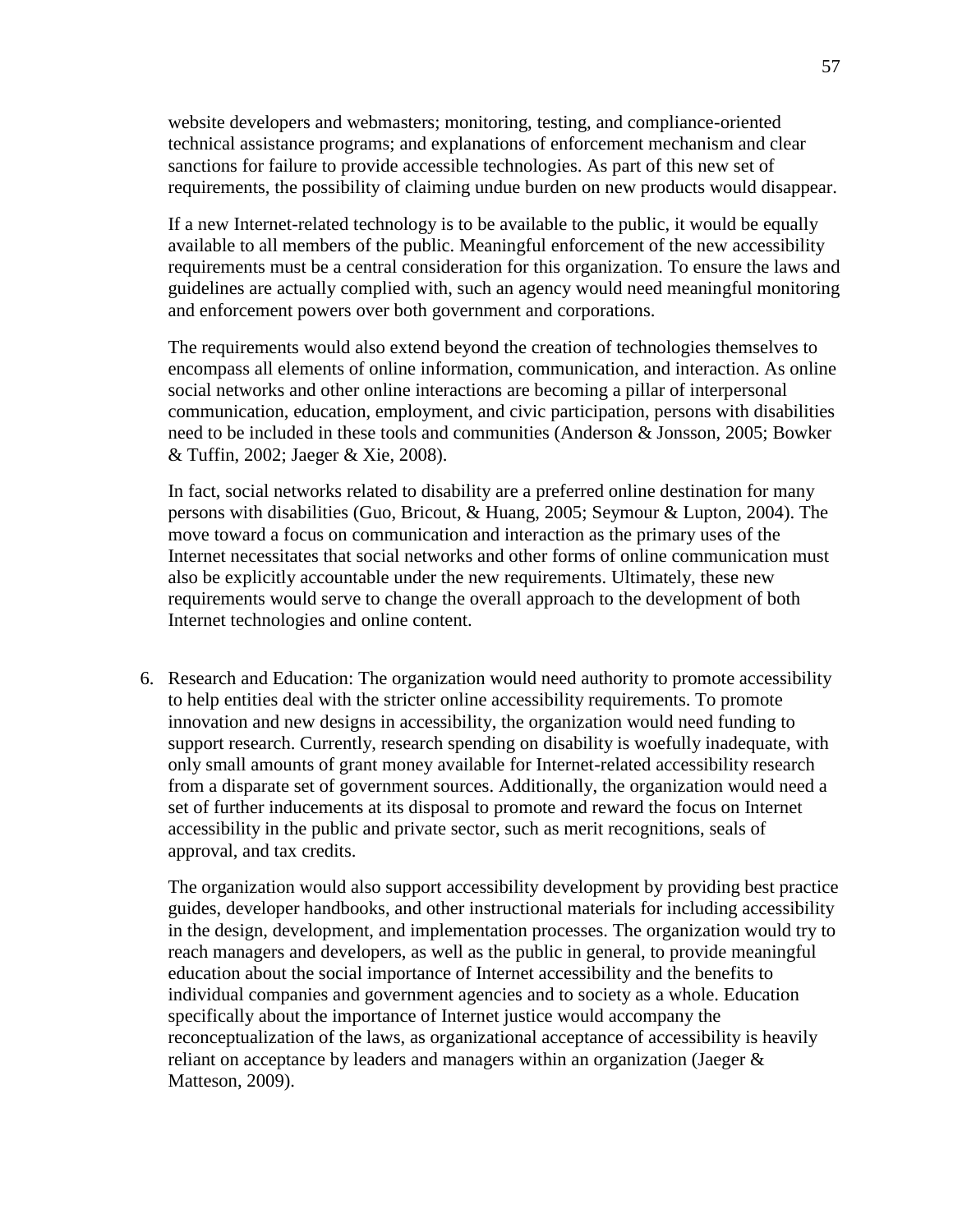website developers and webmasters; monitoring, testing, and compliance-oriented technical assistance programs; and explanations of enforcement mechanism and clear sanctions for failure to provide accessible technologies. As part of this new set of requirements, the possibility of claiming undue burden on new products would disappear.

If a new Internet-related technology is to be available to the public, it would be equally available to all members of the public. Meaningful enforcement of the new accessibility requirements must be a central consideration for this organization. To ensure the laws and guidelines are actually complied with, such an agency would need meaningful monitoring and enforcement powers over both government and corporations.

The requirements would also extend beyond the creation of technologies themselves to encompass all elements of online information, communication, and interaction. As online social networks and other online interactions are becoming a pillar of interpersonal communication, education, employment, and civic participation, persons with disabilities need to be included in these tools and communities (Anderson & Jonsson, 2005; Bowker & Tuffin, 2002; Jaeger & Xie, 2008).

In fact, social networks related to disability are a preferred online destination for many persons with disabilities (Guo, Bricout, & Huang, 2005; Seymour & Lupton, 2004). The move toward a focus on communication and interaction as the primary uses of the Internet necessitates that social networks and other forms of online communication must also be explicitly accountable under the new requirements. Ultimately, these new requirements would serve to change the overall approach to the development of both Internet technologies and online content.

6. Research and Education: The organization would need authority to promote accessibility to help entities deal with the stricter online accessibility requirements. To promote innovation and new designs in accessibility, the organization would need funding to support research. Currently, research spending on disability is woefully inadequate, with only small amounts of grant money available for Internet-related accessibility research from a disparate set of government sources. Additionally, the organization would need a set of further inducements at its disposal to promote and reward the focus on Internet accessibility in the public and private sector, such as merit recognitions, seals of approval, and tax credits.

The organization would also support accessibility development by providing best practice guides, developer handbooks, and other instructional materials for including accessibility in the design, development, and implementation processes. The organization would try to reach managers and developers, as well as the public in general, to provide meaningful education about the social importance of Internet accessibility and the benefits to individual companies and government agencies and to society as a whole. Education specifically about the importance of Internet justice would accompany the reconceptualization of the laws, as organizational acceptance of accessibility is heavily reliant on acceptance by leaders and managers within an organization (Jaeger & Matteson, 2009).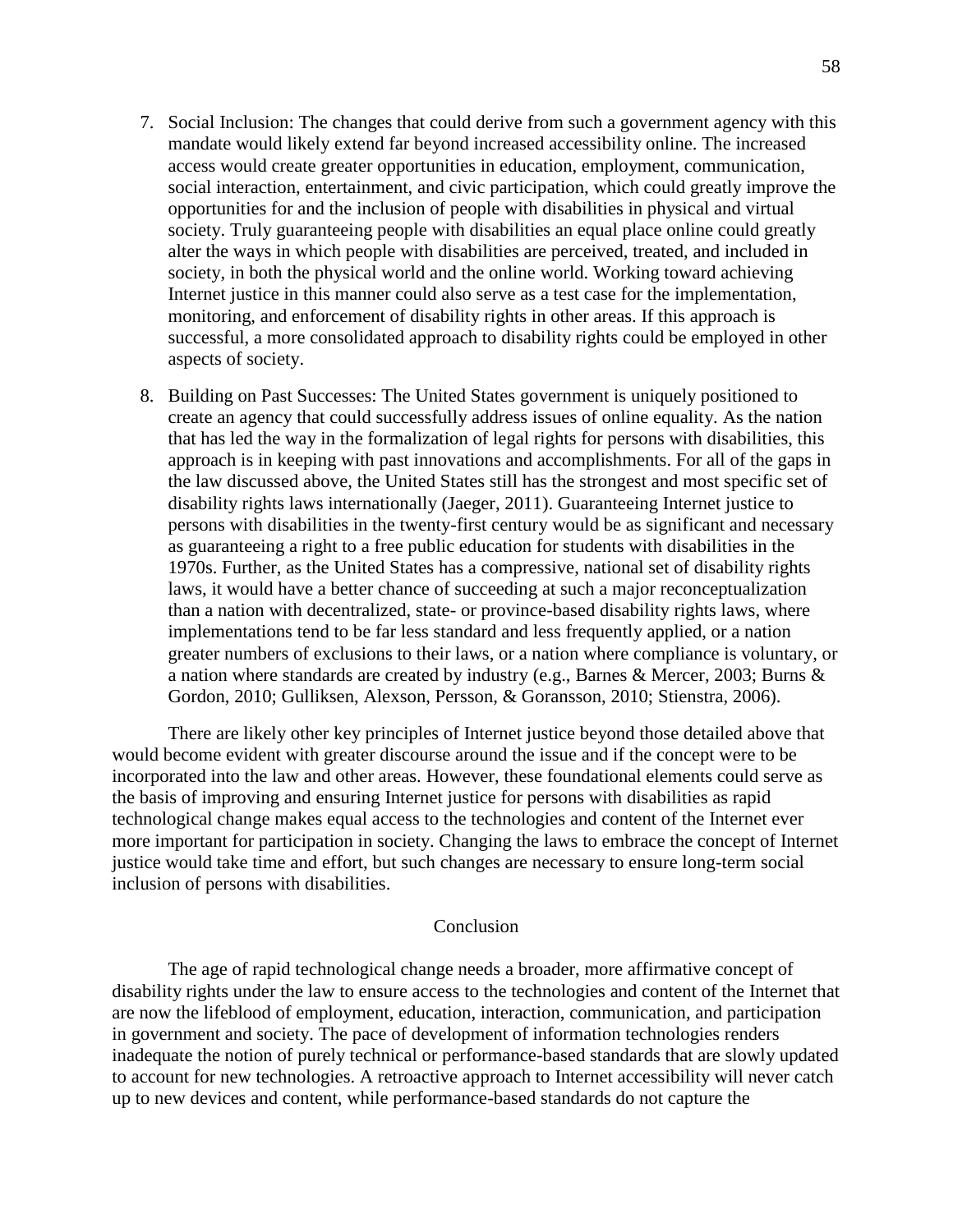- 7. Social Inclusion: The changes that could derive from such a government agency with this mandate would likely extend far beyond increased accessibility online. The increased access would create greater opportunities in education, employment, communication, social interaction, entertainment, and civic participation, which could greatly improve the opportunities for and the inclusion of people with disabilities in physical and virtual society. Truly guaranteeing people with disabilities an equal place online could greatly alter the ways in which people with disabilities are perceived, treated, and included in society, in both the physical world and the online world. Working toward achieving Internet justice in this manner could also serve as a test case for the implementation, monitoring, and enforcement of disability rights in other areas. If this approach is successful, a more consolidated approach to disability rights could be employed in other aspects of society.
- 8. Building on Past Successes: The United States government is uniquely positioned to create an agency that could successfully address issues of online equality. As the nation that has led the way in the formalization of legal rights for persons with disabilities, this approach is in keeping with past innovations and accomplishments. For all of the gaps in the law discussed above, the United States still has the strongest and most specific set of disability rights laws internationally (Jaeger, 2011). Guaranteeing Internet justice to persons with disabilities in the twenty-first century would be as significant and necessary as guaranteeing a right to a free public education for students with disabilities in the 1970s. Further, as the United States has a compressive, national set of disability rights laws, it would have a better chance of succeeding at such a major reconceptualization than a nation with decentralized, state- or province-based disability rights laws, where implementations tend to be far less standard and less frequently applied, or a nation greater numbers of exclusions to their laws, or a nation where compliance is voluntary, or a nation where standards are created by industry (e.g., Barnes & Mercer, 2003; Burns & Gordon, 2010; Gulliksen, Alexson, Persson, & Goransson, 2010; Stienstra, 2006).

There are likely other key principles of Internet justice beyond those detailed above that would become evident with greater discourse around the issue and if the concept were to be incorporated into the law and other areas. However, these foundational elements could serve as the basis of improving and ensuring Internet justice for persons with disabilities as rapid technological change makes equal access to the technologies and content of the Internet ever more important for participation in society. Changing the laws to embrace the concept of Internet justice would take time and effort, but such changes are necessary to ensure long-term social inclusion of persons with disabilities.

## Conclusion

The age of rapid technological change needs a broader, more affirmative concept of disability rights under the law to ensure access to the technologies and content of the Internet that are now the lifeblood of employment, education, interaction, communication, and participation in government and society. The pace of development of information technologies renders inadequate the notion of purely technical or performance-based standards that are slowly updated to account for new technologies. A retroactive approach to Internet accessibility will never catch up to new devices and content, while performance-based standards do not capture the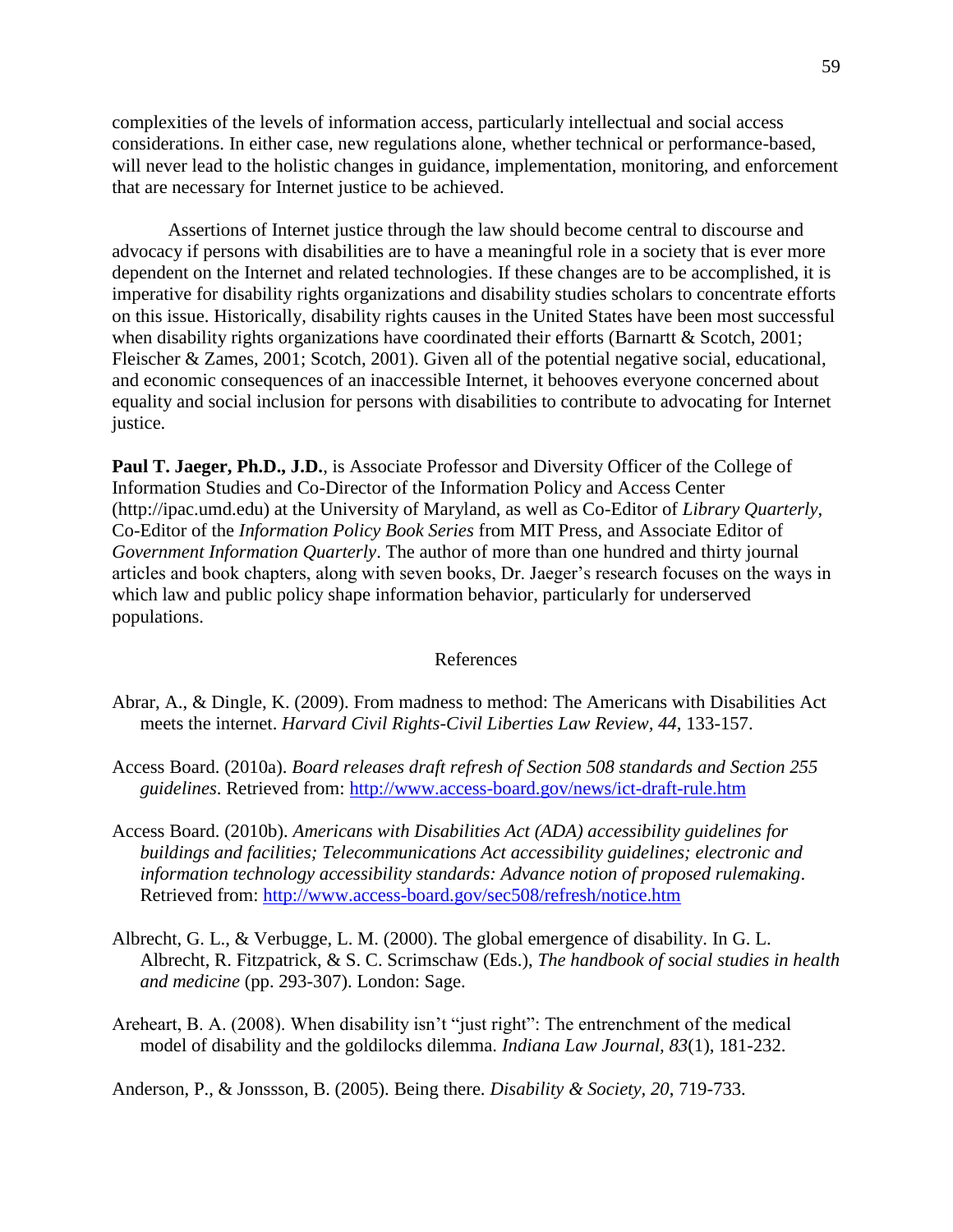complexities of the levels of information access, particularly intellectual and social access considerations. In either case, new regulations alone, whether technical or performance-based, will never lead to the holistic changes in guidance, implementation, monitoring, and enforcement that are necessary for Internet justice to be achieved.

Assertions of Internet justice through the law should become central to discourse and advocacy if persons with disabilities are to have a meaningful role in a society that is ever more dependent on the Internet and related technologies. If these changes are to be accomplished, it is imperative for disability rights organizations and disability studies scholars to concentrate efforts on this issue. Historically, disability rights causes in the United States have been most successful when disability rights organizations have coordinated their efforts (Barnartt & Scotch, 2001; Fleischer & Zames, 2001; Scotch, 2001). Given all of the potential negative social, educational, and economic consequences of an inaccessible Internet, it behooves everyone concerned about equality and social inclusion for persons with disabilities to contribute to advocating for Internet justice.

**Paul T. Jaeger, Ph.D., J.D.**, is Associate Professor and Diversity Officer of the College of Information Studies and Co-Director of the Information Policy and Access Center (http://ipac.umd.edu) at the University of Maryland, as well as Co-Editor of *Library Quarterly*, Co-Editor of the *Information Policy Book Series* from MIT Press, and Associate Editor of *Government Information Quarterly*. The author of more than one hundred and thirty journal articles and book chapters, along with seven books, Dr. Jaeger's research focuses on the ways in which law and public policy shape information behavior, particularly for underserved populations.

## References

- Abrar, A., & Dingle, K. (2009). From madness to method: The Americans with Disabilities Act meets the internet. *Harvard Civil Rights-Civil Liberties Law Review, 44*, 133-157.
- Access Board. (2010a). *Board releases draft refresh of Section 508 standards and Section 255 guidelines*. Retrieved from:<http://www.access-board.gov/news/ict-draft-rule.htm>
- Access Board. (2010b). *Americans with Disabilities Act (ADA) accessibility guidelines for buildings and facilities; Telecommunications Act accessibility guidelines; electronic and information technology accessibility standards: Advance notion of proposed rulemaking*. Retrieved from:<http://www.access-board.gov/sec508/refresh/notice.htm>
- Albrecht, G. L., & Verbugge, L. M. (2000). The global emergence of disability. In G. L. Albrecht, R. Fitzpatrick, & S. C. Scrimschaw (Eds.), *The handbook of social studies in health and medicine* (pp. 293-307). London: Sage.
- Areheart, B. A. (2008). When disability isn't "just right": The entrenchment of the medical model of disability and the goldilocks dilemma. *Indiana Law Journal, 83*(1), 181-232.

Anderson, P., & Jonssson, B. (2005). Being there. *Disability & Society, 20*, 719-733.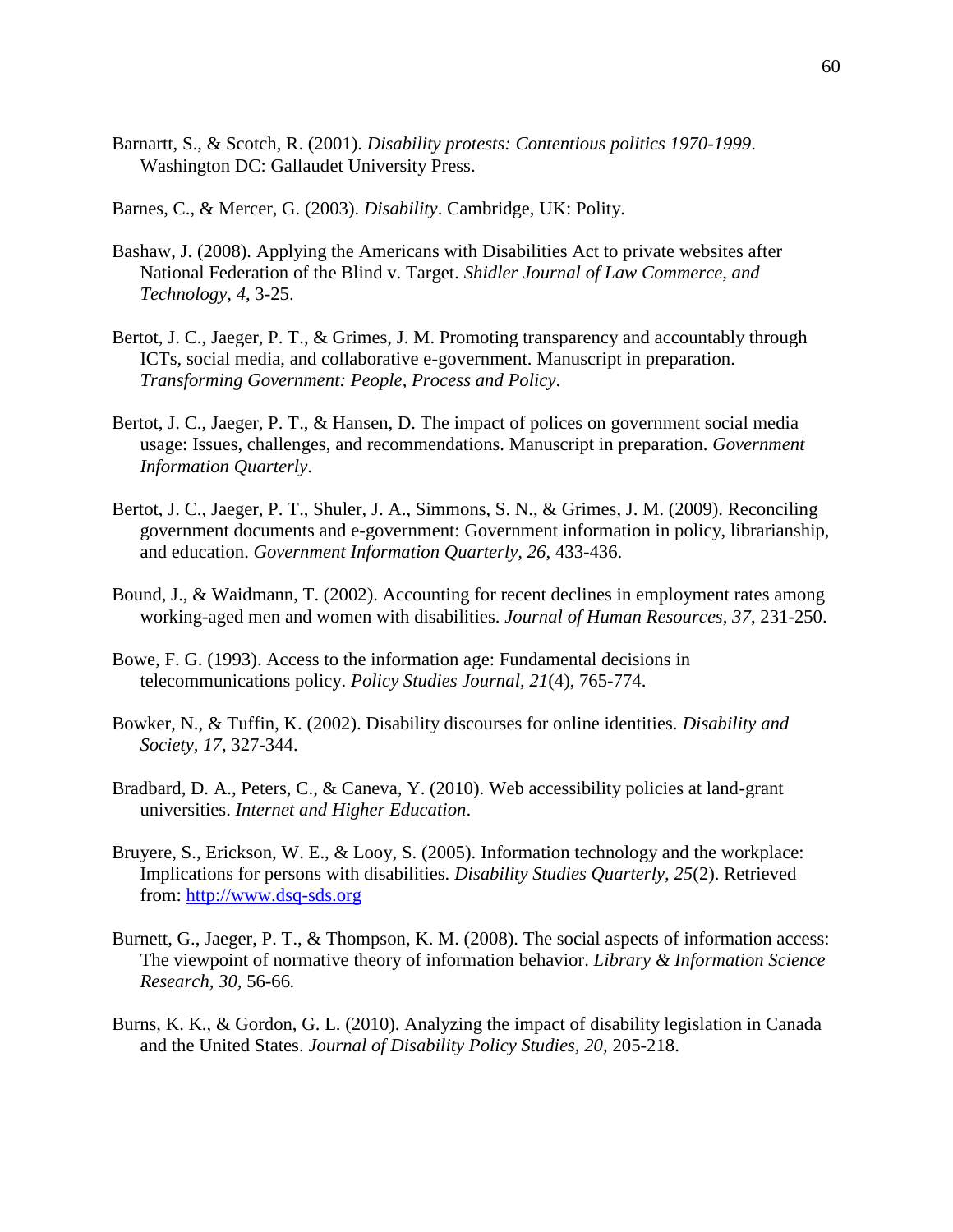- Barnartt, S., & Scotch, R. (2001). *Disability protests: Contentious politics 1970-1999*. Washington DC: Gallaudet University Press.
- Barnes, C., & Mercer, G. (2003). *Disability*. Cambridge, UK: Polity.
- Bashaw, J. (2008). Applying the Americans with Disabilities Act to private websites after National Federation of the Blind v. Target. *Shidler Journal of Law Commerce, and Technology, 4*, 3-25.
- Bertot, J. C., Jaeger, P. T., & Grimes, J. M. Promoting transparency and accountably through ICTs, social media, and collaborative e-government. Manuscript in preparation. *Transforming Government: People, Process and Policy*.
- Bertot, J. C., Jaeger, P. T., & Hansen, D. The impact of polices on government social media usage: Issues, challenges, and recommendations. Manuscript in preparation. *Government Information Quarterly*.
- Bertot, J. C., Jaeger, P. T., Shuler, J. A., Simmons, S. N., & Grimes, J. M. (2009). Reconciling government documents and e-government: Government information in policy, librarianship, and education. *Government Information Quarterly, 26*, 433-436.
- Bound, J., & Waidmann, T. (2002). Accounting for recent declines in employment rates among working-aged men and women with disabilities. *Journal of Human Resources, 37*, 231-250.
- Bowe, F. G. (1993). Access to the information age: Fundamental decisions in telecommunications policy. *Policy Studies Journal, 21*(4), 765-774.
- Bowker, N., & Tuffin, K. (2002). Disability discourses for online identities. *Disability and Society, 17*, 327-344.
- Bradbard, D. A., Peters, C., & Caneva, Y. (2010). Web accessibility policies at land-grant universities. *Internet and Higher Education*.
- Bruyere, S., Erickson, W. E., & Looy, S. (2005). Information technology and the workplace: Implications for persons with disabilities. *Disability Studies Quarterly, 25*(2). Retrieved from: [http://www.dsq-sds.org](http://www.dsq-sds.org/)
- Burnett, G., Jaeger, P. T., & Thompson, K. M. (2008). The social aspects of information access: The viewpoint of normative theory of information behavior. *Library & Information Science Research, 30*, 56-66*.*
- Burns, K. K., & Gordon, G. L. (2010). Analyzing the impact of disability legislation in Canada and the United States. *Journal of Disability Policy Studies, 20*, 205-218.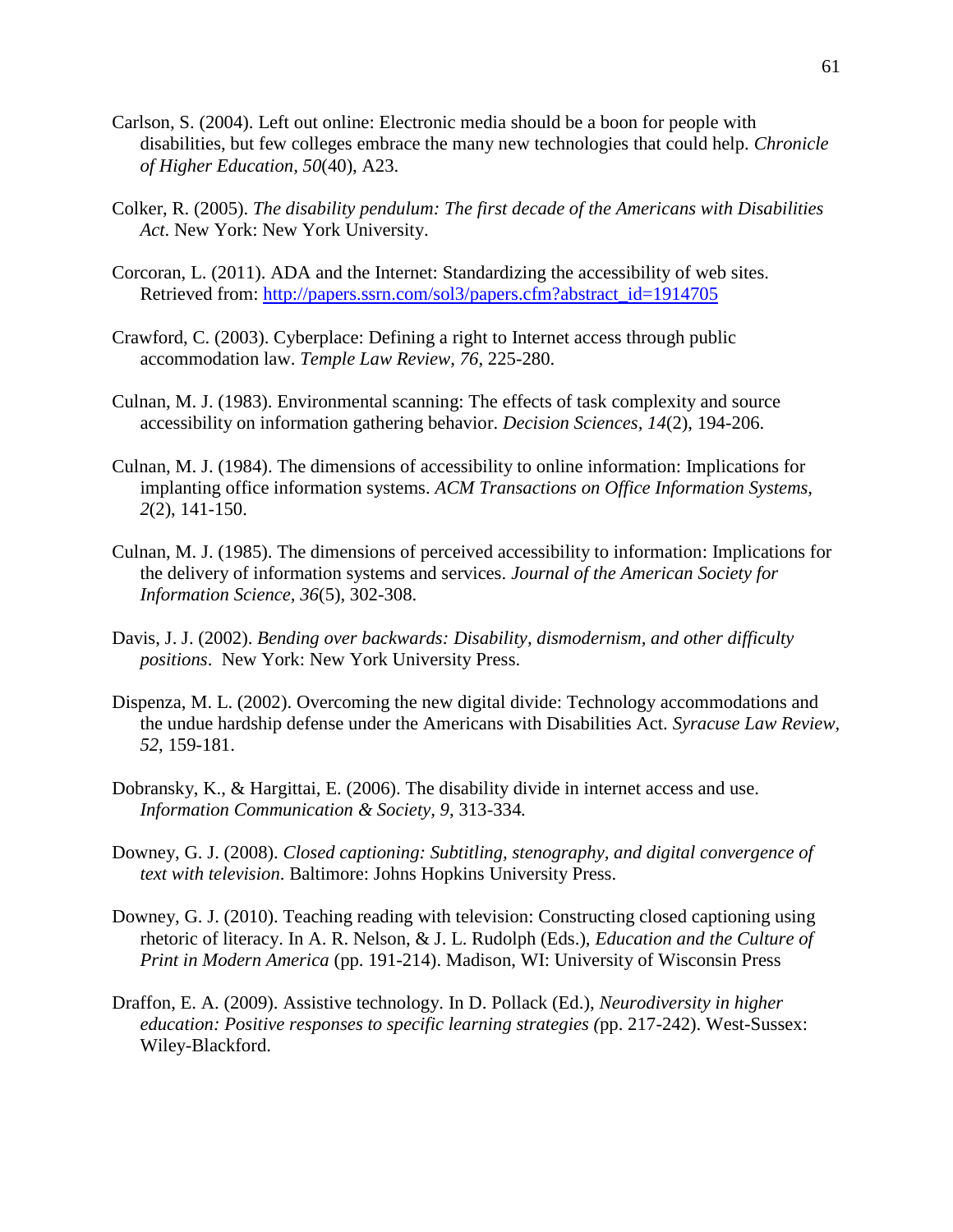- Carlson, S. (2004). Left out online: Electronic media should be a boon for people with disabilities, but few colleges embrace the many new technologies that could help. *Chronicle of Higher Education, 50*(40), A23.
- Colker, R. (2005). *The disability pendulum: The first decade of the Americans with Disabilities Act*. New York: New York University.
- Corcoran, L. (2011). ADA and the Internet: Standardizing the accessibility of web sites. Retrieved from: [http://papers.ssrn.com/sol3/papers.cfm?abstract\\_id=1914705](https://exch.mail.umd.edu/owa/redir.aspx?C=d7c4860124064e43985675ca6b5d64f4&URL=http%3a%2f%2fpapers.ssrn.com%2fsol3%2fpapers.cfm%3fabstract_id%3d1914705)
- Crawford, C. (2003). Cyberplace: Defining a right to Internet access through public accommodation law. *Temple Law Review, 76*, 225-280.
- Culnan, M. J. (1983). Environmental scanning: The effects of task complexity and source accessibility on information gathering behavior. *Decision Sciences, 14*(2), 194-206.
- Culnan, M. J. (1984). The dimensions of accessibility to online information: Implications for implanting office information systems. *ACM Transactions on Office Information Systems, 2*(2), 141-150.
- Culnan, M. J. (1985). The dimensions of perceived accessibility to information: Implications for the delivery of information systems and services. *Journal of the American Society for Information Science, 36*(5), 302-308.
- Davis, J. J. (2002). *Bending over backwards: Disability, dismodernism, and other difficulty positions*. New York: New York University Press.
- Dispenza, M. L. (2002). Overcoming the new digital divide: Technology accommodations and the undue hardship defense under the Americans with Disabilities Act. *Syracuse Law Review, 52*, 159-181.
- Dobransky, K., & Hargittai, E. (2006). The disability divide in internet access and use. *Information Communication & Society, 9*, 313-334*.*
- Downey, G. J. (2008). *Closed captioning: Subtitling, stenography, and digital convergence of text with television*. Baltimore: Johns Hopkins University Press.
- Downey, G. J. (2010). Teaching reading with television: Constructing closed captioning using rhetoric of literacy. In A. R. Nelson, & J. L. Rudolph (Eds.), *Education and the Culture of Print in Modern America* (pp. 191-214). Madison, WI: University of Wisconsin Press
- Draffon, E. A. (2009). Assistive technology. In D. Pollack (Ed.), *Neurodiversity in higher education: Positive responses to specific learning strategies (*pp. 217-242). West-Sussex: Wiley-Blackford.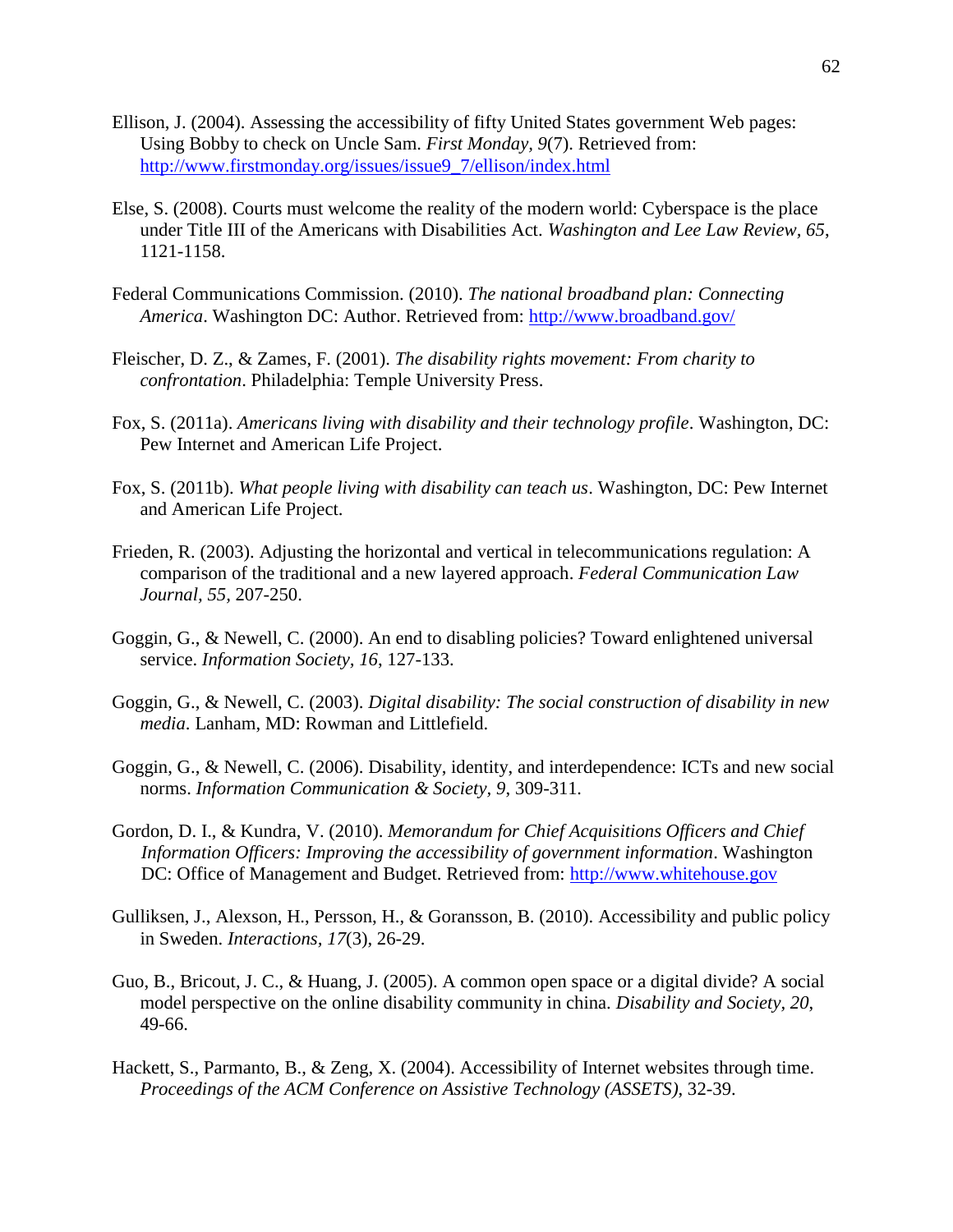- Ellison, J. (2004). Assessing the accessibility of fifty United States government Web pages: Using Bobby to check on Uncle Sam. *First Monday, 9*(7). Retrieved from[:](http://www.firstmonday.org/issues/issue9_7/ellison/index.html) [http://www.firstmonday.org/issues/issue9\\_7/ellison/index.html](http://www.firstmonday.org/issues/issue9_7/ellison/index.html)
- Else, S. (2008). Courts must welcome the reality of the modern world: Cyberspace is the place under Title III of the Americans with Disabilities Act. *Washington and Lee Law Review, 65*, 1121-1158.
- Federal Communications Commission. (2010). *The national broadband plan: Connecting America*. Washington DC: Author. Retrieved from:<http://www.broadband.gov/>
- Fleischer, D. Z., & Zames, F. (2001). *The disability rights movement: From charity to confrontation*. Philadelphia: Temple University Press.
- Fox, S. (2011a). *Americans living with disability and their technology profile*. Washington, DC: Pew Internet and American Life Project.
- Fox, S. (2011b). *What people living with disability can teach us*. Washington, DC: Pew Internet and American Life Project.
- Frieden, R. (2003). Adjusting the horizontal and vertical in telecommunications regulation: A comparison of the traditional and a new layered approach. *Federal Communication Law Journal, 55,* 207-250.
- Goggin, G., & Newell, C. (2000). An end to disabling policies? Toward enlightened universal service. *Information Society, 16*, 127-133.
- Goggin, G., & Newell, C. (2003). *Digital disability: The social construction of disability in new media*. Lanham, MD: Rowman and Littlefield.
- Goggin, G., & Newell, C. (2006). Disability, identity, and interdependence: ICTs and new social norms. *Information Communication & Society, 9*, 309-311*.*
- Gordon, D. I., & Kundra, V. (2010). *Memorandum for Chief Acquisitions Officers and Chief Information Officers: Improving the accessibility of government information*. Washington DC: Office of Management and Budget. Retrieved from: [http://www.whitehouse.gov](http://www.whitehouse.gov/)
- Gulliksen, J., Alexson, H., Persson, H., & Goransson, B. (2010). Accessibility and public policy in Sweden. *Interactions, 17*(3), 26-29.
- Guo, B., Bricout, J. C., & Huang, J. (2005). A common open space or a digital divide? A social model perspective on the online disability community in china. *Disability and Society, 20*, 49-66.
- Hackett, S., Parmanto, B., & Zeng, X. (2004). Accessibility of Internet websites through time*. Proceedings of the ACM Conference on Assistive Technology (ASSETS)*, 32-39.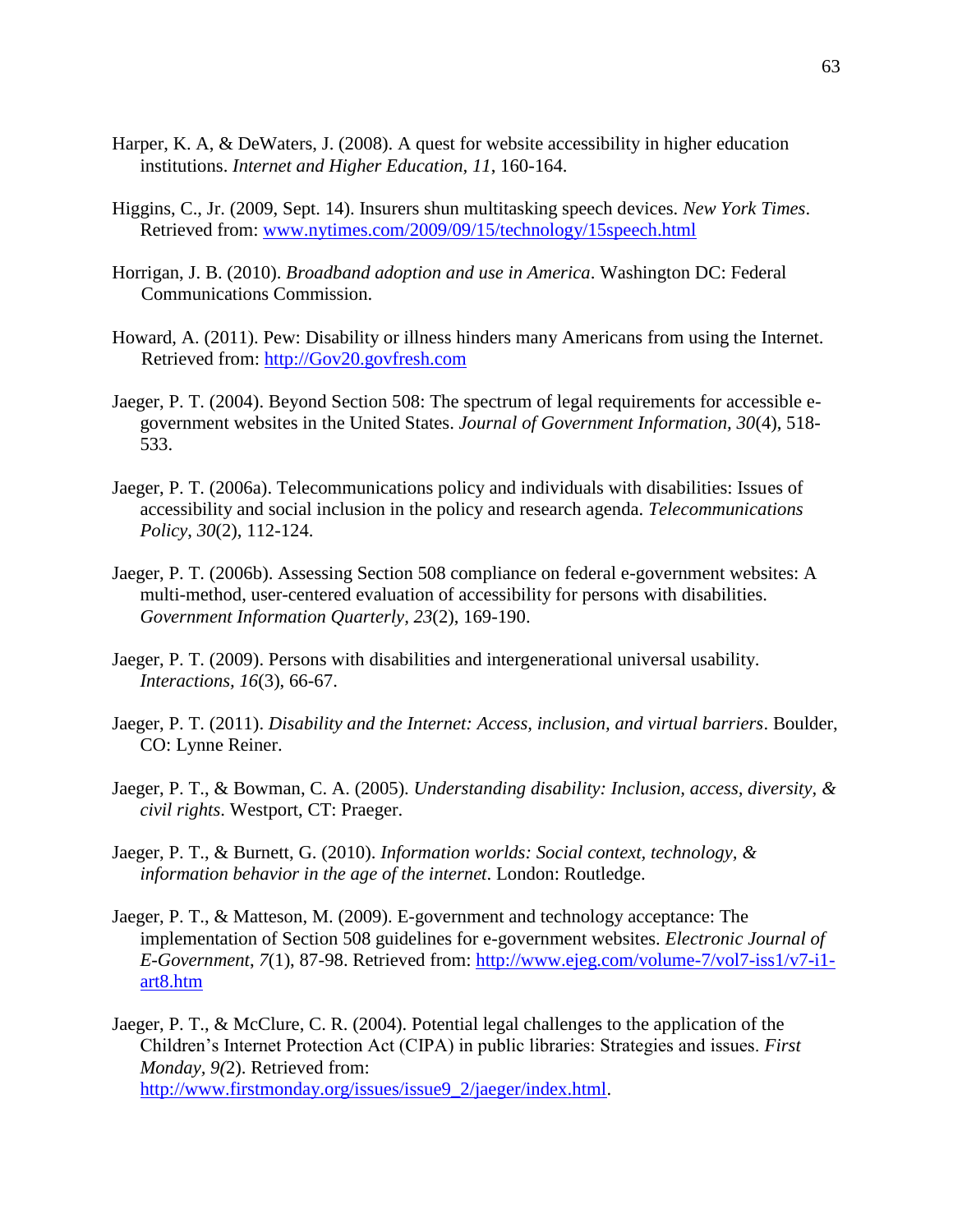- Harper, K. A, & DeWaters, J. (2008). A quest for website accessibility in higher education institutions. *Internet and Higher Education, 11*, 160-164.
- Higgins, C., Jr. (2009, Sept. 14). Insurers shun multitasking speech devices. *New York Times*. Retrieved from: [www.nytimes.com/2009/09/15/technology/15speech.html](http://www.nytimes.com/2009/09/15/technology/15speech.html)
- Horrigan, J. B. (2010). *Broadband adoption and use in America*. Washington DC: Federal Communications Commission.
- Howard, A. (2011). Pew: Disability or illness hinders many Americans from using the Internet. Retrieved from: [http://Gov20.govfresh.com](http://gov20.govfresh.com/)
- Jaeger, P. T. (2004). Beyond Section 508: The spectrum of legal requirements for accessible egovernment websites in the United States. *Journal of Government Information, 30*(4), 518- 533.
- Jaeger, P. T. (2006a). Telecommunications policy and individuals with disabilities: Issues of accessibility and social inclusion in the policy and research agenda. *Telecommunications Policy*, *30*(2), 112-124.
- Jaeger, P. T. (2006b). Assessing Section 508 compliance on federal e-government websites: A multi-method, user-centered evaluation of accessibility for persons with disabilities. *Government Information Quarterly, 23*(2), 169-190.
- Jaeger, P. T. (2009). Persons with disabilities and intergenerational universal usability. *Interactions, 16*(3), 66-67.
- Jaeger, P. T. (2011). *Disability and the Internet: Access, inclusion, and virtual barriers*. Boulder, CO: Lynne Reiner.
- Jaeger, P. T., & Bowman, C. A. (2005). *Understanding disability: Inclusion, access, diversity, & civil rights*. Westport, CT: Praeger.
- Jaeger, P. T., & Burnett, G. (2010). *Information worlds: Social context, technology, & information behavior in the age of the internet*. London: Routledge.
- Jaeger, P. T., & Matteson, M. (2009). E-government and technology acceptance: The implementation of Section 508 guidelines for e-government websites. *Electronic Journal of E-Government*, *7*(1), 87-98. Retrieved from: [http://www.ejeg.com/volume-7/vol7-iss1/v7-i1](http://www.ejeg.com/volume-7/vol7-iss1/v7-i1-art8.htm) [art8.htm](http://www.ejeg.com/volume-7/vol7-iss1/v7-i1-art8.htm)
- Jaeger, P. T., & McClure, C. R. (2004). Potential legal challenges to the application of the Children's Internet Protection Act (CIPA) in public libraries: Strategies and issues. *First Monday, 9(*2). Retrieved from: [http://www.firstmonday.org/issues/issue9\\_2/jaeger/index.html.](http://www.firstmonday.org/issues/issue9_2/jaeger/index.html)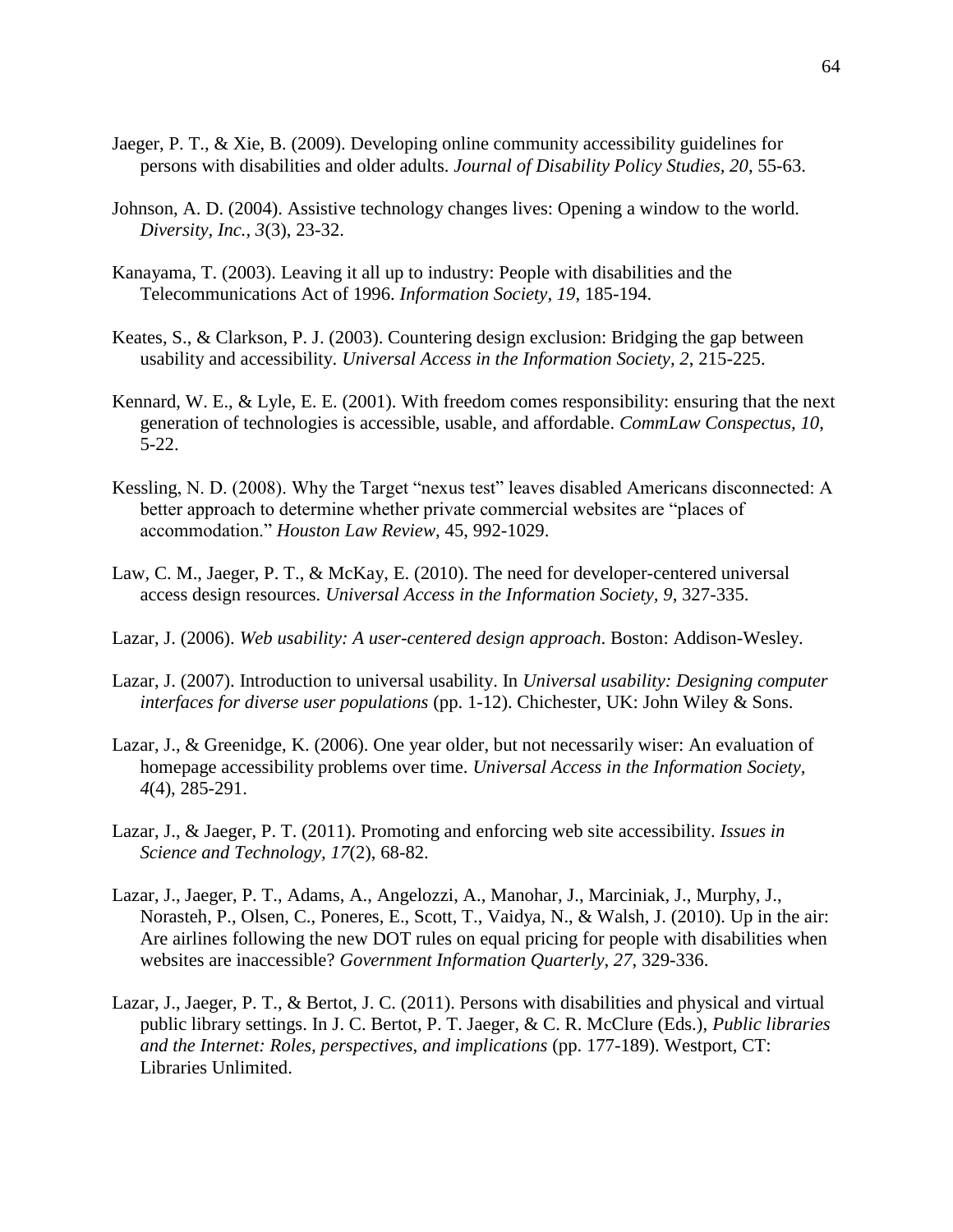- Jaeger, P. T., & Xie, B. (2009). Developing online community accessibility guidelines for persons with disabilities and older adults. *Journal of Disability Policy Studies, 20*, 55-63.
- Johnson, A. D. (2004). Assistive technology changes lives: Opening a window to the world. *Diversity, Inc., 3*(3), 23-32.
- Kanayama, T. (2003). Leaving it all up to industry: People with disabilities and the Telecommunications Act of 1996. *Information Society, 19*, 185-194.
- Keates, S., & Clarkson, P. J. (2003). Countering design exclusion: Bridging the gap between usability and accessibility. *Universal Access in the Information Society, 2*, 215-225.
- Kennard, W. E., & Lyle, E. E. (2001). With freedom comes responsibility: ensuring that the next generation of technologies is accessible, usable, and affordable. *CommLaw Conspectus, 10*, 5-22.
- Kessling, N. D. (2008). Why the Target "nexus test" leaves disabled Americans disconnected: A better approach to determine whether private commercial websites are "places of accommodation." *Houston Law Review,* 45, 992-1029.
- Law, C. M., Jaeger, P. T., & McKay, E. (2010). The need for developer-centered universal access design resources. *Universal Access in the Information Society, 9*, 327-335.
- Lazar, J. (2006). *Web usability: A user-centered design approach*. Boston: Addison-Wesley.
- Lazar, J. (2007). Introduction to universal usability. In *Universal usability: Designing computer interfaces for diverse user populations* (pp. 1-12). Chichester, UK: John Wiley & Sons.
- Lazar, J., & Greenidge, K. (2006). One year older, but not necessarily wiser: An evaluation of homepage accessibility problems over time. *Universal Access in the Information Society, 4*(4), 285-291.
- Lazar, J., & Jaeger, P. T. (2011). Promoting and enforcing web site accessibility. *Issues in Science and Technology, 17*(2), 68-82.
- Lazar, J., Jaeger, P. T., Adams, A., Angelozzi, A., Manohar, J., Marciniak, J., Murphy, J., Norasteh, P., Olsen, C., Poneres, E., Scott, T., Vaidya, N., & Walsh, J. (2010). Up in the air: Are airlines following the new DOT rules on equal pricing for people with disabilities when websites are inaccessible? *Government Information Quarterly*, *27*, 329-336.
- Lazar, J., Jaeger, P. T., & Bertot, J. C. (2011). Persons with disabilities and physical and virtual public library settings. In J. C. Bertot, P. T. Jaeger, & C. R. McClure (Eds.), *Public libraries and the Internet: Roles, perspectives, and implications* (pp. 177-189). Westport, CT: Libraries Unlimited.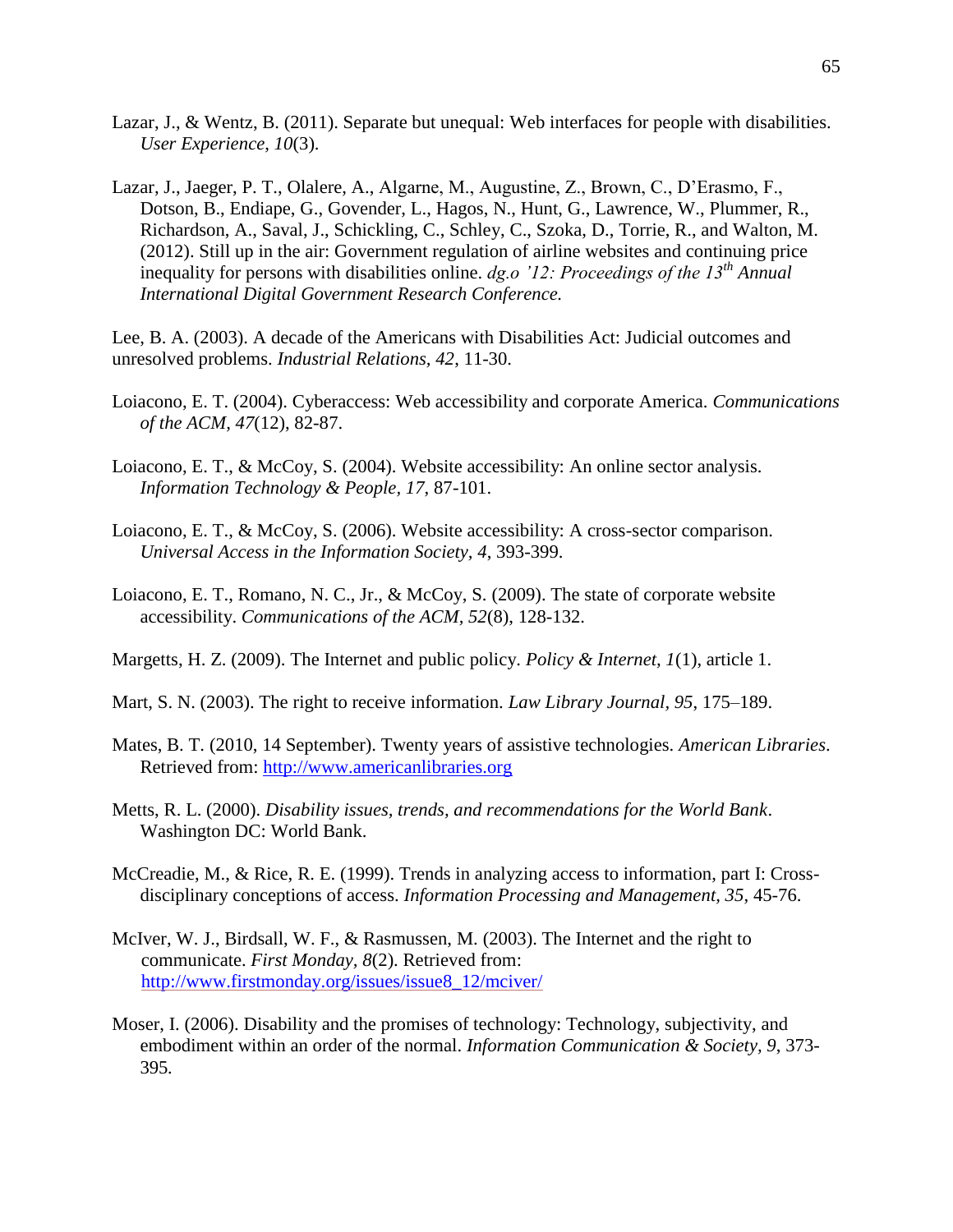- Lazar, J., & Wentz, B. (2011). Separate but unequal: Web interfaces for people with disabilities. *User Experience*, *10*(3).
- Lazar, J., Jaeger, P. T., Olalere, A., Algarne, M., Augustine, Z., Brown, C., D'Erasmo, F., Dotson, B., Endiape, G., Govender, L., Hagos, N., Hunt, G., Lawrence, W., Plummer, R., Richardson, A., Saval, J., Schickling, C., Schley, C., Szoka, D., Torrie, R., and Walton, M. (2012). Still up in the air: Government regulation of airline websites and continuing price inequality for persons with disabilities online. *dg.o '12: Proceedings of the 13th Annual International Digital Government Research Conference.*

Lee, B. A. (2003). A decade of the Americans with Disabilities Act: Judicial outcomes and unresolved problems. *Industrial Relations, 42*, 11-30.

- Loiacono, E. T. (2004). Cyberaccess: Web accessibility and corporate America. *Communications of the ACM, 47*(12), 82-87.
- Loiacono, E. T., & McCoy, S. (2004). Website accessibility: An online sector analysis. *Information Technology & People, 17*, 87-101.
- Loiacono, E. T., & McCoy, S. (2006). Website accessibility: A cross-sector comparison. *Universal Access in the Information Society, 4*, 393-399.
- Loiacono, E. T., Romano, N. C., Jr., & McCoy, S. (2009). The state of corporate website accessibility. *Communications of the ACM, 52*(8), 128-132.
- Margetts, H. Z. (2009). The Internet and public policy. *Policy & Internet, 1*(1), article 1.
- Mart, S. N. (2003). The right to receive information. *Law Library Journal, 95*, 175–189.
- Mates, B. T. (2010, 14 September). Twenty years of assistive technologies. *American Libraries*. Retrieved from: [http://www.americanlibraries.org](http://www.americanlibraries.org/)
- Metts, R. L. (2000). *Disability issues, trends, and recommendations for the World Bank*. Washington DC: World Bank.
- McCreadie, M., & Rice, R. E. (1999). Trends in analyzing access to information, part I: Crossdisciplinary conceptions of access. *Information Processing and Management, 35*, 45-76.
- McIver, W. J., Birdsall, W. F., & Rasmussen, M. (2003). The Internet and the right to communicate. *First Monday, 8*(2). Retrieved from: [http://www.firstmonday.org/issues/issue8\\_12/mciver/](http://www.firstmonday.org/issues/issue8_12/mciver/)
- Moser, I. (2006). Disability and the promises of technology: Technology, subjectivity, and embodiment within an order of the normal. *Information Communication & Society, 9*, 373- 395*.*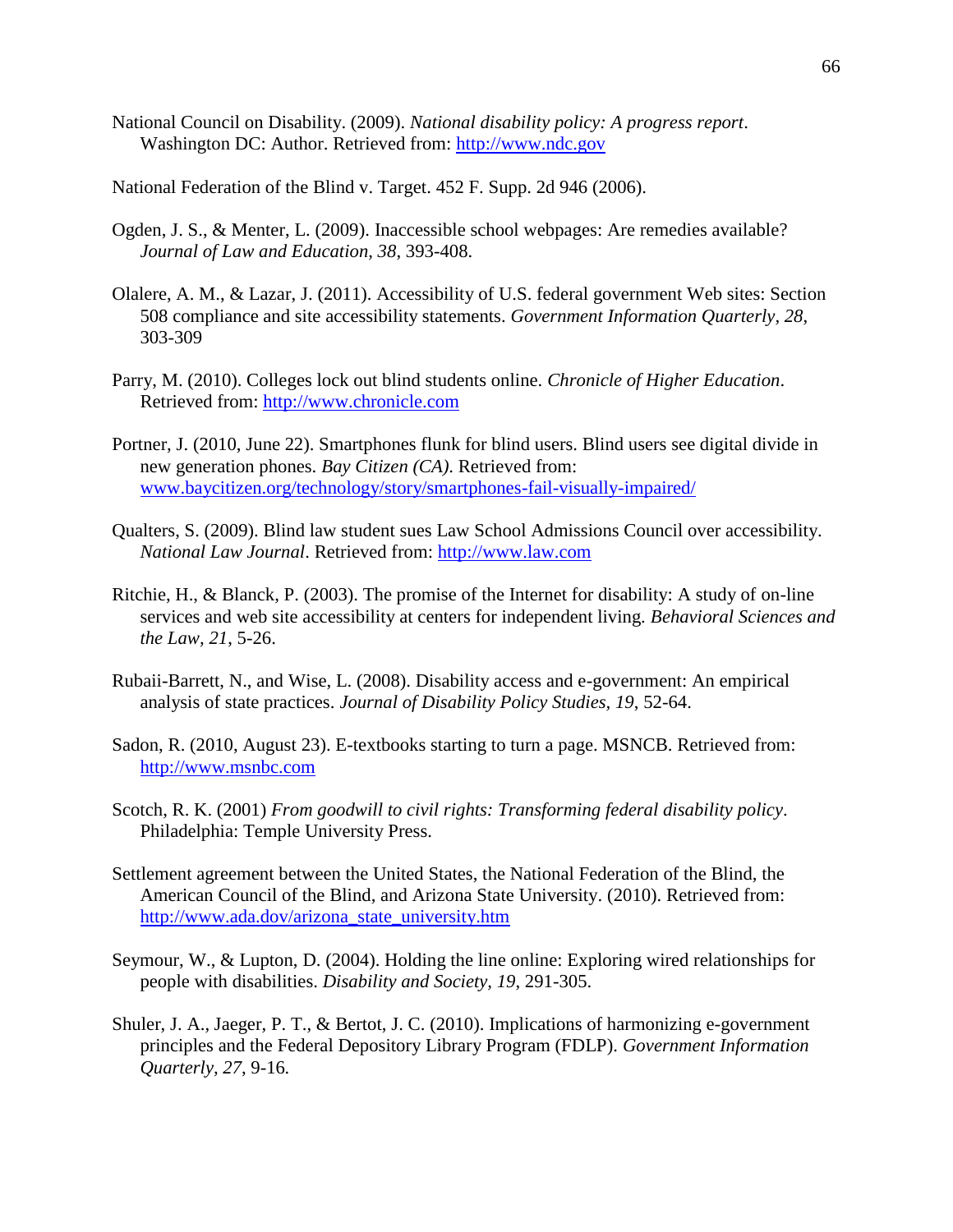- National Council on Disability. (2009). *National disability policy: A progress report*. Washington DC: Author. Retrieved from: [http://www.ndc.gov](http://www.ndc.gov/)
- National Federation of the Blind v. Target. 452 F. Supp. 2d 946 (2006).
- Ogden, J. S., & Menter, L. (2009). Inaccessible school webpages: Are remedies available? *Journal of Law and Education, 38*, 393-408.
- Olalere, A. M., & Lazar, J. (2011). Accessibility of U.S. federal government Web sites: Section 508 compliance and site accessibility statements. *Government Information Quarterly, 28*, 303-309
- Parry, M. (2010). Colleges lock out blind students online. *Chronicle of Higher Education*. Retrieved from: [http://www.chronicle.com](http://www.chronicle.com/)
- Portner, J. (2010, June 22). Smartphones flunk for blind users. Blind users see digital divide in new generation phones. *Bay Citizen (CA)*. Retrieved from: [www.baycitizen.org/technology/story/smartphones-fail-visually-impaired/](http://www.baycitizen.org/technology/story/smartphones-fail-visually-impaired/)
- Qualters, S. (2009). Blind law student sues Law School Admissions Council over accessibility. *National Law Journal*. Retrieved from: [http://www.law.com](http://www.law.com/)
- Ritchie, H., & Blanck, P. (2003). The promise of the Internet for disability: A study of on-line services and web site accessibility at centers for independent living. *Behavioral Sciences and the Law, 21*, 5-26.
- Rubaii-Barrett, N., and Wise, L. (2008). Disability access and e-government: An empirical analysis of state practices. *Journal of Disability Policy Studies, 19*, 52-64.
- Sadon, R. (2010, August 23). E-textbooks starting to turn a page. MSNCB. Retrieved from: [http://www.msnbc.com](http://www.msnbc.com/)
- Scotch, R. K. (2001) *From goodwill to civil rights: Transforming federal disability policy*. Philadelphia: Temple University Press.
- Settlement agreement between the United States, the National Federation of the Blind, the American Council of the Blind, and Arizona State University. (2010). Retrieved from: [http://www.ada.dov/arizona\\_state\\_university.htm](http://www.ada.dov/arizona_state_university.htm)
- Seymour, W., & Lupton, D. (2004). Holding the line online: Exploring wired relationships for people with disabilities. *Disability and Society, 19*, 291-305.
- Shuler, J. A., Jaeger, P. T., & Bertot, J. C. (2010). Implications of harmonizing e-government principles and the Federal Depository Library Program (FDLP). *Government Information Quarterly, 27*, 9-16*.*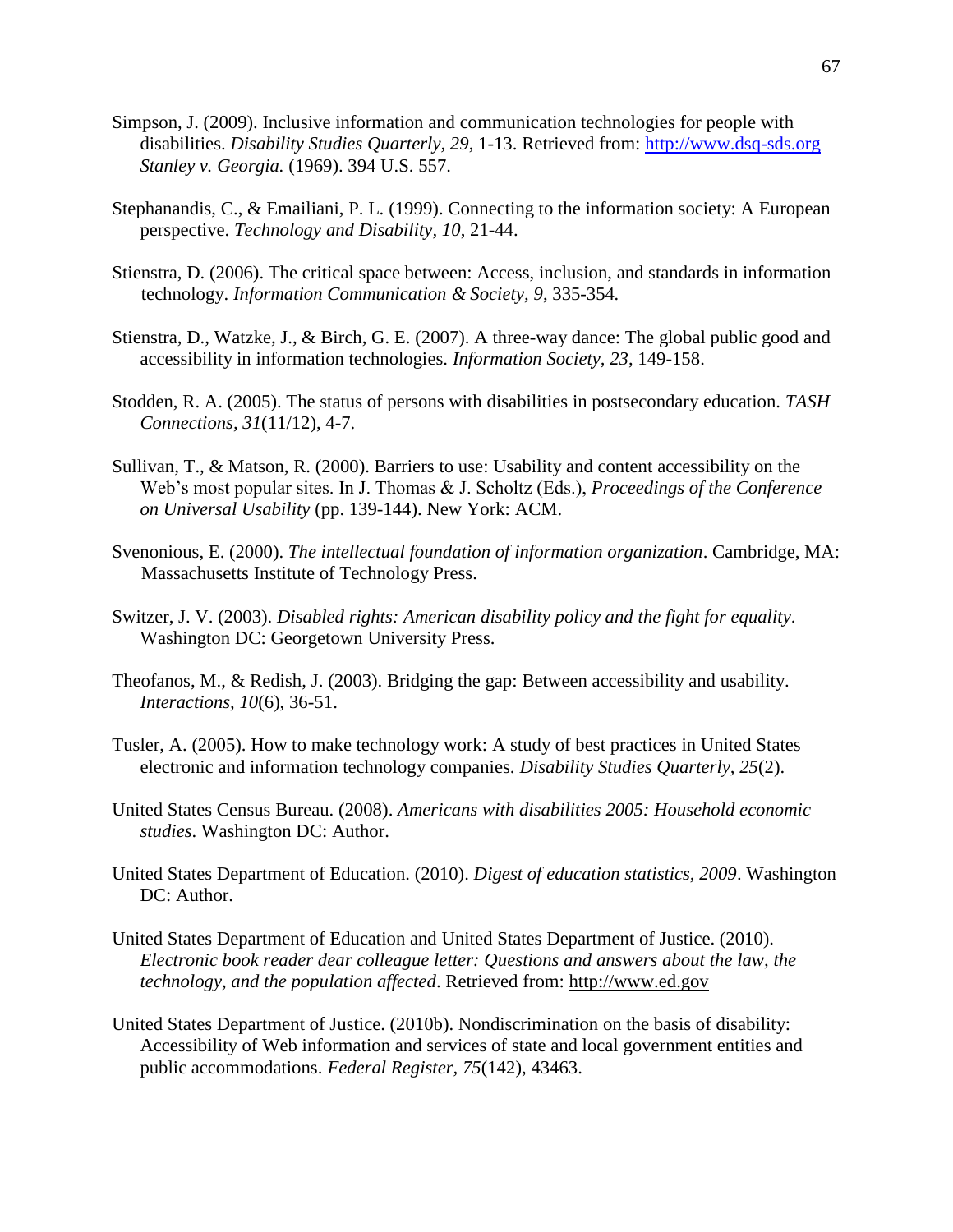- Simpson, J. (2009). Inclusive information and communication technologies for people with disabilities. *Disability Studies Quarterly, 29*, 1-13. Retrieved from: [http://www.dsq-sds.org](http://www.dsq-sds.org/)  *Stanley v. Georgia.* (1969). 394 U.S. 557.
- Stephanandis, C., & Emailiani, P. L. (1999). Connecting to the information society: A European perspective. *Technology and Disability, 10*, 21-44.
- Stienstra, D. (2006). The critical space between: Access, inclusion, and standards in information technology. *Information Communication & Society, 9*, 335-354*.*
- Stienstra, D., Watzke, J., & Birch, G. E. (2007). A three-way dance: The global public good and accessibility in information technologies. *Information Society, 23*, 149-158.
- Stodden, R. A. (2005). The status of persons with disabilities in postsecondary education. *TASH Connections, 31*(11/12), 4-7.
- Sullivan, T., & Matson, R. (2000). Barriers to use: Usability and content accessibility on the Web's most popular sites. In J. Thomas & J. Scholtz (Eds.), *Proceedings of the Conference on Universal Usability* (pp. 139-144). New York: ACM.
- Svenonious, E. (2000). *The intellectual foundation of information organization*. Cambridge, MA: Massachusetts Institute of Technology Press.
- Switzer, J. V. (2003). *Disabled rights: American disability policy and the fight for equality*. Washington DC: Georgetown University Press.
- Theofanos, M., & Redish, J. (2003). Bridging the gap: Between accessibility and usability. *Interactions, 10*(6), 36-51.
- Tusler, A. (2005). How to make technology work: A study of best practices in United States electronic and information technology companies. *Disability Studies Quarterly, 25*(2).
- United States Census Bureau. (2008). *Americans with disabilities 2005: Household economic studies*. Washington DC: Author.
- United States Department of Education. (2010). *Digest of education statistics, 2009*. Washington DC: Author.
- United States Department of Education and United States Department of Justice. (2010). *Electronic book reader dear colleague letter: Questions and answers about the law, the technology, and the population affected*. Retrieved from: [http://www.ed.gov](http://www.ed.gov/)
- United States Department of Justice. (2010b). Nondiscrimination on the basis of disability: Accessibility of Web information and services of state and local government entities and public accommodations. *Federal Register, 75*(142), 43463.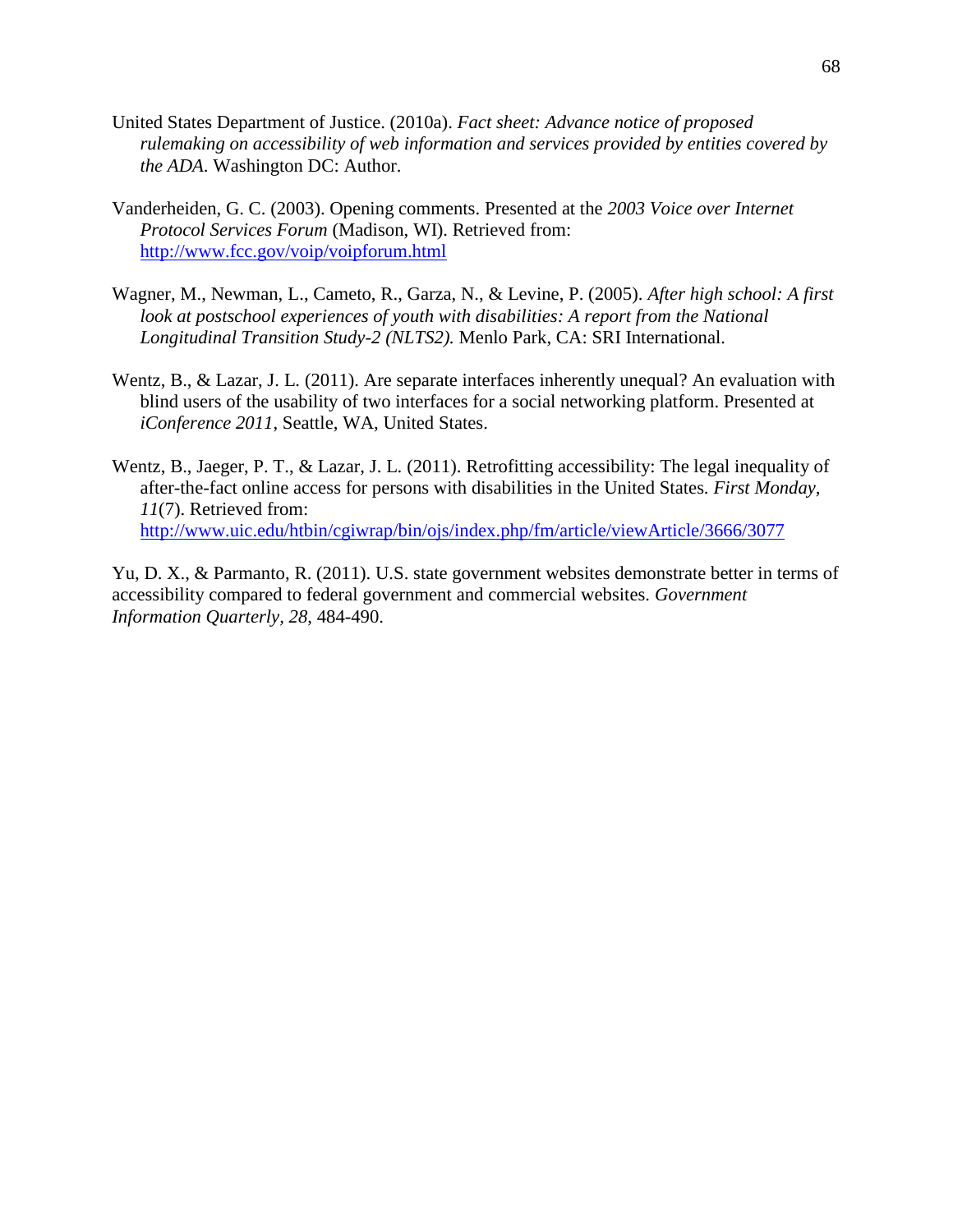- United States Department of Justice. (2010a). *Fact sheet: Advance notice of proposed rulemaking on accessibility of web information and services provided by entities covered by the ADA*. Washington DC: Author.
- Vanderheiden, G. C. (2003). Opening comments. Presented at the *2003 Voice over Internet Protocol Services Forum* (Madison, WI). Retrieved from: <http://www.fcc.gov/voip/voipforum.html>
- Wagner, M., Newman, L., Cameto, R., Garza, N., & Levine, P. (2005). *After high school: A first*  look at postschool experiences of youth with disabilities: A report from the National *Longitudinal Transition Study-2 (NLTS2).* Menlo Park, CA: SRI International.
- Wentz, B., & Lazar, J. L. (2011). Are separate interfaces inherently unequal? An evaluation with blind users of the usability of two interfaces for a social networking platform. Presented at *iConference 2011*, Seattle, WA, United States.
- Wentz, B., Jaeger, P. T., & Lazar, J. L. (2011). Retrofitting accessibility: The legal inequality of after-the-fact online access for persons with disabilities in the United States. *First Monday, 11*(7). Retrieved from: <http://www.uic.edu/htbin/cgiwrap/bin/ojs/index.php/fm/article/viewArticle/3666/3077>

Yu, D. X., & Parmanto, R. (2011). U.S. state government websites demonstrate better in terms of accessibility compared to federal government and commercial websites. *Government Information Quarterly, 28*, 484-490.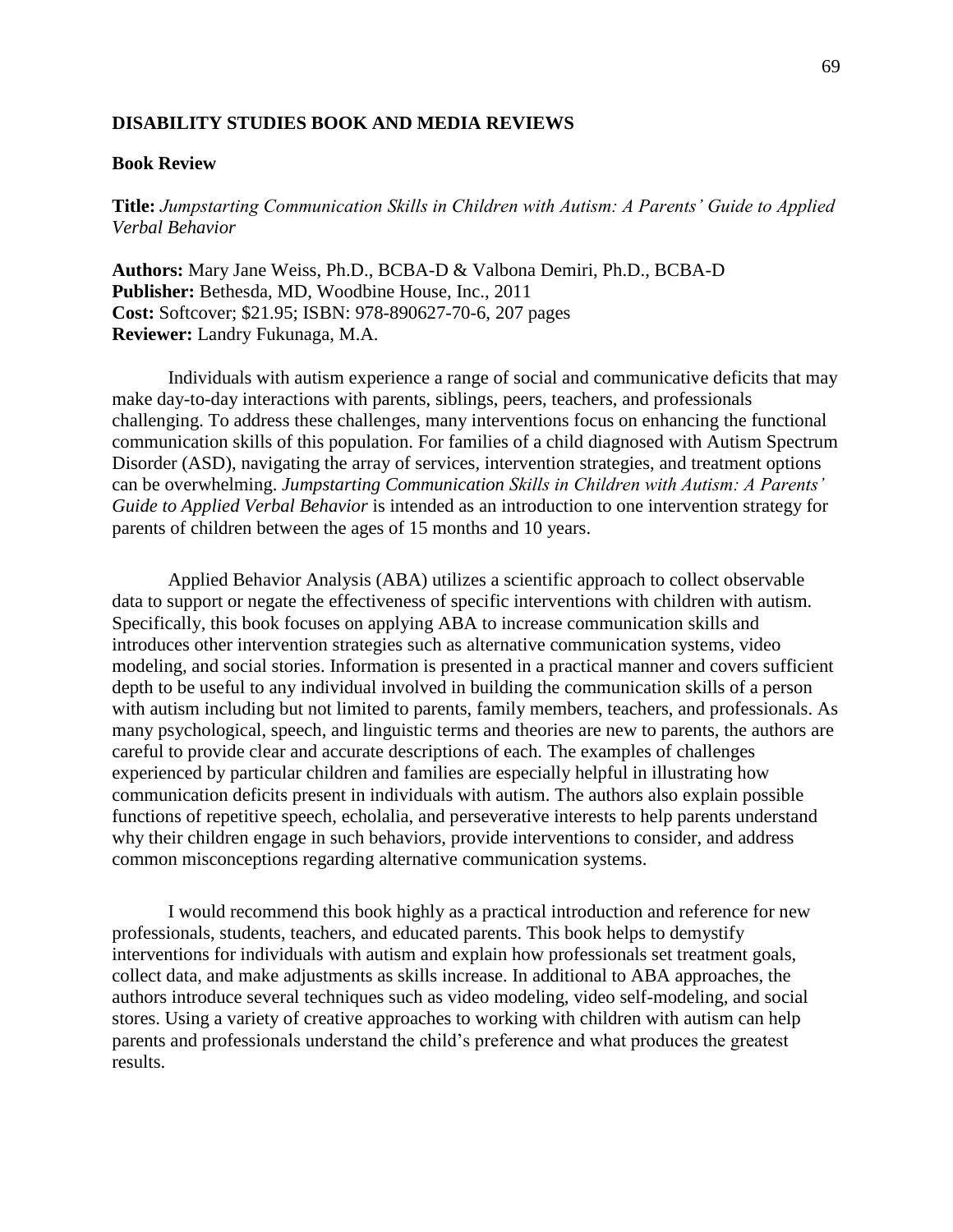## **DISABILITY STUDIES BOOK AND MEDIA REVIEWS**

#### **Book Review**

**Title:** *Jumpstarting Communication Skills in Children with Autism: A Parents' Guide to Applied Verbal Behavior*

**Authors:** Mary Jane Weiss, Ph.D., BCBA-D & Valbona Demiri, Ph.D., BCBA-D **Publisher:** Bethesda, MD, Woodbine House, Inc., 2011 **Cost:** Softcover; \$21.95; ISBN: 978-890627-70-6, 207 pages **Reviewer:** Landry Fukunaga, M.A.

Individuals with autism experience a range of social and communicative deficits that may make day-to-day interactions with parents, siblings, peers, teachers, and professionals challenging. To address these challenges, many interventions focus on enhancing the functional communication skills of this population. For families of a child diagnosed with Autism Spectrum Disorder (ASD), navigating the array of services, intervention strategies, and treatment options can be overwhelming. *Jumpstarting Communication Skills in Children with Autism: A Parents' Guide to Applied Verbal Behavior* is intended as an introduction to one intervention strategy for parents of children between the ages of 15 months and 10 years.

Applied Behavior Analysis (ABA) utilizes a scientific approach to collect observable data to support or negate the effectiveness of specific interventions with children with autism. Specifically, this book focuses on applying ABA to increase communication skills and introduces other intervention strategies such as alternative communication systems, video modeling, and social stories. Information is presented in a practical manner and covers sufficient depth to be useful to any individual involved in building the communication skills of a person with autism including but not limited to parents, family members, teachers, and professionals. As many psychological, speech, and linguistic terms and theories are new to parents, the authors are careful to provide clear and accurate descriptions of each. The examples of challenges experienced by particular children and families are especially helpful in illustrating how communication deficits present in individuals with autism. The authors also explain possible functions of repetitive speech, echolalia, and perseverative interests to help parents understand why their children engage in such behaviors, provide interventions to consider, and address common misconceptions regarding alternative communication systems.

I would recommend this book highly as a practical introduction and reference for new professionals, students, teachers, and educated parents. This book helps to demystify interventions for individuals with autism and explain how professionals set treatment goals, collect data, and make adjustments as skills increase. In additional to ABA approaches, the authors introduce several techniques such as video modeling, video self-modeling, and social stores. Using a variety of creative approaches to working with children with autism can help parents and professionals understand the child's preference and what produces the greatest results.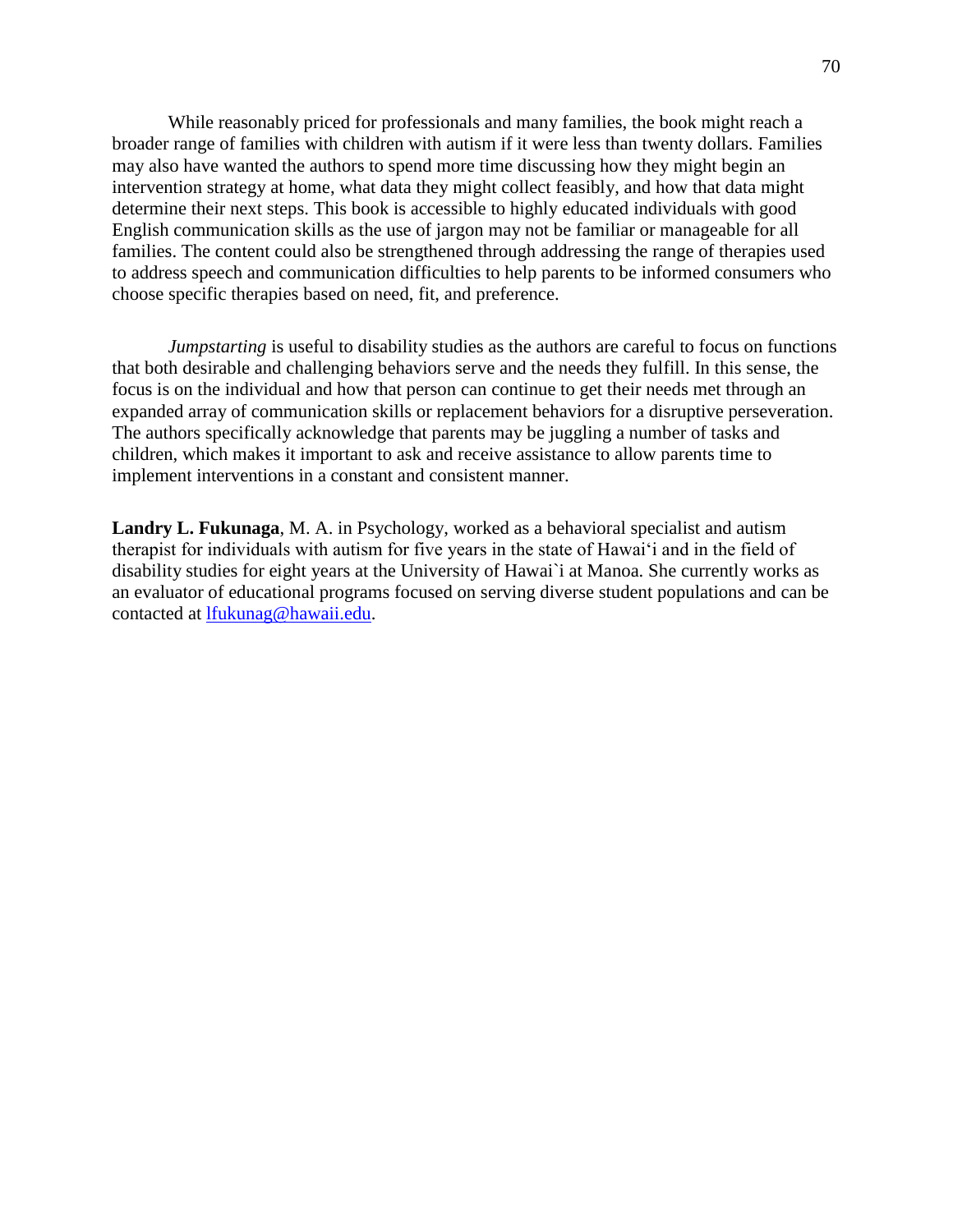While reasonably priced for professionals and many families, the book might reach a broader range of families with children with autism if it were less than twenty dollars. Families may also have wanted the authors to spend more time discussing how they might begin an intervention strategy at home, what data they might collect feasibly, and how that data might determine their next steps. This book is accessible to highly educated individuals with good English communication skills as the use of jargon may not be familiar or manageable for all families. The content could also be strengthened through addressing the range of therapies used to address speech and communication difficulties to help parents to be informed consumers who choose specific therapies based on need, fit, and preference.

*Jumpstarting* is useful to disability studies as the authors are careful to focus on functions that both desirable and challenging behaviors serve and the needs they fulfill. In this sense, the focus is on the individual and how that person can continue to get their needs met through an expanded array of communication skills or replacement behaviors for a disruptive perseveration. The authors specifically acknowledge that parents may be juggling a number of tasks and children, which makes it important to ask and receive assistance to allow parents time to implement interventions in a constant and consistent manner.

**Landry L. Fukunaga**, M. A. in Psychology, worked as a behavioral specialist and autism therapist for individuals with autism for five years in the state of Hawai'i and in the field of disability studies for eight years at the University of Hawai`i at Manoa. She currently works as an evaluator of educational programs focused on serving diverse student populations and can be contacted at [lfukunag@hawaii.edu.](mailto:lfukunag@hawaii.edu)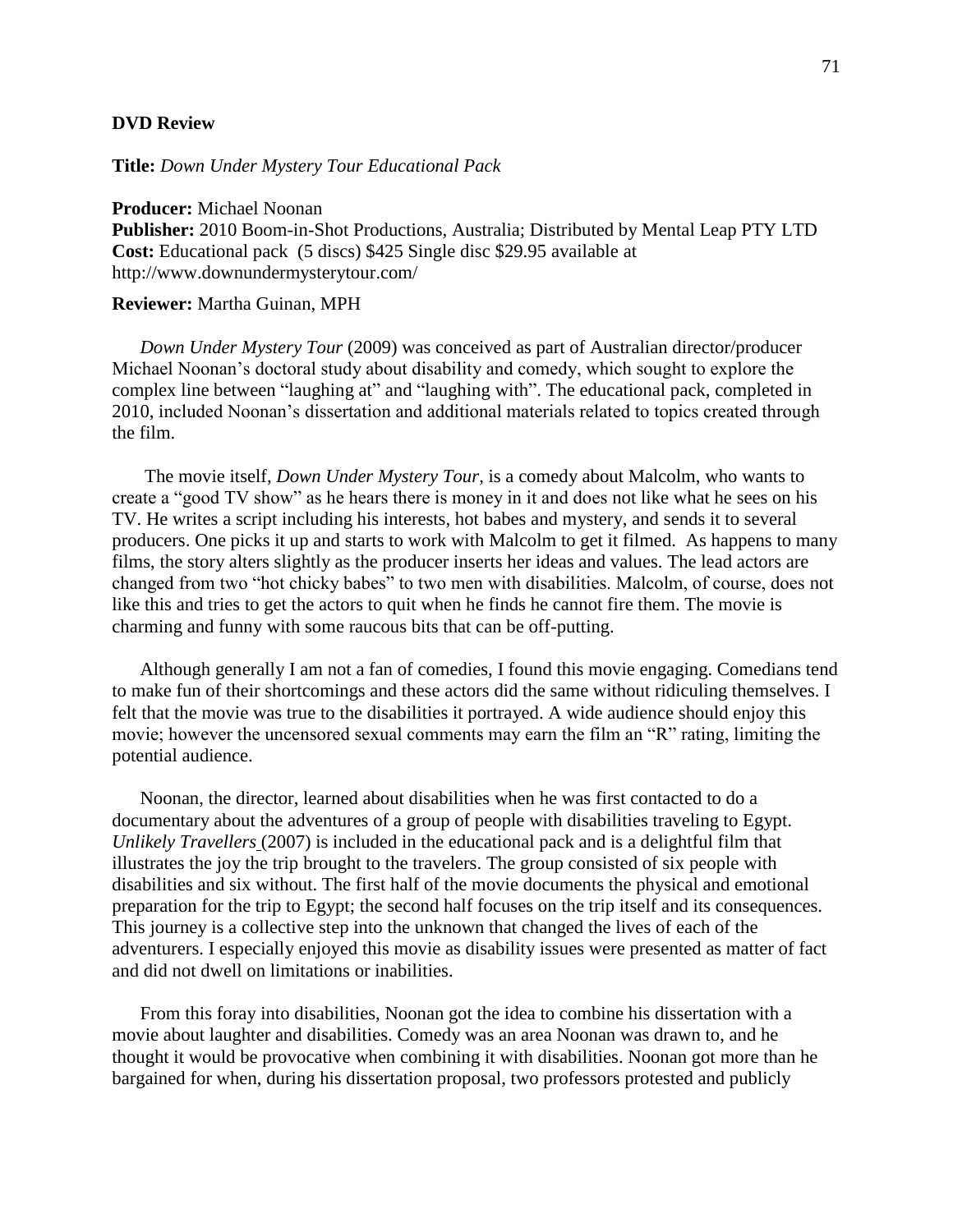## **DVD Review**

**Title:** *Down Under Mystery Tour Educational Pack*

**Producer:** Michael Noonan **Publisher:** 2010 Boom-in-Shot Productions, Australia; Distributed by Mental Leap PTY LTD **Cost:** Educational pack (5 discs) \$425 Single disc \$29.95 available at http://www.downundermysterytour.com/

#### **Reviewer:** Martha Guinan, MPH

*Down Under Mystery Tour* (2009) was conceived as part of Australian director/producer Michael Noonan's doctoral study about disability and comedy, which sought to explore the complex line between "laughing at" and "laughing with". The educational pack, completed in 2010, included Noonan's dissertation and additional materials related to topics created through the film.

The movie itself, *Down Under Mystery Tour*, is a comedy about Malcolm, who wants to create a "good TV show" as he hears there is money in it and does not like what he sees on his TV. He writes a script including his interests, hot babes and mystery, and sends it to several producers. One picks it up and starts to work with Malcolm to get it filmed. As happens to many films, the story alters slightly as the producer inserts her ideas and values. The lead actors are changed from two "hot chicky babes" to two men with disabilities. Malcolm, of course, does not like this and tries to get the actors to quit when he finds he cannot fire them. The movie is charming and funny with some raucous bits that can be off-putting.

Although generally I am not a fan of comedies, I found this movie engaging. Comedians tend to make fun of their shortcomings and these actors did the same without ridiculing themselves. I felt that the movie was true to the disabilities it portrayed. A wide audience should enjoy this movie; however the uncensored sexual comments may earn the film an "R" rating, limiting the potential audience.

Noonan, the director, learned about disabilities when he was first contacted to do a documentary about the adventures of a group of people with disabilities traveling to Egypt. *Unlikely Travellers* (2007) is included in the educational pack and is a delightful film that illustrates the joy the trip brought to the travelers. The group consisted of six people with disabilities and six without. The first half of the movie documents the physical and emotional preparation for the trip to Egypt; the second half focuses on the trip itself and its consequences. This journey is a collective step into the unknown that changed the lives of each of the adventurers. I especially enjoyed this movie as disability issues were presented as matter of fact and did not dwell on limitations or inabilities.

From this foray into disabilities, Noonan got the idea to combine his dissertation with a movie about laughter and disabilities. Comedy was an area Noonan was drawn to, and he thought it would be provocative when combining it with disabilities. Noonan got more than he bargained for when, during his dissertation proposal, two professors protested and publicly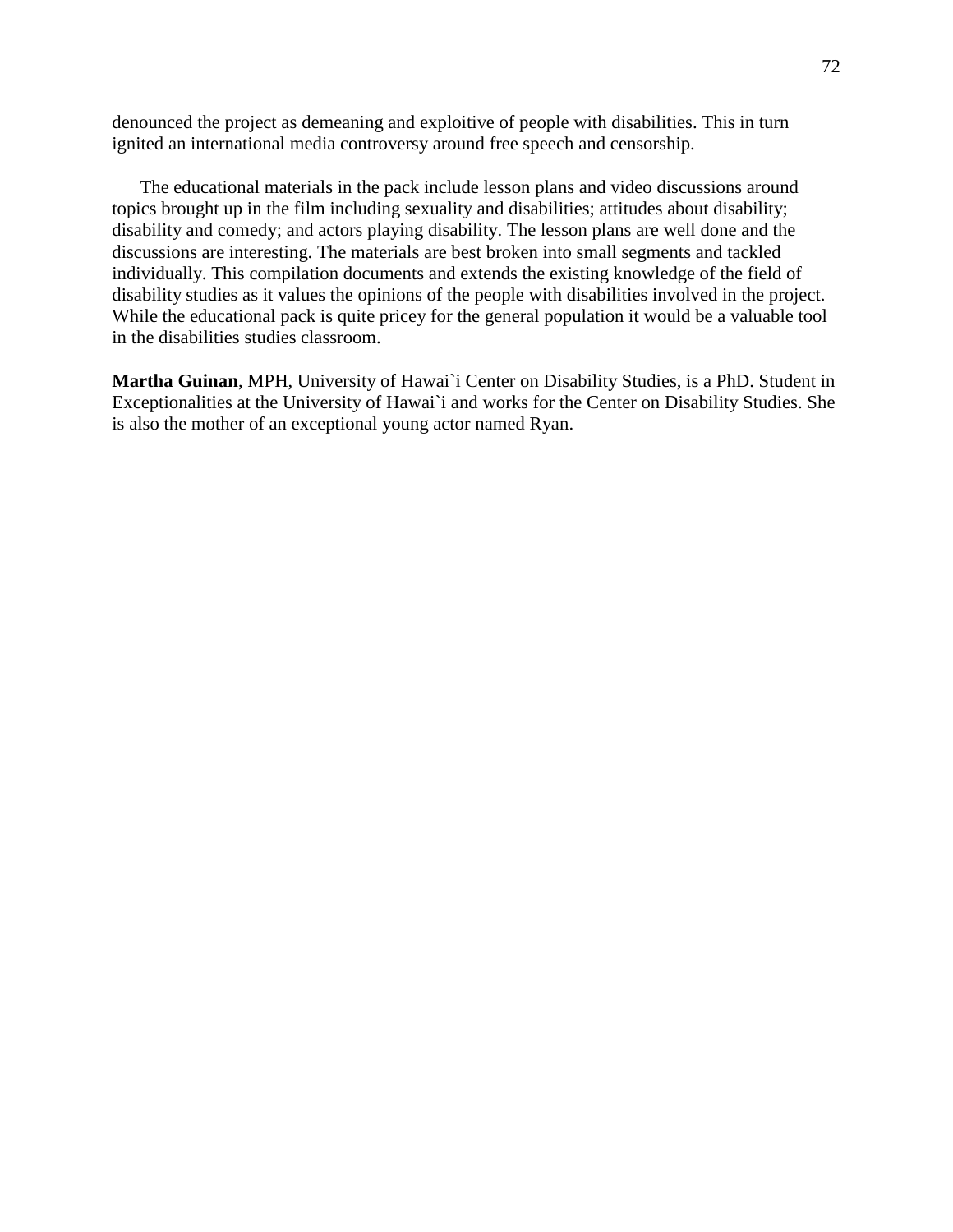denounced the project as demeaning and exploitive of people with disabilities. This in turn ignited an international media controversy around free speech and censorship.

The educational materials in the pack include lesson plans and video discussions around topics brought up in the film including sexuality and disabilities; attitudes about disability; disability and comedy; and actors playing disability. The lesson plans are well done and the discussions are interesting. The materials are best broken into small segments and tackled individually. This compilation documents and extends the existing knowledge of the field of disability studies as it values the opinions of the people with disabilities involved in the project. While the educational pack is quite pricey for the general population it would be a valuable tool in the disabilities studies classroom.

**Martha Guinan**, MPH, University of Hawai`i Center on Disability Studies, is a PhD. Student in Exceptionalities at the University of Hawai`i and works for the Center on Disability Studies. She is also the mother of an exceptional young actor named Ryan.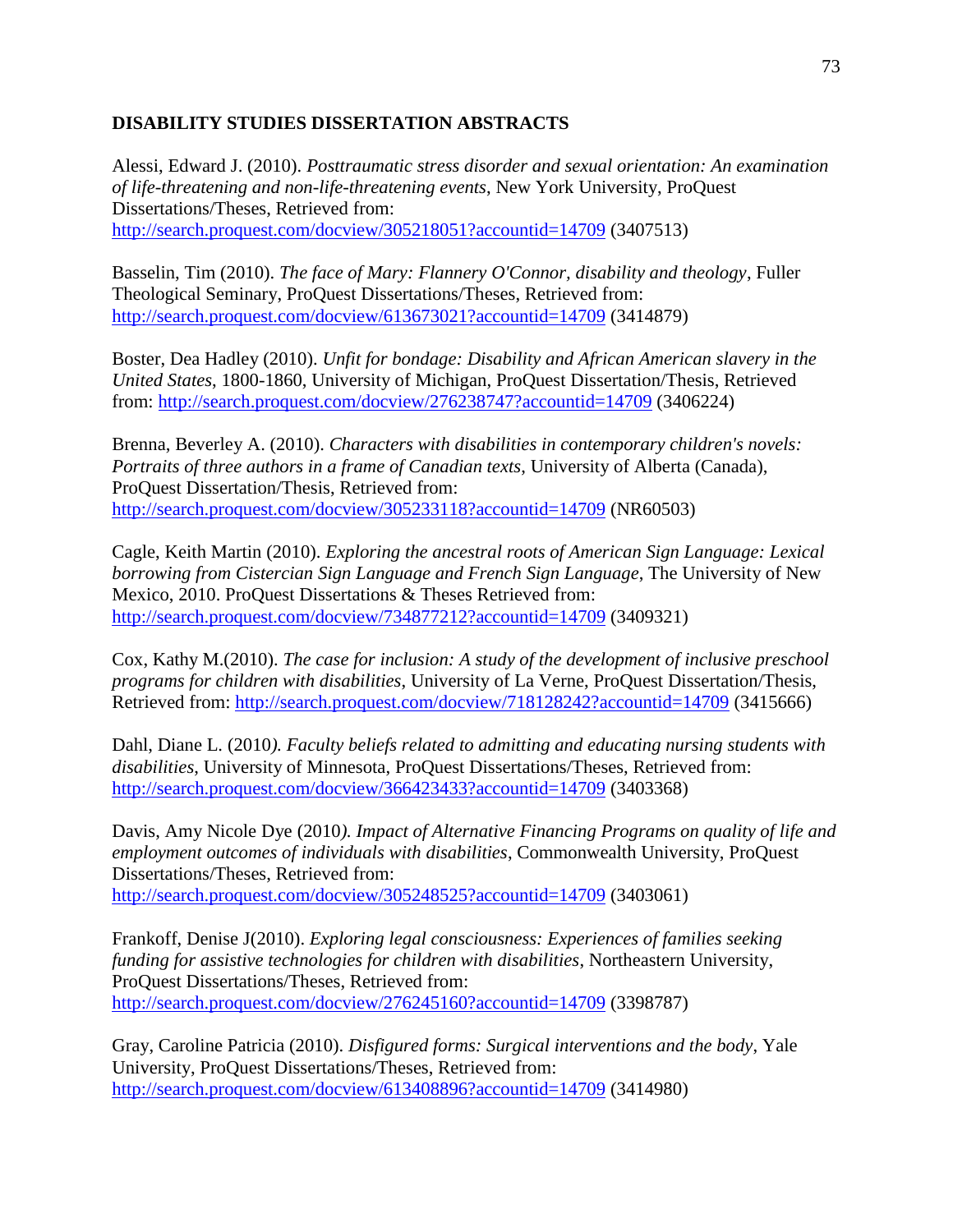# **DISABILITY STUDIES DISSERTATION ABSTRACTS**

Alessi, Edward J. (2010). *Posttraumatic stress disorder and sexual orientation: An examination of life-threatening and non-life-threatening events*, New York University, ProQuest Dissertations/Theses, Retrieved from: <http://search.proquest.com/docview/305218051?accountid=14709> (3407513)

Basselin, Tim (2010). *The face of Mary: Flannery O'Connor, disability and theology*, Fuller Theological Seminary, ProQuest Dissertations/Theses, Retrieved from: <http://search.proquest.com/docview/613673021?accountid=14709> (3414879)

Boster, Dea Hadley (2010). *Unfit for bondage: Disability and African American slavery in the United States*, 1800-1860, University of Michigan, ProQuest Dissertation/Thesis, Retrieved from:<http://search.proquest.com/docview/276238747?accountid=14709> (3406224)

Brenna, Beverley A. (2010). *Characters with disabilities in contemporary children's novels: Portraits of three authors in a frame of Canadian texts*, University of Alberta (Canada), ProQuest Dissertation/Thesis, Retrieved from: <http://search.proquest.com/docview/305233118?accountid=14709> (NR60503)

Cagle, Keith Martin (2010). *Exploring the ancestral roots of American Sign Language: Lexical borrowing from Cistercian Sign Language and French Sign Language*, The University of New Mexico, 2010. ProQuest Dissertations & Theses Retrieved from: <http://search.proquest.com/docview/734877212?accountid=14709> (3409321)

Cox, Kathy M.(2010). *The case for inclusion: A study of the development of inclusive preschool programs for children with disabilities*, University of La Verne, ProQuest Dissertation/Thesis, Retrieved from:<http://search.proquest.com/docview/718128242?accountid=14709> (3415666)

Dahl, Diane L. (2010*). Faculty beliefs related to admitting and educating nursing students with disabilities*, University of Minnesota, ProQuest Dissertations/Theses, Retrieved from: <http://search.proquest.com/docview/366423433?accountid=14709> (3403368)

Davis, Amy Nicole Dye (2010*). Impact of Alternative Financing Programs on quality of life and employment outcomes of individuals with disabilities*, Commonwealth University, ProQuest Dissertations/Theses, Retrieved from: <http://search.proquest.com/docview/305248525?accountid=14709> (3403061)

Frankoff, Denise J(2010). *Exploring legal consciousness: Experiences of families seeking funding for assistive technologies for children with disabilities*, Northeastern University, ProQuest Dissertations/Theses, Retrieved from: <http://search.proquest.com/docview/276245160?accountid=14709> (3398787)

Gray, Caroline Patricia (2010). *Disfigured forms: Surgical interventions and the body*, Yale University, ProQuest Dissertations/Theses, Retrieved from: <http://search.proquest.com/docview/613408896?accountid=14709> (3414980)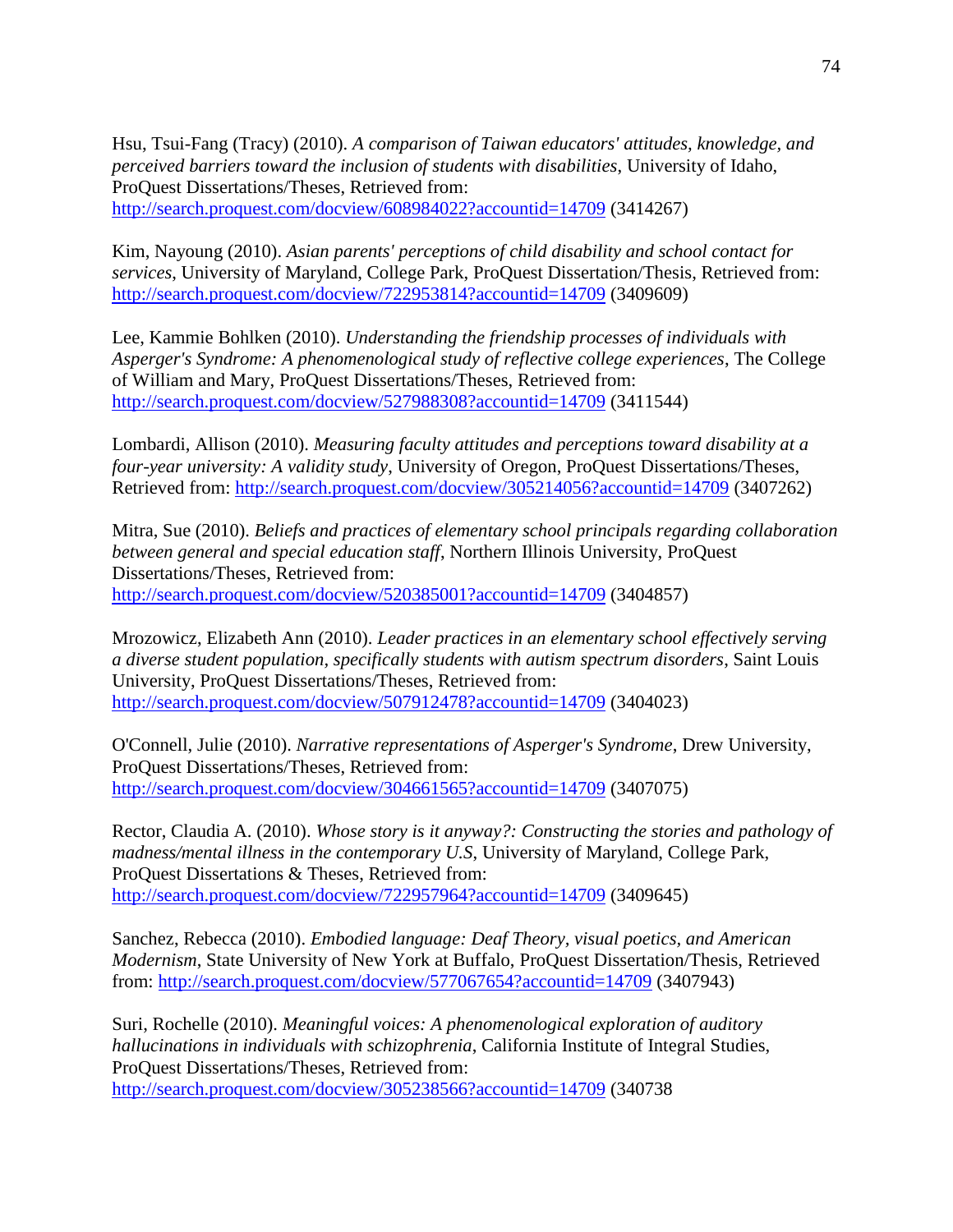Hsu, Tsui-Fang (Tracy) (2010). *A comparison of Taiwan educators' attitudes, knowledge, and perceived barriers toward the inclusion of students with disabilities*, University of Idaho, ProQuest Dissertations/Theses, Retrieved from: <http://search.proquest.com/docview/608984022?accountid=14709> (3414267)

Kim, Nayoung (2010). *Asian parents' perceptions of child disability and school contact for services*, University of Maryland, College Park, ProQuest Dissertation/Thesis, Retrieved from: <http://search.proquest.com/docview/722953814?accountid=14709> (3409609)

Lee, Kammie Bohlken (2010). *Understanding the friendship processes of individuals with Asperger's Syndrome: A phenomenological study of reflective college experiences*, The College of William and Mary, ProQuest Dissertations/Theses, Retrieved from: <http://search.proquest.com/docview/527988308?accountid=14709> (3411544)

Lombardi, Allison (2010). *Measuring faculty attitudes and perceptions toward disability at a four-year university: A validity study*, University of Oregon, ProQuest Dissertations/Theses, Retrieved from:<http://search.proquest.com/docview/305214056?accountid=14709> (3407262)

Mitra, Sue (2010). *Beliefs and practices of elementary school principals regarding collaboration between general and special education staff*, Northern Illinois University, ProQuest Dissertations/Theses, Retrieved from: <http://search.proquest.com/docview/520385001?accountid=14709> (3404857)

Mrozowicz, Elizabeth Ann (2010). *Leader practices in an elementary school effectively serving a diverse student population, specifically students with autism spectrum disorders*, Saint Louis University, ProQuest Dissertations/Theses, Retrieved from: <http://search.proquest.com/docview/507912478?accountid=14709> (3404023)

O'Connell, Julie (2010). *Narrative representations of Asperger's Syndrome*, Drew University, ProQuest Dissertations/Theses, Retrieved from: <http://search.proquest.com/docview/304661565?accountid=14709> (3407075)

Rector, Claudia A. (2010). *Whose story is it anyway?: Constructing the stories and pathology of madness/mental illness in the contemporary U.S*, University of Maryland, College Park, ProQuest Dissertations & Theses, Retrieved from: <http://search.proquest.com/docview/722957964?accountid=14709> (3409645)

Sanchez, Rebecca (2010). *Embodied language: Deaf Theory, visual poetics, and American Modernism*, State University of New York at Buffalo, ProQuest Dissertation/Thesis, Retrieved from:<http://search.proquest.com/docview/577067654?accountid=14709> (3407943)

Suri, Rochelle (2010). *Meaningful voices: A phenomenological exploration of auditory hallucinations in individuals with schizophrenia*, California Institute of Integral Studies, ProQuest Dissertations/Theses, Retrieved from: <http://search.proquest.com/docview/305238566?accountid=14709> (340738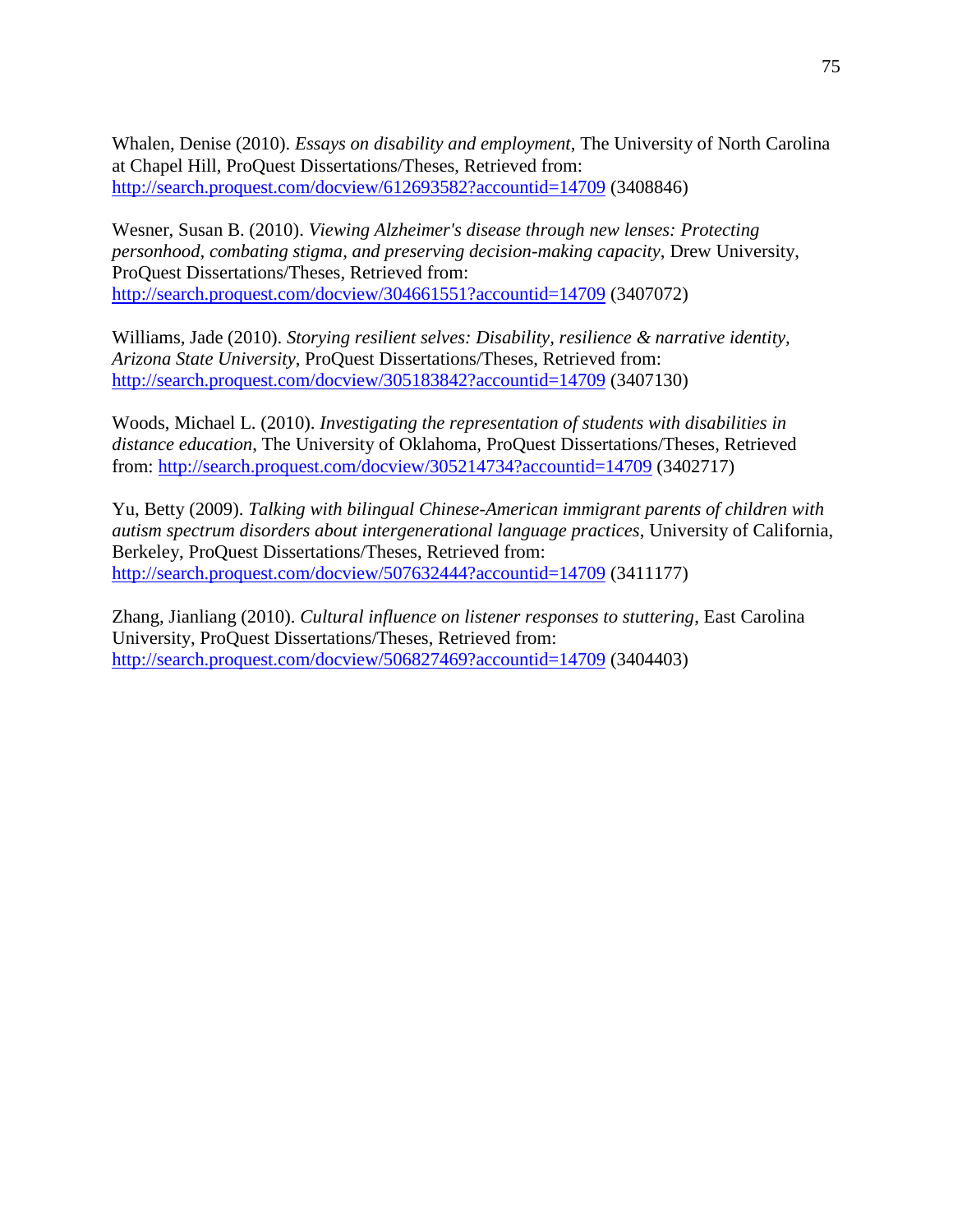Whalen, Denise (2010). *Essays on disability and employment*, The University of North Carolina at Chapel Hill, ProQuest Dissertations/Theses, Retrieved from: <http://search.proquest.com/docview/612693582?accountid=14709> (3408846)

Wesner, Susan B. (2010). *Viewing Alzheimer's disease through new lenses: Protecting personhood, combating stigma, and preserving decision-making capacity*, Drew University, ProQuest Dissertations/Theses, Retrieved from: <http://search.proquest.com/docview/304661551?accountid=14709> (3407072)

Williams, Jade (2010). *Storying resilient selves: Disability, resilience & narrative identity, Arizona State University*, ProQuest Dissertations/Theses, Retrieved from: <http://search.proquest.com/docview/305183842?accountid=14709> (3407130)

Woods, Michael L. (2010). *Investigating the representation of students with disabilities in distance education*, The University of Oklahoma, ProQuest Dissertations/Theses, Retrieved from:<http://search.proquest.com/docview/305214734?accountid=14709> (3402717)

Yu, Betty (2009). *Talking with bilingual Chinese-American immigrant parents of children with autism spectrum disorders about intergenerational language practices*, University of California, Berkeley, ProQuest Dissertations/Theses, Retrieved from: <http://search.proquest.com/docview/507632444?accountid=14709> (3411177)

Zhang, Jianliang (2010). *Cultural influence on listener responses to stuttering*, East Carolina University, ProQuest Dissertations/Theses, Retrieved from: <http://search.proquest.com/docview/506827469?accountid=14709> (3404403)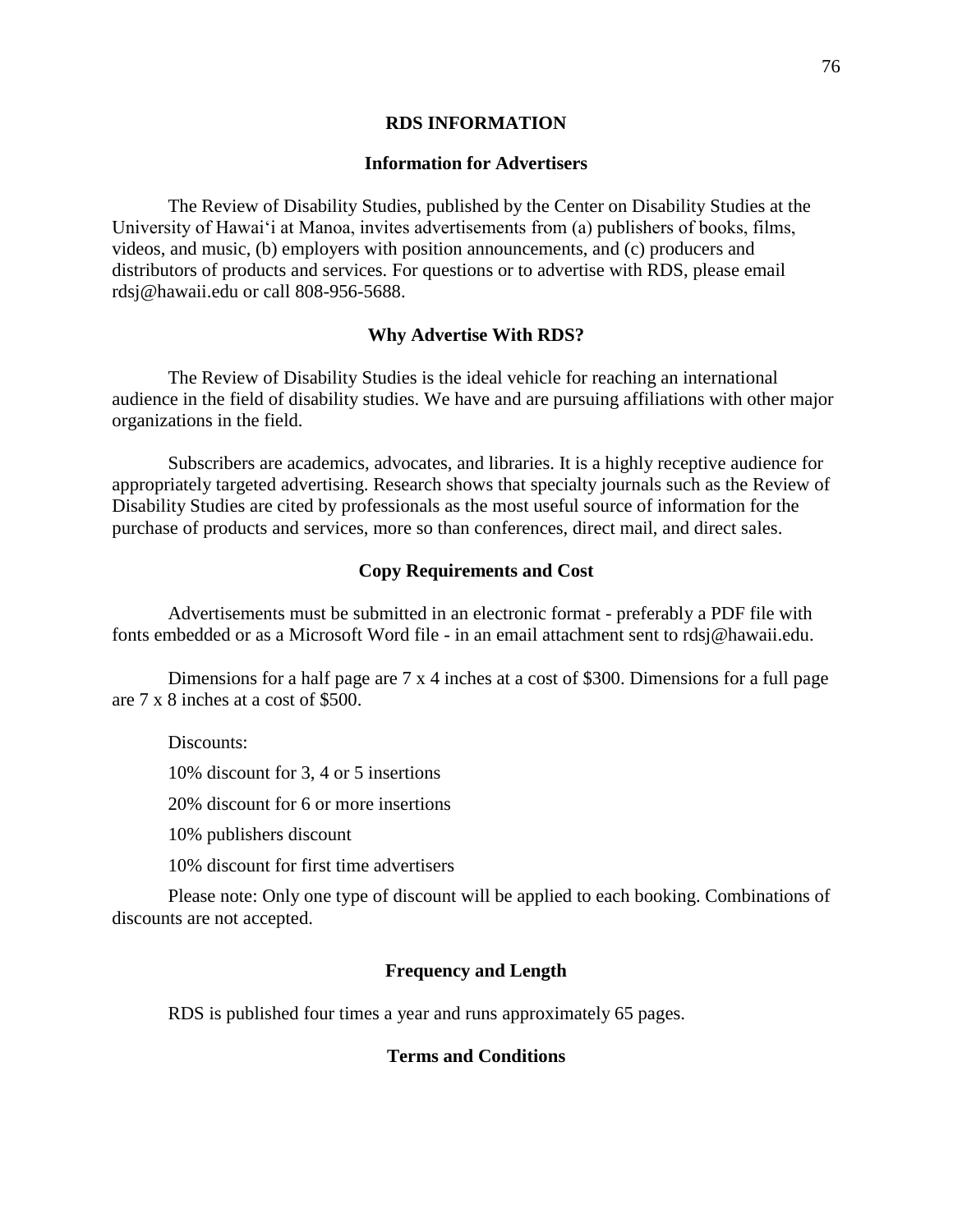#### **RDS INFORMATION**

#### **Information for Advertisers**

The Review of Disability Studies, published by the Center on Disability Studies at the University of Hawai'i at Manoa, invites advertisements from (a) publishers of books, films, videos, and music, (b) employers with position announcements, and (c) producers and distributors of products and services. For questions or to advertise with RDS, please email rdsj@hawaii.edu or call 808-956-5688.

#### **Why Advertise With RDS?**

The Review of Disability Studies is the ideal vehicle for reaching an international audience in the field of disability studies. We have and are pursuing affiliations with other major organizations in the field.

Subscribers are academics, advocates, and libraries. It is a highly receptive audience for appropriately targeted advertising. Research shows that specialty journals such as the Review of Disability Studies are cited by professionals as the most useful source of information for the purchase of products and services, more so than conferences, direct mail, and direct sales.

#### **Copy Requirements and Cost**

Advertisements must be submitted in an electronic format - preferably a PDF file with fonts embedded or as a Microsoft Word file - in an email attachment sent to rdsj@hawaii.edu.

Dimensions for a half page are 7 x 4 inches at a cost of \$300. Dimensions for a full page are 7 x 8 inches at a cost of \$500.

Discounts:

10% discount for 3, 4 or 5 insertions

20% discount for 6 or more insertions

10% publishers discount

10% discount for first time advertisers

Please note: Only one type of discount will be applied to each booking. Combinations of discounts are not accepted.

## **Frequency and Length**

RDS is published four times a year and runs approximately 65 pages.

#### **Terms and Conditions**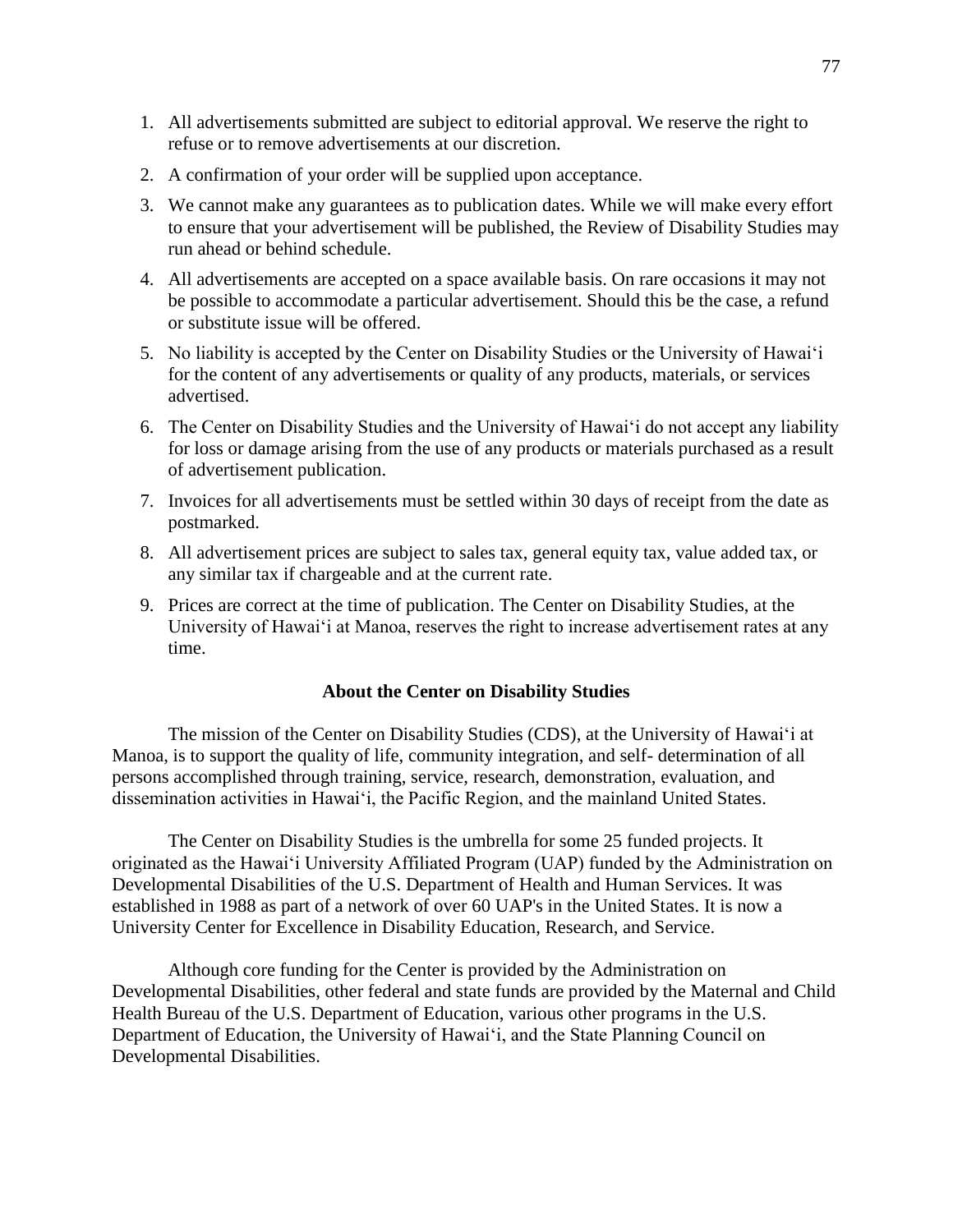- 1. All advertisements submitted are subject to editorial approval. We reserve the right to refuse or to remove advertisements at our discretion.
- 2. A confirmation of your order will be supplied upon acceptance.
- 3. We cannot make any guarantees as to publication dates. While we will make every effort to ensure that your advertisement will be published, the Review of Disability Studies may run ahead or behind schedule.
- 4. All advertisements are accepted on a space available basis. On rare occasions it may not be possible to accommodate a particular advertisement. Should this be the case, a refund or substitute issue will be offered.
- 5. No liability is accepted by the Center on Disability Studies or the University of Hawai'i for the content of any advertisements or quality of any products, materials, or services advertised.
- 6. The Center on Disability Studies and the University of Hawai'i do not accept any liability for loss or damage arising from the use of any products or materials purchased as a result of advertisement publication.
- 7. Invoices for all advertisements must be settled within 30 days of receipt from the date as postmarked.
- 8. All advertisement prices are subject to sales tax, general equity tax, value added tax, or any similar tax if chargeable and at the current rate.
- 9. Prices are correct at the time of publication. The Center on Disability Studies, at the University of Hawai'i at Manoa, reserves the right to increase advertisement rates at any time.

### **About the Center on Disability Studies**

The mission of the Center on Disability Studies (CDS), at the University of Hawai'i at Manoa, is to support the quality of life, community integration, and self- determination of all persons accomplished through training, service, research, demonstration, evaluation, and dissemination activities in Hawai'i, the Pacific Region, and the mainland United States.

The Center on Disability Studies is the umbrella for some 25 funded projects. It originated as the Hawai'i University Affiliated Program (UAP) funded by the Administration on Developmental Disabilities of the U.S. Department of Health and Human Services. It was established in 1988 as part of a network of over 60 UAP's in the United States. It is now a University Center for Excellence in Disability Education, Research, and Service.

Although core funding for the Center is provided by the Administration on Developmental Disabilities, other federal and state funds are provided by the Maternal and Child Health Bureau of the U.S. Department of Education, various other programs in the U.S. Department of Education, the University of Hawai'i, and the State Planning Council on Developmental Disabilities.